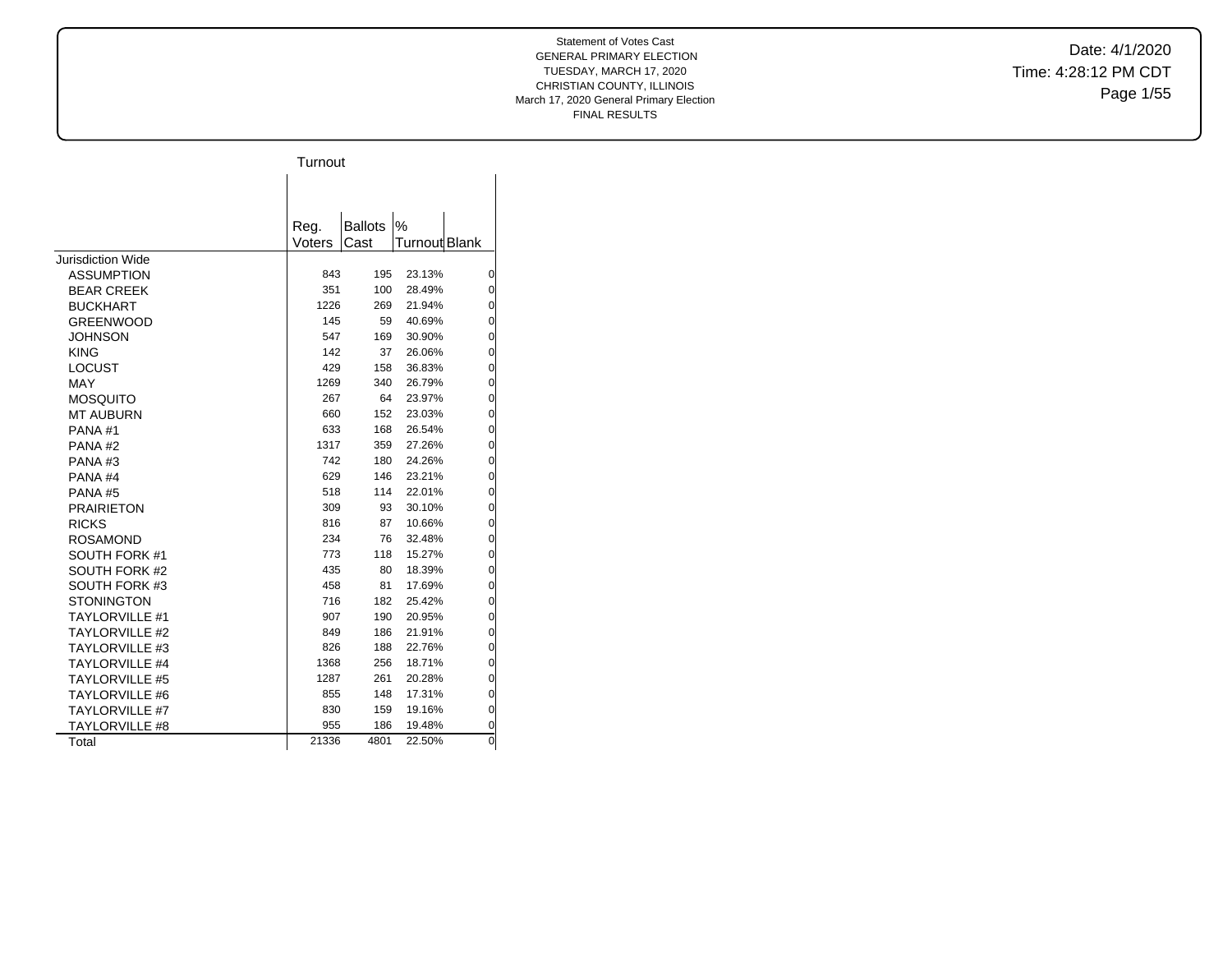Date: 4/1/2020 Time: 4:28:12 PM CDT Page 1/55

|                          | Turnout |                |               |                |
|--------------------------|---------|----------------|---------------|----------------|
|                          |         |                |               |                |
|                          |         |                |               |                |
|                          | Reg.    | <b>Ballots</b> | %             |                |
|                          | Voters  | Cast           | Turnout Blank |                |
| <b>Jurisdiction Wide</b> |         |                |               |                |
| <b>ASSUMPTION</b>        | 843     | 195            | 23.13%        | 0              |
| <b>BEAR CREEK</b>        | 351     | 100            | 28.49%        | 0              |
| <b>BUCKHART</b>          | 1226    | 269            | 21.94%        | 0              |
| <b>GREENWOOD</b>         | 145     | 59             | 40.69%        | 0              |
| <b>JOHNSON</b>           | 547     | 169            | 30.90%        | $\overline{0}$ |
| <b>KING</b>              | 142     | 37             | 26.06%        | 0              |
| <b>LOCUST</b>            | 429     | 158            | 36.83%        | 0              |
| <b>MAY</b>               | 1269    | 340            | 26.79%        | 0              |
| <b>MOSQUITO</b>          | 267     | 64             | 23.97%        | 0              |
| <b>MT AUBURN</b>         | 660     | 152            | 23.03%        | 0              |
| PANA#1                   | 633     | 168            | 26.54%        | 0              |
| PANA#2                   | 1317    | 359            | 27.26%        | 0              |
| PANA#3                   | 742     | 180            | 24.26%        | 0              |
| PANA <sub>#4</sub>       | 629     | 146            | 23.21%        | 0              |
| PANA#5                   | 518     | 114            | 22.01%        | $\overline{0}$ |
| <b>PRAIRIETON</b>        | 309     | 93             | 30.10%        | 0              |
| <b>RICKS</b>             | 816     | 87             | 10.66%        | 0              |
| <b>ROSAMOND</b>          | 234     | 76             | 32.48%        | 0              |
| SOUTH FORK #1            | 773     | 118            | 15.27%        | 0              |
| SOUTH FORK #2            | 435     | 80             | 18.39%        | 0              |
| SOUTH FORK #3            | 458     | 81             | 17.69%        | 0              |
| <b>STONINGTON</b>        | 716     | 182            | 25.42%        | 0              |
| <b>TAYLORVILLE #1</b>    | 907     | 190            | 20.95%        | 0              |
| <b>TAYLORVILLE #2</b>    | 849     | 186            | 21.91%        | 0              |
| <b>TAYLORVILLE #3</b>    | 826     | 188            | 22.76%        | 0              |
| <b>TAYLORVILLE #4</b>    | 1368    | 256            | 18.71%        | 0              |
| <b>TAYLORVILLE #5</b>    | 1287    | 261            | 20.28%        | 0              |
| <b>TAYLORVILLE #6</b>    | 855     | 148            | 17.31%        | 0              |
| <b>TAYLORVILLE #7</b>    | 830     | 159            | 19.16%        | 0              |
| <b>TAYLORVILLE #8</b>    | 955     | 186            | 19.48%        | 0              |
| Total                    | 21336   | 4801           | 22.50%        | 0              |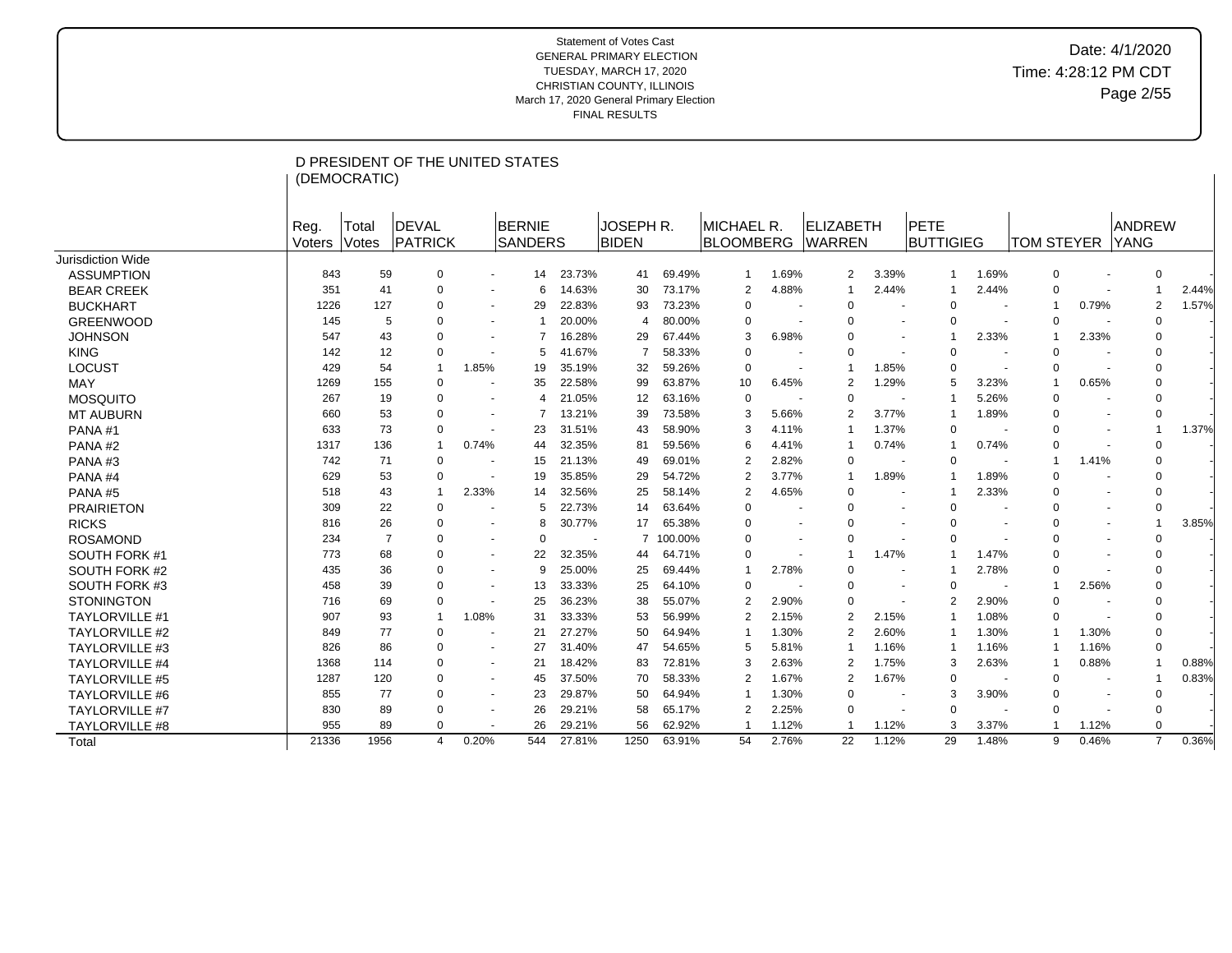|                       |                | (DEMOCRATIC)          | D PRESIDENT OF THE UNITED STATES |                          |                                 |                |                                  |         |                                        |       |                            |                          |                          |                          |                   |                          |                       |       |
|-----------------------|----------------|-----------------------|----------------------------------|--------------------------|---------------------------------|----------------|----------------------------------|---------|----------------------------------------|-------|----------------------------|--------------------------|--------------------------|--------------------------|-------------------|--------------------------|-----------------------|-------|
|                       | Reg.<br>Voters | Total<br><b>Votes</b> | DEVAL<br><b>PATRICK</b>          |                          | <b>BERNIE</b><br><b>SANDERS</b> |                | <b>JOSEPH R.</b><br><b>BIDEN</b> |         | <b>IMICHAEL R.</b><br><b>BLOOMBERG</b> |       | ELIZABETH<br><b>WARREN</b> |                          | PETE<br><b>BUTTIGIEG</b> |                          | <b>TOM STEYER</b> |                          | ANDREW<br><b>YANG</b> |       |
| Jurisdiction Wide     |                |                       |                                  |                          |                                 |                |                                  |         |                                        |       |                            |                          |                          |                          |                   |                          |                       |       |
| <b>ASSUMPTION</b>     | 843            | 59                    | 0                                | $\sim$                   | 14                              | 23.73%         | 41                               | 69.49%  | $\mathbf 1$                            | 1.69% | 2                          | 3.39%                    | $\mathbf{1}$             | 1.69%                    | $\mathbf 0$       |                          | $\mathbf 0$           |       |
| <b>BEAR CREEK</b>     | 351            | 41                    | 0                                | $\overline{\phantom{a}}$ | 6                               | 14.63%         | 30                               | 73.17%  | $\overline{2}$                         | 4.88% | 1                          | 2.44%                    | $\mathbf 1$              | 2.44%                    | $\mathbf 0$       |                          | -1                    | 2.44% |
| <b>BUCKHART</b>       | 1226           | 127                   | 0                                | $\sim$                   | 29                              | 22.83%         | 93                               | 73.23%  | $\mathbf 0$                            |       | $\mathbf 0$                |                          | $\mathbf 0$              | $\overline{\phantom{a}}$ | $\overline{1}$    | 0.79%                    | $\overline{2}$        | 1.57% |
| <b>GREENWOOD</b>      | 145            | 5                     | 0                                | $\sim$                   | -1                              | 20.00%         | $\overline{4}$                   | 80.00%  | $\mathbf 0$                            |       | 0                          |                          | $\Omega$                 | $\sim$                   | $\mathbf 0$       |                          | $\Omega$              |       |
| <b>JOHNSON</b>        | 547            | 43                    | $\Omega$                         | $\sim$                   | $\overline{7}$                  | 16.28%         | 29                               | 67.44%  | 3                                      | 6.98% | $\Omega$                   | $\overline{\phantom{a}}$ | $\mathbf 1$              | 2.33%                    | $\overline{1}$    | 2.33%                    | $\Omega$              |       |
| <b>KING</b>           | 142            | 12                    | 0                                | $\overline{a}$           | 5                               | 41.67%         | 7                                | 58.33%  | $\mathbf 0$                            |       | 0                          |                          | $\Omega$                 | $\overline{\phantom{a}}$ | $\mathbf 0$       |                          | $\Omega$              |       |
| <b>LOCUST</b>         | 429            | 54                    | $\overline{1}$                   | 1.85%                    | 19                              | 35.19%         | 32                               | 59.26%  | $\mathbf 0$                            |       | -1                         | 1.85%                    | $\Omega$                 |                          | $\mathbf 0$       |                          | $\Omega$              |       |
| <b>MAY</b>            | 1269           | 155                   | 0                                | $\overline{\phantom{a}}$ | 35                              | 22.58%         | 99                               | 63.87%  | 10                                     | 6.45% | 2                          | 1.29%                    | 5                        | 3.23%                    | $\overline{1}$    | 0.65%                    | $\Omega$              |       |
| <b>MOSQUITO</b>       | 267            | 19                    | 0                                | $\overline{\phantom{a}}$ | 4                               | 21.05%         | 12                               | 63.16%  | $\mathbf 0$                            |       | 0                          |                          | $\mathbf 1$              | 5.26%                    | $\mathbf 0$       |                          | $\Omega$              |       |
| <b>MT AUBURN</b>      | 660            | 53                    | 0                                | $\sim$                   | $\overline{7}$                  | 13.21%         | 39                               | 73.58%  | 3                                      | 5.66% | $\overline{2}$             | 3.77%                    | -1                       | 1.89%                    | $\mathbf 0$       |                          | $\mathbf 0$           |       |
| PANA#1                | 633            | 73                    | 0                                | $\sim$                   | 23                              | 31.51%         | 43                               | 58.90%  | 3                                      | 4.11% | -1                         | 1.37%                    | $\Omega$                 | $\sim$                   | $\mathbf 0$       |                          | -1                    | 1.37% |
| PANA#2                | 1317           | 136                   | -1                               | 0.74%                    | 44                              | 32.35%         | 81                               | 59.56%  | 6                                      | 4.41% |                            | 0.74%                    | $\mathbf 1$              | 0.74%                    | $\mathbf 0$       | $\overline{\phantom{a}}$ | $\Omega$              |       |
| PANA#3                | 742            | 71                    | $\mathbf 0$                      | $\sim$                   | 15                              | 21.13%         | 49                               | 69.01%  | $\overline{2}$                         | 2.82% | $\Omega$                   |                          | $\Omega$                 | $\sim$                   | $\overline{1}$    | 1.41%                    | $\Omega$              |       |
| PANA#4                | 629            | 53                    | 0                                | $\overline{\phantom{a}}$ | 19                              | 35.85%         | 29                               | 54.72%  | $\overline{2}$                         | 3.77% | -1                         | 1.89%                    | $\mathbf 1$              | 1.89%                    | $\mathbf 0$       |                          | $\Omega$              |       |
| PANA#5                | 518            | 43                    | -1                               | 2.33%                    | 14                              | 32.56%         | 25                               | 58.14%  | $\overline{2}$                         | 4.65% | 0                          |                          | -1                       | 2.33%                    | 0                 |                          | 0                     |       |
| <b>PRAIRIETON</b>     | 309            | 22                    | 0                                |                          | 5                               | 22.73%         | 14                               | 63.64%  | $\Omega$                               |       | $\Omega$                   |                          | $\Omega$                 |                          | $\Omega$          |                          | $\Omega$              |       |
| <b>RICKS</b>          | 816            | 26                    | 0                                | $\overline{\phantom{a}}$ | 8                               | 30.77%         | 17                               | 65.38%  | $\Omega$                               |       | $\Omega$                   |                          | $\Omega$                 |                          | $\mathbf 0$       |                          | $\overline{1}$        | 3.85% |
| <b>ROSAMOND</b>       | 234            | $\overline{7}$        | 0                                | $\blacksquare$           | $\Omega$                        | $\blacksquare$ | $\overline{7}$                   | 100.00% | $\Omega$                               |       | 0<br>$\blacksquare$        |                          | $\Omega$                 |                          | $\mathbf 0$       |                          | $\Omega$              |       |
| SOUTH FORK #1         | 773            | 68                    | 0                                | $\sim$                   | 22                              | 32.35%         | 44                               | 64.71%  | $\Omega$                               |       | $\overline{\phantom{a}}$   | 1.47%                    |                          | 1.47%                    | $\mathbf 0$       |                          | $\Omega$              |       |
| SOUTH FORK #2         | 435            | 36                    | 0                                | $\sim$                   | 9                               | 25.00%         | 25                               | 69.44%  |                                        | 2.78% | 0                          |                          | -1                       | 2.78%                    | $\mathbf 0$       |                          | $\Omega$              |       |
| SOUTH FORK #3         | 458            | 39                    | $\Omega$                         | $\overline{\phantom{a}}$ | 13                              | 33.33%         | 25                               | 64.10%  | $\Omega$                               |       | $\Omega$                   |                          | $\Omega$                 | ۰.                       | $\overline{1}$    | 2.56%                    | $\Omega$              |       |
| <b>STONINGTON</b>     | 716            | 69                    | $\mathbf 0$                      | $\blacksquare$           | 25                              | 36.23%         | 38                               | 55.07%  | $\overline{2}$                         | 2.90% | $\Omega$                   |                          | $\overline{2}$           | 2.90%                    | $\mathbf 0$       |                          | $\Omega$              |       |
| <b>TAYLORVILLE #1</b> | 907            | 93                    | -1                               | 1.08%                    | 31                              | 33.33%         | 53                               | 56.99%  | 2                                      | 2.15% | 2                          | 2.15%                    | $\mathbf 1$              | 1.08%                    | $\Omega$          |                          | $\Omega$              |       |
| <b>TAYLORVILLE #2</b> | 849            | 77                    | 0                                | $\blacksquare$           | 21                              | 27.27%         | 50                               | 64.94%  |                                        | 1.30% | $\overline{2}$             | 2.60%                    | 1                        | 1.30%                    | $\overline{1}$    | 1.30%                    | 0                     |       |
| <b>TAYLORVILLE #3</b> | 826            | 86                    | 0                                | $\overline{\phantom{a}}$ | 27                              | 31.40%         | 47                               | 54.65%  | 5                                      | 5.81% | -1                         | 1.16%                    | -1                       | 1.16%                    | -1                | 1.16%                    | 0                     |       |
| <b>TAYLORVILLE #4</b> | 1368           | 114                   | 0                                | $\sim$                   | 21                              | 18.42%         | 83                               | 72.81%  | 3                                      | 2.63% | 2                          | 1.75%                    | 3                        | 2.63%                    | $\overline{1}$    | 0.88%                    | -1                    | 0.88% |
| <b>TAYLORVILLE #5</b> | 1287           | 120                   | 0                                | $\blacksquare$           | 45                              | 37.50%         | 70                               | 58.33%  | 2                                      | 1.67% | 2                          | 1.67%                    | 0                        |                          | $\mathbf 0$       |                          | $\mathbf 1$           | 0.83% |
| <b>TAYLORVILLE #6</b> | 855            | 77                    | 0                                | $\sim$                   | 23                              | 29.87%         | 50                               | 64.94%  |                                        | 1.30% | $\Omega$                   | $\overline{\phantom{a}}$ | 3                        | 3.90%                    | $\mathbf 0$       | $\overline{\phantom{a}}$ | 0                     |       |
| <b>TAYLORVILLE #7</b> | 830            | 89                    | 0                                | $\sim$                   | 26                              | 29.21%         | 58                               | 65.17%  | $\overline{2}$                         | 2.25% | $\mathbf 0$                | $\sim$                   | $\Omega$                 | $\sim$                   | $\mathbf 0$       | $\overline{\phantom{a}}$ | 0                     |       |
| <b>TAYLORVILLE #8</b> | 955            | 89                    | $\Omega$                         | $\overline{\phantom{a}}$ | 26                              | 29.21%         | 56                               | 62.92%  |                                        | 1.12% | -1                         | 1.12%                    | 3                        | 3.37%                    | $\overline{1}$    | 1.12%                    | $\mathbf 0$           |       |
| Total                 | 21336          | 1956                  | 4                                | 0.20%                    | 544                             | 27.81%         | 1250                             | 63.91%  | 54                                     | 2.76% | 22                         | 1.12%                    | 29                       | 1.48%                    | 9                 | 0.46%                    | $\overline{7}$        | 0.36% |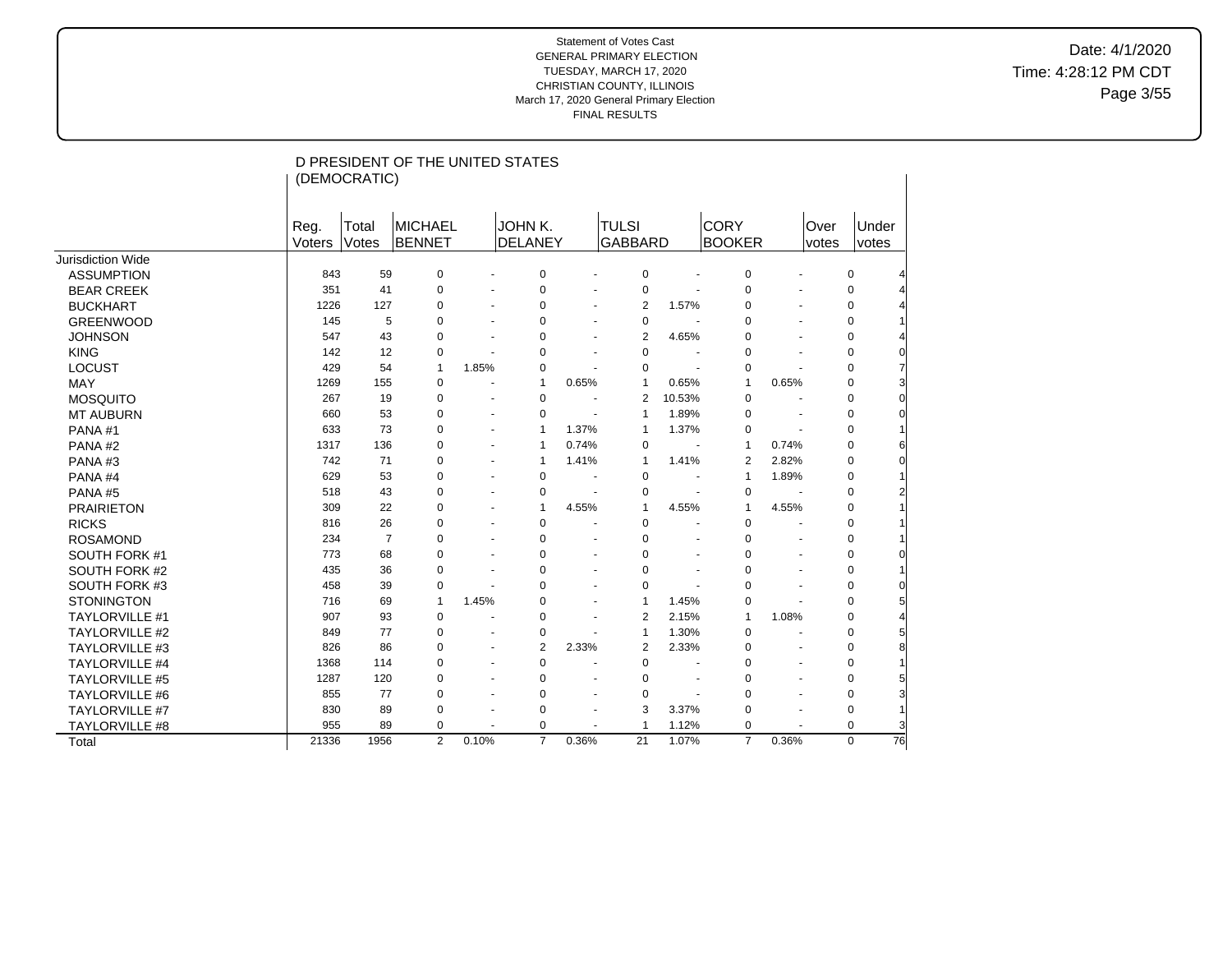Date: 4/1/2020 Time: 4:28:12 PM CDT Page 3/55

|                       | (DEMOCRATIC)          |                | D PRESIDENT OF THE UNITED STATES |                      |                           |                |                                |                      |                              |                      |               |                |          |
|-----------------------|-----------------------|----------------|----------------------------------|----------------------|---------------------------|----------------|--------------------------------|----------------------|------------------------------|----------------------|---------------|----------------|----------|
|                       |                       |                |                                  |                      |                           |                |                                |                      |                              |                      |               |                |          |
|                       | Reg.<br><b>Voters</b> | Total<br>Votes | <b>MICHAEL</b><br><b>BENNET</b>  |                      | JOHN K.<br><b>DELANEY</b> |                | <b>TULSI</b><br><b>GABBARD</b> |                      | <b>CORY</b><br><b>BOOKER</b> |                      | Over<br>votes | Under<br>votes |          |
| Jurisdiction Wide     |                       |                |                                  |                      |                           |                |                                |                      |                              |                      |               |                |          |
| <b>ASSUMPTION</b>     | 843                   | 59             | 0                                |                      | 0                         |                | 0                              |                      | 0                            | $\ddot{\phantom{1}}$ |               | 0              |          |
| <b>BEAR CREEK</b>     | 351                   | 41             | $\mathbf 0$                      |                      | $\mathbf 0$               |                | $\mathbf 0$                    |                      | $\pmb{0}$                    |                      |               | $\mathbf 0$    |          |
| <b>BUCKHART</b>       | 1226                  | 127            | 0                                |                      | 0                         |                | 2                              | 1.57%                | $\pmb{0}$                    |                      |               | 0              |          |
| <b>GREENWOOD</b>      | 145                   | 5              | 0                                |                      | 0                         |                | $\mathbf 0$                    |                      | 0                            |                      |               | 0              |          |
| <b>JOHNSON</b>        | 547                   | 43             | 0                                |                      | 0                         |                | $\overline{2}$                 | 4.65%                | 0                            | ÷.                   |               | 0              |          |
| <b>KING</b>           | 142                   | 12             | $\mathbf 0$                      |                      | 0                         |                | $\mathbf 0$                    | $\sim$               | $\mathbf 0$                  |                      |               | 0              | $\Omega$ |
| <b>LOCUST</b>         | 429                   | 54             | $\mathbf{1}$                     | 1.85%                | 0                         |                | $\Omega$                       | ÷,                   | 0                            |                      |               | 0              |          |
| <b>MAY</b>            | 1269                  | 155            | 0                                | ٠                    | $\mathbf{1}$              | 0.65%          | $\mathbf{1}$                   | 0.65%                | $\mathbf{1}$                 | 0.65%                |               | $\Omega$       |          |
| <b>MOSQUITO</b>       | 267                   | 19             | $\mathbf 0$                      | $\blacksquare$       | $\mathbf 0$               |                | 2                              | 10.53%               | $\mathbf 0$                  | $\blacksquare$       |               | 0              |          |
| <b>MT AUBURN</b>      | 660                   | 53             | 0                                | ä,                   | 0                         |                | 1                              | 1.89%                | 0                            | $\sim$               |               | 0              |          |
| PANA#1                | 633                   | 73             | 0                                | ٠                    | $\mathbf{1}$              | 1.37%          | 1                              | 1.37%                | 0                            | ÷,                   |               | $\Omega$       |          |
| PANA#2                | 1317                  | 136            | $\mathbf 0$                      | ä,                   | $\mathbf{1}$              | 0.74%          | $\mathbf 0$                    |                      | $\mathbf{1}$                 | 0.74%                |               | 0              |          |
| PANA#3                | 742                   | 71             | 0                                | ٠                    | $\mathbf{1}$              | 1.41%          | $\mathbf{1}$                   | 1.41%                | 2                            | 2.82%                |               | 0              |          |
| PANA#4                | 629                   | 53             | $\Omega$                         | $\blacksquare$       | 0                         |                | $\Omega$                       | $\blacksquare$       | $\mathbf{1}$                 | 1.89%                |               | $\Omega$       |          |
| PANA#5                | 518                   | 43             | 0                                | ٠                    | 0                         |                | 0                              | $\blacksquare$       | $\mathbf 0$                  |                      |               | 0              |          |
| <b>PRAIRIETON</b>     | 309                   | 22             | 0                                | ٠                    | $\mathbf{1}$              | 4.55%          | $\mathbf{1}$                   | 4.55%                | $\mathbf{1}$                 | 4.55%                |               | $\Omega$       |          |
| <b>RICKS</b>          | 816                   | 26             | $\Omega$                         | ٠                    | $\pmb{0}$                 |                | 0                              | ÷,                   | $\mathbf 0$                  | ÷,                   |               | $\Omega$       |          |
| <b>ROSAMOND</b>       | 234                   | $\overline{7}$ | 0                                | $\blacksquare$       | $\mathbf 0$               |                | $\Omega$                       | ä,                   | $\mathbf 0$                  | ä,                   |               | 0              |          |
| SOUTH FORK #1         | 773                   | 68             | 0                                | ٠                    | 0                         |                | $\Omega$                       | $\sim$               | $\mathbf 0$                  | $\blacksquare$       |               | $\Omega$       |          |
| SOUTH FORK #2         | 435                   | 36             | $\Omega$                         |                      | 0                         |                | $\Omega$                       | $\blacksquare$       | 0                            | $\blacksquare$       |               | $\Omega$       |          |
| SOUTH FORK #3         | 458                   | 39             | 0                                |                      | 0                         |                | 0                              |                      | 0                            |                      |               | 0              |          |
| <b>STONINGTON</b>     | 716                   | 69             | $\mathbf{1}$                     | 1.45%                | 0                         |                | $\mathbf{1}$                   | 1.45%                | $\pmb{0}$                    |                      |               | 0              |          |
| <b>TAYLORVILLE #1</b> | 907                   | 93             | $\mathbf 0$                      |                      | 0                         |                | $\overline{2}$                 | 2.15%                | $\mathbf{1}$                 | 1.08%                |               | $\Omega$       |          |
| <b>TAYLORVILLE #2</b> | 849                   | 77             | $\mathbf 0$                      |                      | 0                         |                | $\mathbf{1}$                   | 1.30%                | $\mathbf 0$                  | ÷,                   |               | 0              |          |
| <b>TAYLORVILLE #3</b> | 826                   | 86             | 0                                | $\ddot{\phantom{1}}$ | $\overline{2}$            | 2.33%          | $\overline{2}$                 | 2.33%                | $\pmb{0}$                    | $\blacksquare$       |               | 0              |          |
| TAYLORVILLE #4        | 1368                  | 114            | 0                                | ٠                    | $\pmb{0}$                 |                | 0                              | $\ddot{\phantom{1}}$ | 0                            | $\blacksquare$       |               | 0              |          |
| <b>TAYLORVILLE #5</b> | 1287                  | 120            | 0                                | $\blacksquare$       | $\pmb{0}$                 |                | 0                              | $\ddot{\phantom{1}}$ | 0                            | ÷.                   |               | 0              |          |
| TAYLORVILLE #6        | 855                   | 77             | 0                                | $\ddot{\phantom{1}}$ | 0                         | ÷.             | 0                              | ÷.                   | 0                            | ÷.                   |               | 0              | 3        |
| <b>TAYLORVILLE #7</b> | 830                   | 89             | 0                                |                      | 0                         | $\blacksquare$ | 3                              | 3.37%                | 0                            | $\blacksquare$       |               | 0              |          |
| TAYLORVILLE #8        | 955                   | 89             | $\mathbf 0$                      |                      | $\mathbf 0$               |                | 1                              | 1.12%                | $\mathbf 0$                  |                      |               | $\Omega$       |          |
| Total                 | 21336                 | 1956           | 2                                | 0.10%                | $\overline{7}$            | 0.36%          | 21                             | 1.07%                | $\overline{7}$               | 0.36%                |               | $\Omega$       | 76       |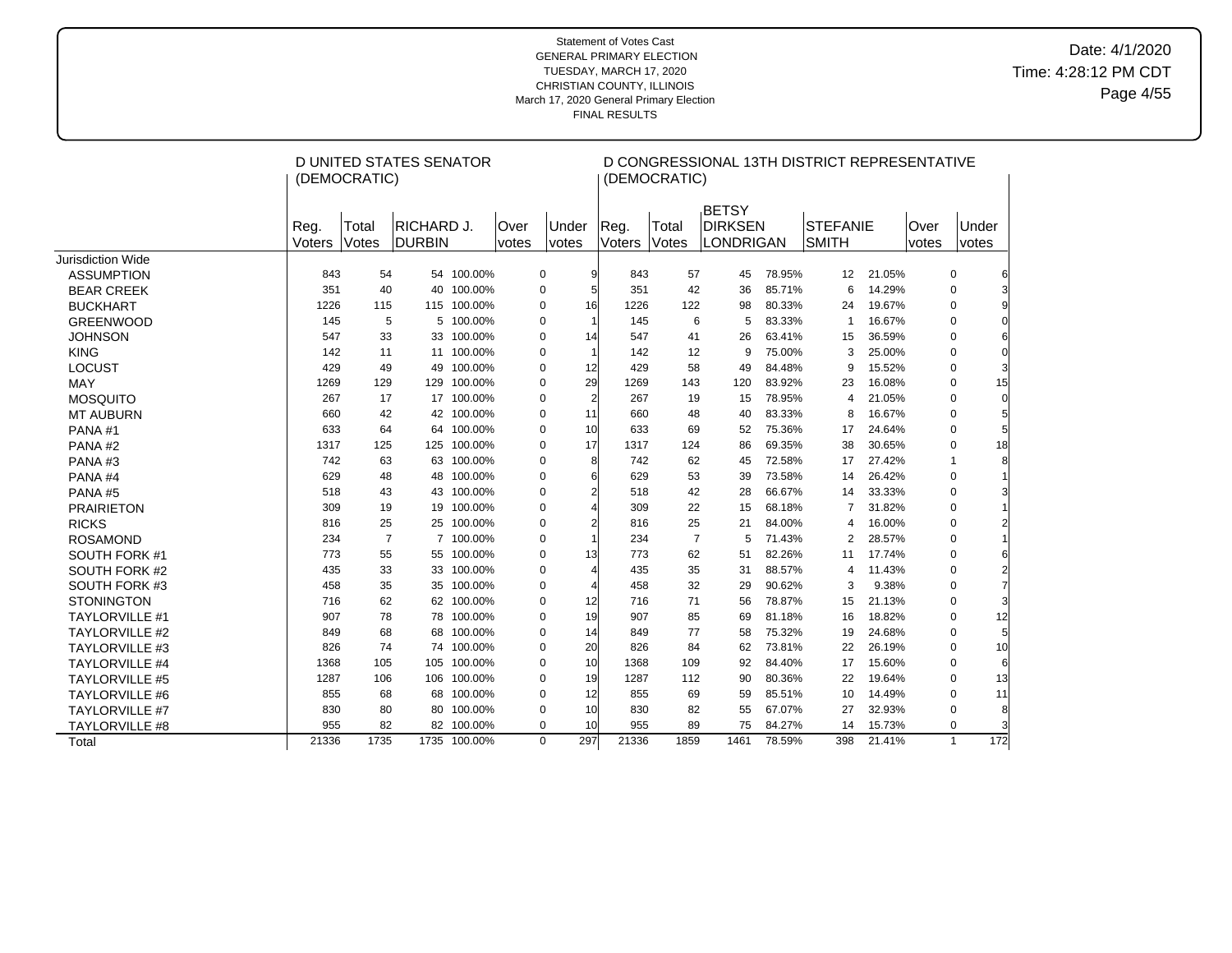# Date: 4/1/2020 Time: 4:28:12 PM CDT Page 4/55

|                       |                | (DEMOCRATIC)   | D UNITED STATES SENATOR     |              |               |                       |                 |                | (DEMOCRATIC)   | D CONGRESSIONAL 13TH DISTRICT REPRESENTATIVE       |        |                                 |        |                      |                       |                |
|-----------------------|----------------|----------------|-----------------------------|--------------|---------------|-----------------------|-----------------|----------------|----------------|----------------------------------------------------|--------|---------------------------------|--------|----------------------|-----------------------|----------------|
|                       | Reg.<br>Voters | Total<br>Votes | RICHARD J.<br><b>DURBIN</b> |              | Over<br>votes | Under<br><i>votes</i> |                 | Reg.<br>Voters | Total<br>Votes | <b>BETSY</b><br><b>DIRKSEN</b><br><b>LONDRIGAN</b> |        | <b>STEFANIE</b><br><b>SMITH</b> |        | Over<br><i>votes</i> | Under<br><i>votes</i> |                |
| Jurisdiction Wide     |                |                |                             |              |               |                       |                 |                |                |                                                    |        |                                 |        |                      |                       |                |
| <b>ASSUMPTION</b>     | 843            | 54             |                             | 54 100.00%   |               | 0                     | 9               | 843            | 57             | 45                                                 | 78.95% | 12                              | 21.05% |                      | $\mathbf 0$           |                |
| <b>BEAR CREEK</b>     | 351            | 40             |                             | 40 100.00%   |               | $\mathbf 0$           | 5               | 351            | 42             | 36                                                 | 85.71% | 6                               | 14.29% |                      | $\mathbf 0$           |                |
| <b>BUCKHART</b>       | 1226           | 115            |                             | 115 100.00%  |               | 0                     | 16              | 1226           | 122            | 98                                                 | 80.33% | 24                              | 19.67% |                      | $\mathbf 0$           |                |
| <b>GREENWOOD</b>      | 145            | 5              |                             | 5 100.00%    |               | $\mathbf 0$           |                 | 145            | 6              | 5                                                  | 83.33% | $\overline{1}$                  | 16.67% |                      | $\mathbf 0$           |                |
| <b>JOHNSON</b>        | 547            | 33             |                             | 33 100.00%   |               | 0                     | 14              | 547            | 41             | 26                                                 | 63.41% | 15                              | 36.59% |                      | $\mathbf 0$           |                |
| <b>KING</b>           | 142            | 11             |                             | 11 100.00%   |               | $\mathbf 0$           |                 | 142            | 12             | 9                                                  | 75.00% | 3                               | 25.00% |                      | $\mathbf 0$           |                |
| <b>LOCUST</b>         | 429            | 49             |                             | 49 100.00%   |               | 0                     | 12              | 429            | 58             | 49                                                 | 84.48% | 9                               | 15.52% |                      | $\mathbf 0$           |                |
| MAY                   | 1269           | 129            |                             | 129 100.00%  |               | 0                     | 29              | 1269           | 143            | 120                                                | 83.92% | 23                              | 16.08% |                      | $\mathbf 0$           | 15             |
| <b>MOSQUITO</b>       | 267            | 17             |                             | 17 100.00%   |               | 0                     | $\overline{2}$  | 267            | 19             | 15                                                 | 78.95% | 4                               | 21.05% |                      | $\mathbf 0$           | $\Omega$       |
| <b>MT AUBURN</b>      | 660            | 42             |                             | 42 100.00%   |               | $\Omega$              | 11              | 660            | 48             | 40                                                 | 83.33% | 8                               | 16.67% |                      | $\mathbf 0$           |                |
| PANA#1                | 633            | 64             |                             | 64 100.00%   |               | $\mathbf 0$           | 10              | 633            | 69             | 52                                                 | 75.36% | 17                              | 24.64% |                      | $\mathbf 0$           | 5              |
| PANA#2                | 1317           | 125            | 125                         | 100.00%      |               | $\Omega$              | 17              | 1317           | 124            | 86                                                 | 69.35% | 38                              | 30.65% |                      | $\mathbf 0$           | 18             |
| PANA#3                | 742            | 63             |                             | 63 100.00%   |               | $\mathbf 0$           | 8               | 742            | 62             | 45                                                 | 72.58% | 17                              | 27.42% |                      | $\mathbf{1}$          | 8              |
| PANA#4                | 629            | 48             |                             | 48 100.00%   |               | 0                     | 6               | 629            | 53             | 39                                                 | 73.58% | 14                              | 26.42% |                      | 0                     |                |
| PANA#5                | 518            | 43             |                             | 43 100.00%   |               | 0                     | 2               | 518            | 42             | 28                                                 | 66.67% | 14                              | 33.33% |                      | $\mathbf 0$           | 3              |
| <b>PRAIRIETON</b>     | 309            | 19             |                             | 19 100.00%   |               | 0                     |                 | 309            | 22             | 15                                                 | 68.18% | $\overline{7}$                  | 31.82% |                      | 0                     |                |
| <b>RICKS</b>          | 816            | 25             |                             | 25 100.00%   |               | 0                     |                 | 816            | 25             | 21                                                 | 84.00% | 4                               | 16.00% |                      | 0                     | $\overline{2}$ |
| <b>ROSAMOND</b>       | 234            | $\overline{7}$ |                             | 7 100.00%    |               | $\mathbf 0$           |                 | 234            | $\overline{7}$ | 5                                                  | 71.43% | 2                               | 28.57% |                      | $\mathbf 0$           |                |
| SOUTH FORK #1         | 773            | 55             |                             | 55 100.00%   |               | $\mathbf 0$           | 13              | 773            | 62             | 51                                                 | 82.26% | 11                              | 17.74% |                      | $\mathbf 0$           | 6              |
| SOUTH FORK #2         | 435            | 33             |                             | 33 100.00%   |               | $\mathbf 0$           | $\Delta$        | 435            | 35             | 31                                                 | 88.57% | 4                               | 11.43% |                      | $\mathbf 0$           | $\overline{c}$ |
| SOUTH FORK #3         | 458            | 35             |                             | 35 100.00%   |               | 0                     | Δ               | 458            | 32             | 29                                                 | 90.62% | 3                               | 9.38%  |                      | $\Omega$              |                |
| <b>STONINGTON</b>     | 716            | 62             |                             | 62 100.00%   |               | $\mathbf 0$           | 12              | 716            | 71             | 56                                                 | 78.87% | 15                              | 21.13% |                      | $\mathbf 0$           |                |
| <b>TAYLORVILLE #1</b> | 907            | 78             |                             | 78 100.00%   |               | 0                     | 19              | 907            | 85             | 69                                                 | 81.18% | 16                              | 18.82% |                      | $\mathbf 0$           | 12             |
| <b>TAYLORVILLE #2</b> | 849            | 68             |                             | 68 100.00%   |               | 0                     | 14              | 849            | 77             | 58                                                 | 75.32% | 19                              | 24.68% |                      | $\mathbf 0$           | 5              |
| <b>TAYLORVILLE #3</b> | 826            | 74             |                             | 74 100.00%   |               | 0                     | 20              | 826            | 84             | 62                                                 | 73.81% | 22                              | 26.19% |                      | $\mathbf 0$           | 10             |
| <b>TAYLORVILLE #4</b> | 1368           | 105            |                             | 105 100.00%  |               | 0                     | 10 <sup>1</sup> | 1368           | 109            | 92                                                 | 84.40% | 17                              | 15.60% |                      | $\mathbf 0$           | 6              |
| <b>TAYLORVILLE #5</b> | 1287           | 106            |                             | 106 100.00%  |               | $\mathbf 0$           | 19              | 1287           | 112            | 90                                                 | 80.36% | 22                              | 19.64% |                      | $\mathbf 0$           | 13             |
| <b>TAYLORVILLE #6</b> | 855            | 68             |                             | 68 100.00%   |               | 0                     | 12              | 855            | 69             | 59                                                 | 85.51% | 10                              | 14.49% |                      | $\mathbf 0$           | 11             |
| <b>TAYLORVILLE #7</b> | 830            | 80             |                             | 80 100.00%   |               | 0                     | 10              | 830            | 82             | 55                                                 | 67.07% | 27                              | 32.93% |                      | 0                     | 8              |
| <b>TAYLORVILLE #8</b> | 955            | 82             |                             | 82 100.00%   |               | 0                     | 10 <sup>1</sup> | 955            | 89             | 75                                                 | 84.27% | 14                              | 15.73% |                      | 0                     |                |
| Total                 | 21336          | 1735           |                             | 1735 100.00% |               | $\Omega$              | 297             | 21336          | 1859           | 1461                                               | 78.59% | 398                             | 21.41% |                      | $\mathbf{1}$          | 172            |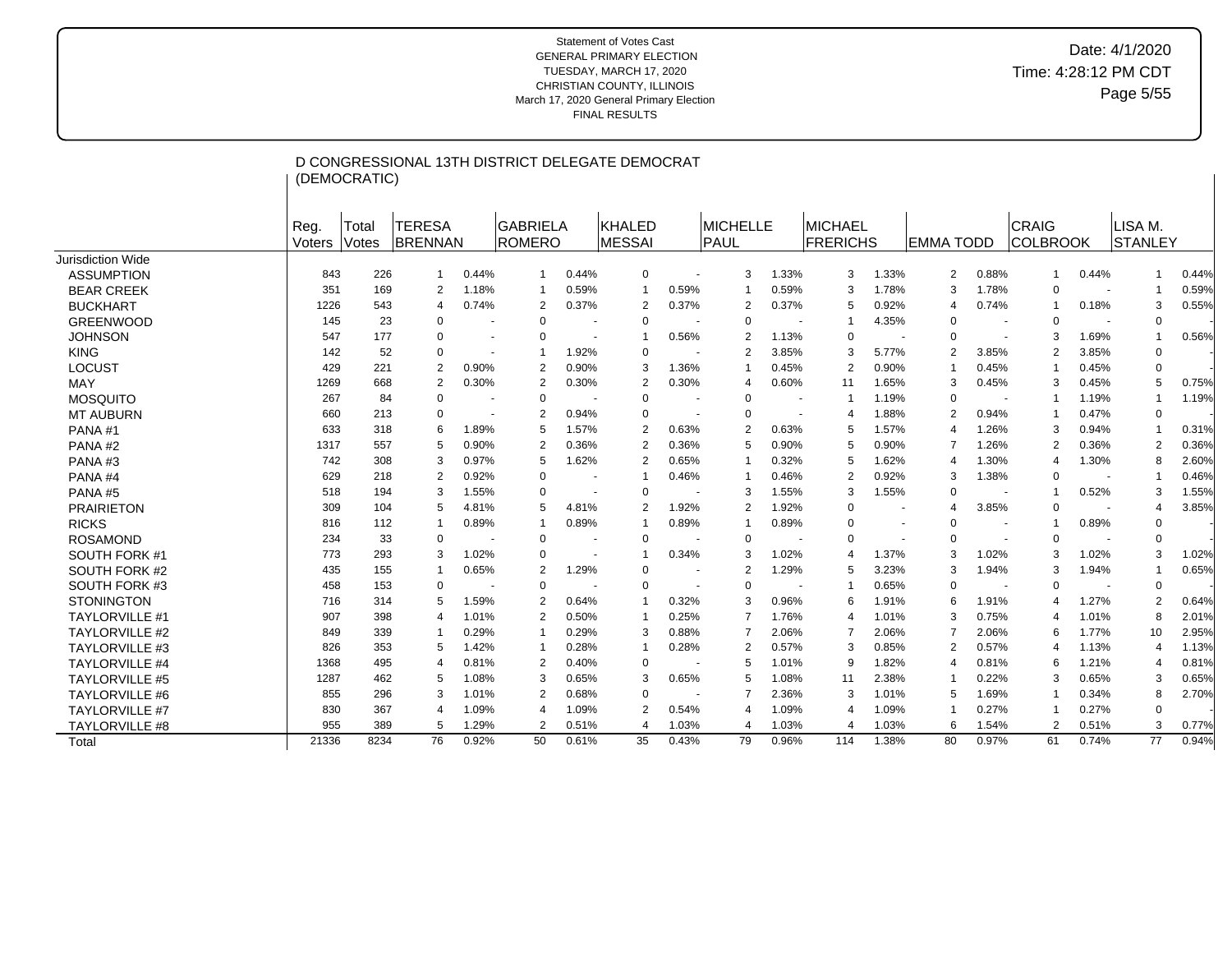|                       |                | (DEMOCRATIC)   |                           |                |                                  |                | D CONGRESSIONAL 13TH DISTRICT DELEGATE DEMOCRAT |       |                  |                          |                                   |       |                   |                          |                          |       |                           |       |
|-----------------------|----------------|----------------|---------------------------|----------------|----------------------------------|----------------|-------------------------------------------------|-------|------------------|--------------------------|-----------------------------------|-------|-------------------|--------------------------|--------------------------|-------|---------------------------|-------|
|                       | Reg.<br>Voters | Total<br>Votes | <b>ITERESA</b><br>BRENNAN |                | <b>GABRIELA</b><br><b>ROMERO</b> |                | KHALED<br>MESSAI                                |       | MICHELLE<br>PAUL |                          | <b>MICHAEL</b><br><b>FRERICHS</b> |       | <b>IEMMA TODD</b> |                          | CRAIG<br><b>COLBROOK</b> |       | LISA M.<br><b>STANLEY</b> |       |
| Jurisdiction Wide     |                |                |                           |                |                                  |                |                                                 |       |                  |                          |                                   |       |                   |                          |                          |       |                           |       |
| <b>ASSUMPTION</b>     | 843            | 226            | $\mathbf{1}$              | 0.44%          | $\overline{1}$                   | 0.44%          | 0                                               |       | 3                | 1.33%                    | 3                                 | 1.33% | 2                 | 0.88%                    | $\mathbf{1}$             | 0.44% |                           | 0.44% |
| <b>BEAR CREEK</b>     | 351            | 169            | 2                         | 1.18%          | $\overline{1}$                   | 0.59%          | $\overline{1}$                                  | 0.59% |                  | 0.59%                    | 3                                 | 1.78% | 3                 | 1.78%                    | $\Omega$                 |       |                           | 0.59% |
| <b>BUCKHART</b>       | 1226           | 543            | $\Delta$                  | 0.74%          | $\overline{2}$                   | 0.37%          | 2                                               | 0.37% | $\overline{2}$   | 0.37%                    | 5                                 | 0.92% | 4                 | 0.74%                    | $\mathbf{1}$             | 0.18% | 3                         | 0.55% |
| <b>GREENWOOD</b>      | 145            | 23             | $\Omega$                  |                | $\Omega$                         |                | $\Omega$                                        |       | $\Omega$         |                          | -1                                | 4.35% | 0                 |                          | $\Omega$                 |       | $\Omega$                  |       |
| <b>JOHNSON</b>        | 547            | 177            | $\Omega$                  | $\blacksquare$ | $\Omega$                         | $\blacksquare$ | 1                                               | 0.56% | $\overline{2}$   | 1.13%                    | $\Omega$                          |       | $\mathbf 0$       |                          | 3                        | 1.69% | $\overline{1}$            | 0.56% |
| <b>KING</b>           | 142            | 52             | 0                         |                | -1                               | 1.92%          | $\Omega$                                        |       | $\overline{2}$   | 3.85%                    | 3                                 | 5.77% | 2                 | 3.85%                    | $\overline{2}$           | 3.85% | $\Omega$                  |       |
| <b>LOCUST</b>         | 429            | 221            | $\overline{2}$            | 0.90%          | $\overline{2}$                   | 0.90%          | 3                                               | 1.36% |                  | 0.45%                    | $\overline{2}$                    | 0.90% | 1                 | 0.45%                    | $\mathbf{1}$             | 0.45% | $\Omega$                  |       |
| <b>MAY</b>            | 1269           | 668            | $\overline{2}$            | 0.30%          | $\overline{2}$                   | 0.30%          | 2                                               | 0.30% | 4                | 0.60%                    | 11                                | 1.65% | 3                 | 0.45%                    | 3                        | 0.45% | 5                         | 0.75% |
| <b>MOSQUITO</b>       | 267            | 84             | 0                         |                | $\Omega$                         |                | $\Omega$                                        |       | $\mathbf 0$      |                          | -1                                | 1.19% | 0                 |                          | $\mathbf{1}$             | 1.19% | $\overline{1}$            | 1.19% |
| <b>MT AUBURN</b>      | 660            | 213            | $\mathbf 0$               |                | $\overline{2}$                   | 0.94%          | $\Omega$                                        |       | $\Omega$         | $\overline{\phantom{a}}$ | 4                                 | 1.88% | 2                 | 0.94%                    | $\mathbf{1}$             | 0.47% | $\Omega$                  |       |
| PANA#1                | 633            | 318            | 6                         | 1.89%          | 5                                | 1.57%          | 2                                               | 0.63% | $\overline{2}$   | 0.63%                    | 5                                 | 1.57% | 4                 | 1.26%                    | 3                        | 0.94% |                           | 0.31% |
| PANA#2                | 1317           | 557            | 5                         | 0.90%          | $\overline{2}$                   | 0.36%          | $\overline{2}$                                  | 0.36% | 5                | 0.90%                    | 5                                 | 0.90% | 7                 | 1.26%                    | $\overline{2}$           | 0.36% | $\overline{2}$            | 0.36% |
| PANA#3                | 742            | 308            | 3                         | 0.97%          | 5                                | 1.62%          | 2                                               | 0.65% |                  | 0.32%                    | 5                                 | 1.62% | 4                 | 1.30%                    | $\overline{4}$           | 1.30% | 8                         | 2.60% |
| PANA#4                | 629            | 218            | 2                         | 0.92%          | $\Omega$                         |                | 1                                               | 0.46% | ÷,               | 0.46%                    | $\overline{2}$                    | 0.92% | 3                 | 1.38%                    | $\Omega$                 |       |                           | 0.46% |
| PANA#5                | 518            | 194            | 3                         | 1.55%          | $\Omega$                         | $\blacksquare$ | $\Omega$                                        |       | 3                | 1.55%                    | 3                                 | 1.55% | 0                 | $\overline{\phantom{a}}$ | $\mathbf{1}$             | 0.52% | 3                         | 1.55% |
| <b>PRAIRIETON</b>     | 309            | 104            | 5                         | 4.81%          | .5                               | 4.81%          | $\overline{2}$                                  | 1.92% | $\overline{2}$   | 1.92%                    | $\Omega$                          |       | 4                 | 3.85%                    | $\Omega$                 |       | 4                         | 3.85% |
| <b>RICKS</b>          | 816            | 112            | 1                         | 0.89%          | $\overline{1}$                   | 0.89%          | 1                                               | 0.89% | -1               | 0.89%                    | $\Omega$                          |       | $\mathbf 0$       | $\sim$                   | $\overline{1}$           | 0.89% | $\Omega$                  |       |
| <b>ROSAMOND</b>       | 234            | 33             | 0                         |                | $\Omega$                         |                | $\mathbf 0$                                     |       | $\mathbf 0$      |                          | $\Omega$                          |       | 0                 |                          | $\Omega$                 |       | $\Omega$                  |       |
| SOUTH FORK #1         | 773            | 293            | 3                         | 1.02%          | $\Omega$                         | $\blacksquare$ | 1                                               | 0.34% | 3                | 1.02%                    | 4                                 | 1.37% | 3                 | 1.02%                    | 3                        | 1.02% | 3                         | 1.02% |
| SOUTH FORK #2         | 435            | 155            | 1                         | 0.65%          | $\overline{2}$                   | 1.29%          | $\mathbf 0$                                     |       | $\overline{2}$   | 1.29%                    | 5                                 | 3.23% | 3                 | 1.94%                    | 3                        | 1.94% |                           | 0.65% |
| SOUTH FORK #3         | 458            | 153            | $\mathbf 0$               |                | $\Omega$                         |                | $\mathbf 0$                                     |       | $\Omega$         |                          | -1                                | 0.65% | $\Omega$          |                          | $\Omega$                 |       | $\mathbf 0$               |       |
| <b>STONINGTON</b>     | 716            | 314            | 5                         | 1.59%          | $\overline{2}$                   | 0.64%          | 1                                               | 0.32% | 3                | 0.96%                    | 6                                 | 1.91% | 6                 | 1.91%                    | $\overline{4}$           | 1.27% | $\overline{2}$            | 0.64% |
| <b>TAYLORVILLE #1</b> | 907            | 398            | $\overline{4}$            | 1.01%          | $\mathcal{P}$                    | 0.50%          | -1                                              | 0.25% | 7                | 1.76%                    | 4                                 | 1.01% | 3                 | 0.75%                    | $\overline{4}$           | 1.01% | 8                         | 2.01% |
| <b>TAYLORVILLE #2</b> | 849            | 339            | 1                         | 0.29%          | -1                               | 0.29%          | 3                                               | 0.88% | 7                | 2.06%                    | 7                                 | 2.06% | 7                 | 2.06%                    | 6                        | 1.77% | 10                        | 2.95% |
| <b>TAYLORVILLE #3</b> | 826            | 353            | 5                         | 1.42%          | $\overline{1}$                   | 0.28%          | -1                                              | 0.28% | $\overline{2}$   | 0.57%                    | 3                                 | 0.85% | 2                 | 0.57%                    | $\overline{4}$           | 1.13% | $\overline{4}$            | 1.13% |
| <b>TAYLORVILLE #4</b> | 1368           | 495            | 4                         | 0.81%          | $\overline{2}$                   | 0.40%          | $\mathbf 0$                                     |       | 5                | 1.01%                    | 9                                 | 1.82% | 4                 | 0.81%                    | 6                        | 1.21% | 4                         | 0.81% |
| <b>TAYLORVILLE #5</b> | 1287           | 462            | 5                         | 1.08%          | 3                                | 0.65%          | 3                                               | 0.65% | 5                | 1.08%                    | 11                                | 2.38% |                   | 0.22%                    | 3                        | 0.65% | 3                         | 0.65% |
| <b>TAYLORVILLE #6</b> | 855            | 296            | 3                         | 1.01%          | $\overline{2}$                   | 0.68%          | $\mathbf 0$                                     |       |                  | 2.36%                    | 3                                 | 1.01% | 5                 | 1.69%                    | $\mathbf{1}$             | 0.34% | 8                         | 2.70% |
| <b>TAYLORVILLE #7</b> | 830            | 367            | 4                         | 1.09%          | $\overline{4}$                   | 1.09%          | 2                                               | 0.54% | 4                | 1.09%                    | 4                                 | 1.09% |                   | 0.27%                    | $\mathbf{1}$             | 0.27% | $\Omega$                  |       |
| <b>TAYLORVILLE #8</b> | 955            | 389            | 5                         | 1.29%          | $\overline{2}$                   | 0.51%          | $\overline{4}$                                  | 1.03% | $\overline{4}$   | 1.03%                    | 4                                 | 1.03% | 6                 | 1.54%                    | $\overline{2}$           | 0.51% | 3                         | 0.77% |
| Total                 | 21336          | 8234           | 76                        | 0.92%          | 50                               | 0.61%          | 35                                              | 0.43% | 79               | 0.96%                    | 114                               | 1.38% | 80                | 0.97%                    | 61                       | 0.74% | 77                        | 0.94% |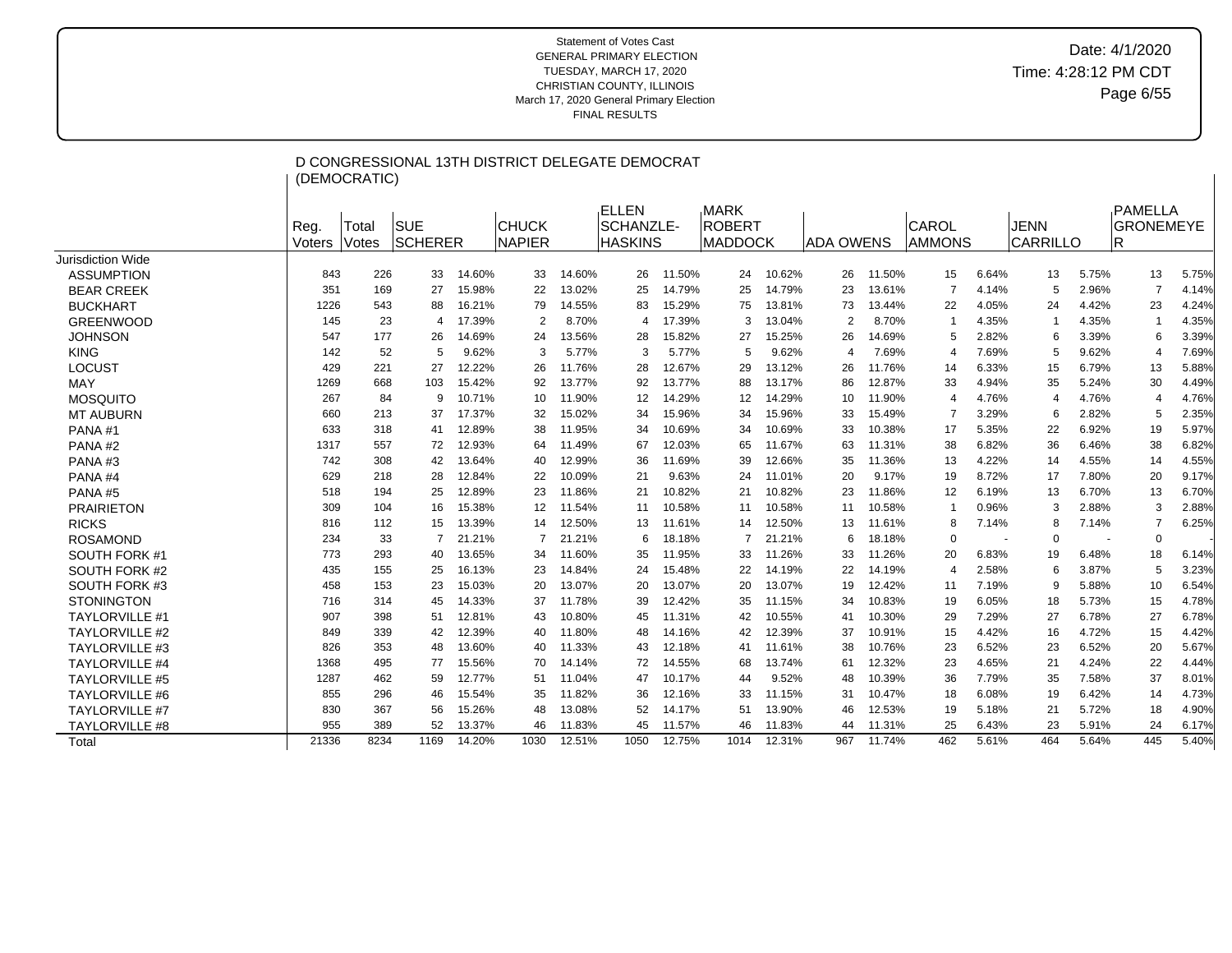|                       |                | (DEMOCRATIC)   | D CONGRESSIONAL 13TH DISTRICT DELEGATE DEMOCRAT |        |                               |        |                                             |        |                                                |        |                  |        |                 |       |                         |       |                                    |       |
|-----------------------|----------------|----------------|-------------------------------------------------|--------|-------------------------------|--------|---------------------------------------------|--------|------------------------------------------------|--------|------------------|--------|-----------------|-------|-------------------------|-------|------------------------------------|-------|
|                       | Reg.<br>Voters | Total<br>Votes | <b>SUE</b><br><b>SCHERER</b>                    |        | <b>CHUCK</b><br><b>NAPIER</b> |        | ELLEN<br><b>SCHANZLE-</b><br><b>HASKINS</b> |        | <b>MARK</b><br><b>ROBERT</b><br><b>MADDOCK</b> |        | <b>ADA OWENS</b> |        | CAROL<br>AMMONS |       | <b>JENN</b><br>CARRILLO |       | PAMELLA<br><b>GRONEMEYE</b><br>IR. |       |
| Jurisdiction Wide     |                |                |                                                 |        |                               |        |                                             |        |                                                |        |                  |        |                 |       |                         |       |                                    |       |
| <b>ASSUMPTION</b>     | 843            | 226            | 33                                              | 14.60% | 33                            | 14.60% | 26                                          | 11.50% | 24                                             | 10.62% | 26               | 11.50% | 15              | 6.64% | 13                      | 5.75% | 13                                 | 5.75% |
| <b>BEAR CREEK</b>     | 351            | 169            | 27                                              | 15.98% | 22                            | 13.02% | 25                                          | 14.79% | 25                                             | 14.79% | 23               | 13.61% | 7               | 4.14% | 5                       | 2.96% | $\overline{7}$                     | 4.14% |
| <b>BUCKHART</b>       | 1226           | 543            | 88                                              | 16.21% | 79                            | 14.55% | 83                                          | 15.29% | 75                                             | 13.81% | 73               | 13.44% | 22              | 4.05% | 24                      | 4.42% | 23                                 | 4.24% |
| <b>GREENWOOD</b>      | 145            | 23             | $\overline{4}$                                  | 17.39% | 2                             | 8.70%  | 4                                           | 17.39% | 3                                              | 13.04% | $\overline{2}$   | 8.70%  |                 | 4.35% | $\mathbf{1}$            | 4.35% | $\overline{1}$                     | 4.35% |
| <b>JOHNSON</b>        | 547            | 177            | 26                                              | 14.69% | 24                            | 13.56% | 28                                          | 15.82% | 27                                             | 15.25% | 26               | 14.69% | 5               | 2.82% | 6                       | 3.39% | 6                                  | 3.39% |
| <b>KING</b>           | 142            | 52             | 5                                               | 9.62%  | 3                             | 5.77%  | 3                                           | 5.77%  | 5                                              | 9.62%  | 4                | 7.69%  | 4               | 7.69% | 5                       | 9.62% | 4                                  | 7.69% |
| LOCUST                | 429            | 221            | 27                                              | 12.22% | 26                            | 11.76% | 28                                          | 12.67% | 29                                             | 13.12% | 26               | 11.76% | 14              | 6.33% | 15                      | 6.79% | 13                                 | 5.88% |
| <b>MAY</b>            | 1269           | 668            | 103                                             | 15.42% | 92                            | 13.77% | 92                                          | 13.77% | 88                                             | 13.17% | 86               | 12.87% | 33              | 4.94% | 35                      | 5.24% | 30                                 | 4.49% |
| <b>MOSQUITO</b>       | 267            | 84             | 9                                               | 10.71% | 10                            | 11.90% | 12                                          | 14.29% | 12                                             | 14.29% | 10               | 11.90% | 4               | 4.76% | $\overline{4}$          | 4.76% | $\overline{4}$                     | 4.76% |
| <b>MT AUBURN</b>      | 660            | 213            | 37                                              | 17.37% | 32                            | 15.02% | 34                                          | 15.96% | 34                                             | 15.96% | 33               | 15.49% | 7               | 3.29% | 6                       | 2.82% | 5                                  | 2.35% |
| PANA#1                | 633            | 318            | 41                                              | 12.89% | 38                            | 11.95% | 34                                          | 10.69% | 34                                             | 10.69% | 33               | 10.38% | 17              | 5.35% | 22                      | 6.92% | 19                                 | 5.97% |
| PANA#2                | 1317           | 557            | 72                                              | 12.93% | 64                            | 11.49% | 67                                          | 12.03% | 65                                             | 11.67% | 63               | 11.31% | 38              | 6.82% | 36                      | 6.46% | 38                                 | 6.82% |
| PANA#3                | 742            | 308            | 42                                              | 13.64% | 40                            | 12.99% | 36                                          | 11.69% | 39                                             | 12.66% | 35               | 11.36% | 13              | 4.22% | 14                      | 4.55% | 14                                 | 4.55% |
| PANA#4                | 629            | 218            | 28                                              | 12.84% | 22                            | 10.09% | 21                                          | 9.63%  | 24                                             | 11.01% | 20               | 9.17%  | 19              | 8.72% | 17                      | 7.80% | 20                                 | 9.17% |
| PANA#5                | 518            | 194            | 25                                              | 12.89% | 23                            | 11.86% | 21                                          | 10.82% | 21                                             | 10.82% | 23               | 11.86% | 12              | 6.19% | 13                      | 6.70% | 13                                 | 6.70% |
| <b>PRAIRIETON</b>     | 309            | 104            | 16                                              | 15.38% | 12                            | 11.54% | 11                                          | 10.58% | 11                                             | 10.58% | 11               | 10.58% |                 | 0.96% | 3                       | 2.88% | 3                                  | 2.88% |
| <b>RICKS</b>          | 816            | 112            | 15                                              | 13.39% | 14                            | 12.50% | 13                                          | 11.61% | 14                                             | 12.50% | 13               | 11.61% | 8               | 7.14% | 8                       | 7.14% | $\overline{7}$                     | 6.25% |
| <b>ROSAMOND</b>       | 234            | 33             | -7                                              | 21.21% | 7                             | 21.21% | 6                                           | 18.18% | 7                                              | 21.21% | 6                | 18.18% | 0               |       | $\Omega$                |       | 0                                  |       |
| SOUTH FORK #1         | 773            | 293            | 40                                              | 13.65% | 34                            | 11.60% | 35                                          | 11.95% | 33                                             | 11.26% | 33               | 11.26% | 20              | 6.83% | 19                      | 6.48% | 18                                 | 6.14% |
| SOUTH FORK #2         | 435            | 155            | 25                                              | 16.13% | 23                            | 14.84% | 24                                          | 15.48% | 22                                             | 14.19% | 22               | 14.19% | 4               | 2.58% | 6                       | 3.87% | 5                                  | 3.23% |
| SOUTH FORK #3         | 458            | 153            | 23                                              | 15.03% | 20                            | 13.07% | 20                                          | 13.07% | 20                                             | 13.07% | 19               | 12.42% | 11              | 7.19% | 9                       | 5.88% | 10                                 | 6.54% |
| <b>STONINGTON</b>     | 716            | 314            | 45                                              | 14.33% | 37                            | 11.78% | 39                                          | 12.42% | 35                                             | 11.15% | 34               | 10.83% | 19              | 6.05% | 18                      | 5.73% | 15                                 | 4.78% |
| <b>TAYLORVILLE #1</b> | 907            | 398            | 51                                              | 12.81% | 43                            | 10.80% | 45                                          | 11.31% | 42                                             | 10.55% | 41               | 10.30% | 29              | 7.29% | 27                      | 6.78% | 27                                 | 6.78% |
| <b>TAYLORVILLE #2</b> | 849            | 339            | 42                                              | 12.39% | 40                            | 11.80% | 48                                          | 14.16% | 42                                             | 12.39% | 37               | 10.91% | 15              | 4.42% | 16                      | 4.72% | 15                                 | 4.42% |
| <b>TAYLORVILLE #3</b> | 826            | 353            | 48                                              | 13.60% | 40                            | 11.33% | 43                                          | 12.18% | 41                                             | 11.61% | 38               | 10.76% | 23              | 6.52% | 23                      | 6.52% | 20                                 | 5.67% |
| <b>TAYLORVILLE #4</b> | 1368           | 495            | 77                                              | 15.56% | 70                            | 14.14% | 72                                          | 14.55% | 68                                             | 13.74% | 61               | 12.32% | 23              | 4.65% | 21                      | 4.24% | 22                                 | 4.44% |
| <b>TAYLORVILLE #5</b> | 1287           | 462            | 59                                              | 12.77% | 51                            | 11.04% | 47                                          | 10.17% | 44                                             | 9.52%  | 48               | 10.39% | 36              | 7.79% | 35                      | 7.58% | 37                                 | 8.01% |
| <b>TAYLORVILLE #6</b> | 855            | 296            | 46                                              | 15.54% | 35                            | 11.82% | 36                                          | 12.16% | 33                                             | 11.15% | 31               | 10.47% | 18              | 6.08% | 19                      | 6.42% | 14                                 | 4.73% |
| <b>TAYLORVILLE #7</b> | 830            | 367            | 56                                              | 15.26% | 48                            | 13.08% | 52                                          | 14.17% | 51                                             | 13.90% | 46               | 12.53% | 19              | 5.18% | 21                      | 5.72% | 18                                 | 4.90% |
| <b>TAYLORVILLE #8</b> | 955            | 389            | 52                                              | 13.37% | 46                            | 11.83% | 45                                          | 11.57% | 46                                             | 11.83% | 44               | 11.31% | 25              | 6.43% | 23                      | 5.91% | 24                                 | 6.17% |
| Total                 | 21336          | 8234           | 1169                                            | 14.20% | 1030                          | 12.51% | 1050                                        | 12.75% | 1014                                           | 12.31% | 967              | 11.74% | 462             | 5.61% | 464                     | 5.64% | 445                                | 5.40% |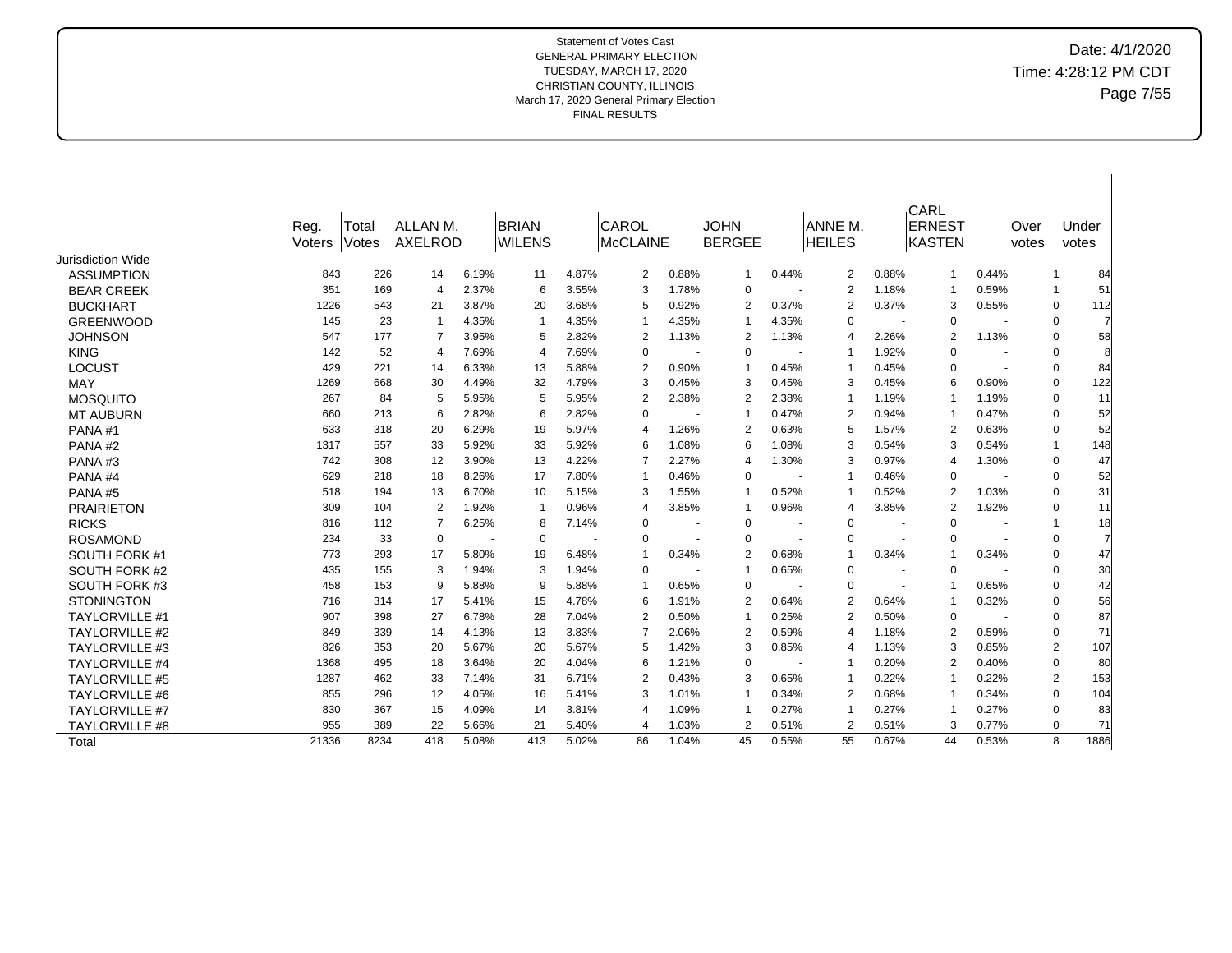Date: 4/1/2020 Time: 4:28:12 PM CDT Page 7/55

|                       |        |       |                          |       |                |       |                         |       |                |       |                |       | CARL           |       |       |              |
|-----------------------|--------|-------|--------------------------|-------|----------------|-------|-------------------------|-------|----------------|-------|----------------|-------|----------------|-------|-------|--------------|
|                       | Reg.   | Total | <b>ALLAN M.</b>          |       | <b>BRIAN</b>   |       | CAROL                   |       | <b>JOHN</b>    |       | ANNE M.        |       | <b>ERNEST</b>  |       | Over  | ∣Under       |
|                       | Voters | Votes | <b>AXELROD</b>           |       | <b>WILENS</b>  |       | <b>McCLAINE</b>         |       | <b>BERGEE</b>  |       | <b>HEILES</b>  |       | IKASTEN        |       | votes | <i>votes</i> |
| Jurisdiction Wide     |        |       |                          |       |                |       |                         |       |                |       |                |       |                |       |       |              |
| <b>ASSUMPTION</b>     | 843    | 226   | 14                       | 6.19% | 11             | 4.87% | $\overline{2}$          | 0.88% | $\mathbf{1}$   | 0.44% | 2              | 0.88% | 1              | 0.44% |       | 84<br>-1     |
| <b>BEAR CREEK</b>     | 351    | 169   | $\overline{4}$           | 2.37% | 6              | 3.55% | 3                       | 1.78% | $\Omega$       |       | $\overline{2}$ | 1.18% | -1             | 0.59% |       | 51<br>-1     |
| <b>BUCKHART</b>       | 1226   | 543   | 21                       | 3.87% | 20             | 3.68% | 5                       | 0.92% | $\overline{2}$ | 0.37% | $\overline{2}$ | 0.37% | 3              | 0.55% |       | 0<br>112     |
| <b>GREENWOOD</b>      | 145    | 23    | $\overline{1}$           | 4.35% | $\overline{1}$ | 4.35% | -1                      | 4.35% |                | 4.35% | $\Omega$       |       | $\Omega$       |       |       | 0<br>7       |
| <b>JOHNSON</b>        | 547    | 177   | $\overline{7}$           | 3.95% | 5              | 2.82% | $\overline{2}$          | 1.13% | $\overline{2}$ | 1.13% | $\overline{4}$ | 2.26% | $\overline{2}$ | 1.13% |       | 58<br>0      |
| <b>KING</b>           | 142    | 52    | $\overline{\mathcal{A}}$ | 7.69% | $\overline{4}$ | 7.69% | $\Omega$                |       | $\Omega$       |       | 1              | 1.92% | $\Omega$       |       |       | 8<br>0       |
| <b>LOCUST</b>         | 429    | 221   | 14                       | 6.33% | 13             | 5.88% | $\overline{2}$          | 0.90% |                | 0.45% | $\overline{1}$ | 0.45% | $\Omega$       |       |       | 0<br>84      |
| MAY                   | 1269   | 668   | 30                       | 4.49% | 32             | 4.79% | 3                       | 0.45% | 3              | 0.45% | 3              | 0.45% | 6              | 0.90% |       | 122<br>0     |
| <b>MOSQUITO</b>       | 267    | 84    | 5                        | 5.95% | 5              | 5.95% | $\overline{2}$          | 2.38% | 2              | 2.38% | $\mathbf 1$    | 1.19% | $\mathbf 1$    | 1.19% |       | 0<br>11      |
| <b>MT AUBURN</b>      | 660    | 213   | 6                        | 2.82% | 6              | 2.82% | $\Omega$                |       |                | 0.47% | $\overline{2}$ | 0.94% | $\mathbf 1$    | 0.47% |       | 52<br>0      |
| PANA#1                | 633    | 318   | 20                       | 6.29% | 19             | 5.97% | $\overline{4}$          | 1.26% | $\overline{2}$ | 0.63% | 5              | 1.57% | $\overline{2}$ | 0.63% |       | 52<br>0      |
| PANA#2                | 1317   | 557   | 33                       | 5.92% | 33             | 5.92% | 6                       | 1.08% | 6              | 1.08% | 3              | 0.54% | 3              | 0.54% |       | 148<br>-1    |
| PANA#3                | 742    | 308   | 12                       | 3.90% | 13             | 4.22% | 7                       | 2.27% | 4              | 1.30% | 3              | 0.97% | 4              | 1.30% |       | 47<br>0      |
| PANA#4                | 629    | 218   | 18                       | 8.26% | 17             | 7.80% | -1                      | 0.46% | $\Omega$       |       | -1             | 0.46% | $\Omega$       |       |       | 52<br>0      |
| PANA#5                | 518    | 194   | 13                       | 6.70% | 10             | 5.15% | 3                       | 1.55% | -1             | 0.52% | $\mathbf 1$    | 0.52% | $\overline{2}$ | 1.03% |       | 31<br>0      |
| <b>PRAIRIETON</b>     | 309    | 104   | 2                        | 1.92% | $\overline{1}$ | 0.96% | $\overline{4}$          | 3.85% | -1             | 0.96% | $\overline{4}$ | 3.85% | $\overline{2}$ | 1.92% |       | 0<br>11      |
| <b>RICKS</b>          | 816    | 112   | $\overline{7}$           | 6.25% | 8              | 7.14% | $\overline{0}$          |       | 0              |       | $\Omega$       |       | $\Omega$       |       |       | 18<br>-1     |
| <b>ROSAMOND</b>       | 234    | 33    | 0                        |       | $\mathbf 0$    |       | 0                       |       | 0              |       | $\Omega$       |       | 0              |       |       | 0<br>7       |
| SOUTH FORK #1         | 773    | 293   | 17                       | 5.80% | 19             | 6.48% | $\overline{\mathbf{1}}$ | 0.34% | 2              | 0.68% | $\overline{1}$ | 0.34% | $\mathbf{1}$   | 0.34% |       | 47<br>0      |
| SOUTH FORK #2         | 435    | 155   | 3                        | 1.94% | 3              | 1.94% | $\overline{0}$          |       |                | 0.65% | $\Omega$       |       | 0              |       |       | 30<br>0      |
| SOUTH FORK #3         | 458    | 153   | 9                        | 5.88% | 9              | 5.88% | -1                      | 0.65% | $\Omega$       |       | $\Omega$       |       | $\mathbf 1$    | 0.65% |       | 42<br>0      |
| <b>STONINGTON</b>     | 716    | 314   | 17                       | 5.41% | 15             | 4.78% | 6                       | 1.91% | 2              | 0.64% | 2              | 0.64% | $\overline{1}$ | 0.32% |       | 56<br>0      |
| <b>TAYLORVILLE #1</b> | 907    | 398   | 27                       | 6.78% | 28             | 7.04% | $\overline{2}$          | 0.50% |                | 0.25% | 2              | 0.50% | $\Omega$       |       |       | 87<br>0      |
| <b>TAYLORVILLE #2</b> | 849    | 339   | 14                       | 4.13% | 13             | 3.83% | $\overline{7}$          | 2.06% | 2              | 0.59% | 4              | 1.18% | 2              | 0.59% |       | 71<br>0      |
| <b>TAYLORVILLE #3</b> | 826    | 353   | 20                       | 5.67% | 20             | 5.67% | 5                       | 1.42% | 3              | 0.85% | 4              | 1.13% | 3              | 0.85% |       | 107<br>2     |
| <b>TAYLORVILLE #4</b> | 1368   | 495   | 18                       | 3.64% | 20             | 4.04% | 6                       | 1.21% | 0              |       | $\mathbf 1$    | 0.20% | $\overline{2}$ | 0.40% |       | 80<br>0      |
| <b>TAYLORVILLE #5</b> | 1287   | 462   | 33                       | 7.14% | 31             | 6.71% | $\overline{2}$          | 0.43% | 3              | 0.65% | $\mathbf 1$    | 0.22% | -1             | 0.22% |       | 2<br>153     |
| <b>TAYLORVILLE #6</b> | 855    | 296   | 12                       | 4.05% | 16             | 5.41% | 3                       | 1.01% | -1             | 0.34% | 2              | 0.68% | $\overline{1}$ | 0.34% |       | 104<br>0     |
| <b>TAYLORVILLE #7</b> | 830    | 367   | 15                       | 4.09% | 14             | 3.81% | $\overline{4}$          | 1.09% |                | 0.27% | $\mathbf 1$    | 0.27% | -1             | 0.27% |       | 83<br>0      |
| <b>TAYLORVILLE #8</b> | 955    | 389   | 22                       | 5.66% | 21             | 5.40% | $\overline{4}$          | 1.03% | 2              | 0.51% | 2              | 0.51% | 3              | 0.77% |       | 0<br>71      |
| Total                 | 21336  | 8234  | 418                      | 5.08% | 413            | 5.02% | 86                      | 1.04% | 45             | 0.55% | 55             | 0.67% | 44             | 0.53% |       | 1886<br>8    |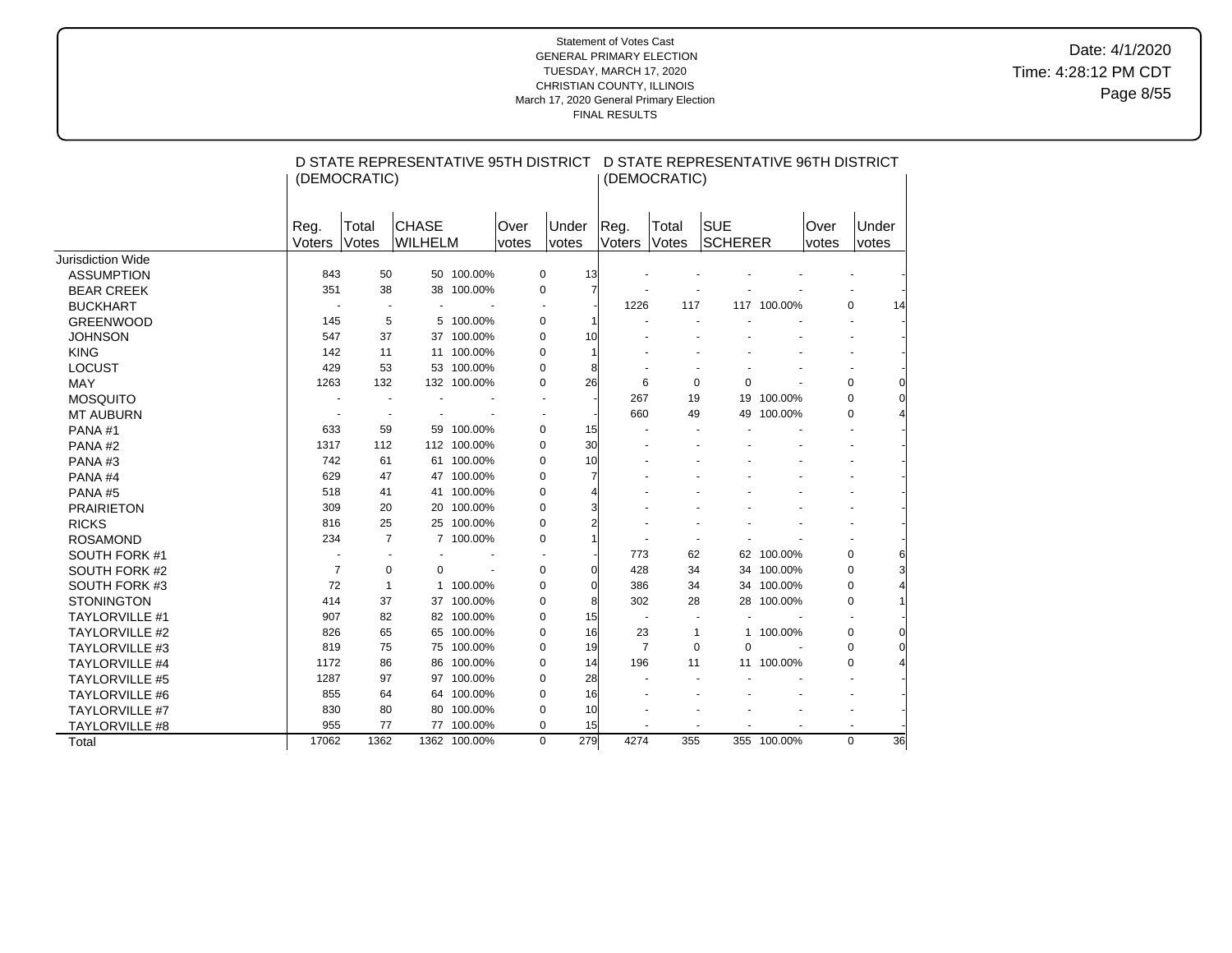Date: 4/1/2020 Time: 4:28:12 PM CDT Page 8/55

|                       |                | (DEMOCRATIC)             |                         |              |               |                |                | (DEMOCRATIC)   | D STATE REPRESENTATIVE 95TH DISTRICT D STATE REPRESENTATIVE 96TH DISTRICT |             |               |                |          |
|-----------------------|----------------|--------------------------|-------------------------|--------------|---------------|----------------|----------------|----------------|---------------------------------------------------------------------------|-------------|---------------|----------------|----------|
|                       | Reg.<br>Voters | Total<br>Votes           | <b>CHASE</b><br>WILHELM |              | Over<br>votes | Under<br>votes | Reg.<br>Voters | Total<br>Votes | <b>SUE</b><br>SCHERER                                                     |             | Over<br>votes | Under<br>votes |          |
| Jurisdiction Wide     |                |                          |                         |              |               |                |                |                |                                                                           |             |               |                |          |
| <b>ASSUMPTION</b>     | 843            | 50                       |                         | 50 100.00%   |               | 0              | 13             |                |                                                                           |             |               |                |          |
| <b>BEAR CREEK</b>     | 351            | 38                       |                         | 38 100.00%   |               | 0              | 7              |                |                                                                           |             |               |                |          |
| <b>BUCKHART</b>       | $\blacksquare$ |                          |                         |              |               | $\overline{a}$ |                | 1226           | 117                                                                       | 117 100.00% |               | $\Omega$       | 14       |
| <b>GREENWOOD</b>      | 145            | 5                        | 5                       | 100.00%      |               | 0              |                |                |                                                                           |             |               |                |          |
| <b>JOHNSON</b>        | 547            | 37                       |                         | 37 100.00%   |               | 0              | 10             |                |                                                                           |             |               |                |          |
| <b>KING</b>           | 142            | 11                       |                         | 11 100.00%   |               | 0              |                |                |                                                                           |             |               |                |          |
| <b>LOCUST</b>         | 429            | 53                       |                         | 53 100.00%   |               | 0              | 8              |                |                                                                           |             |               |                |          |
| <b>MAY</b>            | 1263           | 132                      |                         | 132 100.00%  |               | 0              | 26             | 6              | 0                                                                         | $\Omega$    |               | 0              | 0        |
| <b>MOSQUITO</b>       |                |                          |                         |              |               |                |                | 267            | 19                                                                        | 19 100.00%  |               | $\Omega$       | 0        |
| <b>MT AUBURN</b>      |                | $\overline{\phantom{a}}$ |                         |              |               |                |                | 660            | 49                                                                        | 49 100.00%  |               | $\Omega$       |          |
| PANA#1                | 633            | 59                       |                         | 59 100.00%   |               | 0              | 15             |                |                                                                           |             |               |                |          |
| PANA#2                | 1317           | 112                      |                         | 112 100.00%  |               | 0              | 30             |                |                                                                           |             |               |                |          |
| PANA#3                | 742            | 61                       |                         | 61 100.00%   |               | 0              | 10             |                |                                                                           |             |               |                |          |
| PANA#4                | 629            | 47                       |                         | 47 100.00%   |               | 0              |                |                |                                                                           |             |               |                |          |
| PANA#5                | 518            | 41                       |                         | 41 100.00%   |               | 0              |                |                |                                                                           |             |               |                |          |
| <b>PRAIRIETON</b>     | 309            | 20                       |                         | 20 100.00%   |               | 0              |                |                |                                                                           |             |               |                |          |
| <b>RICKS</b>          | 816            | 25                       |                         | 25 100.00%   |               | 0              |                |                |                                                                           |             |               |                |          |
| <b>ROSAMOND</b>       | 234            | $\overline{7}$           |                         | 7 100.00%    |               | 0              |                |                |                                                                           |             |               |                |          |
| SOUTH FORK #1         |                |                          |                         |              |               |                |                | 773            | 62                                                                        | 62 100.00%  |               | 0              | 6        |
| SOUTH FORK #2         | $\overline{7}$ | $\mathbf 0$              | 0                       |              |               | 0              | $\mathbf C$    | 428            | 34                                                                        | 34 100.00%  |               | $\mathbf 0$    |          |
| SOUTH FORK #3         | 72             | $\mathbf{1}$             | 1                       | 100.00%      |               | 0              | $\mathsf{C}$   | 386            | 34                                                                        | 34 100.00%  |               | 0              |          |
| <b>STONINGTON</b>     | 414            | 37                       |                         | 37 100.00%   |               | 0              | 8              | 302            | 28                                                                        | 28 100.00%  |               | 0              |          |
| <b>TAYLORVILLE #1</b> | 907            | 82                       |                         | 82 100.00%   |               | 0              | 15             |                |                                                                           |             |               |                |          |
| <b>TAYLORVILLE #2</b> | 826            | 65                       |                         | 65 100.00%   |               | 0              | 16             | 23             | $\mathbf{1}$                                                              | 1 100.00%   |               | 0              | 0        |
| <b>TAYLORVILLE #3</b> | 819            | 75                       |                         | 75 100.00%   |               | 0              | 19             | $\overline{7}$ | $\mathbf 0$                                                               | 0           |               | 0              | $\Omega$ |
| <b>TAYLORVILLE #4</b> | 1172           | 86                       |                         | 86 100.00%   |               | 0              | 14             | 196            | 11                                                                        | 11 100.00%  |               | 0              |          |
| <b>TAYLORVILLE #5</b> | 1287           | 97                       |                         | 97 100.00%   |               | 0              | 28             |                |                                                                           |             |               |                |          |
| <b>TAYLORVILLE #6</b> | 855            | 64                       |                         | 64 100.00%   |               | 0              | 16             |                |                                                                           |             |               |                |          |
| <b>TAYLORVILLE #7</b> | 830            | 80                       |                         | 80 100.00%   |               | 0              | 10             |                |                                                                           |             |               |                |          |
| TAYLORVILLE #8        | 955            | 77                       |                         | 77 100.00%   |               | 0              | 15             |                |                                                                           |             |               |                |          |
| Total                 | 17062          | 1362                     |                         | 1362 100.00% |               | 279<br>0       |                | 4274           | 355                                                                       | 355 100.00% |               | $\Omega$       | 36       |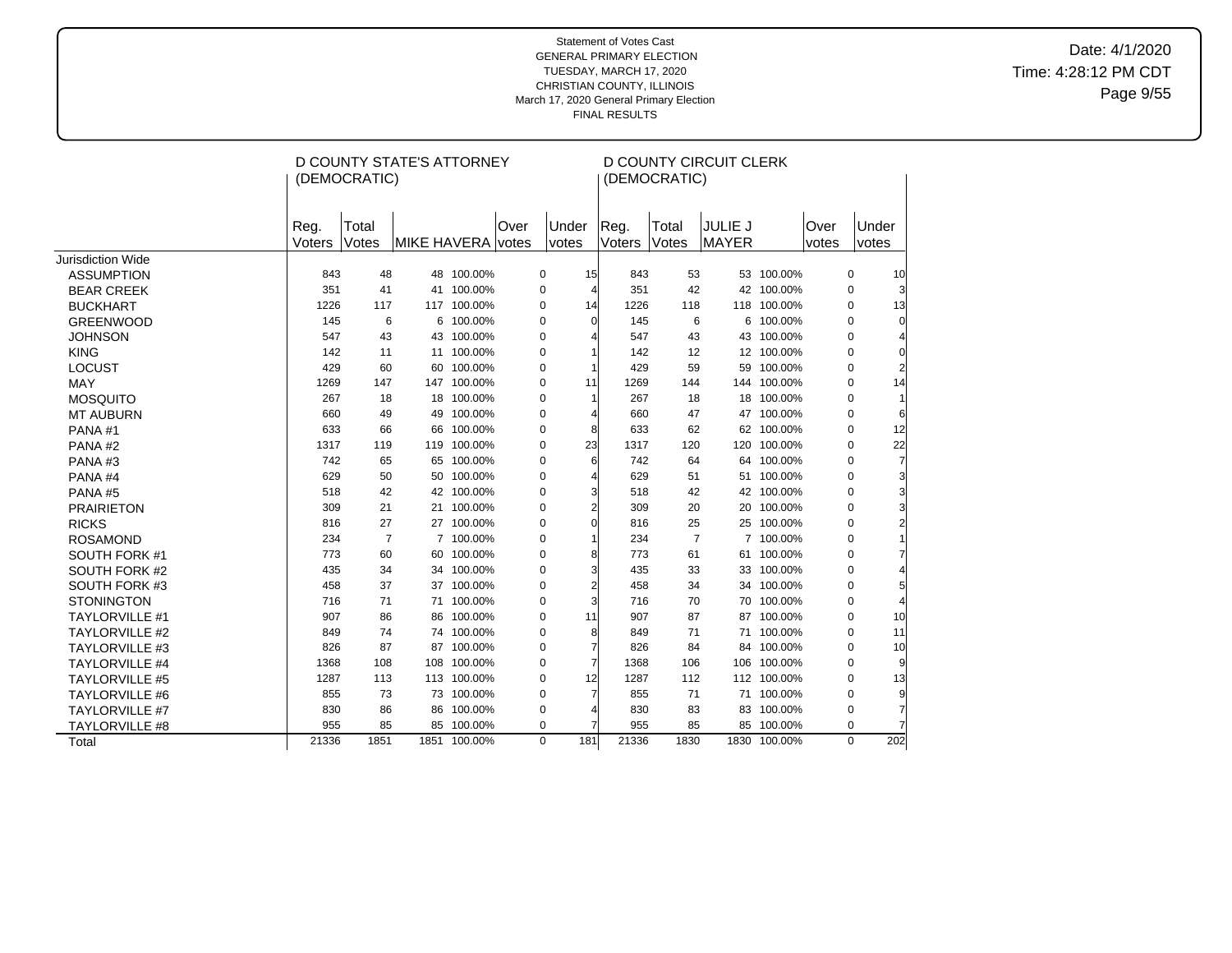Date: 4/1/2020 Time: 4:28:12 PM CDT Page 9/55

|                       |        |                | D COUNTY STATE'S ATTORNEY |              |      |   |                | <b>D COUNTY CIRCUIT CLERK</b> |                |                |              |       |             |                |
|-----------------------|--------|----------------|---------------------------|--------------|------|---|----------------|-------------------------------|----------------|----------------|--------------|-------|-------------|----------------|
|                       |        | (DEMOCRATIC)   |                           |              |      |   |                |                               | (DEMOCRATIC)   |                |              |       |             |                |
|                       |        |                |                           |              |      |   |                |                               |                |                |              |       |             |                |
|                       |        |                |                           |              |      |   |                |                               |                |                |              |       |             |                |
|                       | Reg.   | Total          |                           |              | Over |   | Under          | Reg.                          | Total          | <b>JULIE J</b> |              | Over  |             | Under          |
|                       | Voters | Votes          | <b>MIKE HAVERA votes</b>  |              |      |   | votes          | Voters                        | Votes          | MAYER          |              | votes | votes       |                |
| Jurisdiction Wide     |        |                |                           |              |      |   |                |                               |                |                |              |       |             |                |
| <b>ASSUMPTION</b>     | 843    | 48             |                           | 48 100.00%   |      | 0 | 15             | 843                           | 53             |                | 53 100.00%   |       | $\mathbf 0$ | 10             |
| <b>BEAR CREEK</b>     | 351    | 41             |                           | 41 100.00%   |      | 0 | 4              | 351                           | 42             |                | 42 100.00%   |       | $\mathbf 0$ |                |
| <b>BUCKHART</b>       | 1226   | 117            |                           | 117 100.00%  |      | 0 | 14             | 1226                          | 118            |                | 118 100.00%  |       | $\mathbf 0$ | 13             |
| <b>GREENWOOD</b>      | 145    | 6              | 6                         | 100.00%      |      | 0 | 0              | 145                           | 6              |                | 6 100.00%    |       | $\mathbf 0$ | $\mathbf 0$    |
| <b>JOHNSON</b>        | 547    | 43             |                           | 43 100.00%   |      | 0 | 4              | 547                           | 43             |                | 43 100.00%   |       | $\mathbf 0$ |                |
| <b>KING</b>           | 142    | 11             |                           | 11 100.00%   |      | 0 | 1              | 142                           | 12             |                | 12 100.00%   |       | $\mathbf 0$ | $\Omega$       |
| LOCUST                | 429    | 60             |                           | 60 100.00%   |      | 0 | 1              | 429                           | 59             |                | 59 100.00%   |       | $\mathbf 0$ | $\overline{2}$ |
| MAY                   | 1269   | 147            |                           | 147 100.00%  |      | 0 | 11             | 1269                          | 144            |                | 144 100.00%  |       | $\mathbf 0$ | 14             |
| <b>MOSQUITO</b>       | 267    | 18             |                           | 18 100.00%   |      | 0 | 1              | 267                           | 18             |                | 18 100.00%   |       | $\mathbf 0$ | 1              |
| <b>MT AUBURN</b>      | 660    | 49             | 49                        | 100.00%      |      | 0 | 4              | 660                           | 47             |                | 47 100.00%   |       | $\Omega$    | 6              |
| PANA#1                | 633    | 66             | 66                        | 100.00%      |      | 0 | 8              | 633                           | 62             |                | 62 100.00%   |       | $\Omega$    | 12             |
| PANA#2                | 1317   | 119            |                           | 119 100.00%  |      | 0 | 23             | 1317                          | 120            |                | 120 100.00%  |       | $\Omega$    | 22             |
| PANA#3                | 742    | 65             |                           | 65 100.00%   |      | 0 | 6              | 742                           | 64             |                | 64 100.00%   |       | $\Omega$    | 7              |
| PANA#4                | 629    | 50             |                           | 50 100.00%   |      | 0 | 4              | 629                           | 51             |                | 51 100.00%   |       | $\Omega$    |                |
| PANA#5                | 518    | 42             |                           | 42 100.00%   |      | 0 | 3              | 518                           | 42             |                | 42 100.00%   |       | $\Omega$    | 3              |
| <b>PRAIRIETON</b>     | 309    | 21             |                           | 21 100.00%   |      | 0 | $\overline{2}$ | 309                           | 20             |                | 20 100.00%   |       | $\mathbf 0$ |                |
| <b>RICKS</b>          | 816    | 27             |                           | 27 100.00%   |      | 0 | $\Omega$       | 816                           | 25             |                | 25 100.00%   |       | $\Omega$    |                |
| <b>ROSAMOND</b>       | 234    | $\overline{7}$ |                           | 7 100.00%    |      | 0 | 1              | 234                           | $\overline{7}$ |                | 7 100.00%    |       | $\Omega$    |                |
| SOUTH FORK #1         | 773    | 60             |                           | 60 100.00%   |      | 0 | 8              | 773                           | 61             |                | 61 100.00%   |       | $\Omega$    |                |
| SOUTH FORK #2         | 435    | 34             |                           | 34 100.00%   |      | 0 | 3              | 435                           | 33             |                | 33 100.00%   |       | $\Omega$    |                |
| SOUTH FORK #3         | 458    | 37             |                           | 37 100.00%   |      | 0 | $\overline{c}$ | 458                           | 34             |                | 34 100.00%   |       | $\mathbf 0$ |                |
| <b>STONINGTON</b>     | 716    | 71             |                           | 71 100.00%   |      | 0 | 3              | 716                           | 70             |                | 70 100.00%   |       | $\mathbf 0$ |                |
| <b>TAYLORVILLE #1</b> | 907    | 86             | 86                        | 100.00%      |      | 0 | 11             | 907                           | 87             |                | 87 100.00%   |       | $\Omega$    | 10             |
| <b>TAYLORVILLE #2</b> | 849    | 74             |                           | 74 100.00%   |      | 0 | 8              | 849                           | 71             |                | 71 100.00%   |       | $\mathbf 0$ | 11             |
| <b>TAYLORVILLE #3</b> | 826    | 87             |                           | 87 100.00%   |      | 0 | 7              | 826                           | 84             |                | 84 100.00%   |       | $\Omega$    | 10             |
| <b>TAYLORVILLE #4</b> | 1368   | 108            |                           | 108 100.00%  |      | 0 | 7              | 1368                          | 106            |                | 106 100.00%  |       | $\mathbf 0$ |                |
| <b>TAYLORVILLE #5</b> | 1287   | 113            |                           | 113 100.00%  |      | 0 | 12             | 1287                          | 112            |                | 112 100.00%  |       | $\mathbf 0$ | 13             |
| <b>TAYLORVILLE #6</b> | 855    | 73             |                           | 73 100.00%   |      | 0 | 7              | 855                           | 71             |                | 71 100.00%   |       | $\mathbf 0$ | 9              |
| <b>TAYLORVILLE #7</b> | 830    | 86             | 86                        | 100.00%      |      | 0 |                | 830                           | 83             |                | 83 100.00%   |       | $\mathbf 0$ | 7              |
| TAYLORVILLE #8        | 955    | 85             | 85                        | 100.00%      |      | 0 |                | 955                           | 85             |                | 85 100.00%   |       | $\mathbf 0$ |                |
| Total                 | 21336  | 1851           |                           | 1851 100.00% |      | 0 | 181            | 21336                         | 1830           |                | 1830 100.00% |       | $\Omega$    | 202            |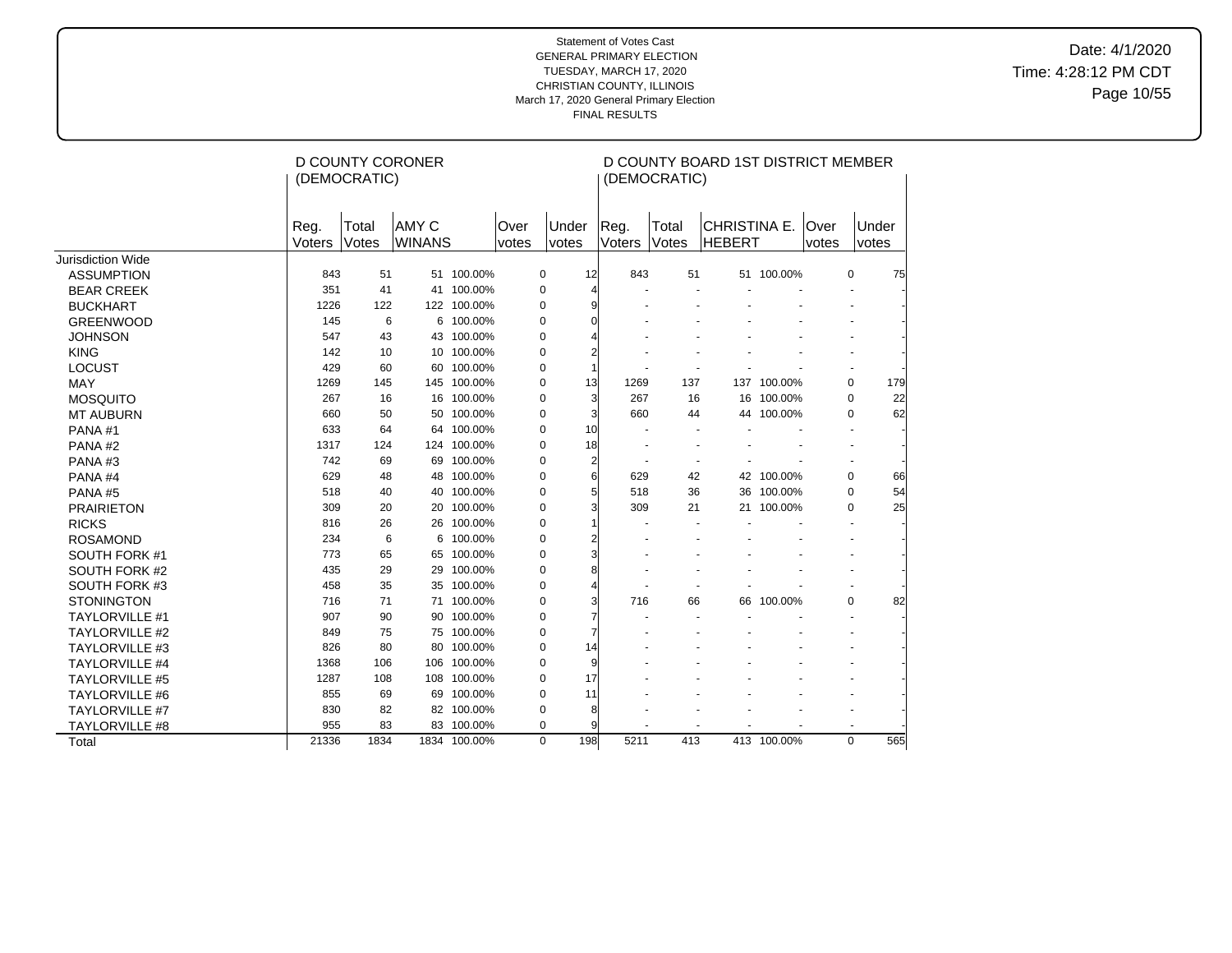Date: 4/1/2020 Time: 4:28:12 PM CDT Page 10/55

|                       |                | (DEMOCRATIC)   | <b>D COUNTY CORONER</b>       |              |               |                    |                       | (DEMOCRATIC)   | D COUNTY BOARD 1ST DISTRICT MEMBER |             |               |             |       |
|-----------------------|----------------|----------------|-------------------------------|--------------|---------------|--------------------|-----------------------|----------------|------------------------------------|-------------|---------------|-------------|-------|
|                       | Reg.<br>Voters | Total<br>Votes | <b>AMY C</b><br><b>WINANS</b> |              | Over<br>votes | Under<br>votes     | Reg.<br>Voters        | Total<br>Votes | CHRISTINA E.<br><b>HEBERT</b>      |             | Over<br>votes | votes       | Under |
| Jurisdiction Wide     |                |                |                               |              |               |                    |                       |                |                                    |             |               |             |       |
| <b>ASSUMPTION</b>     | 843            | 51             |                               | 51 100.00%   |               | 12<br>0            | 843                   | 51             |                                    | 51 100.00%  |               | 0           | 75    |
| <b>BEAR CREEK</b>     | 351            | 41             |                               | 41 100.00%   |               | $\pmb{0}$          | $\overline{4}$        |                |                                    |             |               |             |       |
| <b>BUCKHART</b>       | 1226           | 122            |                               | 122 100.00%  |               | $\mathbf 0$        | 9                     |                |                                    |             |               |             |       |
| <b>GREENWOOD</b>      | 145            | 6              |                               | 6 100.00%    |               | 0                  | $\Omega$              |                |                                    |             |               |             |       |
| <b>JOHNSON</b>        | 547            | 43             |                               | 43 100.00%   |               | 0                  | 4                     |                |                                    |             |               |             |       |
| <b>KING</b>           | 142            | 10             |                               | 10 100.00%   |               | 0                  | 2                     |                |                                    |             |               |             |       |
| LOCUST                | 429            | 60             |                               | 60 100.00%   |               | $\pmb{0}$          | 1                     |                |                                    |             |               |             |       |
| <b>MAY</b>            | 1269           | 145            |                               | 145 100.00%  |               | 13<br>0            | 1269                  | 137            |                                    | 137 100.00% |               | $\mathbf 0$ | 179   |
| <b>MOSQUITO</b>       | 267            | 16             |                               | 16 100.00%   |               | 0                  | 3<br>267              | 16             |                                    | 16 100.00%  |               | 0           | 22    |
| <b>MT AUBURN</b>      | 660            | 50             |                               | 50 100.00%   |               | 0                  | $\overline{3}$<br>660 | 44             |                                    | 44 100.00%  |               | $\mathbf 0$ | 62    |
| PANA#1                | 633            | 64             |                               | 64 100.00%   |               | 10<br>$\pmb{0}$    |                       |                |                                    |             |               |             |       |
| PANA#2                | 1317           | 124            |                               | 124 100.00%  |               | 18<br>0            |                       |                |                                    |             |               |             |       |
| PANA#3                | 742            | 69             |                               | 69 100.00%   |               | 0                  | $\overline{2}$        | $\blacksquare$ |                                    |             |               |             |       |
| PANA#4                | 629            | 48             |                               | 48 100.00%   |               | 0                  | 6<br>629              | 42             |                                    | 42 100.00%  |               | 0           | 66    |
| PANA#5                | 518            | 40             |                               | 40 100.00%   |               | $\pmb{0}$          | 5<br>518              | 36             |                                    | 36 100.00%  |               | $\mathbf 0$ | 54    |
| <b>PRAIRIETON</b>     | 309            | 20             | 20                            | 100.00%      |               | 0                  | 3<br>309              | 21             |                                    | 21 100.00%  |               | 0           | 25    |
| <b>RICKS</b>          | 816            | 26             |                               | 26 100.00%   |               | 0                  | 1                     |                |                                    |             |               |             |       |
| <b>ROSAMOND</b>       | 234            | 6              | 6                             | 100.00%      |               | $\pmb{0}$          | $\overline{2}$        |                |                                    |             |               |             |       |
| SOUTH FORK #1         | 773            | 65             |                               | 65 100.00%   |               | 0                  | 3                     |                |                                    |             |               |             |       |
| <b>SOUTH FORK #2</b>  | 435            | 29             | 29                            | 100.00%      |               | $\pmb{0}$          | 8                     |                |                                    |             |               |             |       |
| SOUTH FORK #3         | 458            | 35             |                               | 35 100.00%   |               | $\mathbf 0$        | Δ                     |                |                                    |             |               |             |       |
| <b>STONINGTON</b>     | 716            | 71             |                               | 71 100.00%   |               | $\pmb{0}$          | 716                   | 66             |                                    | 66 100.00%  |               | $\Omega$    | 82    |
| <b>TAYLORVILLE #1</b> | 907            | 90             | 90                            | 100.00%      |               | 0                  |                       |                |                                    |             |               |             |       |
| <b>TAYLORVILLE #2</b> | 849            | 75             |                               | 75 100.00%   |               | 0                  |                       |                |                                    |             |               |             |       |
| <b>TAYLORVILLE #3</b> | 826            | 80             |                               | 80 100.00%   |               | 0<br>14            |                       |                |                                    |             |               |             |       |
| <b>TAYLORVILLE #4</b> | 1368           | 106            |                               | 106 100.00%  |               | $\pmb{0}$          | 9                     |                |                                    |             |               |             |       |
| <b>TAYLORVILLE #5</b> | 1287           | 108            |                               | 108 100.00%  |               | 17<br>0            |                       |                |                                    |             |               |             |       |
| <b>TAYLORVILLE #6</b> | 855            | 69             |                               | 69 100.00%   |               | 0<br>11            |                       |                |                                    |             |               |             |       |
| <b>TAYLORVILLE #7</b> | 830            | 82             |                               | 82 100.00%   |               | 0                  | 8                     |                |                                    |             |               |             |       |
| TAYLORVILLE #8        | 955            | 83             |                               | 83 100.00%   |               | 0                  | 9                     |                |                                    |             |               |             |       |
| Total                 | 21336          | 1834           |                               | 1834 100.00% |               | $\mathbf 0$<br>198 | 5211                  | 413            |                                    | 413 100.00% |               | $\Omega$    | 565   |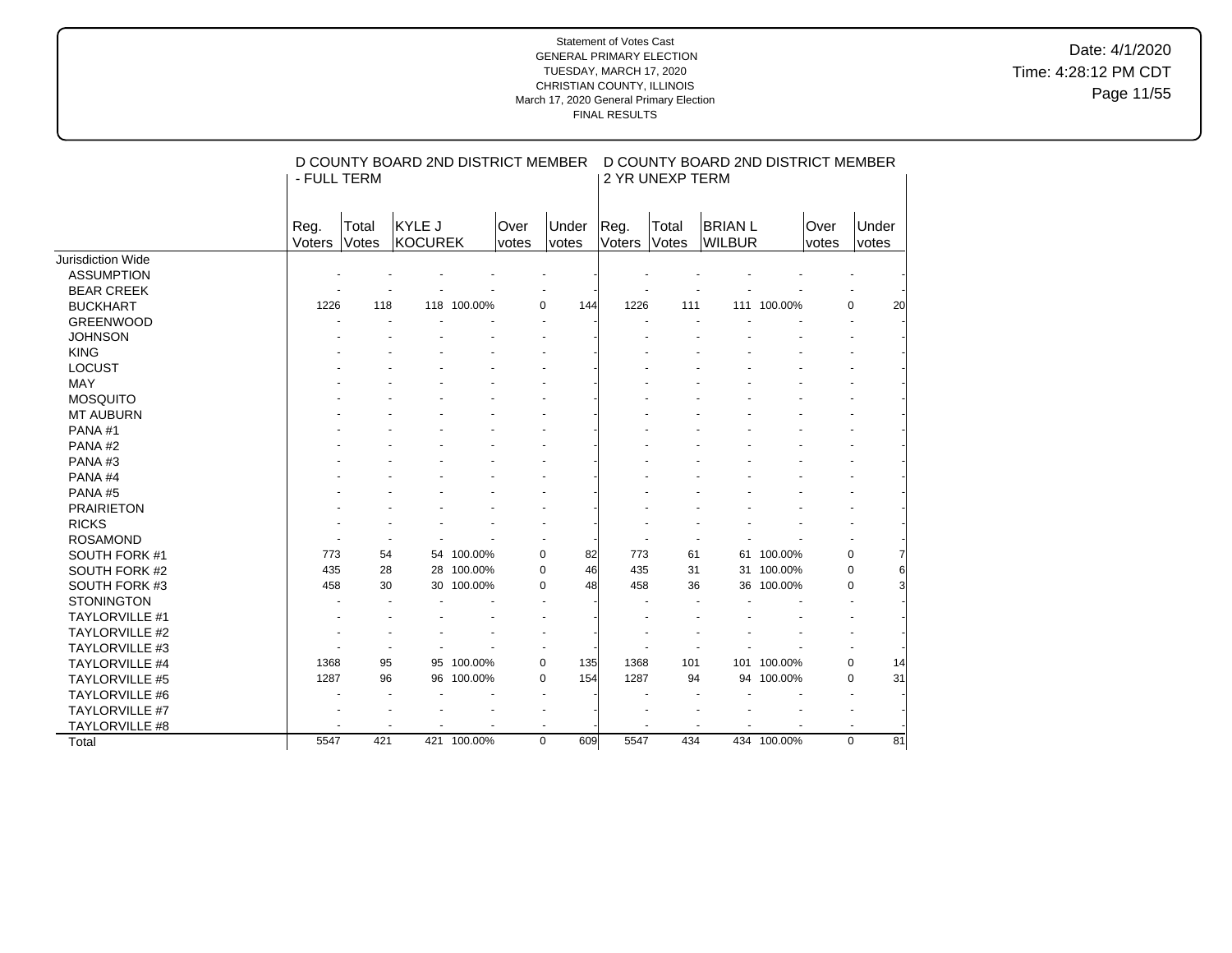Date: 4/1/2020 Time: 4:28:12 PM CDT Page 11/55

|                       | - FULL TERM |       | D COUNTY BOARD 2ND DISTRICT MEMBER |             |       |                      |               | 2 YR UNEXP TERM | D COUNTY BOARD 2ND DISTRICT MEMBER |             |       |             |    |
|-----------------------|-------------|-------|------------------------------------|-------------|-------|----------------------|---------------|-----------------|------------------------------------|-------------|-------|-------------|----|
|                       | Reg.        | Total | KYLE J                             |             | Over  | Under                | Reg.          | Total           | <b>BRIAN L</b>                     |             | Over  | Under       |    |
|                       | Voters      | Votes | KOCUREK                            |             | votes | votes                | <b>Voters</b> | <b>Votes</b>    | <b>WILBUR</b>                      |             | votes | votes       |    |
| Jurisdiction Wide     |             |       |                                    |             |       |                      |               |                 |                                    |             |       |             |    |
| <b>ASSUMPTION</b>     |             |       |                                    |             |       |                      |               |                 |                                    |             |       |             |    |
| <b>BEAR CREEK</b>     |             |       |                                    |             |       |                      |               |                 |                                    |             |       |             |    |
| <b>BUCKHART</b>       | 1226        | 118   |                                    | 118 100.00% |       | $\mathbf 0$<br>144   | 1226          | 111             |                                    | 111 100.00% |       | $\mathbf 0$ | 20 |
| <b>GREENWOOD</b>      |             |       |                                    |             |       |                      |               |                 |                                    |             |       |             |    |
| <b>JOHNSON</b>        |             |       |                                    |             |       |                      |               |                 |                                    |             |       |             |    |
| <b>KING</b>           |             |       |                                    |             |       |                      |               |                 |                                    |             |       |             |    |
| <b>LOCUST</b>         |             |       |                                    |             |       |                      |               |                 |                                    |             |       |             |    |
| MAY                   |             |       |                                    |             |       |                      |               |                 |                                    |             |       |             |    |
| <b>MOSQUITO</b>       |             |       |                                    |             |       |                      |               |                 |                                    |             |       |             |    |
| <b>MT AUBURN</b>      |             |       |                                    |             |       |                      |               |                 |                                    |             |       |             |    |
| PANA#1                |             |       |                                    |             |       |                      |               |                 |                                    |             |       |             |    |
| PANA#2                |             |       |                                    |             |       |                      |               |                 |                                    |             |       |             |    |
| PANA#3                |             |       |                                    |             |       |                      |               |                 |                                    |             |       |             |    |
| PANA#4                |             |       |                                    |             |       |                      |               |                 |                                    |             |       |             |    |
| PANA#5                |             |       |                                    |             |       |                      |               |                 |                                    |             |       |             |    |
| <b>PRAIRIETON</b>     |             |       |                                    |             |       |                      |               |                 |                                    |             |       |             |    |
| <b>RICKS</b>          |             |       |                                    |             |       |                      |               |                 |                                    |             |       |             |    |
| <b>ROSAMOND</b>       |             |       |                                    |             |       |                      |               |                 |                                    |             |       |             |    |
| SOUTH FORK #1         | 773         | 54    |                                    | 54 100.00%  |       | $\mathbf 0$<br>82    | 773           | 61              |                                    | 61 100.00%  |       | $\mathbf 0$ |    |
| SOUTH FORK #2         | 435         | 28    |                                    | 28 100.00%  |       | 46<br>0              | 435           | 31              |                                    | 31 100.00%  |       | $\mathbf 0$ |    |
| SOUTH FORK #3         | 458         | 30    |                                    | 30 100.00%  |       | 48<br>0              | 458           | 36              |                                    | 36 100.00%  |       | $\mathbf 0$ |    |
| <b>STONINGTON</b>     |             |       |                                    |             |       |                      |               |                 |                                    |             |       |             |    |
| <b>TAYLORVILLE #1</b> |             |       |                                    |             |       |                      |               |                 |                                    |             |       |             |    |
| TAYLORVILLE #2        |             |       |                                    |             |       |                      |               |                 |                                    |             |       |             |    |
| TAYLORVILLE #3        |             |       |                                    |             |       |                      |               |                 |                                    |             |       |             |    |
| <b>TAYLORVILLE #4</b> | 1368        | 95    |                                    | 95 100.00%  |       | $\mathbf 0$<br>135   | 1368          | 101             |                                    | 101 100.00% |       | $\mathbf 0$ | 14 |
| <b>TAYLORVILLE #5</b> | 1287        | 96    |                                    | 96 100.00%  |       | 154<br>$\mathbf 0$   | 1287          | 94              | 94                                 | 100.00%     |       | $\mathbf 0$ | 31 |
| <b>TAYLORVILLE #6</b> |             |       |                                    |             |       | $\ddot{\phantom{1}}$ |               |                 |                                    |             |       |             |    |
| TAYLORVILLE #7        |             |       |                                    |             |       |                      |               |                 |                                    |             |       |             |    |
| TAYLORVILLE #8        |             |       |                                    |             |       |                      |               |                 |                                    |             |       |             |    |
| Total                 | 5547        | 421   |                                    | 421 100.00% |       | $\mathbf 0$<br>609   | 5547          | 434             |                                    | 434 100.00% |       | $\mathbf 0$ | 81 |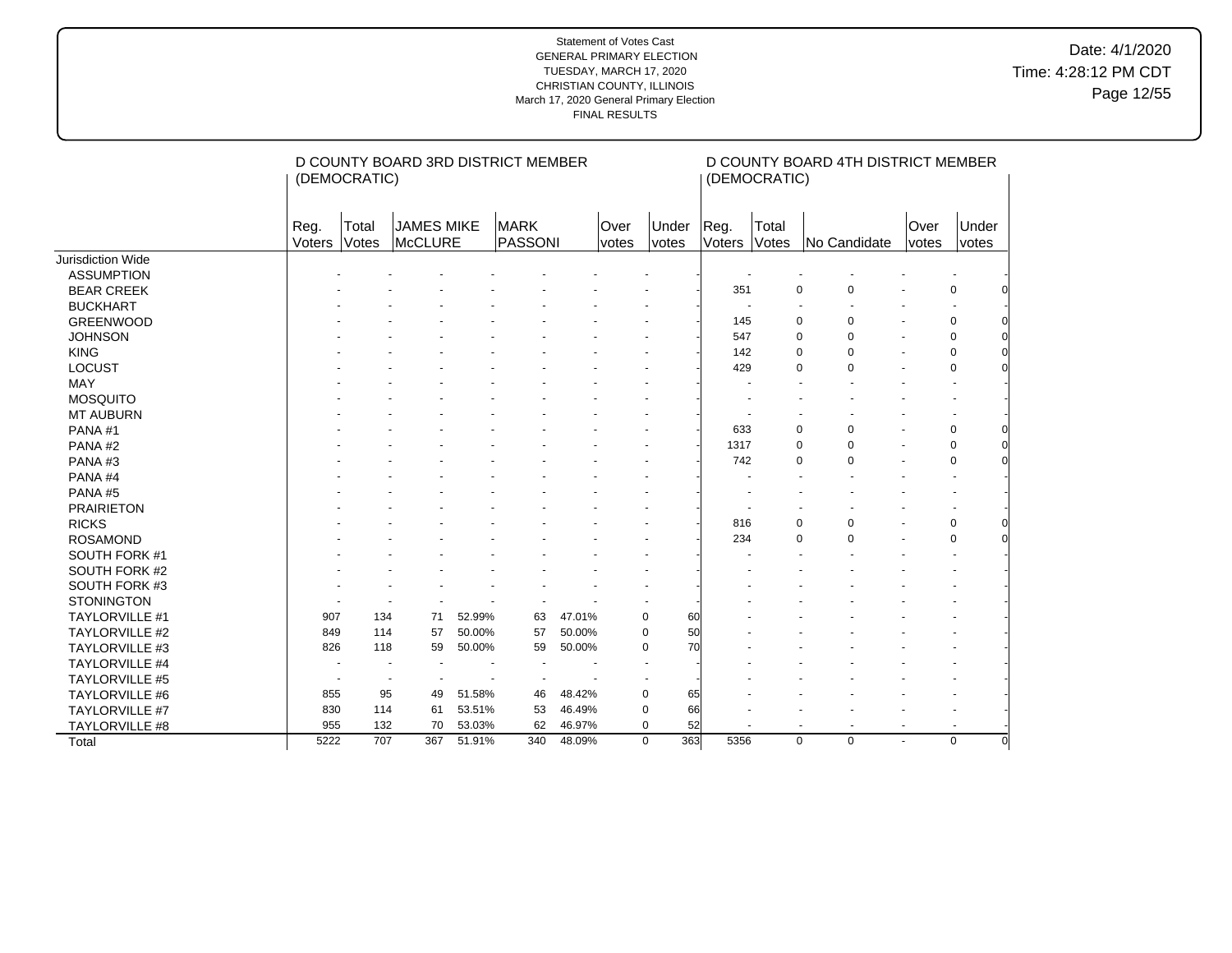|                          | (DEMOCRATIC)   |                | D COUNTY BOARD 3RD DISTRICT MEMBER |        |                 |        |               | (DEMOCRATIC)       |                          |                | D COUNTY BOARD 4TH DISTRICT MEMBER |                          |                      |                       |  |
|--------------------------|----------------|----------------|------------------------------------|--------|-----------------|--------|---------------|--------------------|--------------------------|----------------|------------------------------------|--------------------------|----------------------|-----------------------|--|
|                          | Reg.<br>Voters | Total<br>Votes | <b>JAMES MIKE</b><br>McCLURE       |        | MARK<br>PASSONI |        | Over<br>votes | Under<br>votes     | Reg.<br><b>Voters</b>    | Total<br>Votes |                                    | No Candidate             | Over<br><i>votes</i> | Under<br><i>votes</i> |  |
| <b>Jurisdiction Wide</b> |                |                |                                    |        |                 |        |               |                    |                          |                |                                    |                          |                      |                       |  |
| <b>ASSUMPTION</b>        |                |                |                                    |        |                 |        |               |                    |                          |                |                                    |                          |                      |                       |  |
| <b>BEAR CREEK</b>        |                |                |                                    |        |                 |        |               |                    | 351                      |                | 0                                  | 0                        |                      | 0                     |  |
| <b>BUCKHART</b>          |                |                |                                    |        |                 |        |               |                    | $\overline{\phantom{a}}$ |                | $\overline{\phantom{a}}$           |                          |                      |                       |  |
| <b>GREENWOOD</b>         |                |                |                                    |        |                 |        |               |                    | 145                      |                | $\mathbf 0$                        | 0                        |                      | 0                     |  |
| <b>JOHNSON</b>           |                |                |                                    |        |                 |        |               |                    | 547                      |                | $\mathbf 0$                        | 0                        |                      | $\mathbf 0$           |  |
| <b>KING</b>              |                |                |                                    |        |                 |        |               |                    | 142                      |                | 0                                  | 0                        |                      | 0                     |  |
| <b>LOCUST</b>            |                |                |                                    |        |                 |        |               |                    | 429                      |                | $\mathbf 0$                        | $\Omega$                 |                      | 0                     |  |
| <b>MAY</b>               |                |                |                                    |        |                 |        |               |                    |                          |                |                                    |                          |                      |                       |  |
| <b>MOSQUITO</b>          |                |                |                                    |        |                 |        |               |                    |                          |                |                                    |                          |                      |                       |  |
| <b>MT AUBURN</b>         |                |                |                                    |        |                 |        |               |                    |                          |                |                                    |                          |                      |                       |  |
| PANA#1                   |                |                |                                    |        |                 |        |               |                    | 633                      |                | 0                                  | 0                        |                      | 0                     |  |
| PANA#2                   |                |                |                                    |        |                 |        |               |                    | 1317                     |                | 0                                  | 0                        |                      | 0                     |  |
| PANA#3                   |                |                |                                    |        |                 |        |               |                    | 742                      |                | 0                                  | 0                        |                      | 0                     |  |
| PANA#4                   |                |                |                                    |        |                 |        |               |                    |                          |                |                                    |                          |                      |                       |  |
| PANA#5                   |                |                |                                    |        |                 |        |               |                    |                          |                |                                    |                          |                      |                       |  |
| <b>PRAIRIETON</b>        |                |                |                                    |        |                 |        |               |                    |                          |                |                                    |                          |                      |                       |  |
| <b>RICKS</b>             |                |                |                                    |        |                 |        |               |                    | 816                      |                | 0                                  | 0                        |                      | 0                     |  |
| <b>ROSAMOND</b>          |                |                |                                    |        |                 |        |               |                    | 234                      |                | $\mathbf 0$                        | 0                        |                      | 0                     |  |
| SOUTH FORK #1            |                |                |                                    |        |                 |        |               |                    |                          |                |                                    |                          |                      |                       |  |
| SOUTH FORK #2            |                |                |                                    |        |                 |        |               |                    |                          |                |                                    |                          |                      |                       |  |
| SOUTH FORK #3            |                |                |                                    |        |                 |        |               |                    |                          |                |                                    |                          |                      |                       |  |
| <b>STONINGTON</b>        |                |                |                                    |        |                 |        |               |                    |                          |                |                                    |                          |                      |                       |  |
| <b>TAYLORVILLE #1</b>    | 907            | 134            | 71                                 | 52.99% | 63              | 47.01% |               | $\mathbf 0$<br>60  |                          |                |                                    |                          |                      |                       |  |
| <b>TAYLORVILLE #2</b>    | 849            | 114            | 57                                 | 50.00% | 57              | 50.00% |               | $\mathbf 0$<br>50  |                          |                |                                    |                          |                      |                       |  |
| <b>TAYLORVILLE #3</b>    | 826            | 118            | 59                                 | 50.00% | 59              | 50.00% |               | 70<br>$\mathbf 0$  |                          |                |                                    |                          |                      |                       |  |
| TAYLORVILLE #4           |                |                |                                    |        |                 |        |               |                    |                          |                |                                    |                          |                      |                       |  |
| TAYLORVILLE #5           |                |                |                                    |        |                 |        |               |                    |                          |                |                                    |                          |                      |                       |  |
| TAYLORVILLE #6           | 855            | 95             | 49                                 | 51.58% | 46              | 48.42% |               | 0<br>65            |                          |                |                                    |                          |                      |                       |  |
| TAYLORVILLE #7           | 830            | 114            | 61                                 | 53.51% | 53              | 46.49% |               | 0<br>66            |                          |                |                                    |                          |                      |                       |  |
| TAYLORVILLE #8           | 955            | 132            | 70                                 | 53.03% | 62              | 46.97% |               | 52<br>0            | $\overline{\phantom{a}}$ |                | $\overline{\phantom{a}}$           | $\overline{\phantom{a}}$ | $\blacksquare$       |                       |  |
| Total                    | 5222           | 707            | 367                                | 51.91% | 340             | 48.09% |               | 363<br>$\mathbf 0$ | 5356                     |                | $\mathbf 0$                        | 0                        | $\overline{a}$       | $\Omega$              |  |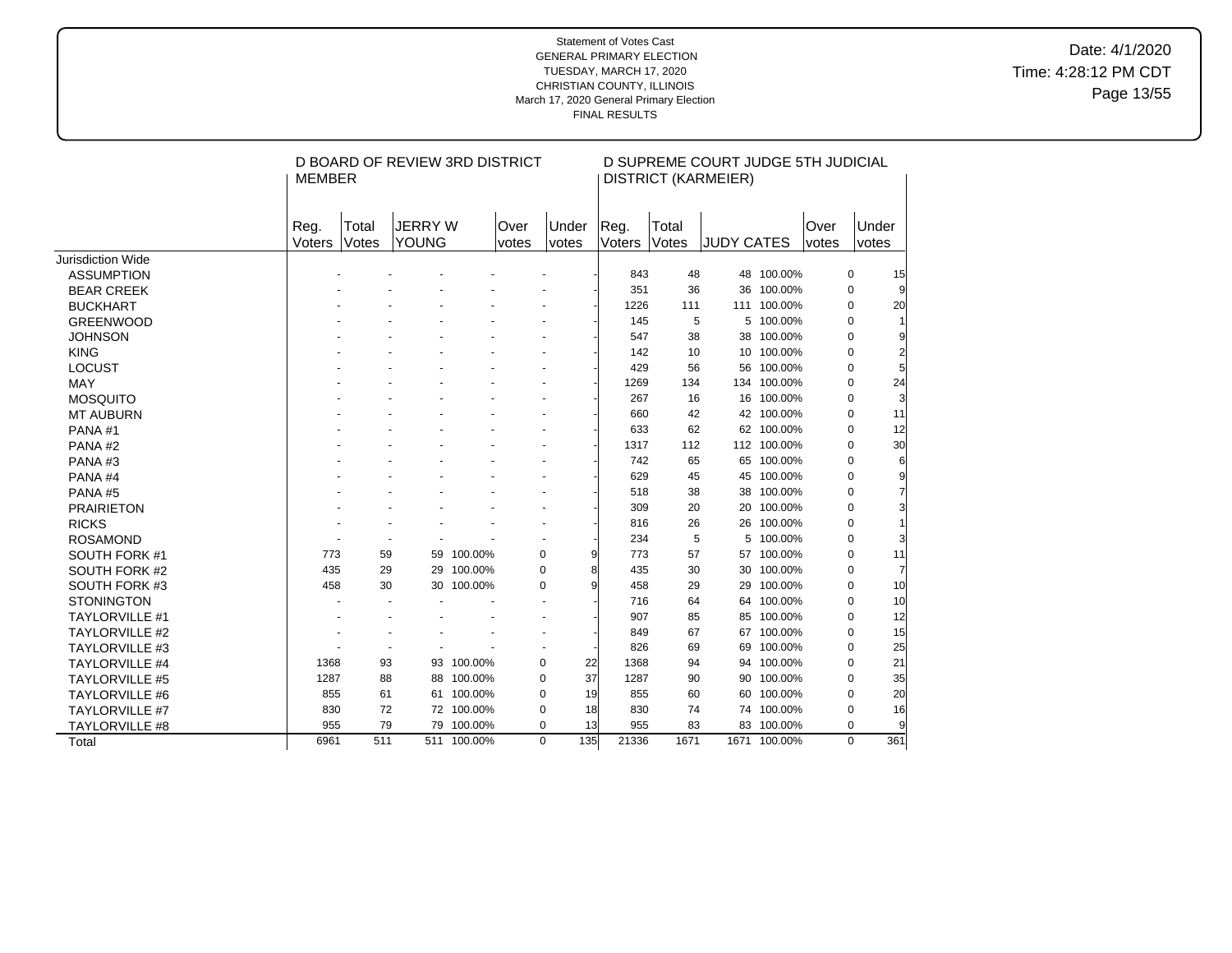Date: 4/1/2020 Time: 4:28:12 PM CDT Page 13/55

|                          | <b>MEMBER</b>  |                | D BOARD OF REVIEW 3RD DISTRICT |             |                |                |                |                | D SUPREME COURT JUDGE 5TH JUDICIAL<br><b>DISTRICT (KARMEIER)</b> |              |               |                |     |
|--------------------------|----------------|----------------|--------------------------------|-------------|----------------|----------------|----------------|----------------|------------------------------------------------------------------|--------------|---------------|----------------|-----|
|                          | Reg.<br>Voters | Total<br>Votes | <b>JERRY W</b><br><b>YOUNG</b> |             | Over<br>votes  | Under<br>votes | Reg.<br>Voters | Total<br>Votes | <b>JUDY CATES</b>                                                |              | Over<br>votes | Under<br>votes |     |
| <b>Jurisdiction Wide</b> |                |                |                                |             |                |                |                |                |                                                                  |              |               |                |     |
| <b>ASSUMPTION</b>        |                |                |                                |             |                |                | 843            | 48             |                                                                  | 48 100.00%   |               | 0              | 15  |
| <b>BEAR CREEK</b>        |                |                |                                |             |                |                | 351            | 36             |                                                                  | 36 100.00%   |               | $\Omega$       |     |
| <b>BUCKHART</b>          |                |                |                                |             |                |                | 1226           | 111            |                                                                  | 111 100.00%  |               | 0              | 20  |
| <b>GREENWOOD</b>         |                |                |                                |             |                |                | 145            | 5              |                                                                  | 5 100.00%    |               | 0              |     |
| <b>JOHNSON</b>           |                |                |                                |             |                |                | 547            | 38             |                                                                  | 38 100.00%   |               | $\Omega$       | 9   |
| <b>KING</b>              |                |                |                                |             |                |                | 142            | 10             |                                                                  | 10 100.00%   |               | $\Omega$       |     |
| <b>LOCUST</b>            |                |                |                                |             |                |                | 429            | 56             |                                                                  | 56 100.00%   |               | $\Omega$       |     |
| <b>MAY</b>               |                |                |                                |             |                |                | 1269           | 134            |                                                                  | 134 100.00%  |               | 0              | 24  |
| <b>MOSQUITO</b>          |                |                |                                |             |                |                | 267            | 16             |                                                                  | 16 100.00%   |               | 0              | 3   |
| <b>MT AUBURN</b>         |                |                |                                |             |                |                | 660            | 42             |                                                                  | 42 100.00%   |               | $\Omega$       | 11  |
| PANA#1                   |                |                |                                |             |                |                | 633            | 62             |                                                                  | 62 100.00%   |               | 0              | 12  |
| PANA#2                   |                |                |                                |             |                |                | 1317           | 112            |                                                                  | 112 100.00%  |               | $\Omega$       | 30  |
| PANA#3                   |                |                |                                |             |                |                | 742            | 65             |                                                                  | 65 100.00%   |               | 0              | 6   |
| PANA#4                   |                |                |                                |             |                |                | 629            | 45             |                                                                  | 45 100.00%   |               | 0              | 9   |
| PANA#5                   |                |                |                                |             |                |                | 518            | 38             |                                                                  | 38 100.00%   |               | 0              | 7   |
| <b>PRAIRIETON</b>        |                |                |                                |             |                |                | 309            | 20             |                                                                  | 20 100.00%   |               | 0              | 3   |
| <b>RICKS</b>             |                |                |                                |             |                |                | 816            | 26             |                                                                  | 26 100.00%   |               | $\Omega$       |     |
| <b>ROSAMOND</b>          |                |                |                                |             |                |                | 234            | 5              |                                                                  | 5 100.00%    |               | 0              | 3   |
| SOUTH FORK #1            | 773            | 59             |                                | 59 100.00%  | $\mathbf 0$    | 9              | 773            | 57             |                                                                  | 57 100.00%   |               | 0              | 11  |
| SOUTH FORK #2            | 435            | 29             |                                | 29 100.00%  | $\mathbf 0$    | 8              | 435            | 30             |                                                                  | 30 100.00%   |               | $\Omega$       |     |
| SOUTH FORK #3            | 458            | 30             |                                | 30 100.00%  | 0              | 9              | 458            | 29             | 29                                                               | 100.00%      |               | 0              | 10  |
| <b>STONINGTON</b>        |                |                |                                |             |                |                | 716            | 64             |                                                                  | 64 100.00%   |               | $\Omega$       | 10  |
| <b>TAYLORVILLE #1</b>    |                |                |                                |             |                |                | 907            | 85             |                                                                  | 85 100.00%   |               | $\Omega$       | 12  |
| <b>TAYLORVILLE #2</b>    |                |                |                                |             | $\blacksquare$ |                | 849            | 67             |                                                                  | 67 100.00%   |               | 0              | 15  |
| <b>TAYLORVILLE #3</b>    |                |                |                                |             |                |                | 826            | 69             |                                                                  | 69 100.00%   |               | 0              | 25  |
| <b>TAYLORVILLE #4</b>    | 1368           | 93             | 93                             | 100.00%     | $\pmb{0}$      | 22             | 1368           | 94             |                                                                  | 94 100.00%   |               | 0              | 21  |
| <b>TAYLORVILLE #5</b>    | 1287           | 88             | 88                             | 100.00%     | 0              | 37             | 1287           | 90             |                                                                  | 90 100.00%   |               | $\Omega$       | 35  |
| <b>TAYLORVILLE #6</b>    | 855            | 61             |                                | 61 100.00%  | $\pmb{0}$      | 19             | 855            | 60             |                                                                  | 60 100.00%   |               | 0              | 20  |
| <b>TAYLORVILLE #7</b>    | 830            | 72             |                                | 72 100.00%  | 0              | 18             | 830            | 74             |                                                                  | 74 100.00%   |               | 0              | 16  |
| <b>TAYLORVILLE #8</b>    | 955            | 79             | 79                             | 100.00%     | $\pmb{0}$      | 13             | 955            | 83             |                                                                  | 83 100.00%   |               | 0              | 9   |
| Total                    | 6961           | 511            |                                | 511 100.00% | $\mathbf 0$    | 135            | 21336          | 1671           |                                                                  | 1671 100.00% |               | $\Omega$       | 361 |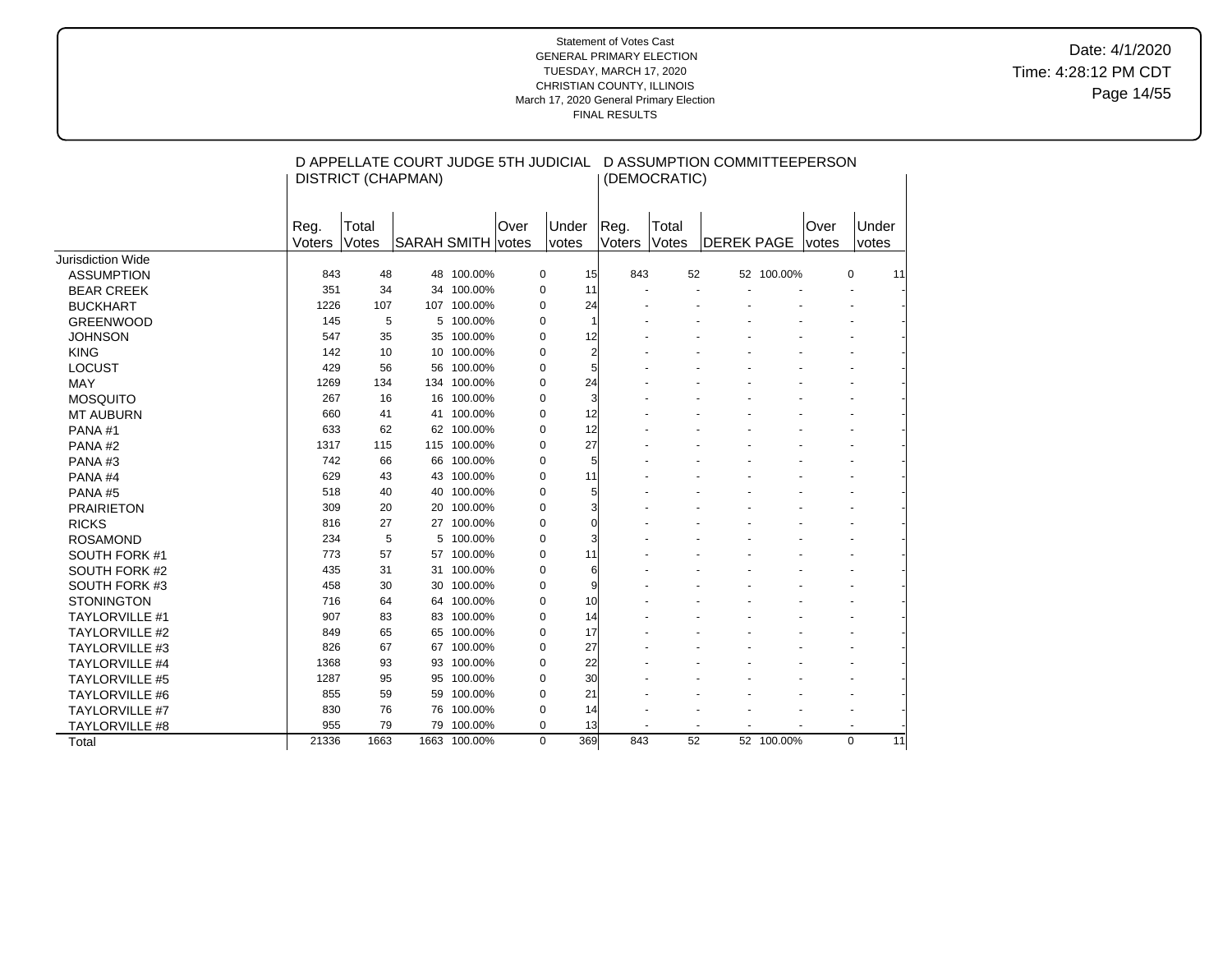Date: 4/1/2020 Time: 4:28:12 PM CDT Page 14/55

|                       |                |                | D APPELLATE COURT JUDGE 5TH JUDICIAL |              |      |                |          |                |                | D ASSUMPTION COMMITTEEPERSON |            |               |                |    |
|-----------------------|----------------|----------------|--------------------------------------|--------------|------|----------------|----------|----------------|----------------|------------------------------|------------|---------------|----------------|----|
|                       |                |                | <b>DISTRICT (CHAPMAN)</b>            |              |      |                |          |                | (DEMOCRATIC)   |                              |            |               |                |    |
|                       | Reg.<br>Voters | Total<br>Votes | SARAH SMITH votes                    |              | Over | Under<br>votes |          | Reg.<br>Voters | Total<br>Votes | <b>DEREK PAGE</b>            |            | Over<br>votes | Under<br>votes |    |
| Jurisdiction Wide     |                |                |                                      |              |      |                |          |                |                |                              |            |               |                |    |
| <b>ASSUMPTION</b>     | 843            | 48             |                                      | 48 100.00%   |      | 0              | 15       | 843            | 52             |                              | 52 100.00% |               | 0              | 11 |
| <b>BEAR CREEK</b>     | 351            | 34             |                                      | 34 100.00%   |      | $\mathbf 0$    | 11       |                |                |                              |            |               |                |    |
| <b>BUCKHART</b>       | 1226           | 107            |                                      | 107 100.00%  |      | $\mathbf 0$    | 24       |                |                |                              |            |               |                |    |
| <b>GREENWOOD</b>      | 145            | 5              | 5                                    | 100.00%      |      | $\mathbf 0$    | 1        |                |                |                              |            |               |                |    |
| <b>JOHNSON</b>        | 547            | 35             | 35                                   | 100.00%      |      | $\mathbf 0$    | 12       |                |                |                              |            |               |                |    |
| <b>KING</b>           | 142            | 10             |                                      | 10 100.00%   |      | $\mathbf 0$    | 2        |                |                |                              |            |               |                |    |
| <b>LOCUST</b>         | 429            | 56             |                                      | 56 100.00%   |      | $\mathbf 0$    | 5        |                |                |                              |            |               |                |    |
| <b>MAY</b>            | 1269           | 134            | 134                                  | 100.00%      |      | $\mathbf 0$    | 24       |                |                |                              |            |               |                |    |
| <b>MOSQUITO</b>       | 267            | 16             | 16                                   | 100.00%      |      | $\mathbf 0$    | 3        |                |                |                              |            |               |                |    |
| <b>MT AUBURN</b>      | 660            | 41             | 41                                   | 100.00%      |      | $\mathbf 0$    | 12       |                |                |                              |            |               |                |    |
| PANA#1                | 633            | 62             | 62                                   | 100.00%      |      | $\mathbf 0$    | 12       |                |                |                              |            |               |                |    |
| PANA#2                | 1317           | 115            | 115                                  | 100.00%      |      | $\mathbf 0$    | 27       |                |                |                              |            |               |                |    |
| PANA#3                | 742            | 66             | 66                                   | 100.00%      |      | $\mathbf 0$    | 5        |                |                |                              |            |               |                |    |
| PANA#4                | 629            | 43             | 43                                   | 100.00%      |      | $\mathbf 0$    | 11       |                |                |                              |            |               |                |    |
| PANA#5                | 518            | 40             | 40                                   | 100.00%      |      | $\mathbf 0$    | 5        |                |                |                              |            |               |                |    |
| <b>PRAIRIETON</b>     | 309            | 20             | 20                                   | 100.00%      |      | $\mathbf 0$    | 3        |                |                |                              |            |               |                |    |
| <b>RICKS</b>          | 816            | 27             |                                      | 27 100.00%   |      | $\mathbf 0$    | $\Omega$ |                |                |                              |            |               |                |    |
| <b>ROSAMOND</b>       | 234            | 5              | 5                                    | 100.00%      |      | $\mathbf 0$    |          |                |                |                              |            |               |                |    |
| SOUTH FORK #1         | 773            | 57             |                                      | 57 100.00%   |      | $\mathbf 0$    | 11       |                |                |                              |            |               |                |    |
| SOUTH FORK #2         | 435            | 31             | 31                                   | 100.00%      |      | $\mathbf 0$    | 6        |                |                |                              |            |               |                |    |
| SOUTH FORK #3         | 458            | 30             |                                      | 30 100.00%   |      | $\mathbf 0$    | 9        |                |                |                              |            |               |                |    |
| <b>STONINGTON</b>     | 716            | 64             |                                      | 64 100.00%   |      | $\mathbf 0$    | 10       |                |                |                              |            |               |                |    |
| <b>TAYLORVILLE #1</b> | 907            | 83             |                                      | 83 100.00%   |      | $\mathbf 0$    | 14       |                |                |                              |            |               |                |    |
| <b>TAYLORVILLE #2</b> | 849            | 65             | 65                                   | 100.00%      |      | $\mathbf 0$    | 17       |                |                |                              |            |               |                |    |
| <b>TAYLORVILLE #3</b> | 826            | 67             | 67                                   | 100.00%      |      | 0              | 27       |                |                |                              |            |               |                |    |
| <b>TAYLORVILLE #4</b> | 1368           | 93             | 93                                   | 100.00%      |      | 0              | 22       |                |                |                              |            |               |                |    |
| <b>TAYLORVILLE #5</b> | 1287           | 95             | 95                                   | 100.00%      |      | $\mathbf 0$    | 30       |                |                |                              |            |               |                |    |
| <b>TAYLORVILLE #6</b> | 855            | 59             | 59                                   | 100.00%      |      | 0              | 21       |                |                |                              |            |               |                |    |
| <b>TAYLORVILLE #7</b> | 830            | 76             | 76                                   | 100.00%      |      | 0              | 14       |                |                |                              |            |               |                |    |
| TAYLORVILLE #8        | 955            | 79             | 79                                   | 100.00%      |      | $\mathbf 0$    | 13       |                |                |                              |            |               |                |    |
| Total                 | 21336          | 1663           |                                      | 1663 100.00% |      | $\mathbf 0$    | 369      | 843            | 52             |                              | 52 100.00% |               | $\mathbf 0$    | 11 |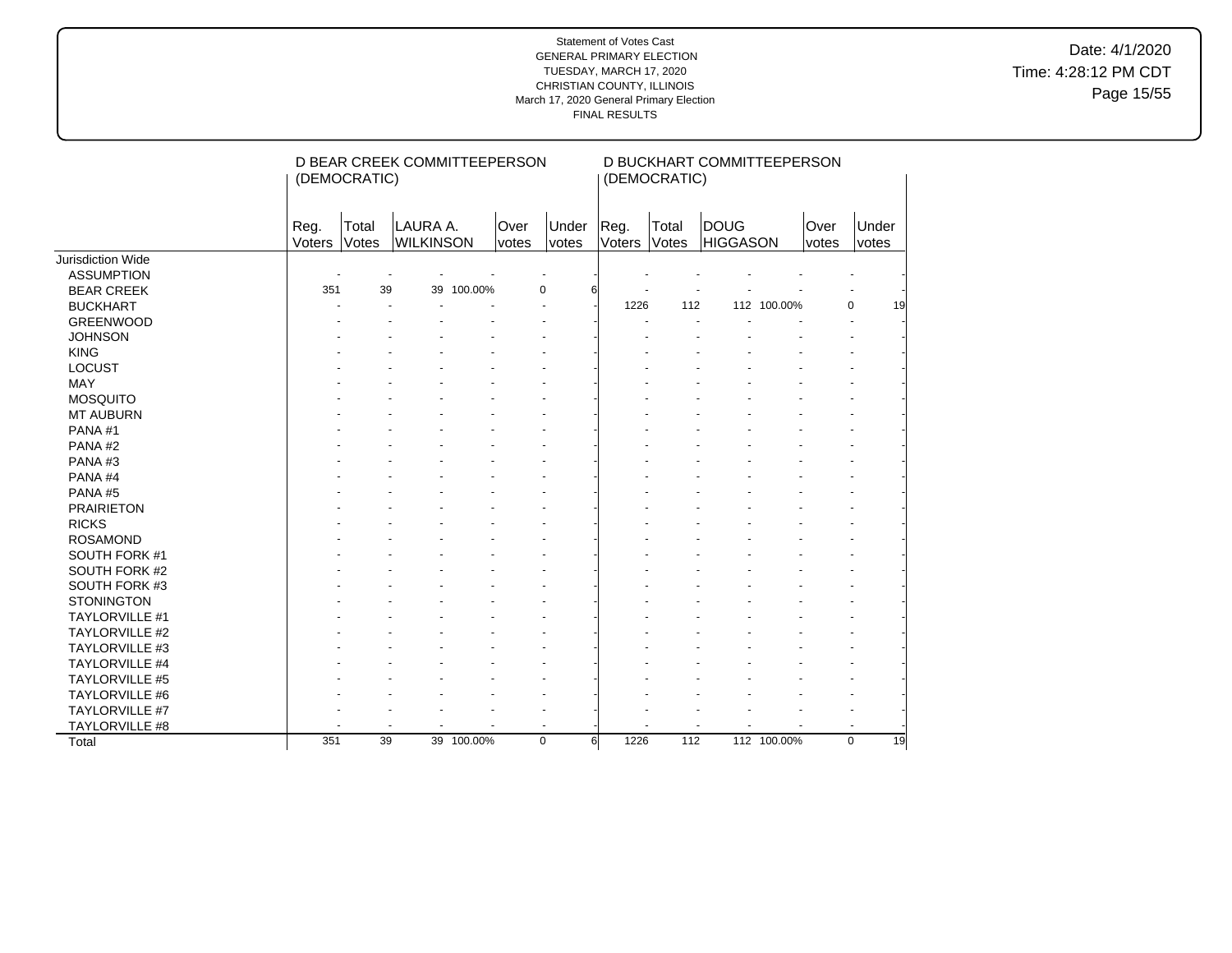Date: 4/1/2020 Time: 4:28:12 PM CDT Page 15/55

|                       |                | (DEMOCRATIC)   | D BEAR CREEK COMMITTEEPERSON |            |               |                |                         | (DEMOCRATIC)   | D BUCKHART COMMITTEEPERSON     |             |                      |                   |
|-----------------------|----------------|----------------|------------------------------|------------|---------------|----------------|-------------------------|----------------|--------------------------------|-------------|----------------------|-------------------|
|                       | Reg.<br>Voters | Total<br>Votes | LAURA A.<br><b>WILKINSON</b> |            | Over<br>votes | Under<br>votes | Reg.<br>Voters          | Total<br>Votes | <b>DOUG</b><br><b>HIGGASON</b> |             | Over<br><i>votes</i> | Under<br>votes    |
| Jurisdiction Wide     |                |                |                              |            |               |                |                         |                |                                |             |                      |                   |
| <b>ASSUMPTION</b>     |                |                |                              |            |               |                |                         |                |                                |             |                      |                   |
| <b>BEAR CREEK</b>     | 351            | 39             |                              | 39 100.00% | 0             | 6              |                         |                |                                |             |                      |                   |
| <b>BUCKHART</b>       |                |                |                              |            |               |                | 1226                    | 112            |                                | 112 100.00% |                      | $\mathbf 0$<br>19 |
| <b>GREENWOOD</b>      |                |                |                              |            |               |                |                         |                |                                |             |                      |                   |
| <b>JOHNSON</b>        |                |                |                              |            |               |                |                         |                |                                |             |                      |                   |
| <b>KING</b>           |                |                |                              |            |               |                |                         |                |                                |             |                      |                   |
| LOCUST                |                |                |                              |            |               |                |                         |                |                                |             |                      |                   |
| <b>MAY</b>            |                |                |                              |            |               |                |                         |                |                                |             |                      |                   |
| <b>MOSQUITO</b>       |                |                |                              |            |               |                |                         |                |                                |             |                      |                   |
| <b>MT AUBURN</b>      |                |                |                              |            |               |                |                         |                |                                |             |                      |                   |
| PANA#1                |                |                |                              |            |               |                |                         |                |                                |             |                      |                   |
| PANA#2                |                |                |                              |            |               |                |                         |                |                                |             |                      |                   |
| PANA#3                |                |                |                              |            |               |                |                         |                |                                |             |                      |                   |
| PANA#4                |                |                |                              |            |               |                |                         |                |                                |             |                      |                   |
| PANA#5                |                |                |                              |            |               |                |                         |                |                                |             |                      |                   |
| <b>PRAIRIETON</b>     |                |                |                              |            |               |                |                         |                |                                |             |                      |                   |
| <b>RICKS</b>          |                |                |                              |            |               |                |                         |                |                                |             |                      |                   |
| <b>ROSAMOND</b>       |                |                |                              |            |               |                |                         |                |                                |             |                      |                   |
| SOUTH FORK #1         |                |                |                              |            |               |                |                         |                |                                |             |                      |                   |
| SOUTH FORK #2         |                |                |                              |            |               |                |                         |                |                                |             |                      |                   |
| SOUTH FORK #3         |                |                |                              |            |               |                |                         |                |                                |             |                      |                   |
| <b>STONINGTON</b>     |                |                |                              |            |               |                |                         |                |                                |             |                      |                   |
| TAYLORVILLE #1        |                |                |                              |            |               |                |                         |                |                                |             |                      |                   |
| <b>TAYLORVILLE #2</b> |                |                |                              |            |               |                |                         |                |                                |             |                      |                   |
| TAYLORVILLE #3        |                |                |                              |            |               |                |                         |                |                                |             |                      |                   |
| <b>TAYLORVILLE #4</b> |                |                |                              |            |               |                |                         |                |                                |             |                      |                   |
| TAYLORVILLE #5        |                |                |                              |            |               |                |                         |                |                                |             |                      |                   |
| TAYLORVILLE #6        |                |                |                              |            |               |                |                         |                |                                |             |                      |                   |
| TAYLORVILLE #7        |                |                |                              |            |               |                |                         |                |                                |             |                      |                   |
| TAYLORVILLE #8        |                |                |                              |            |               |                |                         |                | $\blacksquare$                 |             |                      |                   |
| Total                 | 351            | 39             |                              | 39 100.00% | $\mathbf 0$   |                | $6 \overline{}$<br>1226 | 112            |                                | 112 100.00% |                      | $\mathbf 0$<br>19 |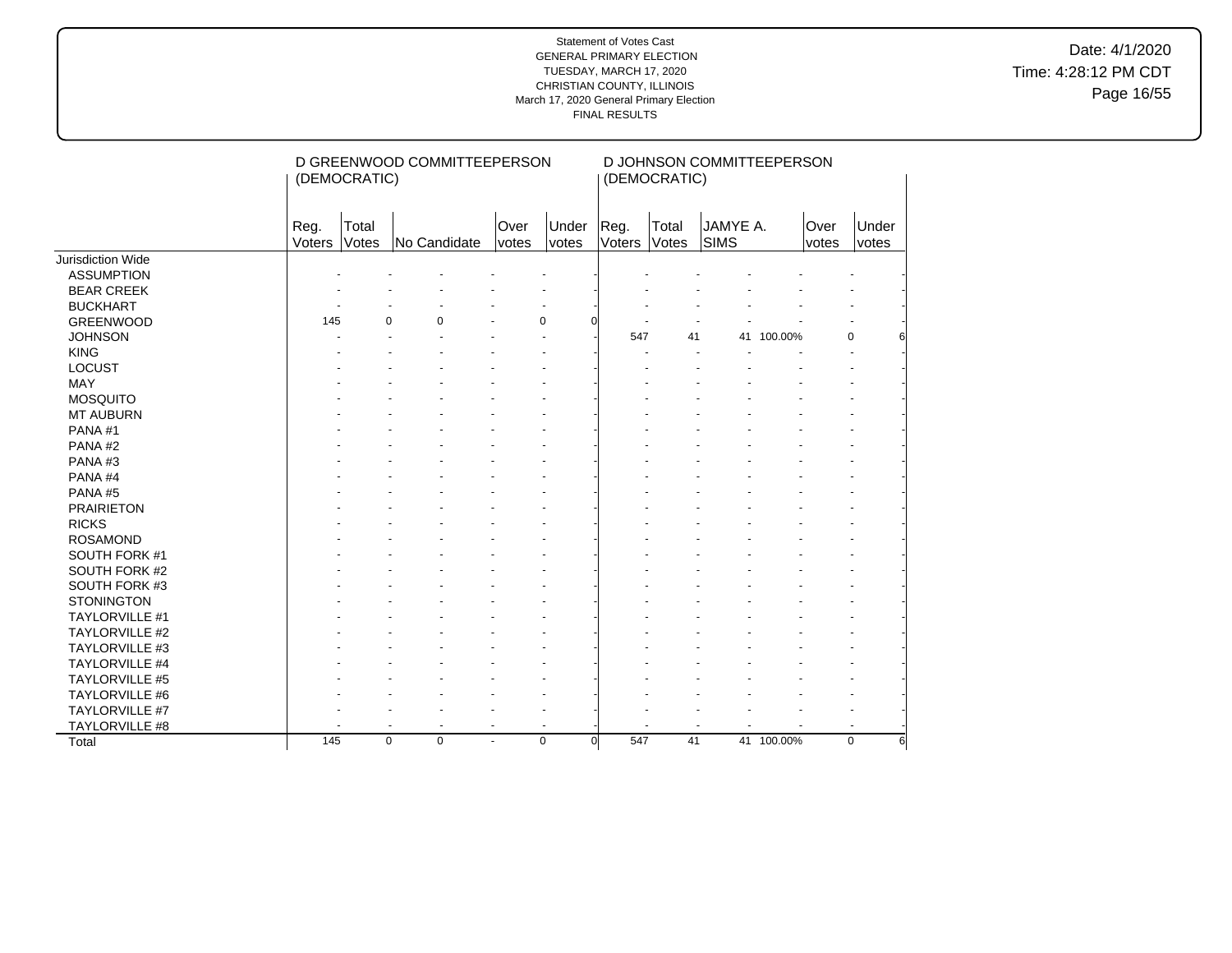Date: 4/1/2020 Time: 4:28:12 PM CDT Page 16/55

|                       |                | (DEMOCRATIC)   | D GREENWOOD COMMITTEEPERSON |                      |                      |                | (DEMOCRATIC)   | D JOHNSON COMMITTEEPERSON |            |               |                  |
|-----------------------|----------------|----------------|-----------------------------|----------------------|----------------------|----------------|----------------|---------------------------|------------|---------------|------------------|
|                       | Reg.<br>Voters | Total<br>Votes | No Candidate                | Over<br><i>votes</i> | Under<br>votes       | Reg.<br>Voters | Total<br>Votes | JAMYE A.<br>SIMS          |            | Over<br>votes | Under<br>votes   |
| Jurisdiction Wide     |                |                |                             |                      |                      |                |                |                           |            |               |                  |
| <b>ASSUMPTION</b>     |                |                |                             |                      |                      |                |                |                           |            |               |                  |
| <b>BEAR CREEK</b>     |                |                |                             |                      |                      |                |                |                           |            |               |                  |
| <b>BUCKHART</b>       |                |                |                             |                      |                      |                |                |                           |            |               |                  |
| <b>GREENWOOD</b>      | 145            |                | $\Omega$<br>$\Omega$        |                      | $\Omega$             |                |                |                           |            |               |                  |
| <b>JOHNSON</b>        |                |                |                             |                      |                      | 547            | 41             |                           | 41 100.00% |               | $\mathbf 0$      |
| <b>KING</b>           |                |                |                             |                      |                      |                |                |                           |            |               |                  |
| <b>LOCUST</b>         |                |                |                             |                      |                      |                |                |                           |            |               |                  |
| MAY                   |                |                |                             |                      |                      |                |                |                           |            |               |                  |
| <b>MOSQUITO</b>       |                |                |                             |                      |                      |                |                |                           |            |               |                  |
| <b>MT AUBURN</b>      |                |                |                             |                      |                      |                |                |                           |            |               |                  |
| PANA#1                |                |                |                             |                      |                      |                |                |                           |            |               |                  |
| PANA#2                |                |                |                             |                      |                      |                |                |                           |            |               |                  |
| PANA#3                |                |                |                             |                      |                      |                |                |                           |            |               |                  |
| PANA#4                |                |                |                             |                      |                      |                |                |                           |            |               |                  |
| PANA#5                |                |                |                             |                      |                      |                |                |                           |            |               |                  |
| <b>PRAIRIETON</b>     |                |                |                             |                      |                      |                |                |                           |            |               |                  |
| <b>RICKS</b>          |                |                |                             |                      |                      |                |                |                           |            |               |                  |
| <b>ROSAMOND</b>       |                |                |                             |                      |                      |                |                |                           |            |               |                  |
| SOUTH FORK #1         |                |                |                             |                      |                      |                |                |                           |            |               |                  |
| SOUTH FORK #2         |                |                |                             |                      |                      |                |                |                           |            |               |                  |
| SOUTH FORK #3         |                |                |                             |                      |                      |                |                |                           |            |               |                  |
| <b>STONINGTON</b>     |                |                |                             |                      |                      |                |                |                           |            |               |                  |
| <b>TAYLORVILLE #1</b> |                |                |                             |                      |                      |                |                |                           |            |               |                  |
| TAYLORVILLE #2        |                |                |                             |                      |                      |                |                |                           |            |               |                  |
| TAYLORVILLE #3        |                |                |                             |                      |                      |                |                |                           |            |               |                  |
| TAYLORVILLE #4        |                |                |                             |                      |                      |                |                |                           |            |               |                  |
| <b>TAYLORVILLE #5</b> |                |                |                             |                      |                      |                |                |                           |            |               |                  |
| TAYLORVILLE #6        |                |                |                             |                      |                      |                |                |                           |            |               |                  |
| TAYLORVILLE #7        |                |                |                             |                      |                      |                |                |                           |            |               |                  |
| TAYLORVILLE #8        |                |                |                             | $\blacksquare$       |                      |                |                |                           |            |               |                  |
| Total                 | 145            |                | $\mathbf 0$<br>$\mathbf 0$  | $\blacksquare$       | $\Omega$<br>$\Omega$ | 547            | 41             |                           | 41 100.00% |               | $\mathbf 0$<br>6 |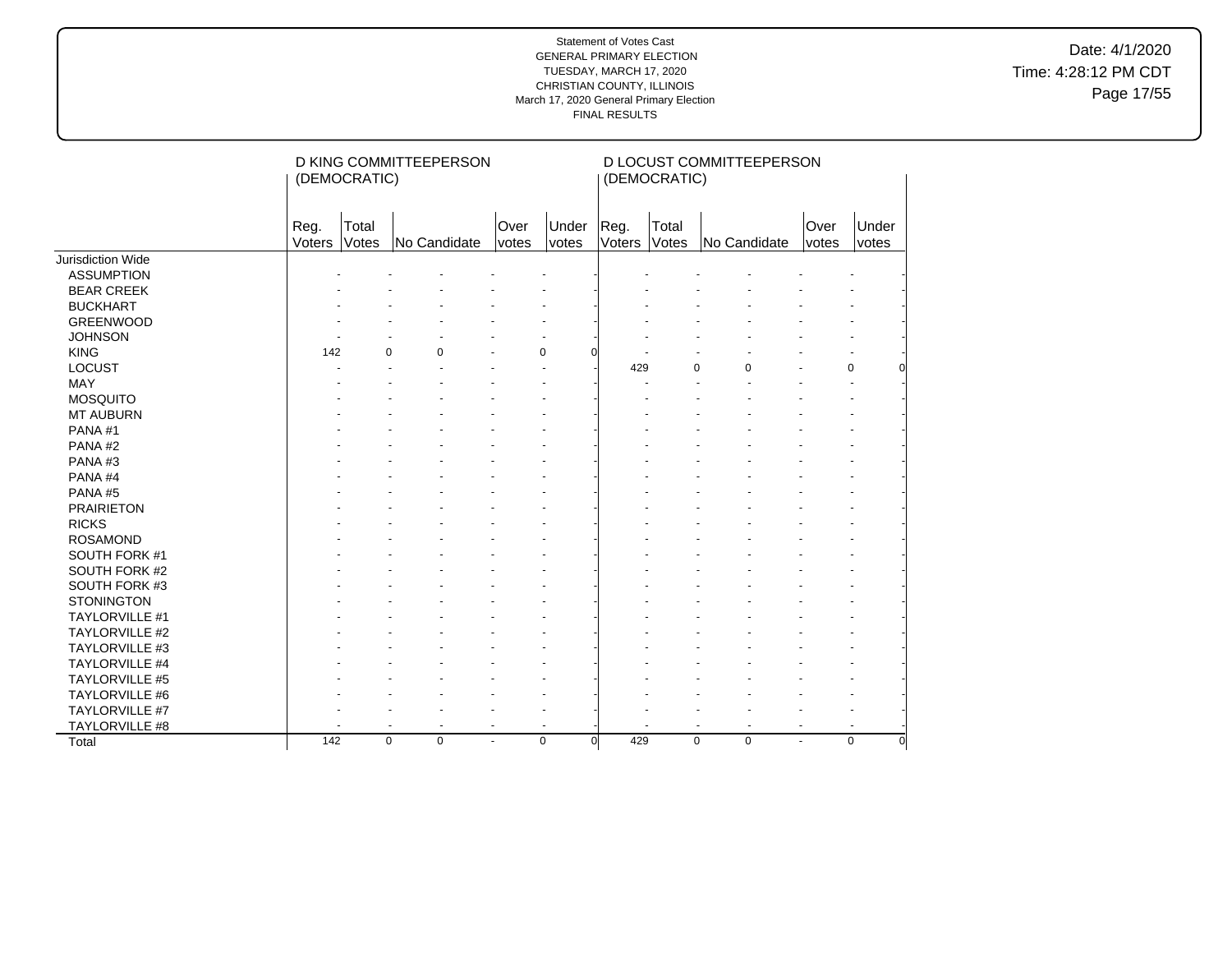Date: 4/1/2020 Time: 4:28:12 PM CDT Page 17/55

|                       |                | (DEMOCRATIC)         | D KING COMMITTEEPERSON |                      |                         |                | (DEMOCRATIC)   | D LOCUST COMMITTEEPERSON                   |                      |                         |
|-----------------------|----------------|----------------------|------------------------|----------------------|-------------------------|----------------|----------------|--------------------------------------------|----------------------|-------------------------|
|                       | Reg.<br>Voters | Total<br>Votes       | No Candidate           | Over<br><i>votes</i> | Under<br>votes          | Reg.<br>Voters | Total<br>Votes | No Candidate                               | Over<br><i>votes</i> | Under<br>votes          |
| Jurisdiction Wide     |                |                      |                        |                      |                         |                |                |                                            |                      |                         |
| <b>ASSUMPTION</b>     |                |                      |                        |                      |                         |                |                |                                            |                      |                         |
| <b>BEAR CREEK</b>     |                |                      |                        |                      |                         |                |                |                                            |                      |                         |
| <b>BUCKHART</b>       |                |                      |                        |                      |                         |                |                |                                            |                      |                         |
| <b>GREENWOOD</b>      |                |                      |                        |                      |                         |                |                |                                            |                      |                         |
| <b>JOHNSON</b>        |                |                      |                        |                      |                         |                |                |                                            |                      |                         |
| <b>KING</b>           | 142            | $\Omega$             | 0                      |                      | $\mathbf 0$             |                |                |                                            |                      |                         |
| <b>LOCUST</b>         |                |                      |                        |                      |                         | 429            |                | 0<br>0                                     |                      | $\pmb{0}$               |
| MAY                   |                |                      |                        |                      |                         |                |                |                                            |                      |                         |
| <b>MOSQUITO</b>       |                |                      |                        |                      |                         |                |                |                                            |                      |                         |
| <b>MT AUBURN</b>      |                |                      |                        |                      |                         |                |                |                                            |                      |                         |
| PANA#1                |                |                      |                        |                      |                         |                |                |                                            |                      |                         |
| PANA#2                |                |                      |                        |                      |                         |                |                |                                            |                      |                         |
| PANA#3                |                |                      |                        |                      |                         |                |                |                                            |                      |                         |
| PANA#4                |                |                      |                        |                      |                         |                |                |                                            |                      |                         |
| PANA#5                |                |                      |                        |                      |                         |                |                |                                            |                      |                         |
| <b>PRAIRIETON</b>     |                |                      |                        |                      |                         |                |                |                                            |                      |                         |
| <b>RICKS</b>          |                |                      |                        |                      |                         |                |                |                                            |                      |                         |
| <b>ROSAMOND</b>       |                |                      |                        |                      |                         |                |                |                                            |                      |                         |
| SOUTH FORK #1         |                |                      |                        |                      |                         |                |                |                                            |                      |                         |
| SOUTH FORK #2         |                |                      |                        |                      |                         |                |                |                                            |                      |                         |
| SOUTH FORK #3         |                |                      |                        |                      |                         |                |                |                                            |                      |                         |
| <b>STONINGTON</b>     |                |                      |                        |                      |                         |                |                |                                            |                      |                         |
| TAYLORVILLE #1        |                |                      |                        |                      |                         |                |                |                                            |                      |                         |
| <b>TAYLORVILLE #2</b> |                |                      |                        |                      |                         |                |                |                                            |                      |                         |
| TAYLORVILLE #3        |                |                      |                        |                      |                         |                |                |                                            |                      |                         |
| <b>TAYLORVILLE #4</b> |                |                      |                        |                      |                         |                |                |                                            |                      |                         |
| TAYLORVILLE #5        |                |                      |                        |                      |                         |                |                |                                            |                      |                         |
| TAYLORVILLE #6        |                |                      |                        |                      |                         |                |                |                                            |                      |                         |
| TAYLORVILLE #7        |                |                      |                        |                      |                         |                |                |                                            |                      |                         |
| TAYLORVILLE #8        |                | $\ddot{\phantom{1}}$ | $\ddot{\phantom{1}}$   | $\blacksquare$       | $\blacksquare$          |                |                | $\blacksquare$<br>$\overline{\phantom{a}}$ | $\overline{a}$       | $\blacksquare$          |
| Total                 | 142            | $\mathbf 0$          | $\mathbf 0$            | $\blacksquare$       | $\mathbf 0$<br>$\Omega$ | 429            |                | 0<br>$\mathbf 0$                           | ÷.                   | $\mathbf 0$<br>$\Omega$ |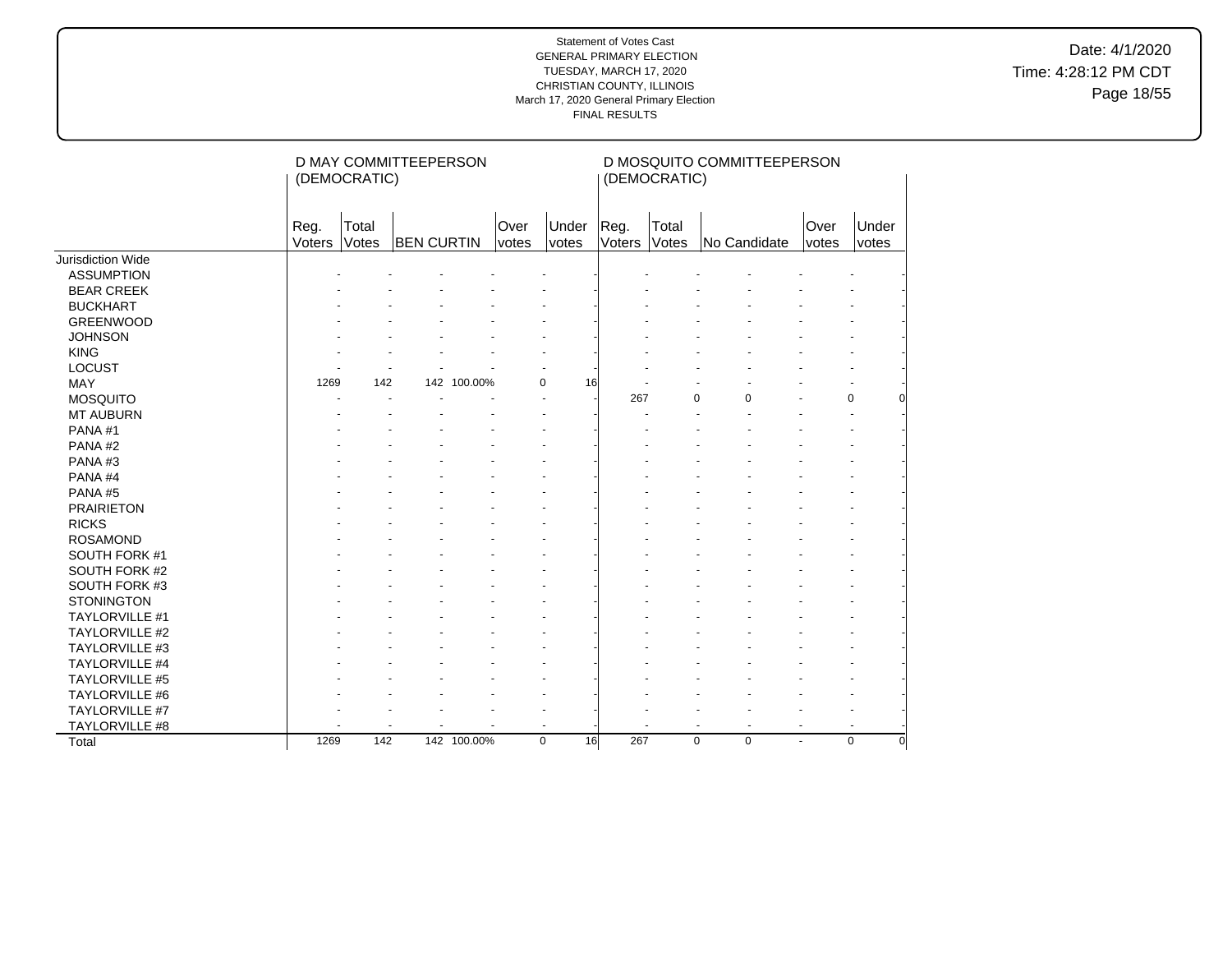Date: 4/1/2020 Time: 4:28:12 PM CDT Page 18/55

|                       |                | (DEMOCRATIC)   | D MAY COMMITTEEPERSON |             |               |                |                | (DEMOCRATIC)   | D MOSQUITO COMMITTEEPERSON       |                |                         |
|-----------------------|----------------|----------------|-----------------------|-------------|---------------|----------------|----------------|----------------|----------------------------------|----------------|-------------------------|
|                       | Reg.<br>Voters | Total<br>Votes | <b>BEN CURTIN</b>     |             | Over<br>votes | Under<br>votes | Reg.<br>Voters | Total<br>Votes | No Candidate                     | Over<br>votes  | Under<br>votes          |
| Jurisdiction Wide     |                |                |                       |             |               |                |                |                |                                  |                |                         |
| <b>ASSUMPTION</b>     |                |                |                       |             |               |                |                |                |                                  |                |                         |
| <b>BEAR CREEK</b>     |                |                |                       |             |               |                |                |                |                                  |                |                         |
| <b>BUCKHART</b>       |                |                |                       |             |               |                |                |                |                                  |                |                         |
| <b>GREENWOOD</b>      |                |                |                       |             |               |                |                |                |                                  |                |                         |
| <b>JOHNSON</b>        |                |                |                       |             |               |                |                |                |                                  |                |                         |
| <b>KING</b>           |                |                |                       |             |               |                |                |                |                                  |                |                         |
| <b>LOCUST</b>         |                |                |                       |             |               |                |                |                |                                  |                |                         |
| MAY                   | 1269           | 142            |                       | 142 100.00% | $\mathbf 0$   | 16             |                |                |                                  |                |                         |
| <b>MOSQUITO</b>       |                |                |                       |             |               |                | 267            |                | $\Omega$<br>0                    |                | 0                       |
| <b>MT AUBURN</b>      |                |                |                       |             |               |                |                |                |                                  |                | $\overline{a}$          |
| PANA#1                |                |                |                       |             |               |                |                |                |                                  |                |                         |
| PANA#2                |                |                |                       |             |               |                |                |                |                                  |                |                         |
| PANA#3                |                |                |                       |             |               |                |                |                |                                  |                |                         |
| PANA#4                |                |                |                       |             |               |                |                |                |                                  |                |                         |
| PANA#5                |                |                |                       |             |               |                |                |                |                                  |                |                         |
| <b>PRAIRIETON</b>     |                |                |                       |             |               |                |                |                |                                  |                |                         |
| <b>RICKS</b>          |                |                |                       |             |               |                |                |                |                                  |                |                         |
| <b>ROSAMOND</b>       |                |                |                       |             |               |                |                |                |                                  |                |                         |
| SOUTH FORK #1         |                |                |                       |             |               |                |                |                |                                  |                |                         |
| SOUTH FORK #2         |                |                |                       |             |               |                |                |                |                                  |                |                         |
| SOUTH FORK #3         |                |                |                       |             |               |                |                |                |                                  |                |                         |
| <b>STONINGTON</b>     |                |                |                       |             |               |                |                |                |                                  |                |                         |
| TAYLORVILLE #1        |                |                |                       |             |               |                |                |                |                                  |                |                         |
| <b>TAYLORVILLE #2</b> |                |                |                       |             |               |                |                |                |                                  |                |                         |
| TAYLORVILLE #3        |                |                |                       |             |               |                |                |                |                                  |                |                         |
| <b>TAYLORVILLE #4</b> |                |                |                       |             |               |                |                |                |                                  |                |                         |
| TAYLORVILLE #5        |                |                |                       |             |               |                |                |                |                                  |                |                         |
| TAYLORVILLE #6        |                |                |                       |             |               |                |                |                |                                  |                |                         |
| TAYLORVILLE #7        |                |                |                       |             |               |                |                |                |                                  |                |                         |
| TAYLORVILLE #8        |                |                |                       |             |               |                |                |                | $\blacksquare$<br>$\blacksquare$ | $\blacksquare$ | $\ddot{\phantom{1}}$    |
| Total                 | 1269           | 142            |                       | 142 100.00% | $\mathbf 0$   | 16             | 267            |                | $\mathbf 0$<br>$\mathbf 0$       | ÷.             | $\mathbf 0$<br>$\Omega$ |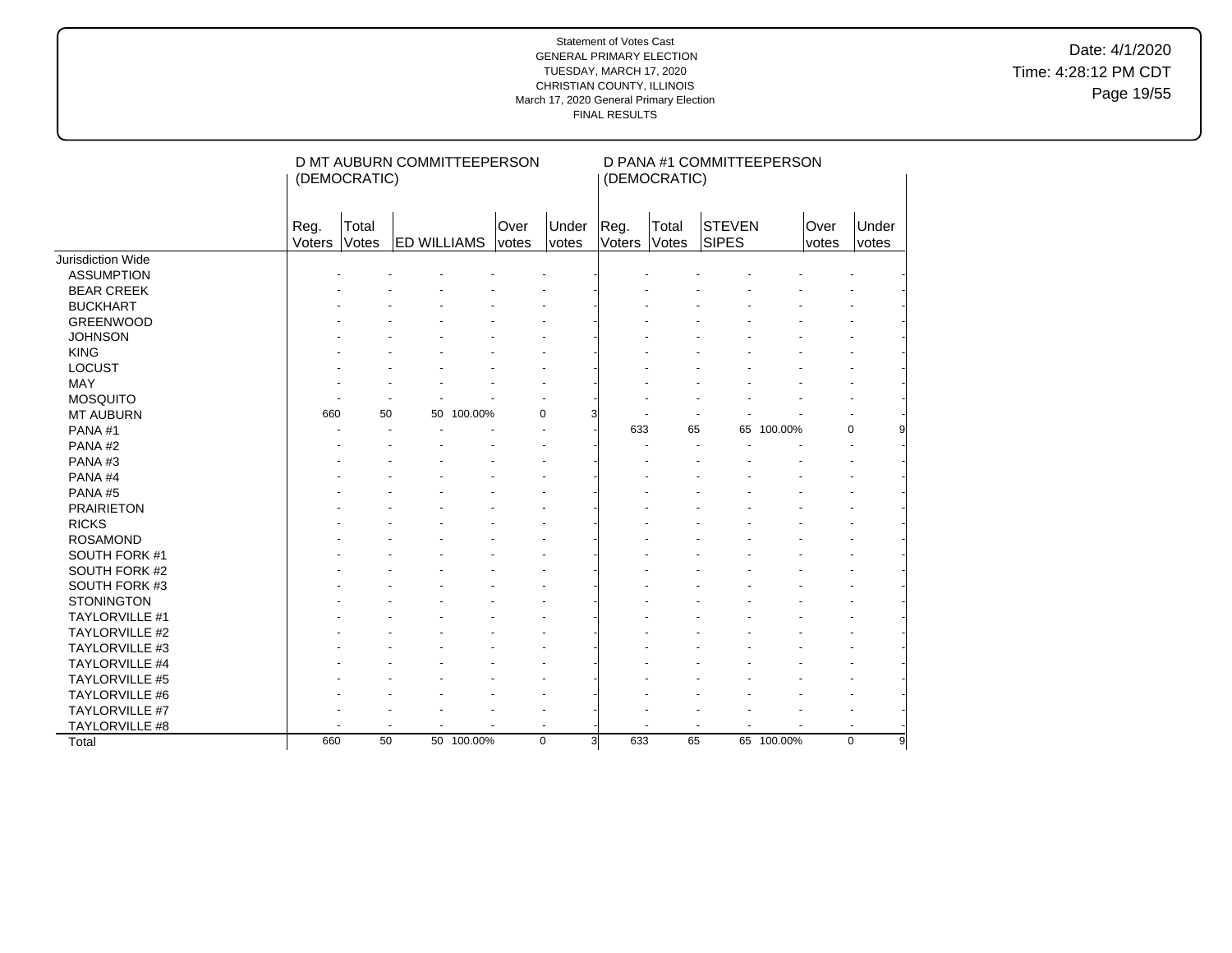Date: 4/1/2020 Time: 4:28:12 PM CDT Page 19/55

|                       |                | (DEMOCRATIC)   | D MT AUBURN COMMITTEEPERSON |            |                      |                |                | (DEMOCRATIC)   | D PANA #1 COMMITTEEPERSON     |            |               |                  |
|-----------------------|----------------|----------------|-----------------------------|------------|----------------------|----------------|----------------|----------------|-------------------------------|------------|---------------|------------------|
|                       | Reg.<br>Voters | Total<br>Votes | <b>ED WILLIAMS</b>          |            | Over<br><i>votes</i> | Under<br>votes | Reg.<br>Voters | Total<br>Votes | <b>STEVEN</b><br><b>SIPES</b> |            | Over<br>votes | Under<br>votes   |
| Jurisdiction Wide     |                |                |                             |            |                      |                |                |                |                               |            |               |                  |
| <b>ASSUMPTION</b>     |                |                |                             |            |                      |                |                |                |                               |            |               |                  |
| <b>BEAR CREEK</b>     |                |                |                             |            |                      |                |                |                |                               |            |               |                  |
| <b>BUCKHART</b>       |                |                |                             |            |                      |                |                |                |                               |            |               |                  |
| <b>GREENWOOD</b>      |                |                |                             |            |                      |                |                |                |                               |            |               |                  |
| <b>JOHNSON</b>        |                |                |                             |            |                      |                |                |                |                               |            |               |                  |
| <b>KING</b>           |                |                |                             |            |                      |                |                |                |                               |            |               |                  |
| <b>LOCUST</b>         |                |                |                             |            |                      |                |                |                |                               |            |               |                  |
| <b>MAY</b>            |                |                |                             |            |                      |                |                |                |                               |            |               |                  |
| <b>MOSQUITO</b>       |                |                |                             |            |                      |                |                |                |                               |            |               |                  |
| <b>MT AUBURN</b>      | 660            | 50             | 50                          | 100.00%    | 0                    |                |                |                |                               |            |               |                  |
| PANA#1                |                |                |                             |            |                      |                | 633            | 65             | 65                            | 100.00%    |               | $\mathbf 0$<br>q |
| PANA#2                |                |                |                             |            |                      |                |                |                |                               |            |               |                  |
| PANA#3                |                |                |                             |            |                      |                |                |                |                               |            |               |                  |
| PANA#4                |                |                |                             |            |                      |                |                |                |                               |            |               |                  |
| PANA#5                |                |                |                             |            |                      |                |                |                |                               |            |               |                  |
| <b>PRAIRIETON</b>     |                |                |                             |            |                      |                |                |                |                               |            |               |                  |
| <b>RICKS</b>          |                |                |                             |            |                      |                |                |                |                               |            |               |                  |
| <b>ROSAMOND</b>       |                |                |                             |            |                      |                |                |                |                               |            |               |                  |
| SOUTH FORK #1         |                |                |                             |            |                      |                |                |                |                               |            |               |                  |
| SOUTH FORK #2         |                |                |                             |            |                      |                |                |                |                               |            |               |                  |
| SOUTH FORK #3         |                |                |                             |            |                      |                |                |                |                               |            |               |                  |
| <b>STONINGTON</b>     |                |                |                             |            |                      |                |                |                |                               |            |               |                  |
| <b>TAYLORVILLE #1</b> |                |                |                             |            |                      |                |                |                |                               |            |               |                  |
| <b>TAYLORVILLE #2</b> |                |                |                             |            |                      |                |                |                |                               |            |               |                  |
| TAYLORVILLE #3        |                |                |                             |            |                      |                |                |                |                               |            |               |                  |
| TAYLORVILLE #4        |                |                |                             |            |                      |                |                |                |                               |            |               |                  |
| <b>TAYLORVILLE #5</b> |                |                |                             |            |                      |                |                |                |                               |            |               |                  |
| TAYLORVILLE #6        |                |                |                             |            |                      |                |                |                |                               |            |               |                  |
| TAYLORVILLE #7        |                |                |                             |            |                      |                |                |                |                               |            |               |                  |
| TAYLORVILLE #8        |                |                |                             |            |                      |                |                |                |                               |            |               |                  |
| Total                 | 660            | 50             |                             | 50 100.00% | $\mathbf 0$          | $\overline{3}$ | 633            | 65             |                               | 65 100.00% |               | $\mathbf 0$<br>9 |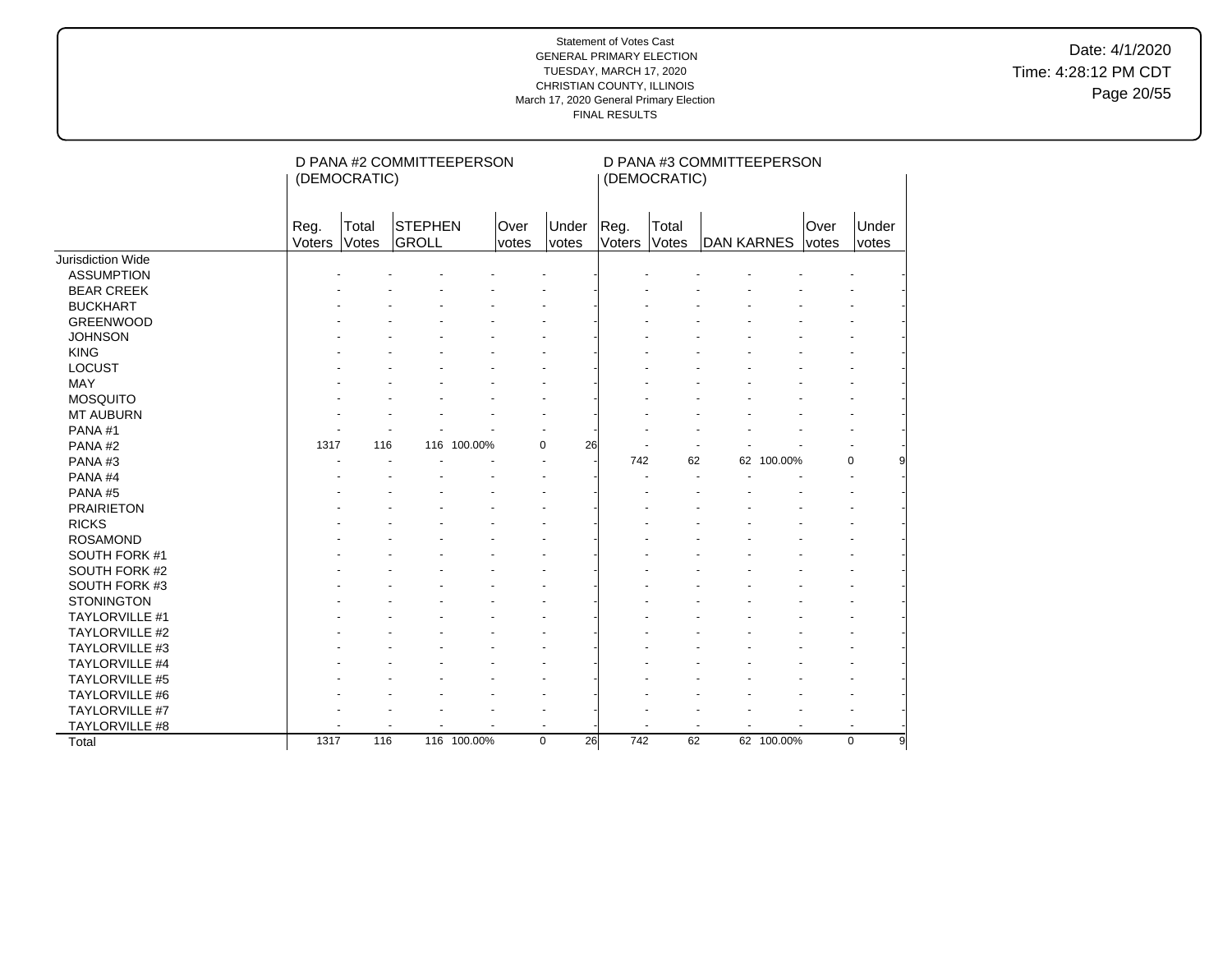Date: 4/1/2020 Time: 4:28:12 PM CDT Page 20/55

|                       |                | (DEMOCRATIC)   | D PANA #2 COMMITTEEPERSON |             |               |                   |                | (DEMOCRATIC)   | D PANA #3 COMMITTEEPERSON |            |               |                  |
|-----------------------|----------------|----------------|---------------------------|-------------|---------------|-------------------|----------------|----------------|---------------------------|------------|---------------|------------------|
|                       | Reg.<br>Voters | Total<br>Votes | <b>STEPHEN</b><br>GROLL   |             | Over<br>votes | Under<br>votes    | Reg.<br>Voters | Total<br>Votes | DAN KARNES                |            | Over<br>votes | Under<br>votes   |
| Jurisdiction Wide     |                |                |                           |             |               |                   |                |                |                           |            |               |                  |
| <b>ASSUMPTION</b>     |                |                |                           |             |               |                   |                |                |                           |            |               |                  |
| <b>BEAR CREEK</b>     |                |                |                           |             |               |                   |                |                |                           |            |               |                  |
| <b>BUCKHART</b>       |                |                |                           |             |               |                   |                |                |                           |            |               |                  |
| <b>GREENWOOD</b>      |                |                |                           |             |               |                   |                |                |                           |            |               |                  |
| <b>JOHNSON</b>        |                |                |                           |             |               |                   |                |                |                           |            |               |                  |
| <b>KING</b>           |                |                |                           |             |               |                   |                |                |                           |            |               |                  |
| <b>LOCUST</b>         |                |                |                           |             |               |                   |                |                |                           |            |               |                  |
| MAY                   |                |                |                           |             |               |                   |                |                |                           |            |               |                  |
| <b>MOSQUITO</b>       |                |                |                           |             |               |                   |                |                |                           |            |               |                  |
| <b>MT AUBURN</b>      |                |                |                           |             |               |                   |                |                |                           |            |               |                  |
| PANA#1                |                |                |                           |             |               |                   |                |                |                           |            |               |                  |
| PANA#2                | 1317           | 116            |                           | 116 100.00% | $\Omega$      | 26                |                |                |                           |            |               |                  |
| PANA#3                |                |                |                           |             |               |                   | 742            | 62             |                           | 62 100.00% |               | $\mathbf 0$<br>9 |
| PANA#4                |                |                |                           |             |               |                   |                |                |                           |            |               |                  |
| PANA#5                |                |                |                           |             |               |                   |                |                |                           |            |               |                  |
| <b>PRAIRIETON</b>     |                |                |                           |             |               |                   |                |                |                           |            |               |                  |
| <b>RICKS</b>          |                |                |                           |             |               |                   |                |                |                           |            |               |                  |
| <b>ROSAMOND</b>       |                |                |                           |             |               |                   |                |                |                           |            |               |                  |
| SOUTH FORK #1         |                |                |                           |             |               |                   |                |                |                           |            |               |                  |
| SOUTH FORK #2         |                |                |                           |             |               |                   |                |                |                           |            |               |                  |
| SOUTH FORK #3         |                |                |                           |             |               |                   |                |                |                           |            |               |                  |
| <b>STONINGTON</b>     |                |                |                           |             |               |                   |                |                |                           |            |               |                  |
| TAYLORVILLE #1        |                |                |                           |             |               |                   |                |                |                           |            |               |                  |
| <b>TAYLORVILLE #2</b> |                |                |                           |             |               |                   |                |                |                           |            |               |                  |
| TAYLORVILLE #3        |                |                |                           |             |               |                   |                |                |                           |            |               |                  |
| TAYLORVILLE #4        |                |                |                           |             |               |                   |                |                |                           |            |               |                  |
| TAYLORVILLE #5        |                |                |                           |             |               |                   |                |                |                           |            |               |                  |
| TAYLORVILLE #6        |                |                |                           |             |               |                   |                |                |                           |            |               |                  |
| TAYLORVILLE #7        |                |                |                           |             |               |                   |                |                |                           |            |               |                  |
| TAYLORVILLE #8        |                |                |                           |             |               |                   |                |                |                           |            |               |                  |
| Total                 | 1317           | 116            |                           | 116 100.00% |               | $\mathbf 0$<br>26 | 742            | 62             |                           | 62 100.00% |               | $\mathbf 0$<br>9 |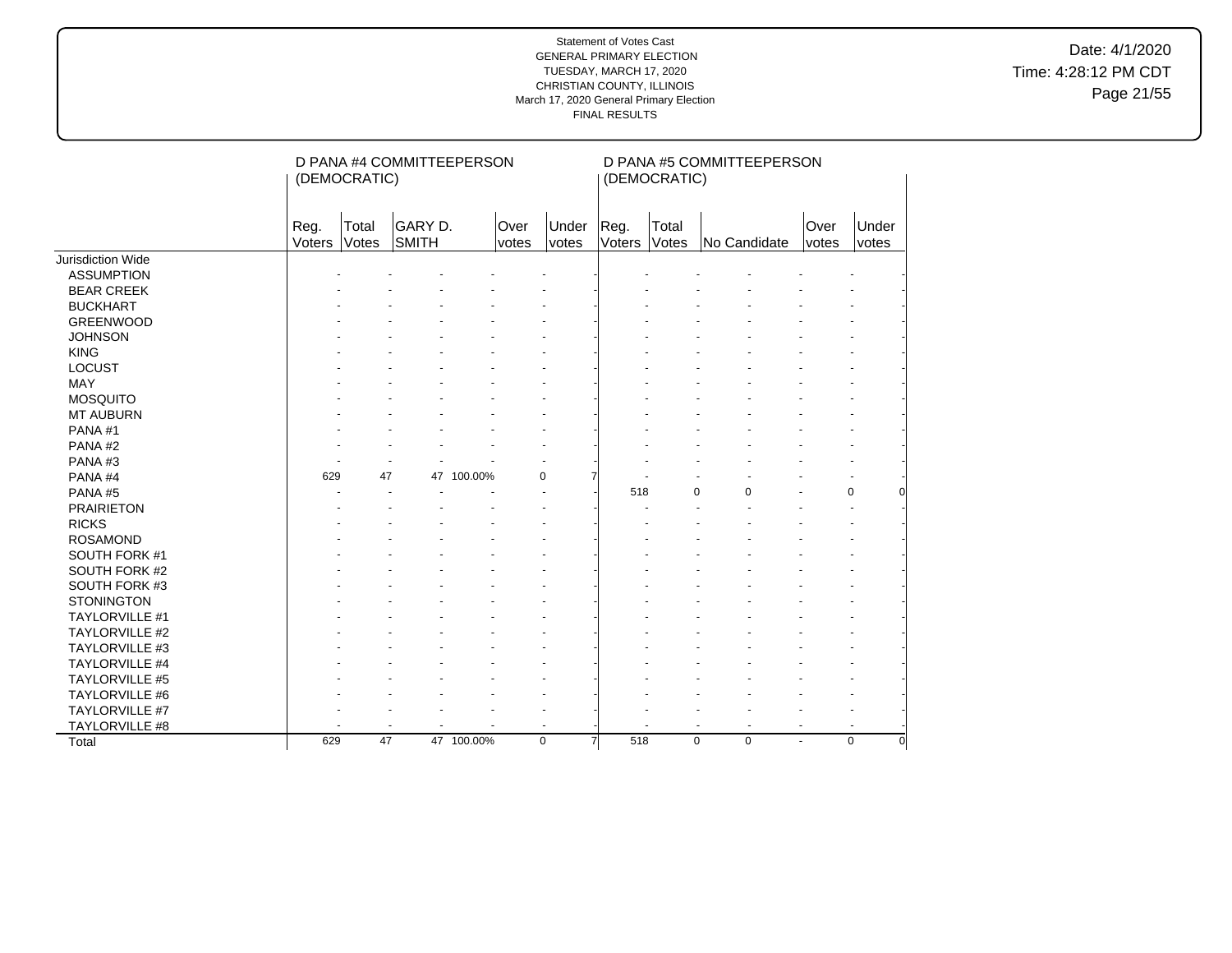Date: 4/1/2020 Time: 4:28:12 PM CDT Page 21/55

|                       |                | (DEMOCRATIC)   | D PANA #4 COMMITTEEPERSON |               |                          |                | (DEMOCRATIC)   | D PANA #5 COMMITTEEPERSON  |               |                |
|-----------------------|----------------|----------------|---------------------------|---------------|--------------------------|----------------|----------------|----------------------------|---------------|----------------|
|                       | Reg.<br>Voters | Total<br>Votes | GARY D.<br>SMITH          | Over<br>votes | Under<br><i>votes</i>    | Reg.<br>Voters | Total<br>Votes | No Candidate               | Over<br>votes | Under<br>votes |
| Jurisdiction Wide     |                |                |                           |               |                          |                |                |                            |               |                |
| <b>ASSUMPTION</b>     |                |                |                           |               |                          |                |                |                            |               |                |
| <b>BEAR CREEK</b>     |                |                |                           |               |                          |                |                |                            |               |                |
| <b>BUCKHART</b>       |                |                |                           |               |                          |                |                |                            |               |                |
| <b>GREENWOOD</b>      |                |                |                           |               |                          |                |                |                            |               |                |
| <b>JOHNSON</b>        |                |                |                           |               |                          |                |                |                            |               |                |
| <b>KING</b>           |                |                |                           |               |                          |                |                |                            |               |                |
| LOCUST                |                |                |                           |               |                          |                |                |                            |               |                |
| <b>MAY</b>            |                |                |                           |               |                          |                |                |                            |               |                |
| <b>MOSQUITO</b>       |                |                |                           |               |                          |                |                |                            |               |                |
| <b>MT AUBURN</b>      |                |                |                           |               |                          |                |                |                            |               |                |
| PANA#1                |                |                |                           |               |                          |                |                |                            |               |                |
| PANA#2                |                |                |                           |               |                          |                |                |                            |               |                |
| PANA#3                |                |                |                           |               |                          |                |                |                            |               |                |
| PANA#4                | 629            | 47             | 47 100.00%                |               | $\mathbf 0$              |                |                |                            |               |                |
| PANA#5                |                |                |                           |               |                          | 518            |                | 0<br>$\Omega$              |               | 0<br>O         |
| <b>PRAIRIETON</b>     |                |                |                           |               |                          |                |                |                            |               |                |
| <b>RICKS</b>          |                |                |                           |               |                          |                |                |                            |               |                |
| <b>ROSAMOND</b>       |                |                |                           |               |                          |                |                |                            |               |                |
| SOUTH FORK #1         |                |                |                           |               |                          |                |                |                            |               |                |
| SOUTH FORK #2         |                |                |                           |               |                          |                |                |                            |               |                |
| SOUTH FORK #3         |                |                |                           |               |                          |                |                |                            |               |                |
| <b>STONINGTON</b>     |                |                |                           |               |                          |                |                |                            |               |                |
| <b>TAYLORVILLE #1</b> |                |                |                           |               |                          |                |                |                            |               |                |
| <b>TAYLORVILLE #2</b> |                |                |                           |               |                          |                |                |                            |               |                |
| TAYLORVILLE #3        |                |                |                           |               |                          |                |                |                            |               |                |
| TAYLORVILLE #4        |                |                |                           |               |                          |                |                |                            |               |                |
| <b>TAYLORVILLE #5</b> |                |                |                           |               |                          |                |                |                            |               |                |
| TAYLORVILLE #6        |                |                |                           |               |                          |                |                |                            |               |                |
| TAYLORVILLE #7        |                |                |                           |               |                          |                |                |                            |               |                |
| TAYLORVILLE #8        |                |                |                           |               | $\overline{\phantom{a}}$ |                |                | ä,                         |               |                |
| Total                 | 629            | 47             | 47 100.00%                |               | $\mathbf 0$              | 518<br>7       |                | $\mathbf 0$<br>$\mathbf 0$ | ÷             | 0<br>$\Omega$  |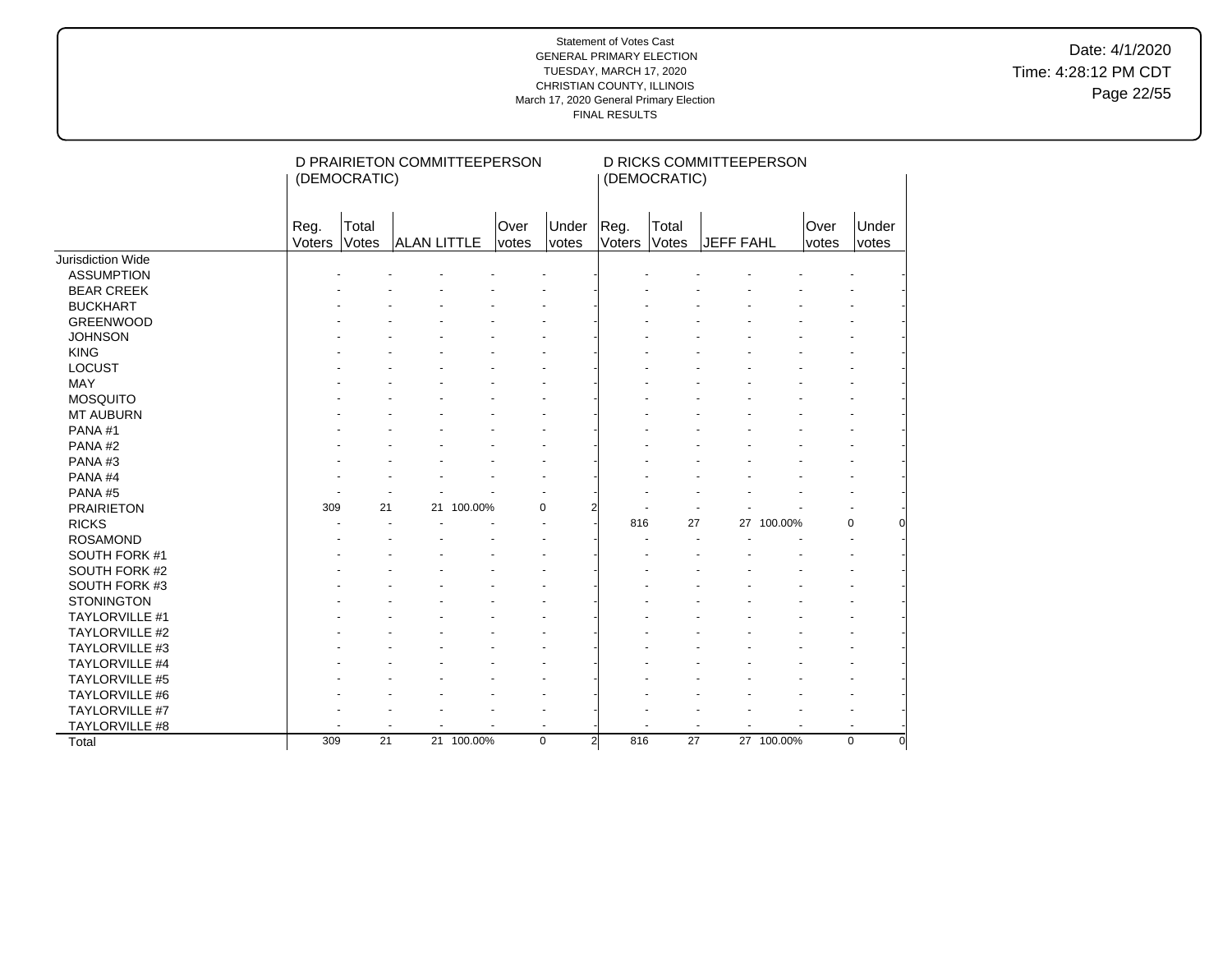Date: 4/1/2020 Time: 4:28:12 PM CDT Page 22/55

|                       |                | (DEMOCRATIC)   | D PRAIRIETON COMMITTEEPERSON |            |                      |                |                | (DEMOCRATIC)   | D RICKS COMMITTEEPERSON |            |                      |                         |
|-----------------------|----------------|----------------|------------------------------|------------|----------------------|----------------|----------------|----------------|-------------------------|------------|----------------------|-------------------------|
|                       | Reg.<br>Voters | Total<br>Votes | <b>ALAN LITTLE</b>           |            | Over<br><i>votes</i> | Under<br>votes | Reg.<br>Voters | Total<br>Votes | <b>JEFF FAHL</b>        |            | Over<br><i>votes</i> | Under<br>votes          |
| Jurisdiction Wide     |                |                |                              |            |                      |                |                |                |                         |            |                      |                         |
| <b>ASSUMPTION</b>     |                |                |                              |            |                      |                |                |                |                         |            |                      |                         |
| <b>BEAR CREEK</b>     |                |                |                              |            |                      |                |                |                |                         |            |                      |                         |
| <b>BUCKHART</b>       |                |                |                              |            |                      |                |                |                |                         |            |                      |                         |
| <b>GREENWOOD</b>      |                |                |                              |            |                      |                |                |                |                         |            |                      |                         |
| <b>JOHNSON</b>        |                |                |                              |            |                      |                |                |                |                         |            |                      |                         |
| <b>KING</b>           |                |                |                              |            |                      |                |                |                |                         |            |                      |                         |
| <b>LOCUST</b>         |                |                |                              |            |                      |                |                |                |                         |            |                      |                         |
| MAY                   |                |                |                              |            |                      |                |                |                |                         |            |                      |                         |
| <b>MOSQUITO</b>       |                |                |                              |            |                      |                |                |                |                         |            |                      |                         |
| <b>MT AUBURN</b>      |                |                |                              |            |                      |                |                |                |                         |            |                      |                         |
| PANA#1                |                |                |                              |            |                      |                |                |                |                         |            |                      |                         |
| PANA#2                |                |                |                              |            |                      |                |                |                |                         |            |                      |                         |
| PANA#3                |                |                |                              |            |                      |                |                |                |                         |            |                      |                         |
| PANA#4                |                |                |                              |            |                      |                |                |                |                         |            |                      |                         |
| PANA#5                |                |                |                              |            |                      |                |                |                |                         |            |                      |                         |
| <b>PRAIRIETON</b>     | 309            | 21             | 21                           | 100.00%    | 0                    | 2              |                |                |                         |            |                      |                         |
| <b>RICKS</b>          |                |                |                              |            |                      |                | 816            | 27             |                         | 27 100.00% |                      | 0                       |
| <b>ROSAMOND</b>       |                |                |                              |            |                      |                |                |                |                         |            |                      |                         |
| SOUTH FORK #1         |                |                |                              |            |                      |                |                |                |                         |            |                      |                         |
| SOUTH FORK #2         |                |                |                              |            |                      |                |                |                |                         |            |                      |                         |
| SOUTH FORK #3         |                |                |                              |            |                      |                |                |                |                         |            |                      |                         |
| <b>STONINGTON</b>     |                |                |                              |            |                      |                |                |                |                         |            |                      |                         |
| <b>TAYLORVILLE #1</b> |                |                |                              |            |                      |                |                |                |                         |            |                      |                         |
| <b>TAYLORVILLE #2</b> |                |                |                              |            |                      |                |                |                |                         |            |                      |                         |
| <b>TAYLORVILLE #3</b> |                |                |                              |            |                      |                |                |                |                         |            |                      |                         |
| TAYLORVILLE #4        |                |                |                              |            |                      |                |                |                |                         |            |                      |                         |
| <b>TAYLORVILLE #5</b> |                |                |                              |            |                      |                |                |                |                         |            |                      |                         |
| TAYLORVILLE #6        |                |                |                              |            |                      |                |                |                |                         |            |                      |                         |
| TAYLORVILLE #7        |                |                |                              |            |                      |                |                |                |                         |            |                      |                         |
| TAYLORVILLE #8        |                |                |                              |            |                      |                |                |                | $\ddot{\phantom{1}}$    |            |                      |                         |
| Total                 | 309            | 21             |                              | 21 100.00% | $\mathbf 0$          | $\overline{2}$ | 816            | 27             |                         | 27 100.00% |                      | $\mathbf 0$<br>$\Omega$ |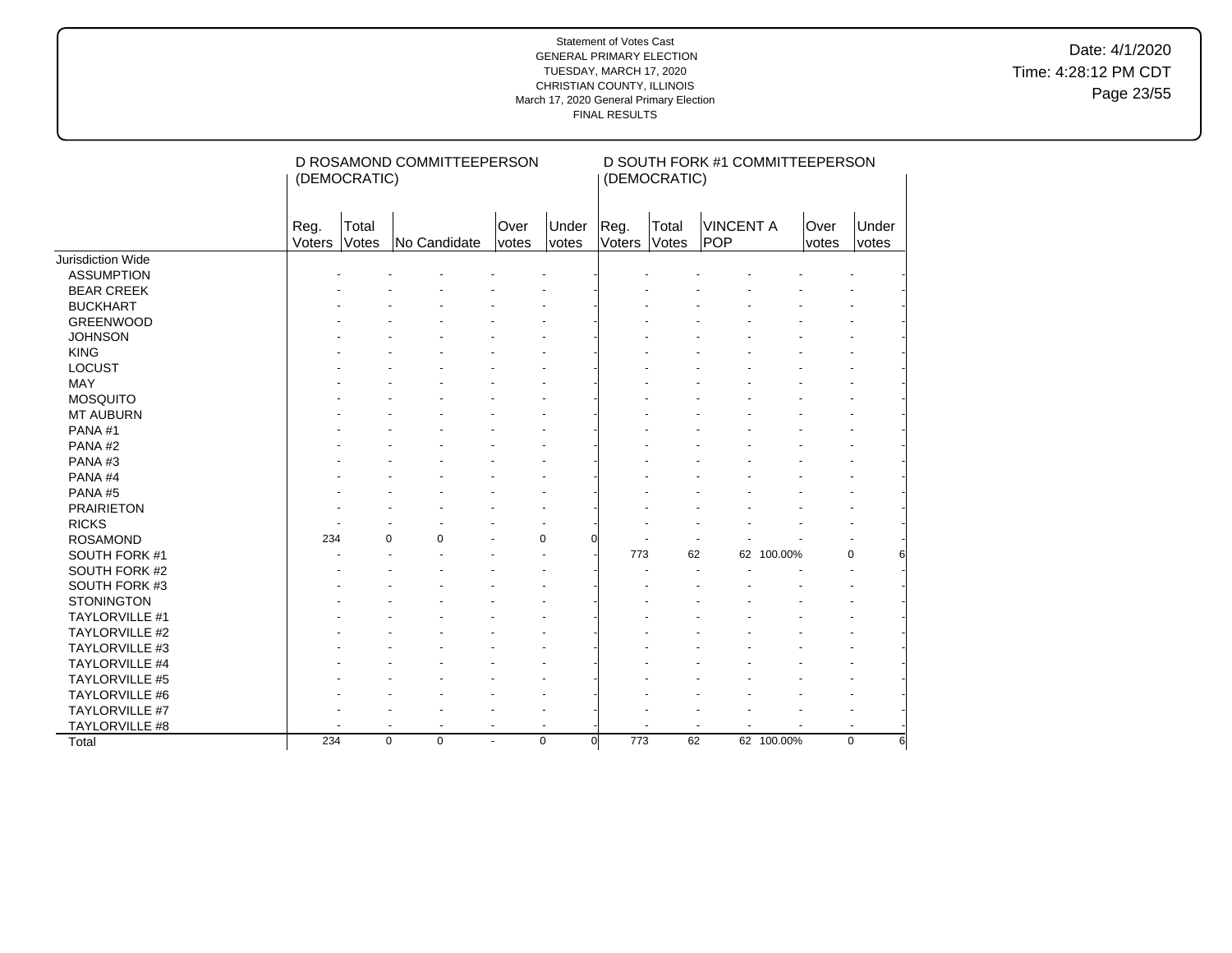Date: 4/1/2020 Time: 4:28:12 PM CDT Page 23/55

|                       | (DEMOCRATIC)   |                | D ROSAMOND COMMITTEEPERSON |                      |                          |                 | (DEMOCRATIC)          | D SOUTH FORK #1 COMMITTEEPERSON |            |               |                  |
|-----------------------|----------------|----------------|----------------------------|----------------------|--------------------------|-----------------|-----------------------|---------------------------------|------------|---------------|------------------|
|                       | Reg.<br>Voters | Total<br>Votes | No Candidate               | Over<br><i>votes</i> | Under<br>votes           | Reg.<br>Voters  | Total<br><b>Votes</b> | <b>VINCENT A</b><br><b>POP</b>  |            | Over<br>votes | Under<br>votes   |
| Jurisdiction Wide     |                |                |                            |                      |                          |                 |                       |                                 |            |               |                  |
| <b>ASSUMPTION</b>     |                |                |                            |                      |                          |                 |                       |                                 |            |               |                  |
| <b>BEAR CREEK</b>     |                |                |                            |                      |                          |                 |                       |                                 |            |               |                  |
| <b>BUCKHART</b>       |                |                |                            |                      |                          |                 |                       |                                 |            |               |                  |
| <b>GREENWOOD</b>      |                |                |                            |                      |                          |                 |                       |                                 |            |               |                  |
| <b>JOHNSON</b>        |                |                |                            |                      |                          |                 |                       |                                 |            |               |                  |
| <b>KING</b>           |                |                |                            |                      |                          |                 |                       |                                 |            |               |                  |
| <b>LOCUST</b>         |                |                |                            |                      |                          |                 |                       |                                 |            |               |                  |
| MAY                   |                |                |                            |                      |                          |                 |                       |                                 |            |               |                  |
| <b>MOSQUITO</b>       |                |                |                            |                      |                          |                 |                       |                                 |            |               |                  |
| <b>MT AUBURN</b>      |                |                |                            |                      |                          |                 |                       |                                 |            |               |                  |
| PANA#1                |                |                |                            |                      |                          |                 |                       |                                 |            |               |                  |
| PANA#2                |                |                |                            |                      |                          |                 |                       |                                 |            |               |                  |
| PANA#3                |                |                |                            |                      |                          |                 |                       |                                 |            |               |                  |
| PANA#4                |                |                |                            |                      |                          |                 |                       |                                 |            |               |                  |
| PANA#5                |                |                |                            |                      |                          |                 |                       |                                 |            |               |                  |
| <b>PRAIRIETON</b>     |                |                |                            |                      |                          |                 |                       |                                 |            |               |                  |
| <b>RICKS</b>          |                |                |                            |                      |                          |                 |                       |                                 |            |               |                  |
| <b>ROSAMOND</b>       | 234            | 0              | $\mathbf 0$                |                      | 0<br>∩                   |                 |                       |                                 |            |               |                  |
| SOUTH FORK #1         |                |                |                            |                      |                          | 773             | 62                    |                                 | 62 100.00% |               | $\Omega$<br>61   |
| SOUTH FORK #2         |                |                |                            |                      |                          |                 |                       |                                 |            |               |                  |
| SOUTH FORK #3         |                |                |                            |                      |                          |                 |                       |                                 |            |               |                  |
| <b>STONINGTON</b>     |                |                |                            |                      |                          |                 |                       |                                 |            |               |                  |
| TAYLORVILLE #1        |                |                |                            |                      |                          |                 |                       |                                 |            |               |                  |
| <b>TAYLORVILLE #2</b> |                |                |                            |                      |                          |                 |                       |                                 |            |               |                  |
| TAYLORVILLE #3        |                |                |                            |                      |                          |                 |                       |                                 |            |               |                  |
| <b>TAYLORVILLE #4</b> |                |                |                            |                      |                          |                 |                       |                                 |            |               |                  |
| TAYLORVILLE #5        |                |                |                            |                      |                          |                 |                       |                                 |            |               |                  |
| TAYLORVILLE #6        |                |                |                            |                      |                          |                 |                       |                                 |            |               |                  |
| TAYLORVILLE #7        |                |                |                            |                      |                          |                 |                       |                                 |            |               |                  |
| TAYLORVILLE #8        |                |                | $\overline{\phantom{a}}$   | $\blacksquare$       | $\overline{\phantom{a}}$ |                 |                       |                                 |            |               |                  |
| Total                 | 234            | $\mathbf 0$    | $\mathbf 0$                | $\blacksquare$       | $\mathbf 0$              | 773<br>$\Omega$ | 62                    |                                 | 62 100.00% |               | $\mathbf 0$<br>6 |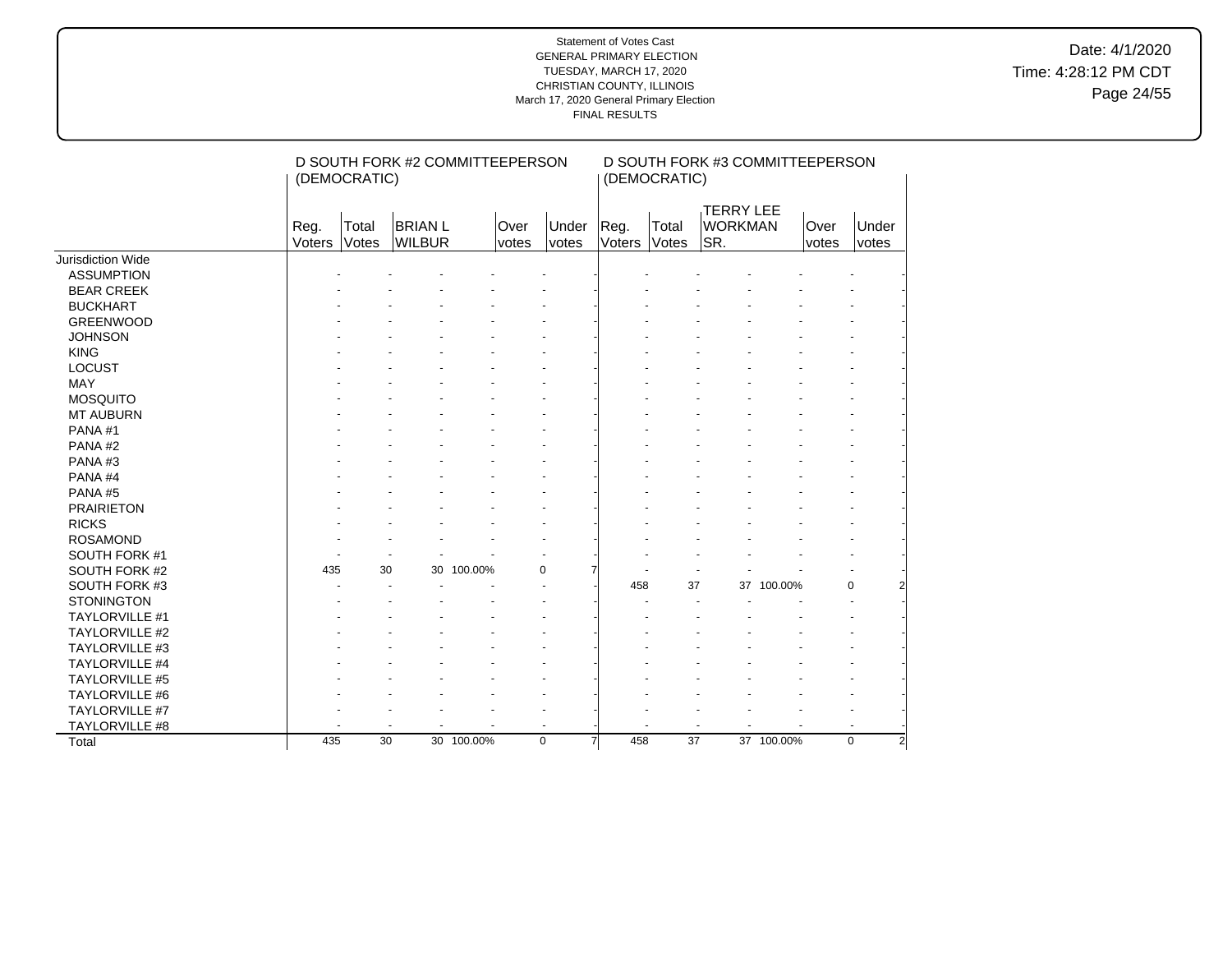Date: 4/1/2020 Time: 4:28:12 PM CDT Page 24/55

|                       |                | (DEMOCRATIC)         | D SOUTH FORK #2 COMMITTEEPERSON |            |                |                       |                | (DEMOCRATIC)    | D SOUTH FORK #3 COMMITTEEPERSON           |            |                      |                |
|-----------------------|----------------|----------------------|---------------------------------|------------|----------------|-----------------------|----------------|-----------------|-------------------------------------------|------------|----------------------|----------------|
|                       | Reg.<br>Voters | Total<br>Votes       | <b>BRIAN L</b><br>WILBUR        |            | Over<br>votes  | Under<br><i>votes</i> | Reg.<br>Voters | Total<br>Votes  | <b>TERRY LEE</b><br><b>WORKMAN</b><br>SR. |            | <b>Over</b><br>votes | Under<br>votes |
| Jurisdiction Wide     |                |                      |                                 |            |                |                       |                |                 |                                           |            |                      |                |
| <b>ASSUMPTION</b>     |                |                      |                                 |            |                |                       |                |                 |                                           |            |                      |                |
| <b>BEAR CREEK</b>     |                |                      |                                 |            |                |                       |                |                 |                                           |            |                      |                |
| <b>BUCKHART</b>       |                |                      |                                 |            |                |                       |                |                 |                                           |            |                      |                |
| <b>GREENWOOD</b>      |                |                      |                                 |            |                |                       |                |                 |                                           |            |                      |                |
| <b>JOHNSON</b>        |                |                      |                                 |            |                |                       |                |                 |                                           |            |                      |                |
| <b>KING</b>           |                |                      |                                 |            |                |                       |                |                 |                                           |            |                      |                |
| <b>LOCUST</b>         |                |                      |                                 |            |                |                       |                |                 |                                           |            |                      |                |
| <b>MAY</b>            |                |                      |                                 |            |                |                       |                |                 |                                           |            |                      |                |
| <b>MOSQUITO</b>       |                |                      |                                 |            |                |                       |                |                 |                                           |            |                      |                |
| <b>MT AUBURN</b>      |                |                      |                                 |            |                |                       |                |                 |                                           |            |                      |                |
| PANA#1                |                |                      |                                 |            |                |                       |                |                 |                                           |            |                      |                |
| PANA#2                |                |                      |                                 |            |                |                       |                |                 |                                           |            |                      |                |
| PANA#3                |                |                      |                                 |            |                |                       |                |                 |                                           |            |                      |                |
| PANA#4                |                |                      |                                 |            |                |                       |                |                 |                                           |            |                      |                |
| PANA#5                |                |                      |                                 |            |                |                       |                |                 |                                           |            |                      |                |
| <b>PRAIRIETON</b>     |                |                      |                                 |            |                |                       |                |                 |                                           |            |                      |                |
| <b>RICKS</b>          |                |                      |                                 |            |                |                       |                |                 |                                           |            |                      |                |
| <b>ROSAMOND</b>       |                |                      |                                 |            |                |                       |                |                 |                                           |            |                      |                |
| SOUTH FORK #1         |                |                      |                                 |            |                |                       |                |                 |                                           |            |                      |                |
| SOUTH FORK #2         | 435            | 30                   |                                 | 30 100.00% | 0              |                       |                |                 |                                           |            |                      |                |
| SOUTH FORK #3         |                |                      |                                 |            |                |                       | 458            | 37              |                                           | 37 100.00% |                      | $\mathbf 0$    |
| <b>STONINGTON</b>     |                |                      |                                 |            |                |                       |                |                 |                                           |            |                      |                |
| TAYLORVILLE #1        |                |                      |                                 |            |                |                       |                |                 |                                           |            |                      |                |
| TAYLORVILLE #2        |                |                      |                                 |            |                |                       |                |                 |                                           |            |                      |                |
| TAYLORVILLE #3        |                |                      |                                 |            |                |                       |                |                 |                                           |            |                      |                |
| <b>TAYLORVILLE #4</b> |                |                      |                                 |            |                |                       |                |                 |                                           |            |                      |                |
| <b>TAYLORVILLE #5</b> |                |                      |                                 |            |                |                       |                |                 |                                           |            |                      |                |
| <b>TAYLORVILLE #6</b> |                |                      |                                 |            |                |                       |                |                 |                                           |            |                      |                |
| TAYLORVILLE #7        |                |                      |                                 |            |                |                       |                |                 |                                           |            |                      |                |
| TAYLORVILLE #8        |                | $\ddot{\phantom{1}}$ |                                 |            | $\overline{a}$ |                       |                |                 |                                           |            |                      | $\blacksquare$ |
| Total                 | 435            | 30                   |                                 | 30 100.00% | $\mathbf 0$    | 7                     | 458            | $\overline{37}$ |                                           | 37 100.00% |                      | $\Omega$<br>2  |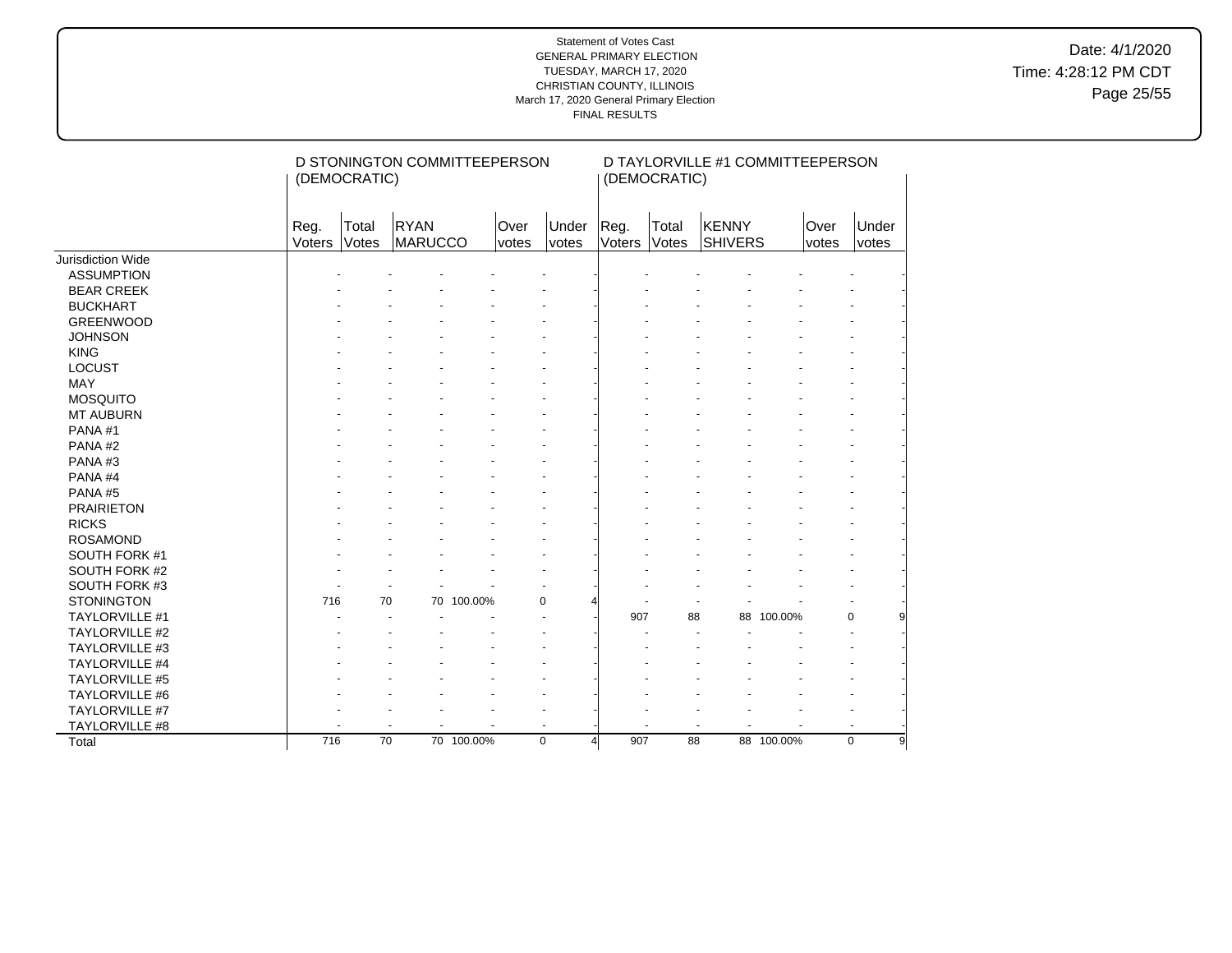Date: 4/1/2020 Time: 4:28:12 PM CDT Page 25/55

|                       | (DEMOCRATIC)     |                 | D STONINGTON COMMITTEEPERSON |               |                      |                                | (DEMOCRATIC)          |                  | D TAYLORVILLE #1 COMMITTEEPERSON |               |                |
|-----------------------|------------------|-----------------|------------------------------|---------------|----------------------|--------------------------------|-----------------------|------------------|----------------------------------|---------------|----------------|
|                       | Reg.<br>Voters   | Total<br>Votes  | RYAN<br>MARUCCO              | Over<br>votes | Under<br>votes       | Reg.<br>Voters                 | Total<br><b>Votes</b> | KENNY<br>SHIVERS |                                  | Over<br>votes | Under<br>votes |
| Jurisdiction Wide     |                  |                 |                              |               |                      |                                |                       |                  |                                  |               |                |
| <b>ASSUMPTION</b>     |                  |                 |                              |               |                      |                                |                       |                  |                                  |               |                |
| <b>BEAR CREEK</b>     |                  |                 |                              |               |                      |                                |                       |                  |                                  |               |                |
| <b>BUCKHART</b>       |                  |                 |                              |               |                      |                                |                       |                  |                                  |               |                |
| <b>GREENWOOD</b>      |                  |                 |                              |               |                      |                                |                       |                  |                                  |               |                |
| <b>JOHNSON</b>        |                  |                 |                              |               |                      |                                |                       |                  |                                  |               |                |
| <b>KING</b>           |                  |                 |                              |               |                      |                                |                       |                  |                                  |               |                |
| <b>LOCUST</b>         |                  |                 |                              |               |                      |                                |                       |                  |                                  |               |                |
| <b>MAY</b>            |                  |                 |                              |               |                      |                                |                       |                  |                                  |               |                |
| <b>MOSQUITO</b>       |                  |                 |                              |               |                      |                                |                       |                  |                                  |               |                |
| <b>MT AUBURN</b>      |                  |                 |                              |               |                      |                                |                       |                  |                                  |               |                |
| PANA#1                |                  |                 |                              |               |                      |                                |                       |                  |                                  |               |                |
| PANA#2                |                  |                 |                              |               |                      |                                |                       |                  |                                  |               |                |
| PANA#3                |                  |                 |                              |               |                      |                                |                       |                  |                                  |               |                |
| PANA#4                |                  |                 |                              |               |                      |                                |                       |                  |                                  |               |                |
| PANA#5                |                  |                 |                              |               |                      |                                |                       |                  |                                  |               |                |
| <b>PRAIRIETON</b>     |                  |                 |                              |               |                      |                                |                       |                  |                                  |               |                |
| <b>RICKS</b>          |                  |                 |                              |               |                      |                                |                       |                  |                                  |               |                |
| <b>ROSAMOND</b>       |                  |                 |                              |               |                      |                                |                       |                  |                                  |               |                |
| SOUTH FORK #1         |                  |                 |                              |               |                      |                                |                       |                  |                                  |               |                |
| SOUTH FORK #2         |                  |                 |                              |               |                      |                                |                       |                  |                                  |               |                |
| SOUTH FORK #3         |                  |                 |                              |               |                      |                                |                       |                  |                                  |               |                |
| <b>STONINGTON</b>     | 716              | 70              | 70 100.00%                   |               | 0                    |                                |                       |                  |                                  |               |                |
| TAYLORVILLE #1        |                  |                 |                              |               | ÷.                   | 907                            | 88                    | 88               | 100.00%                          | $\Omega$      |                |
| <b>TAYLORVILLE #2</b> |                  |                 |                              |               |                      |                                |                       |                  |                                  |               |                |
| TAYLORVILLE #3        |                  |                 |                              |               |                      |                                |                       |                  |                                  |               |                |
| <b>TAYLORVILLE #4</b> |                  |                 |                              |               |                      |                                |                       |                  |                                  |               |                |
| <b>TAYLORVILLE #5</b> |                  |                 |                              |               |                      |                                |                       |                  |                                  |               |                |
| TAYLORVILLE #6        |                  |                 |                              |               |                      |                                |                       |                  |                                  |               |                |
| TAYLORVILLE #7        |                  |                 |                              |               |                      |                                |                       |                  |                                  |               |                |
| TAYLORVILLE #8        |                  |                 |                              |               | $\ddot{\phantom{1}}$ |                                |                       |                  |                                  |               |                |
| Total                 | $\overline{716}$ | $\overline{70}$ | 70 100.00%                   |               | $\mathbf 0$          | 907<br>$\overline{\mathbf{A}}$ | 88                    |                  | 88 100.00%                       | $\mathbf 0$   | 9              |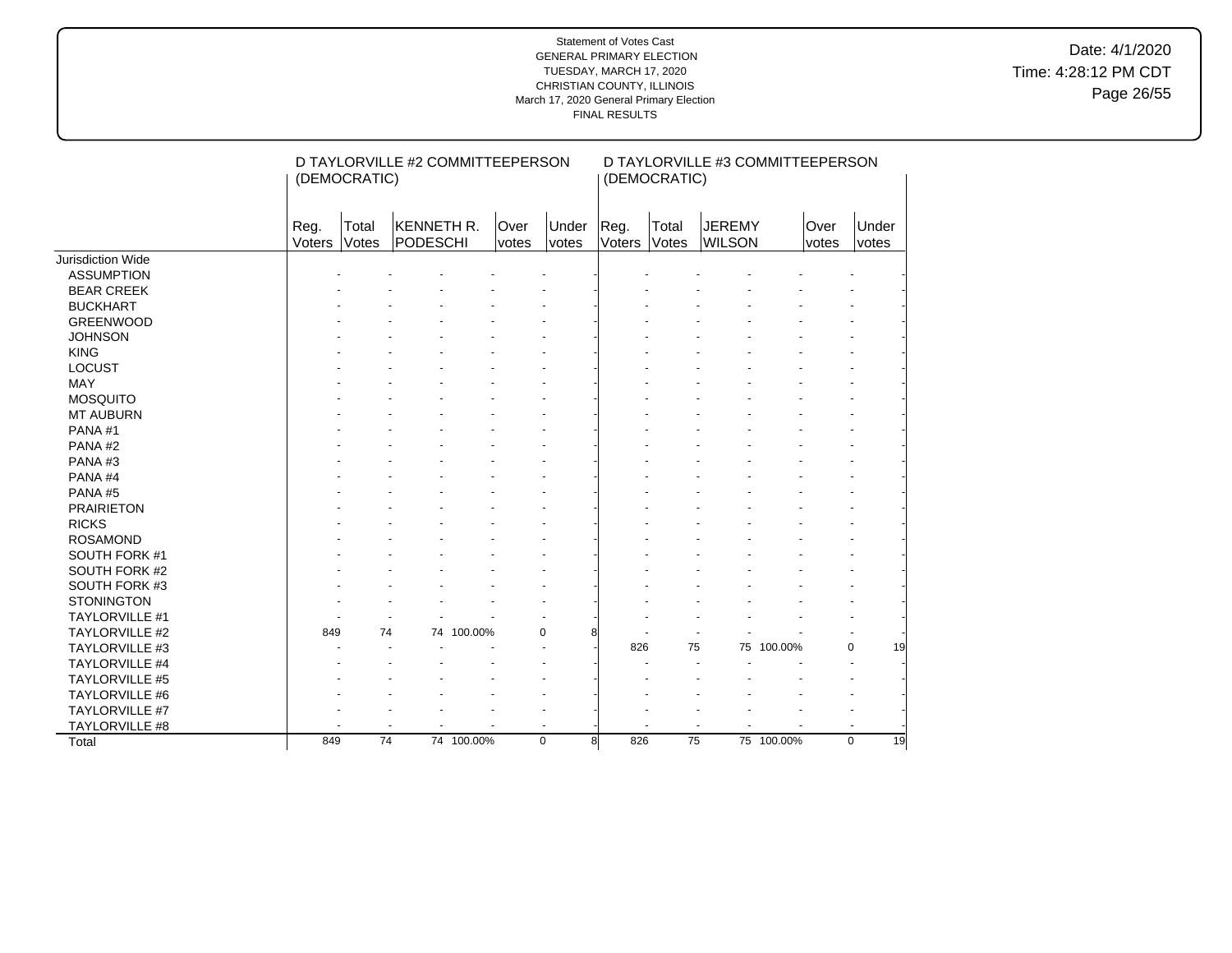Date: 4/1/2020 Time: 4:28:12 PM CDT Page 26/55

|                       | (DEMOCRATIC)   |                | D TAYLORVILLE #2 COMMITTEEPERSON     |               |                |   |                | (DEMOCRATIC)   | D TAYLORVILLE #3 COMMITTEEPERSON |            |                             |                |
|-----------------------|----------------|----------------|--------------------------------------|---------------|----------------|---|----------------|----------------|----------------------------------|------------|-----------------------------|----------------|
|                       | Reg.<br>Voters | Total<br>Votes | <b>KENNETH R.</b><br><b>PODESCHI</b> | Over<br>votes | Under<br>votes |   | Reg.<br>Voters | Total<br>Votes | <b>JEREMY</b><br><b>WILSON</b>   |            | <b>Over</b><br><i>votes</i> | Under<br>votes |
| Jurisdiction Wide     |                |                |                                      |               |                |   |                |                |                                  |            |                             |                |
| <b>ASSUMPTION</b>     |                |                |                                      |               |                |   |                |                |                                  |            |                             |                |
| <b>BEAR CREEK</b>     |                |                |                                      |               |                |   |                |                |                                  |            |                             |                |
| <b>BUCKHART</b>       |                |                |                                      |               |                |   |                |                |                                  |            |                             |                |
| <b>GREENWOOD</b>      |                |                |                                      |               |                |   |                |                |                                  |            |                             |                |
| <b>JOHNSON</b>        |                |                |                                      |               |                |   |                |                |                                  |            |                             |                |
| <b>KING</b>           |                |                |                                      |               |                |   |                |                |                                  |            |                             |                |
| <b>LOCUST</b>         |                |                |                                      |               |                |   |                |                |                                  |            |                             |                |
| <b>MAY</b>            |                |                |                                      |               |                |   |                |                |                                  |            |                             |                |
| <b>MOSQUITO</b>       |                |                |                                      |               |                |   |                |                |                                  |            |                             |                |
| <b>MT AUBURN</b>      |                |                |                                      |               |                |   |                |                |                                  |            |                             |                |
| PANA#1                |                |                |                                      |               |                |   |                |                |                                  |            |                             |                |
| PANA#2                |                |                |                                      |               |                |   |                |                |                                  |            |                             |                |
| PANA#3                |                |                |                                      |               |                |   |                |                |                                  |            |                             |                |
| PANA#4                |                |                |                                      |               |                |   |                |                |                                  |            |                             |                |
| PANA#5                |                |                |                                      |               |                |   |                |                |                                  |            |                             |                |
| <b>PRAIRIETON</b>     |                |                |                                      |               |                |   |                |                |                                  |            |                             |                |
| <b>RICKS</b>          |                |                |                                      |               |                |   |                |                |                                  |            |                             |                |
| <b>ROSAMOND</b>       |                |                |                                      |               |                |   |                |                |                                  |            |                             |                |
| SOUTH FORK #1         |                |                |                                      |               |                |   |                |                |                                  |            |                             |                |
| SOUTH FORK #2         |                |                |                                      |               |                |   |                |                |                                  |            |                             |                |
| SOUTH FORK #3         |                |                |                                      |               |                |   |                |                |                                  |            |                             |                |
| <b>STONINGTON</b>     |                |                |                                      |               |                |   |                |                |                                  |            |                             |                |
| <b>TAYLORVILLE #1</b> |                |                |                                      |               |                |   |                |                |                                  |            |                             |                |
| TAYLORVILLE #2        | 849            | 74             |                                      | 74 100.00%    | 0              |   |                |                |                                  |            |                             |                |
| TAYLORVILLE #3        |                |                |                                      |               |                |   | 826            | 75             | 75                               | 100.00%    |                             | 19<br>0        |
| TAYLORVILLE #4        |                |                |                                      |               |                |   |                |                |                                  |            |                             |                |
| TAYLORVILLE #5        |                |                |                                      |               |                |   |                |                |                                  |            |                             |                |
| TAYLORVILLE #6        |                |                |                                      |               |                |   |                |                |                                  |            |                             |                |
| TAYLORVILLE #7        |                |                |                                      |               |                |   |                |                |                                  |            |                             |                |
| TAYLORVILLE #8        |                |                |                                      |               | ÷,             |   |                |                |                                  |            |                             |                |
| Total                 | 849            | 74             |                                      | 74 100.00%    | $\mathbf 0$    | 8 | 826            | 75             |                                  | 75 100.00% |                             | 19<br>$\Omega$ |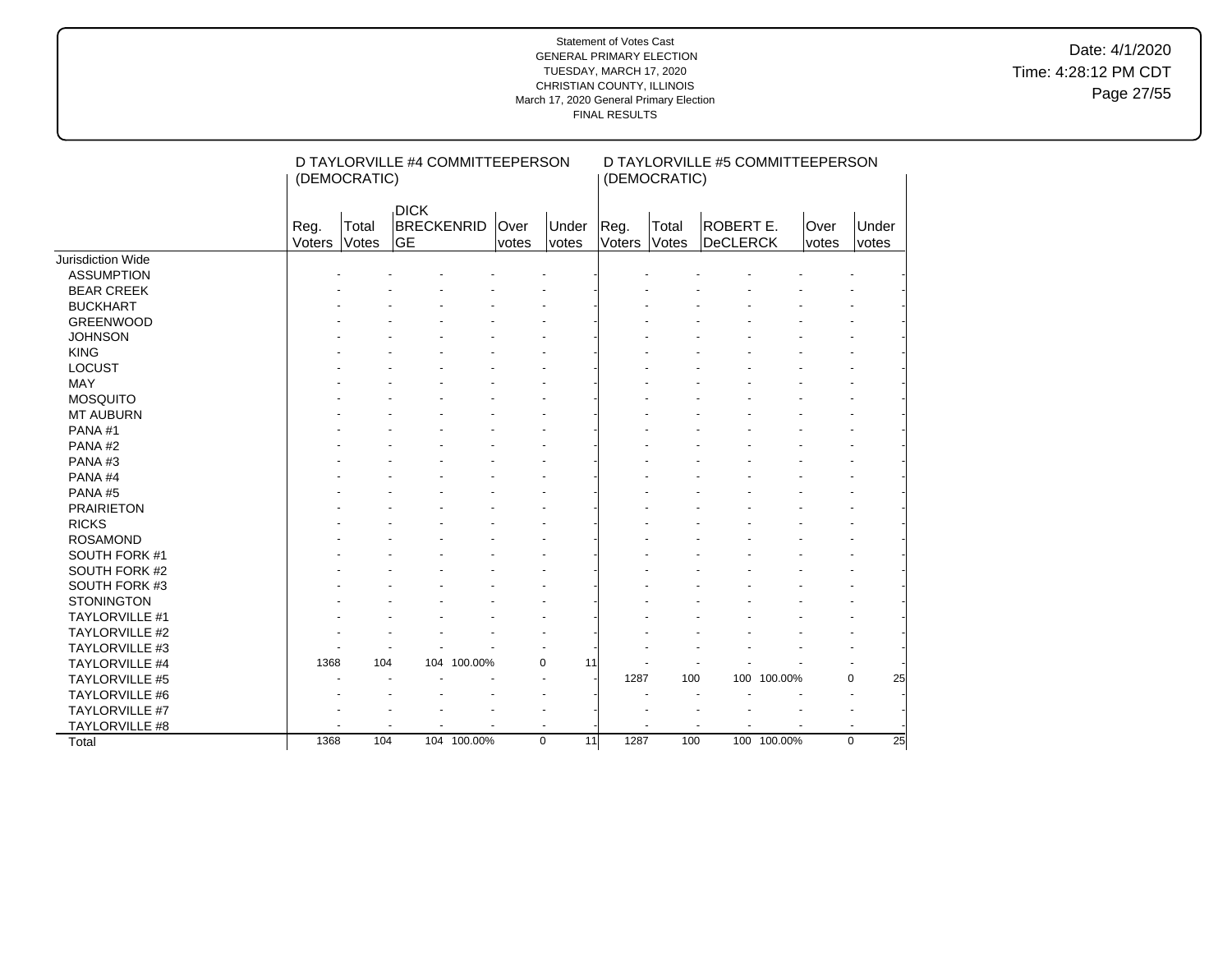Date: 4/1/2020 Time: 4:28:12 PM CDT Page 27/55

|                       | (DEMOCRATIC)   |                             | D TAYLORVILLE #4 COMMITTEEPERSON |               |                   |                | (DEMOCRATIC)   | D TAYLORVILLE #5 COMMITTEEPERSON |             |               |                   |
|-----------------------|----------------|-----------------------------|----------------------------------|---------------|-------------------|----------------|----------------|----------------------------------|-------------|---------------|-------------------|
|                       | Reg.<br>Voters | Total<br><b>GE</b><br>Votes | <b>DICK</b><br><b>BRECKENRID</b> | Over<br>votes | Under<br>votes    | Reg.<br>Voters | Total<br>Votes | ROBERT E.<br>DeCLERCK            |             | Over<br>votes | Under<br>votes    |
| Jurisdiction Wide     |                |                             |                                  |               |                   |                |                |                                  |             |               |                   |
| <b>ASSUMPTION</b>     |                |                             |                                  |               |                   |                |                |                                  |             |               |                   |
| <b>BEAR CREEK</b>     |                |                             |                                  |               |                   |                |                |                                  |             |               |                   |
| <b>BUCKHART</b>       |                |                             |                                  |               |                   |                |                |                                  |             |               |                   |
| <b>GREENWOOD</b>      |                |                             |                                  |               |                   |                |                |                                  |             |               |                   |
| <b>JOHNSON</b>        |                |                             |                                  |               |                   |                |                |                                  |             |               |                   |
| <b>KING</b>           |                |                             |                                  |               |                   |                |                |                                  |             |               |                   |
| <b>LOCUST</b>         |                |                             |                                  |               |                   |                |                |                                  |             |               |                   |
| <b>MAY</b>            |                |                             |                                  |               |                   |                |                |                                  |             |               |                   |
| <b>MOSQUITO</b>       |                |                             |                                  |               |                   |                |                |                                  |             |               |                   |
| <b>MT AUBURN</b>      |                |                             |                                  |               |                   |                |                |                                  |             |               |                   |
| PANA#1                |                |                             |                                  |               |                   |                |                |                                  |             |               |                   |
| PANA#2                |                |                             |                                  |               |                   |                |                |                                  |             |               |                   |
| PANA#3                |                |                             |                                  |               |                   |                |                |                                  |             |               |                   |
| PANA#4                |                |                             |                                  |               |                   |                |                |                                  |             |               |                   |
| PANA#5                |                |                             |                                  |               |                   |                |                |                                  |             |               |                   |
| <b>PRAIRIETON</b>     |                |                             |                                  |               |                   |                |                |                                  |             |               |                   |
| <b>RICKS</b>          |                |                             |                                  |               |                   |                |                |                                  |             |               |                   |
| <b>ROSAMOND</b>       |                |                             |                                  |               |                   |                |                |                                  |             |               |                   |
| SOUTH FORK #1         |                |                             |                                  |               |                   |                |                |                                  |             |               |                   |
| SOUTH FORK #2         |                |                             |                                  |               |                   |                |                |                                  |             |               |                   |
| SOUTH FORK #3         |                |                             |                                  |               |                   |                |                |                                  |             |               |                   |
| <b>STONINGTON</b>     |                |                             |                                  |               |                   |                |                |                                  |             |               |                   |
| <b>TAYLORVILLE #1</b> |                |                             |                                  |               |                   |                |                |                                  |             |               |                   |
| TAYLORVILLE #2        |                |                             |                                  |               |                   |                |                |                                  |             |               |                   |
| TAYLORVILLE #3        |                |                             |                                  |               |                   |                |                |                                  |             |               |                   |
| TAYLORVILLE #4        | 1368           | 104                         | 100.00%<br>104                   |               | 0<br>11           |                |                |                                  |             |               |                   |
| TAYLORVILLE #5        |                |                             |                                  |               |                   | 1287           | 100            |                                  | 100 100.00% |               | $\mathbf 0$<br>25 |
| TAYLORVILLE #6        |                |                             |                                  |               |                   |                |                | $\overline{\phantom{a}}$         |             |               |                   |
| TAYLORVILLE #7        |                |                             |                                  |               |                   |                |                |                                  |             |               |                   |
| TAYLORVILLE #8        |                |                             |                                  |               |                   |                |                |                                  |             |               |                   |
| Total                 | 1368           | 104                         | 104 100.00%                      |               | $\mathbf 0$<br>11 | 1287           | 100            |                                  | 100 100.00% |               | 25<br>$\Omega$    |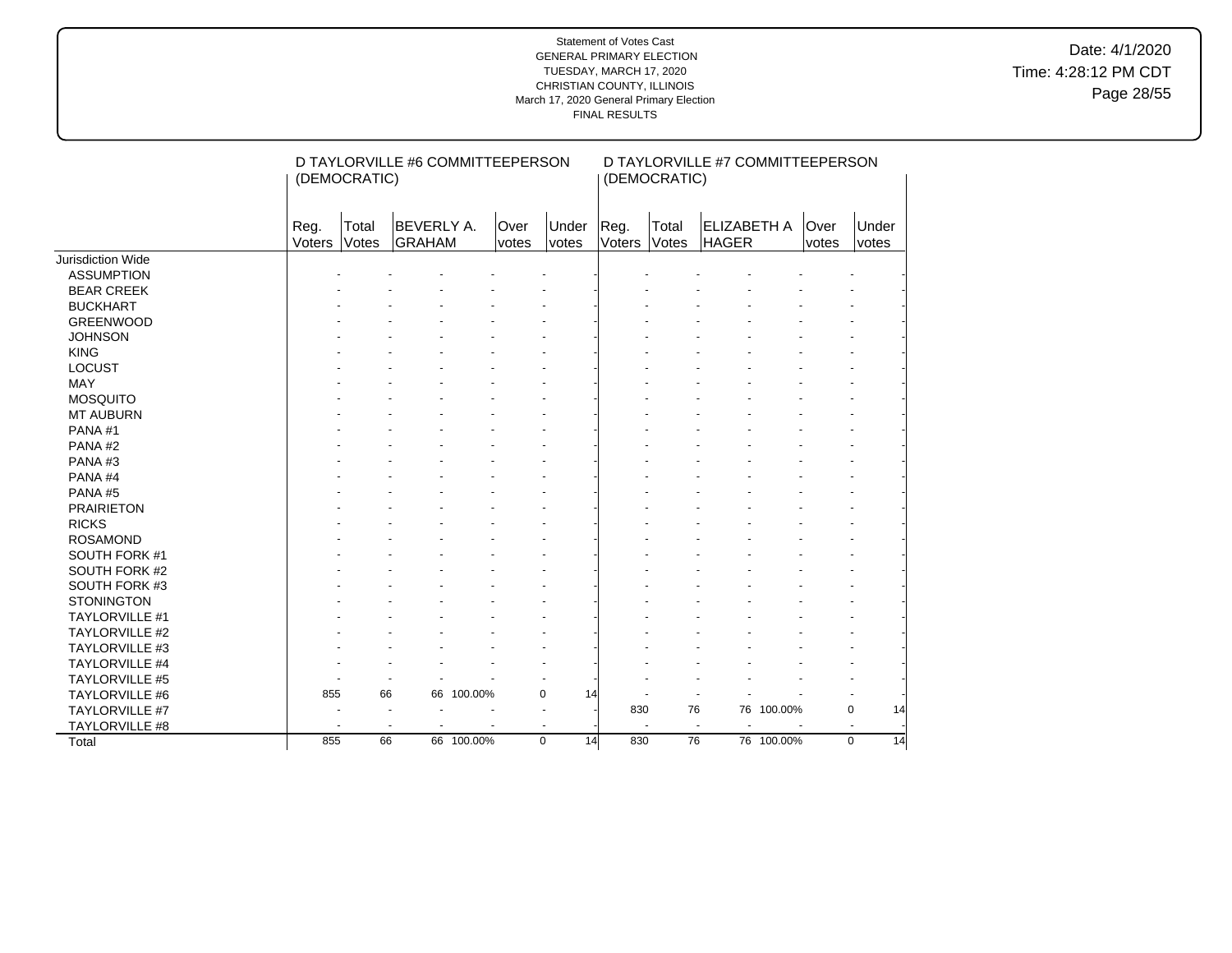Date: 4/1/2020 Time: 4:28:12 PM CDT Page 28/55

|                       |                | (DEMOCRATIC)   | D TAYLORVILLE #6 COMMITTEEPERSON |            |                          |                |                | (DEMOCRATIC)   | D TAYLORVILLE #7 COMMITTEEPERSON   |            |               |                |
|-----------------------|----------------|----------------|----------------------------------|------------|--------------------------|----------------|----------------|----------------|------------------------------------|------------|---------------|----------------|
|                       | Reg.<br>Voters | Total<br>Votes | <b>BEVERLY A.</b><br>GRAHAM      |            | Over<br>votes            | Under<br>votes | Reg.<br>Voters | Total<br>Votes | <b>ELIZABETH A</b><br><b>HAGER</b> |            | Over<br>votes | Under<br>votes |
| Jurisdiction Wide     |                |                |                                  |            |                          |                |                |                |                                    |            |               |                |
| <b>ASSUMPTION</b>     |                |                |                                  |            |                          |                |                |                |                                    |            |               |                |
| <b>BEAR CREEK</b>     |                |                |                                  |            |                          |                |                |                |                                    |            |               |                |
| <b>BUCKHART</b>       |                |                |                                  |            |                          |                |                |                |                                    |            |               |                |
| <b>GREENWOOD</b>      |                |                |                                  |            |                          |                |                |                |                                    |            |               |                |
| <b>JOHNSON</b>        |                |                |                                  |            |                          |                |                |                |                                    |            |               |                |
| <b>KING</b>           |                |                |                                  |            |                          |                |                |                |                                    |            |               |                |
| <b>LOCUST</b>         |                |                |                                  |            |                          |                |                |                |                                    |            |               |                |
| <b>MAY</b>            |                |                |                                  |            |                          |                |                |                |                                    |            |               |                |
| <b>MOSQUITO</b>       |                |                |                                  |            |                          |                |                |                |                                    |            |               |                |
| <b>MT AUBURN</b>      |                |                |                                  |            |                          |                |                |                |                                    |            |               |                |
| PANA#1                |                |                |                                  |            |                          |                |                |                |                                    |            |               |                |
| PANA#2                |                |                |                                  |            |                          |                |                |                |                                    |            |               |                |
| PANA#3                |                |                |                                  |            |                          |                |                |                |                                    |            |               |                |
| PANA#4                |                |                |                                  |            |                          |                |                |                |                                    |            |               |                |
| PANA#5                |                |                |                                  |            |                          |                |                |                |                                    |            |               |                |
| <b>PRAIRIETON</b>     |                |                |                                  |            |                          |                |                |                |                                    |            |               |                |
| <b>RICKS</b>          |                |                |                                  |            |                          |                |                |                |                                    |            |               |                |
| <b>ROSAMOND</b>       |                |                |                                  |            |                          |                |                |                |                                    |            |               |                |
| SOUTH FORK #1         |                |                |                                  |            |                          |                |                |                |                                    |            |               |                |
| SOUTH FORK #2         |                |                |                                  |            |                          |                |                |                |                                    |            |               |                |
| SOUTH FORK #3         |                |                |                                  |            |                          |                |                |                |                                    |            |               |                |
| <b>STONINGTON</b>     |                |                |                                  |            |                          |                |                |                |                                    |            |               |                |
| <b>TAYLORVILLE #1</b> |                |                |                                  |            |                          |                |                |                |                                    |            |               |                |
| TAYLORVILLE #2        |                |                |                                  |            |                          |                |                |                |                                    |            |               |                |
| TAYLORVILLE #3        |                |                |                                  |            |                          |                |                |                |                                    |            |               |                |
| TAYLORVILLE #4        |                |                |                                  |            |                          |                |                |                |                                    |            |               |                |
| TAYLORVILLE #5        |                |                |                                  |            |                          |                |                |                |                                    |            |               |                |
| TAYLORVILLE #6        | 855            | 66             |                                  | 66 100.00% | $\mathbf 0$              | 14             |                |                |                                    |            |               |                |
| TAYLORVILLE #7        |                |                | $\overline{\phantom{a}}$         |            | $\overline{\phantom{a}}$ |                | 830            | 76             |                                    | 76 100.00% |               | 0<br>14        |
| TAYLORVILLE #8        |                |                |                                  |            | $\blacksquare$           |                |                |                | $\overline{a}$<br>$\blacksquare$   |            |               |                |
| Total                 | 855            | 66             |                                  | 66 100.00% | $\mathbf 0$              | 14             | 830            | 76             |                                    | 76 100.00% |               | $\Omega$<br>14 |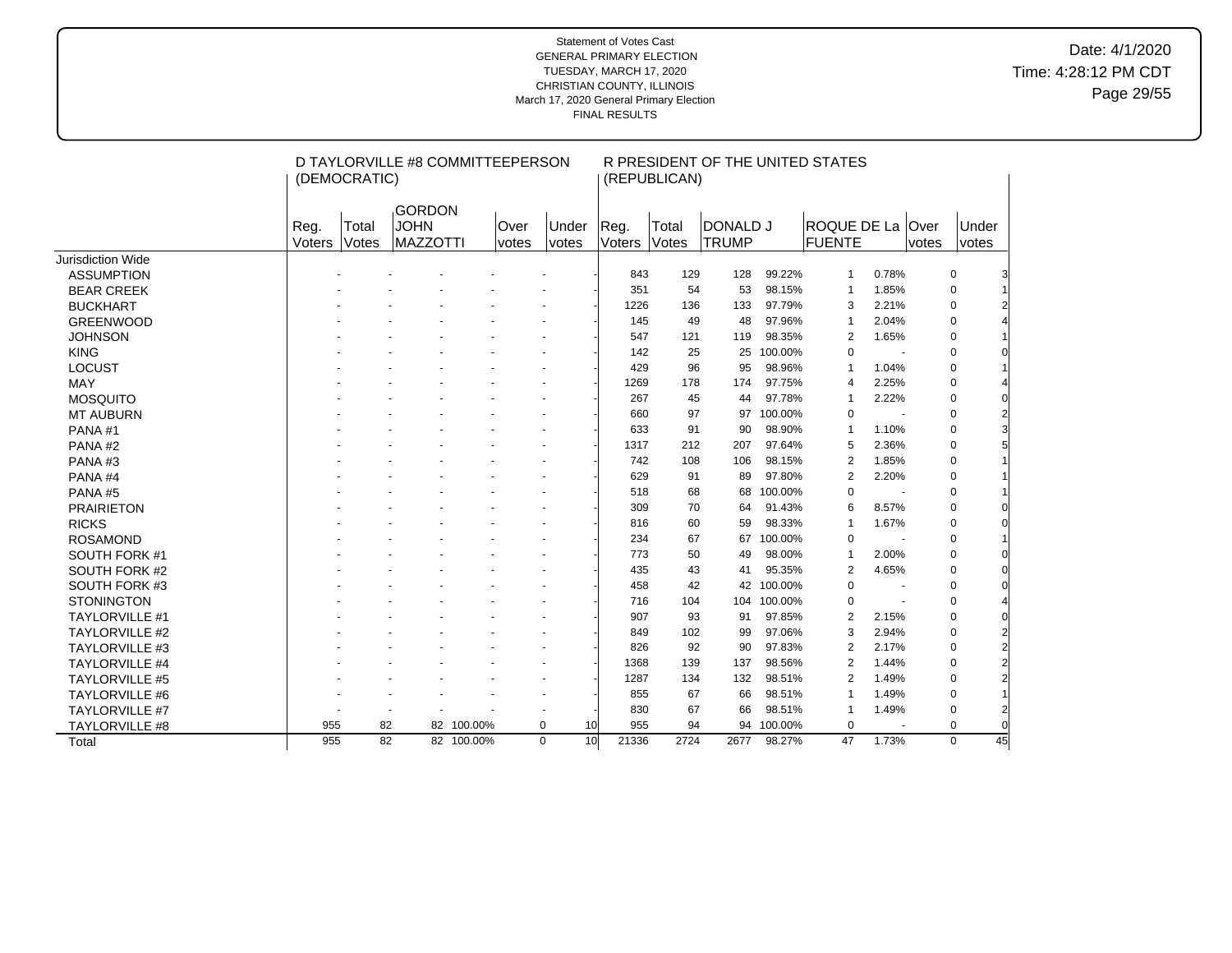# Date: 4/1/2020 Time: 4:28:12 PM CDT Page 29/55

|                       |                       | (DEMOCRATIC)   | D TAYLORVILLE #8 COMMITTEEPERSON                 |            |               |                       |                       | (REPUBLICAN)   |                          |             | R PRESIDENT OF THE UNITED STATES |                          |               |                |                |
|-----------------------|-----------------------|----------------|--------------------------------------------------|------------|---------------|-----------------------|-----------------------|----------------|--------------------------|-------------|----------------------------------|--------------------------|---------------|----------------|----------------|
|                       | Reg.<br><b>Voters</b> | Total<br>Votes | <b>GORDON</b><br><b>JOHN</b><br><b>MAZZOTTI</b>  |            | Over<br>votes | Under<br><i>votes</i> | Reg.<br><b>Voters</b> | Total<br>Votes | DONALD J<br><b>TRUMP</b> |             | ROQUE DE La<br>FUENTE            |                          | Over<br>votes | Under<br>votes |                |
| Jurisdiction Wide     |                       |                |                                                  |            |               |                       |                       |                |                          |             |                                  |                          |               |                |                |
| <b>ASSUMPTION</b>     |                       |                |                                                  |            |               |                       | 843                   | 129            | 128                      | 99.22%      | $\mathbf{1}$                     | 0.78%                    |               | $\mathbf 0$    |                |
| <b>BEAR CREEK</b>     |                       |                |                                                  |            |               |                       | 351                   | 54             | 53                       | 98.15%      | 1                                | 1.85%                    |               | $\mathbf 0$    |                |
| <b>BUCKHART</b>       |                       |                |                                                  |            |               |                       | 1226                  | 136            | 133                      | 97.79%      | 3                                | 2.21%                    |               | $\mathbf 0$    |                |
| <b>GREENWOOD</b>      |                       |                |                                                  |            |               |                       | 145                   | 49             | 48                       | 97.96%      | $\mathbf{1}$                     | 2.04%                    |               | $\mathbf 0$    |                |
| <b>JOHNSON</b>        |                       |                |                                                  |            |               |                       | 547                   | 121            | 119                      | 98.35%      | 2                                | 1.65%                    |               | 0              |                |
| <b>KING</b>           |                       |                |                                                  |            |               |                       | 142                   | 25             | 25                       | 100.00%     | $\mathbf 0$                      |                          |               | $\mathbf 0$    |                |
| LOCUST                |                       |                |                                                  |            |               |                       | 429                   | 96             | 95                       | 98.96%      | $\mathbf{1}$                     | 1.04%                    |               | $\mathbf 0$    |                |
| <b>MAY</b>            |                       |                |                                                  |            |               |                       | 1269                  | 178            | 174                      | 97.75%      | 4                                | 2.25%                    |               | $\mathbf 0$    |                |
| <b>MOSQUITO</b>       |                       |                |                                                  |            |               |                       | 267                   | 45             | 44                       | 97.78%      | $\mathbf{1}$                     | 2.22%                    |               | $\pmb{0}$      |                |
| <b>MT AUBURN</b>      |                       |                |                                                  |            |               |                       | 660                   | 97             | 97                       | 100.00%     | $\Omega$                         | ä,                       |               | $\mathbf 0$    |                |
| PANA#1                |                       |                |                                                  |            |               |                       | 633                   | 91             | 90                       | 98.90%      | $\mathbf{1}$                     | 1.10%                    |               | $\mathbf 0$    |                |
| PANA#2                |                       |                |                                                  |            |               |                       | 1317                  | 212            | 207                      | 97.64%      | 5                                | 2.36%                    |               | $\mathbf 0$    |                |
| PANA#3                |                       |                |                                                  |            |               |                       | 742                   | 108            | 106                      | 98.15%      | 2                                | 1.85%                    |               | $\mathbf 0$    |                |
| PANA#4                |                       |                |                                                  |            |               |                       | 629                   | 91             | 89                       | 97.80%      | 2                                | 2.20%                    |               | 0              |                |
| PANA#5                |                       |                |                                                  |            |               |                       | 518                   | 68             | 68                       | 100.00%     | $\mathbf 0$                      |                          |               | $\mathbf 0$    |                |
| <b>PRAIRIETON</b>     |                       |                |                                                  |            |               |                       | 309                   | 70             | 64                       | 91.43%      | 6                                | 8.57%                    |               | $\mathbf 0$    |                |
| <b>RICKS</b>          |                       |                |                                                  |            |               |                       | 816                   | 60             | 59                       | 98.33%      | 1                                | 1.67%                    |               | $\mathbf 0$    |                |
| <b>ROSAMOND</b>       |                       |                |                                                  |            |               |                       | 234                   | 67             | 67                       | 100.00%     | $\mathbf 0$                      |                          |               | $\mathbf 0$    |                |
| SOUTH FORK #1         |                       |                |                                                  |            |               |                       | 773                   | 50             | 49                       | 98.00%      | $\mathbf{1}$                     | 2.00%                    |               | $\mathbf 0$    |                |
| SOUTH FORK #2         |                       |                |                                                  |            |               |                       | 435                   | 43             | 41                       | 95.35%      | $\overline{2}$                   | 4.65%                    |               | $\pmb{0}$      |                |
| SOUTH FORK #3         |                       |                |                                                  |            |               |                       | 458                   | 42             |                          | 42 100.00%  | $\mathbf 0$                      |                          |               | $\mathbf 0$    |                |
| <b>STONINGTON</b>     |                       |                |                                                  |            |               |                       | 716                   | 104            |                          | 104 100.00% | $\mathbf 0$                      |                          |               | $\pmb{0}$      |                |
| <b>TAYLORVILLE #1</b> |                       |                |                                                  |            |               |                       | 907                   | 93             | 91                       | 97.85%      | 2                                | 2.15%                    |               | $\mathbf 0$    |                |
| <b>TAYLORVILLE #2</b> |                       |                |                                                  |            |               |                       | 849                   | 102            | 99                       | 97.06%      | 3                                | 2.94%                    |               | $\mathbf 0$    |                |
| <b>TAYLORVILLE #3</b> |                       |                |                                                  |            |               |                       | 826                   | 92             | 90                       | 97.83%      | 2                                | 2.17%                    |               | 0              |                |
| <b>TAYLORVILLE #4</b> |                       |                |                                                  |            |               |                       | 1368                  | 139            | 137                      | 98.56%      | $\overline{2}$                   | 1.44%                    |               | $\mathbf 0$    |                |
| <b>TAYLORVILLE #5</b> |                       |                |                                                  |            |               |                       | 1287                  | 134            | 132                      | 98.51%      | $\overline{2}$                   | 1.49%                    |               | $\mathbf 0$    |                |
| <b>TAYLORVILLE #6</b> |                       |                |                                                  |            |               |                       | 855                   | 67             | 66                       | 98.51%      | 1                                | 1.49%                    |               | $\mathbf 0$    |                |
| <b>TAYLORVILLE #7</b> |                       |                | $\ddot{\phantom{1}}$<br>$\overline{\phantom{a}}$ |            |               |                       | 830                   | 67             | 66                       | 98.51%      | 1                                | 1.49%                    |               | $\pmb{0}$      | $\overline{2}$ |
| <b>TAYLORVILLE #8</b> | 955                   |                | 82                                               | 82 100.00% |               | 0<br>10               | 955                   | 94             |                          | 94 100.00%  | $\mathbf 0$                      | $\overline{\phantom{a}}$ |               | $\mathbf 0$    | $\overline{0}$ |
| Total                 | 955                   | 82             |                                                  | 82 100.00% |               | $\Omega$<br>10        | 21336                 | 2724           | 2677                     | 98.27%      | 47                               | 1.73%                    |               | $\mathbf 0$    | 45             |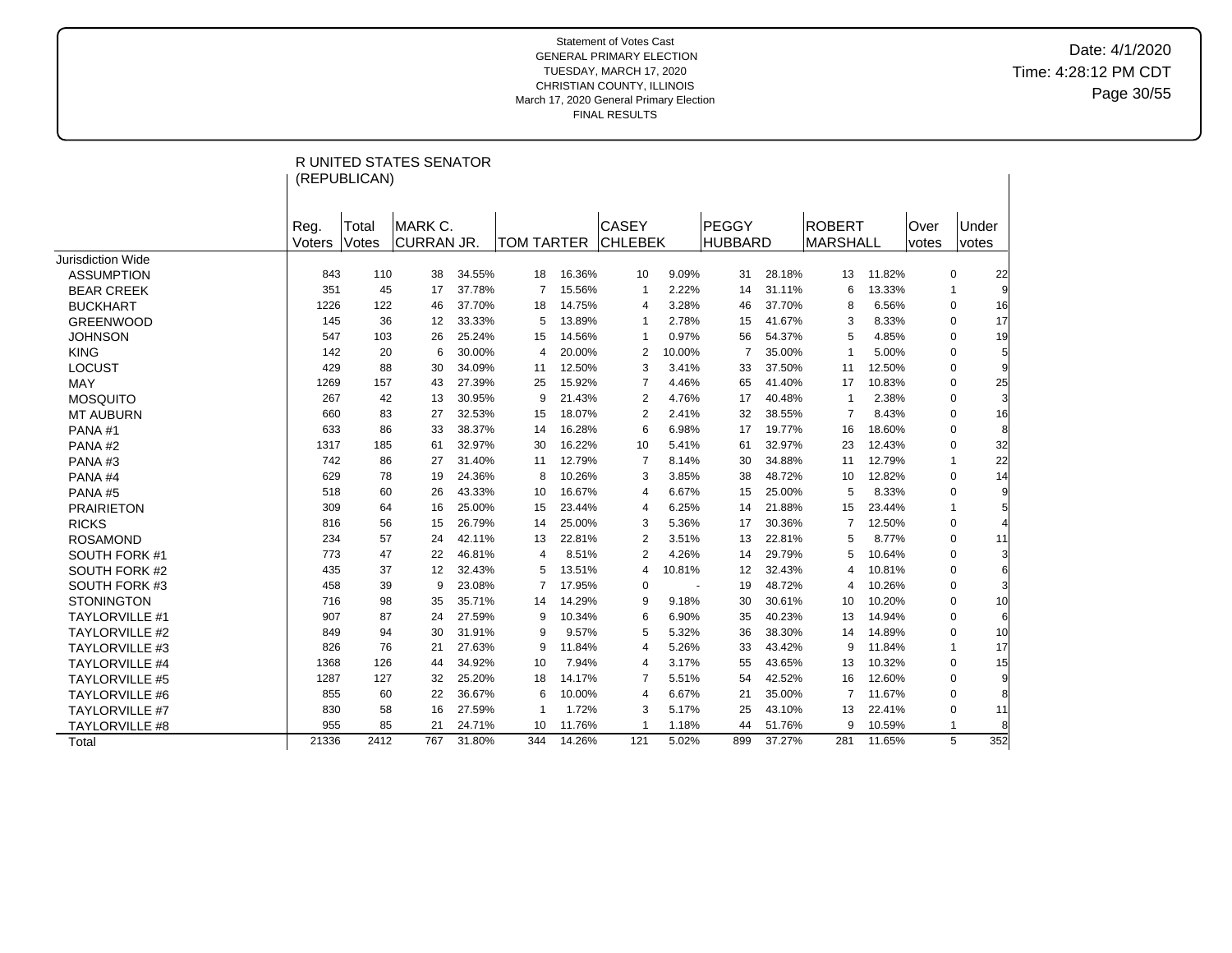Date: 4/1/2020 Time: 4:28:12 PM CDT Page 30/55

|                       |                | (REPUBLICAN)   | <b>R UNITED STATES SENATOR</b> |        |                |        |                                |                          |                         |        |                                  |        |                      |                               |
|-----------------------|----------------|----------------|--------------------------------|--------|----------------|--------|--------------------------------|--------------------------|-------------------------|--------|----------------------------------|--------|----------------------|-------------------------------|
|                       | Reg.<br>Voters | Total<br>Votes | MARK C.<br>CURRAN JR.          |        | TOM TARTER     |        | <b>CASEY</b><br><b>CHLEBEK</b> |                          | PEGGY<br><b>HUBBARD</b> |        | <b>ROBERT</b><br><b>MARSHALL</b> |        | Over<br><i>votes</i> | Under<br>votes                |
| Jurisdiction Wide     |                |                |                                |        |                |        |                                |                          |                         |        |                                  |        |                      |                               |
| <b>ASSUMPTION</b>     | 843            | 110            | 38                             | 34.55% | 18             | 16.36% | 10                             | 9.09%                    | 31                      | 28.18% | 13                               | 11.82% |                      | 0<br>22                       |
| <b>BEAR CREEK</b>     | 351            | 45             | 17                             | 37.78% | $\overline{7}$ | 15.56% | $\mathbf{1}$                   | 2.22%                    | 14                      | 31.11% | 6                                | 13.33% |                      | $\overline{1}$                |
| <b>BUCKHART</b>       | 1226           | 122            | 46                             | 37.70% | 18             | 14.75% | $\overline{4}$                 | 3.28%                    | 46                      | 37.70% | 8                                | 6.56%  |                      | 16<br>$\mathbf 0$             |
| <b>GREENWOOD</b>      | 145            | 36             | 12                             | 33.33% | 5              | 13.89% | -1                             | 2.78%                    | 15                      | 41.67% | 3                                | 8.33%  |                      | 17<br>$\mathbf 0$             |
| <b>JOHNSON</b>        | 547            | 103            | 26                             | 25.24% | 15             | 14.56% | $\mathbf{1}$                   | 0.97%                    | 56                      | 54.37% | 5                                | 4.85%  |                      | 19<br>$\Omega$                |
| <b>KING</b>           | 142            | 20             | 6                              | 30.00% | 4              | 20.00% | 2                              | 10.00%                   | $\overline{7}$          | 35.00% | $\mathbf 1$                      | 5.00%  |                      | $5 \overline{5}$<br>$\Omega$  |
| <b>LOCUST</b>         | 429            | 88             | 30                             | 34.09% | 11             | 12.50% | 3                              | 3.41%                    | 33                      | 37.50% | 11                               | 12.50% |                      | $\mathbf 0$                   |
| MAY                   | 1269           | 157            | 43                             | 27.39% | 25             | 15.92% | 7                              | 4.46%                    | 65                      | 41.40% | 17                               | 10.83% |                      | 25<br>$\mathbf 0$             |
| <b>MOSQUITO</b>       | 267            | 42             | 13                             | 30.95% | 9              | 21.43% | 2                              | 4.76%                    | 17                      | 40.48% | $\overline{1}$                   | 2.38%  |                      | $\overline{3}$<br>$\mathbf 0$ |
| <b>MT AUBURN</b>      | 660            | 83             | 27                             | 32.53% | 15             | 18.07% | 2                              | 2.41%                    | 32                      | 38.55% | $\overline{7}$                   | 8.43%  |                      | 16<br>$\Omega$                |
| PANA#1                | 633            | 86             | 33                             | 38.37% | 14             | 16.28% | 6                              | 6.98%                    | 17                      | 19.77% | 16                               | 18.60% |                      | 8<br>$\Omega$                 |
| PANA#2                | 1317           | 185            | 61                             | 32.97% | 30             | 16.22% | 10                             | 5.41%                    | 61                      | 32.97% | 23                               | 12.43% |                      | 32<br>$\mathbf 0$             |
| PANA#3                | 742            | 86             | 27                             | 31.40% | 11             | 12.79% | $\overline{7}$                 | 8.14%                    | 30                      | 34.88% | 11                               | 12.79% |                      | 22<br>-1                      |
| PANA#4                | 629            | 78             | 19                             | 24.36% | 8              | 10.26% | 3                              | 3.85%                    | 38                      | 48.72% | 10                               | 12.82% |                      | 14<br>$\mathbf 0$             |
| <b>PANA#5</b>         | 518            | 60             | 26                             | 43.33% | 10             | 16.67% | 4                              | 6.67%                    | 15                      | 25.00% | 5                                | 8.33%  |                      | 9<br>$\Omega$                 |
| <b>PRAIRIETON</b>     | 309            | 64             | 16                             | 25.00% | 15             | 23.44% | 4                              | 6.25%                    | 14                      | 21.88% | 15                               | 23.44% |                      | -1                            |
| <b>RICKS</b>          | 816            | 56             | 15                             | 26.79% | 14             | 25.00% | 3                              | 5.36%                    | 17                      | 30.36% | 7                                | 12.50% |                      | $\mathbf 0$                   |
| <b>ROSAMOND</b>       | 234            | 57             | 24                             | 42.11% | 13             | 22.81% | 2                              | 3.51%                    | 13                      | 22.81% | 5                                | 8.77%  |                      | $\Omega$<br>11                |
| SOUTH FORK #1         | 773            | 47             | 22                             | 46.81% | 4              | 8.51%  | $\overline{2}$                 | 4.26%                    | 14                      | 29.79% | 5                                | 10.64% |                      | 3<br>$\mathbf 0$              |
| SOUTH FORK #2         | 435            | 37             | 12                             | 32.43% | 5              | 13.51% | 4                              | 10.81%                   | 12                      | 32.43% | 4                                | 10.81% |                      | $\Omega$                      |
| SOUTH FORK #3         | 458            | 39             | 9                              | 23.08% | 7              | 17.95% | 0                              | $\overline{\phantom{a}}$ | 19                      | 48.72% | 4                                | 10.26% |                      | $\mathbf 0$                   |
| <b>STONINGTON</b>     | 716            | 98             | 35                             | 35.71% | 14             | 14.29% | 9                              | 9.18%                    | 30                      | 30.61% | 10                               | 10.20% |                      | 10<br>$\Omega$                |
| <b>TAYLORVILLE #1</b> | 907            | 87             | 24                             | 27.59% | 9              | 10.34% | 6                              | 6.90%                    | 35                      | 40.23% | 13                               | 14.94% |                      | $\Omega$                      |
| <b>TAYLORVILLE #2</b> | 849            | 94             | 30                             | 31.91% | 9              | 9.57%  | 5                              | 5.32%                    | 36                      | 38.30% | 14                               | 14.89% |                      | 10<br>$\mathbf 0$             |
| <b>TAYLORVILLE #3</b> | 826            | 76             | 21                             | 27.63% | 9              | 11.84% | 4                              | 5.26%                    | 33                      | 43.42% | 9                                | 11.84% |                      | 17<br>-1                      |
| <b>TAYLORVILLE #4</b> | 1368           | 126            | 44                             | 34.92% | 10             | 7.94%  | 4                              | 3.17%                    | 55                      | 43.65% | 13                               | 10.32% |                      | 15<br>$\mathbf 0$             |
| <b>TAYLORVILLE #5</b> | 1287           | 127            | 32                             | 25.20% | 18             | 14.17% | 7                              | 5.51%                    | 54                      | 42.52% | 16                               | 12.60% |                      | $\mathbf 0$                   |
| <b>TAYLORVILLE #6</b> | 855            | 60             | 22                             | 36.67% | 6              | 10.00% | 4                              | 6.67%                    | 21                      | 35.00% | 7                                | 11.67% |                      | $\mathbf 0$                   |
| <b>TAYLORVILLE #7</b> | 830            | 58             | 16                             | 27.59% |                | 1.72%  | 3                              | 5.17%                    | 25                      | 43.10% | 13                               | 22.41% |                      | $\mathbf 0$<br>11             |
| TAYLORVILLE #8        | 955            | 85             | 21                             | 24.71% | 10             | 11.76% | -1                             | 1.18%                    | 44                      | 51.76% | 9                                | 10.59% |                      | 1                             |
| Total                 | 21336          | 2412           | 767                            | 31.80% | 344            | 14.26% | 121                            | 5.02%                    | 899                     | 37.27% | 281                              | 11.65% |                      | 352<br>5                      |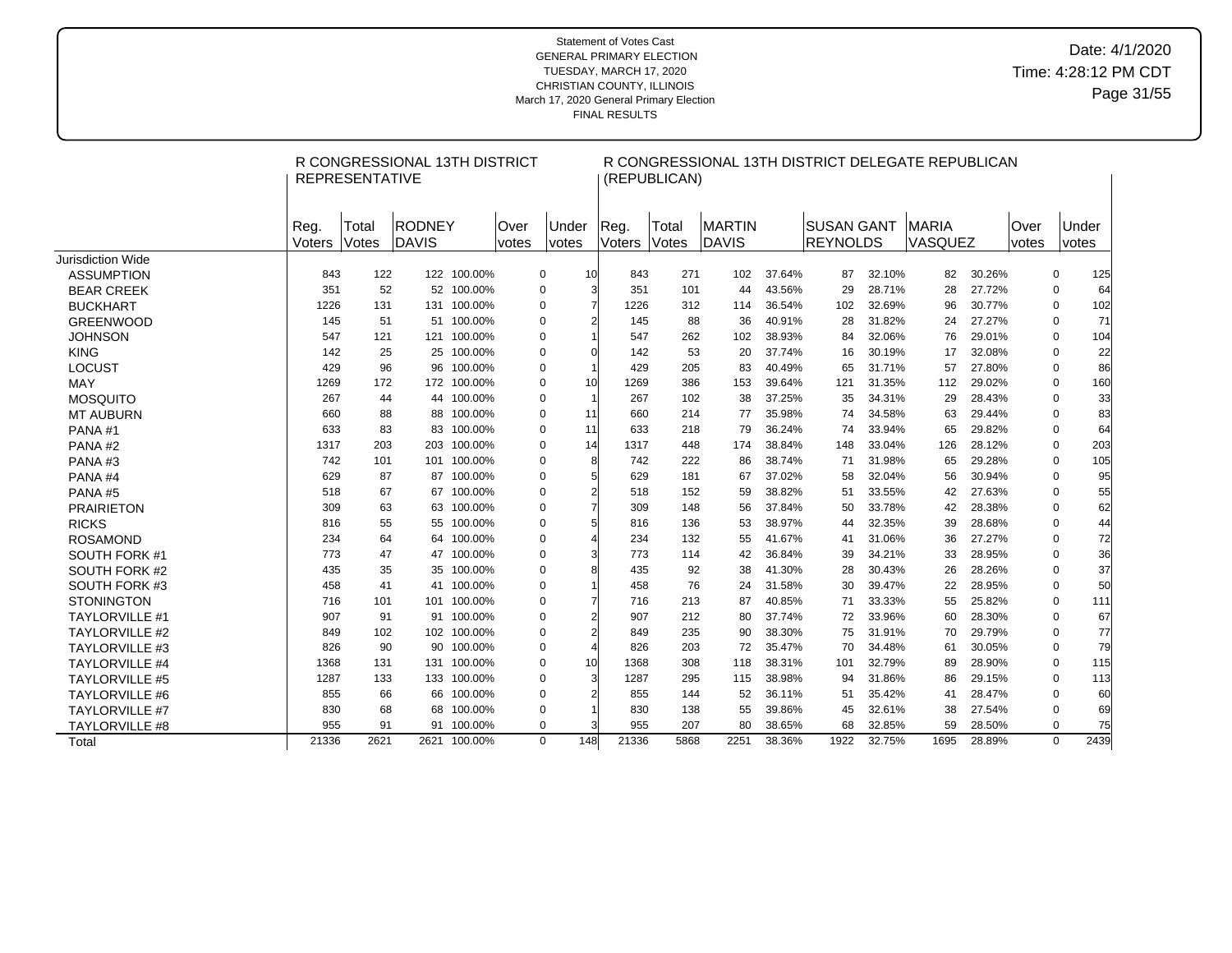# Date: 4/1/2020 Time: 4:28:12 PM CDT Page 31/55

|                       |                | <b>REPRESENTATIVE</b> | R CONGRESSIONAL 13TH DISTRICT |             |                |                       |                       |                | (REPUBLICAN)   |                        |        |                         |        | R CONGRESSIONAL 13TH DISTRICT DELEGATE REPUBLICAN |        |               |             |                |
|-----------------------|----------------|-----------------------|-------------------------------|-------------|----------------|-----------------------|-----------------------|----------------|----------------|------------------------|--------|-------------------------|--------|---------------------------------------------------|--------|---------------|-------------|----------------|
|                       | Reg.<br>Voters | Total<br>Votes        | <b>RODNEY</b><br>DAVIS        |             | lOver<br>votes | Under<br><i>votes</i> |                       | Reg.<br>Voters | Total<br>Votes | <b>MARTIN</b><br>DAVIS |        | ISUSAN GANT<br>REYNOLDS |        | <b>MARIA</b><br>VASQUEZ                           |        | Over<br>votes |             | Under<br>votes |
| Jurisdiction Wide     |                |                       |                               |             |                |                       |                       |                |                |                        |        |                         |        |                                                   |        |               |             |                |
| <b>ASSUMPTION</b>     | 843            | 122                   |                               | 122 100.00% |                | 0                     | 10                    | 843            | 271            | 102                    | 37.64% | 87                      | 32.10% | 82                                                | 30.26% |               | 0           | 125            |
| <b>BEAR CREEK</b>     | 351            | 52                    |                               | 52 100.00%  |                | $\pmb{0}$             | 3                     | 351            | 101            | 44                     | 43.56% | 29                      | 28.71% | 28                                                | 27.72% |               | 0           | 64             |
| <b>BUCKHART</b>       | 1226           | 131                   |                               | 131 100.00% |                | 0                     | $\overline{7}$        | 1226           | 312            | 114                    | 36.54% | 102                     | 32.69% | 96                                                | 30.77% |               | 0           | 102            |
| <b>GREENWOOD</b>      | 145            | 51                    |                               | 51 100.00%  |                | 0                     | $\overline{2}$        | 145            | 88             | 36                     | 40.91% | 28                      | 31.82% | 24                                                | 27.27% |               | $\Omega$    | 71             |
| <b>JOHNSON</b>        | 547            | 121                   |                               | 121 100.00% |                | 0                     |                       | 547            | 262            | 102                    | 38.93% | 84                      | 32.06% | 76                                                | 29.01% |               | 0           | 104            |
| <b>KING</b>           | 142            | 25                    | 25                            | 100.00%     |                | $\pmb{0}$             | $\Omega$              | 142            | 53             | 20                     | 37.74% | 16                      | 30.19% | 17                                                | 32.08% |               | $\Omega$    | 22             |
| LOCUST                | 429            | 96                    | 96                            | 100.00%     |                | 0                     | $\overline{1}$        | 429            | 205            | 83                     | 40.49% | 65                      | 31.71% | 57                                                | 27.80% |               | $\mathbf 0$ | 86             |
| MAY                   | 1269           | 172                   |                               | 172 100.00% |                | $\pmb{0}$             | 10 <sup>1</sup>       | 1269           | 386            | 153                    | 39.64% | 121                     | 31.35% | 112                                               | 29.02% |               | $\Omega$    | 160            |
| <b>MOSQUITO</b>       | 267            | 44                    | 44                            | 100.00%     |                | 0                     | $\overline{1}$        | 267            | 102            | 38                     | 37.25% | 35                      | 34.31% | 29                                                | 28.43% |               | $\mathbf 0$ | 33             |
| <b>MT AUBURN</b>      | 660            | 88                    | 88                            | 100.00%     |                | $\pmb{0}$             | 11                    | 660            | 214            | 77                     | 35.98% | 74                      | 34.58% | 63                                                | 29.44% |               | $\Omega$    | 83             |
| PANA#1                | 633            | 83                    | 83                            | 100.00%     |                | $\mathbf 0$           | 11                    | 633            | 218            | 79                     | 36.24% | 74                      | 33.94% | 65                                                | 29.82% |               | $\mathbf 0$ | 64             |
| PANA#2                | 1317           | 203                   | 203                           | 100.00%     |                | $\pmb{0}$             | 14                    | 1317           | 448            | 174                    | 38.84% | 148                     | 33.04% | 126                                               | 28.12% |               | $\mathbf 0$ | 203            |
| PANA#3                | 742            | 101                   | 101                           | 100.00%     |                | 0                     | 8                     | 742            | 222            | 86                     | 38.74% | 71                      | 31.98% | 65                                                | 29.28% |               | $\mathbf 0$ | 105            |
| PANA#4                | 629            | 87                    | 87                            | 100.00%     |                | 0                     | 5                     | 629            | 181            | 67                     | 37.02% | 58                      | 32.04% | 56                                                | 30.94% |               | $\Omega$    | 95             |
| PANA#5                | 518            | 67                    | 67                            | 100.00%     |                | 0                     | $\overline{2}$        | 518            | 152            | 59                     | 38.82% | 51                      | 33.55% | 42                                                | 27.63% |               | 0           | 55             |
| <b>PRAIRIETON</b>     | 309            | 63                    | 63                            | 100.00%     |                | 0                     | $\overline{7}$        | 309            | 148            | 56                     | 37.84% | 50                      | 33.78% | 42                                                | 28.38% |               | 0           | 62             |
| <b>RICKS</b>          | 816            | 55                    | 55                            | 100.00%     |                | 0                     | 5                     | 816            | 136            | 53                     | 38.97% | 44                      | 32.35% | 39                                                | 28.68% |               | 0           | 44             |
| <b>ROSAMOND</b>       | 234            | 64                    | 64                            | 100.00%     |                | $\pmb{0}$             | $\boldsymbol{\Delta}$ | 234            | 132            | 55                     | 41.67% | 41                      | 31.06% | 36                                                | 27.27% |               | 0           | 72             |
| SOUTH FORK #1         | 773            | 47                    | 47                            | 100.00%     |                | $\pmb{0}$             | 3                     | 773            | 114            | 42                     | 36.84% | 39                      | 34.21% | 33                                                | 28.95% |               | $\Omega$    | 36             |
| SOUTH FORK #2         | 435            | 35                    | 35                            | 100.00%     |                | 0                     | 8                     | 435            | 92             | 38                     | 41.30% | 28                      | 30.43% | 26                                                | 28.26% |               | $\Omega$    | 37             |
| SOUTH FORK #3         | 458            | 41                    | 41                            | 100.00%     |                | $\mathbf 0$           | $\overline{1}$        | 458            | 76             | 24                     | 31.58% | 30                      | 39.47% | 22                                                | 28.95% |               | $\mathbf 0$ | 50             |
| <b>STONINGTON</b>     | 716            | 101                   |                               | 101 100.00% |                | 0                     | 7                     | 716            | 213            | 87                     | 40.85% | 71                      | 33.33% | 55                                                | 25.82% |               | $\Omega$    | 111            |
| <b>TAYLORVILLE #1</b> | 907            | 91                    | 91                            | 100.00%     |                | 0                     | $\overline{2}$        | 907            | 212            | 80                     | 37.74% | 72                      | 33.96% | 60                                                | 28.30% |               | $\Omega$    | 67             |
| <b>TAYLORVILLE #2</b> | 849            | 102                   |                               | 102 100.00% |                | 0                     | $\overline{2}$        | 849            | 235            | 90                     | 38.30% | 75                      | 31.91% | 70                                                | 29.79% |               | $\Omega$    | 77             |
| <b>TAYLORVILLE #3</b> | 826            | 90                    | 90                            | 100.00%     |                | $\pmb{0}$             | $\overline{4}$        | 826            | 203            | 72                     | 35.47% | 70                      | 34.48% | 61                                                | 30.05% |               | $\mathbf 0$ | 79             |
| <b>TAYLORVILLE #4</b> | 1368           | 131                   | 131                           | 100.00%     |                | 0                     | 10 <sup>1</sup>       | 1368           | 308            | 118                    | 38.31% | 101                     | 32.79% | 89                                                | 28.90% |               | 0           | 115            |
| <b>TAYLORVILLE #5</b> | 1287           | 133                   |                               | 133 100.00% |                | 0                     | 3                     | 1287           | 295            | 115                    | 38.98% | 94                      | 31.86% | 86                                                | 29.15% |               | 0           | 113            |
| <b>TAYLORVILLE #6</b> | 855            | 66                    | 66                            | 100.00%     |                | 0                     |                       | 855            | 144            | 52                     | 36.11% | 51                      | 35.42% | 41                                                | 28.47% |               | $\Omega$    | 60             |
| <b>TAYLORVILLE #7</b> | 830            | 68                    | 68                            | 100.00%     |                | $\pmb{0}$             |                       | 830            | 138            | 55                     | 39.86% | 45                      | 32.61% | 38                                                | 27.54% |               | $\mathbf 0$ | 69             |
| <b>TAYLORVILLE #8</b> | 955            | 91                    |                               | 91 100.00%  |                | 0                     |                       | 955            | 207            | 80                     | 38.65% | 68                      | 32.85% | 59                                                | 28.50% |               | $\Omega$    | 75             |
| Total                 | 21336          | 2621                  | 2621                          | 100.00%     |                | 148<br>$\Omega$       |                       | 21336          | 5868           | 2251                   | 38.36% | 1922                    | 32.75% | 1695                                              | 28.89% |               | $\Omega$    | 2439           |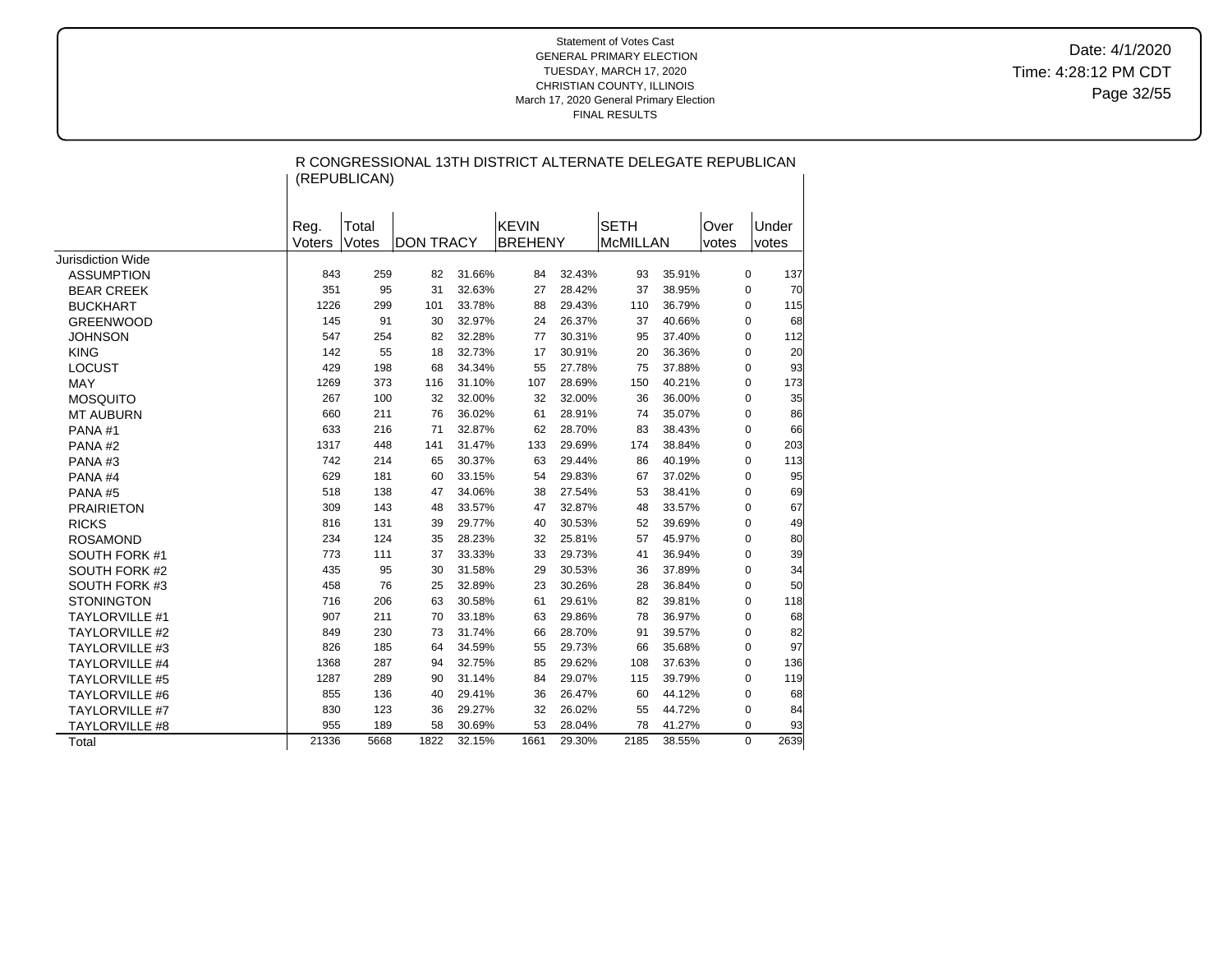Date: 4/1/2020 Time: 4:28:12 PM CDT Page 32/55

|                       |                | (REPUBLICAN)   |                  |        | R CONGRESSIONAL 13TH DISTRICT ALTERNATE DELEGATE REPUBLICAN |        |                                |        |               |                  |
|-----------------------|----------------|----------------|------------------|--------|-------------------------------------------------------------|--------|--------------------------------|--------|---------------|------------------|
|                       | Reg.<br>Voters | Total<br>Votes | <b>DON TRACY</b> |        | <b>KEVIN</b><br><b>BREHENY</b>                              |        | <b>SETH</b><br><b>McMILLAN</b> |        | Over<br>votes | Under<br>votes   |
| Jurisdiction Wide     |                |                |                  |        |                                                             |        |                                |        |               |                  |
| <b>ASSUMPTION</b>     | 843            | 259            | 82               | 31.66% | 84                                                          | 32.43% | 93                             | 35.91% |               | 0<br>137         |
| <b>BEAR CREEK</b>     | 351            | 95             | 31               | 32.63% | 27                                                          | 28.42% | 37                             | 38.95% |               | 70<br>0          |
| <b>BUCKHART</b>       | 1226           | 299            | 101              | 33.78% | 88                                                          | 29.43% | 110                            | 36.79% |               | 115<br>0         |
| <b>GREENWOOD</b>      | 145            | 91             | 30               | 32.97% | 24                                                          | 26.37% | 37                             | 40.66% |               | 0<br>68          |
| <b>JOHNSON</b>        | 547            | 254            | 82               | 32.28% | 77                                                          | 30.31% | 95                             | 37.40% |               | 0<br>112         |
| <b>KING</b>           | 142            | 55             | 18               | 32.73% | 17                                                          | 30.91% | 20                             | 36.36% |               | 0<br>20          |
| <b>LOCUST</b>         | 429            | 198            | 68               | 34.34% | 55                                                          | 27.78% | 75                             | 37.88% |               | 93<br>0          |
| <b>MAY</b>            | 1269           | 373            | 116              | 31.10% | 107                                                         | 28.69% | 150                            | 40.21% |               | 173<br>0         |
| <b>MOSQUITO</b>       | 267            | 100            | 32               | 32.00% | 32                                                          | 32.00% | 36                             | 36.00% |               | 35<br>0          |
| <b>MT AUBURN</b>      | 660            | 211            | 76               | 36.02% | 61                                                          | 28.91% | 74                             | 35.07% |               | 0<br>86          |
| PANA#1                | 633            | 216            | 71               | 32.87% | 62                                                          | 28.70% | 83                             | 38.43% |               | 66<br>0          |
| PANA#2                | 1317           | 448            | 141              | 31.47% | 133                                                         | 29.69% | 174                            | 38.84% |               | 203<br>0         |
| PANA#3                | 742            | 214            | 65               | 30.37% | 63                                                          | 29.44% | 86                             | 40.19% |               | 113<br>0         |
| PANA#4                | 629            | 181            | 60               | 33.15% | 54                                                          | 29.83% | 67                             | 37.02% |               | 0<br>95          |
| PANA#5                | 518            | 138            | 47               | 34.06% | 38                                                          | 27.54% | 53                             | 38.41% |               | 0<br>69          |
| <b>PRAIRIETON</b>     | 309            | 143            | 48               | 33.57% | 47                                                          | 32.87% | 48                             | 33.57% |               | 0<br>67          |
| <b>RICKS</b>          | 816            | 131            | 39               | 29.77% | 40                                                          | 30.53% | 52                             | 39.69% |               | 0<br>49          |
| <b>ROSAMOND</b>       | 234            | 124            | 35               | 28.23% | 32                                                          | 25.81% | 57                             | 45.97% |               | 0<br>80          |
| SOUTH FORK #1         | 773            | 111            | 37               | 33.33% | 33                                                          | 29.73% | 41                             | 36.94% |               | 0<br>39          |
| SOUTH FORK #2         | 435            | 95             | 30               | 31.58% | 29                                                          | 30.53% | 36                             | 37.89% |               | 0<br>34          |
| SOUTH FORK #3         | 458            | 76             | 25               | 32.89% | 23                                                          | 30.26% | 28                             | 36.84% |               | 50<br>0          |
| <b>STONINGTON</b>     | 716            | 206            | 63               | 30.58% | 61                                                          | 29.61% | 82                             | 39.81% |               | 0<br>118         |
| <b>TAYLORVILLE #1</b> | 907            | 211            | 70               | 33.18% | 63                                                          | 29.86% | 78                             | 36.97% |               | 0<br>68          |
| <b>TAYLORVILLE #2</b> | 849            | 230            | 73               | 31.74% | 66                                                          | 28.70% | 91                             | 39.57% |               | 0<br>82          |
| <b>TAYLORVILLE #3</b> | 826            | 185            | 64               | 34.59% | 55                                                          | 29.73% | 66                             | 35.68% |               | 97<br>0          |
| <b>TAYLORVILLE #4</b> | 1368           | 287            | 94               | 32.75% | 85                                                          | 29.62% | 108                            | 37.63% |               | 0<br>136         |
| <b>TAYLORVILLE #5</b> | 1287           | 289            | 90               | 31.14% | 84                                                          | 29.07% | 115                            | 39.79% |               | 119<br>0         |
| <b>TAYLORVILLE #6</b> | 855            | 136            | 40               | 29.41% | 36                                                          | 26.47% | 60                             | 44.12% |               | 0<br>68          |
| <b>TAYLORVILLE #7</b> | 830            | 123            | 36               | 29.27% | 32                                                          | 26.02% | 55                             | 44.72% |               | 0<br>84          |
| TAYLORVILLE #8        | 955            | 189            | 58               | 30.69% | 53                                                          | 28.04% | 78                             | 41.27% |               | 93<br>0          |
| Total                 | 21336          | 5668           | 1822             | 32.15% | 1661                                                        | 29.30% | 2185                           | 38.55% |               | $\Omega$<br>2639 |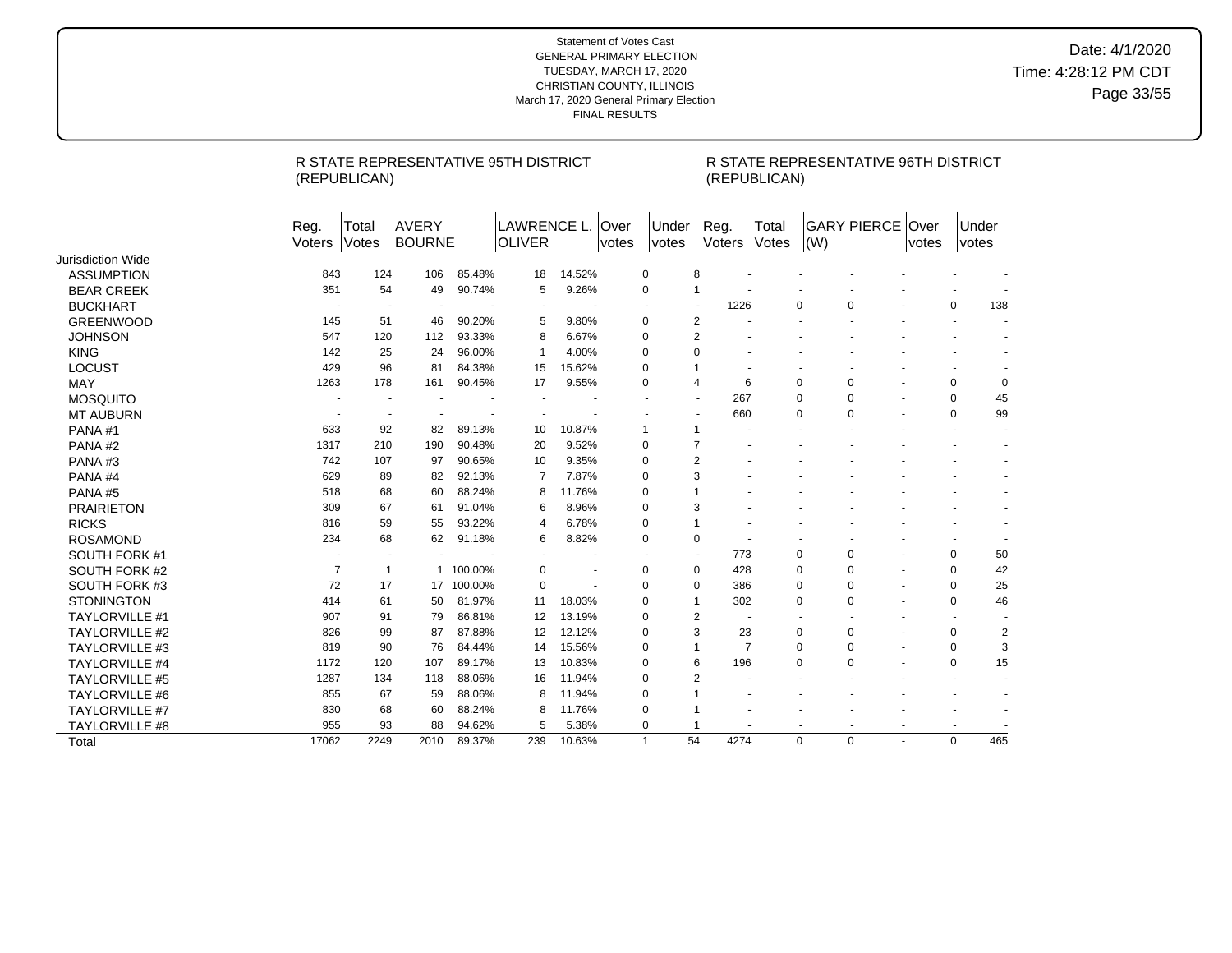|                       |                |                          | R STATE REPRESENTATIVE 95TH DISTRICT |            |                |        |             |                          |                |                          | R STATE REPRESENTATIVE 96TH DISTRICT |                |                      |                          |                         |
|-----------------------|----------------|--------------------------|--------------------------------------|------------|----------------|--------|-------------|--------------------------|----------------|--------------------------|--------------------------------------|----------------|----------------------|--------------------------|-------------------------|
|                       |                | (REPUBLICAN)             |                                      |            |                |        |             |                          |                | (REPUBLICAN)             |                                      |                |                      |                          |                         |
|                       |                |                          |                                      |            |                |        |             |                          |                |                          |                                      |                |                      |                          |                         |
|                       | Reg.           | Total                    | AVERY                                |            | LAWRENCE L.    |        | <b>Over</b> | Under                    | Reg.           | Total                    | <b>GARY PIERCE</b>                   |                | lOver                | Under                    |                         |
|                       | <b>Voters</b>  | Votes                    | <b>BOURNE</b>                        |            | <b>OLIVER</b>  |        | votes       | <i>votes</i>             | Voters         | Votes                    | (W)                                  |                | votes                | votes                    |                         |
| Jurisdiction Wide     |                |                          |                                      |            |                |        |             |                          |                |                          |                                      |                |                      |                          |                         |
| <b>ASSUMPTION</b>     | 843            | 124                      | 106                                  | 85.48%     | 18             | 14.52% |             | 0<br>8                   |                |                          |                                      |                |                      |                          |                         |
| <b>BEAR CREEK</b>     | 351            | 54                       | 49                                   | 90.74%     | 5              | 9.26%  |             | $\pmb{0}$                |                |                          |                                      |                |                      |                          |                         |
| <b>BUCKHART</b>       |                |                          |                                      |            |                |        |             |                          | 1226           |                          | 0<br>$\mathbf 0$                     |                |                      | $\mathbf 0$              | 138                     |
| <b>GREENWOOD</b>      | 145            | 51                       | 46                                   | 90.20%     | 5              | 9.80%  |             | 0<br>2                   |                |                          |                                      |                |                      |                          |                         |
| <b>JOHNSON</b>        | 547            | 120                      | 112                                  | 93.33%     | 8              | 6.67%  |             | $\mathbf 0$<br>2         |                |                          |                                      |                |                      |                          |                         |
| <b>KING</b>           | 142            | 25                       | 24                                   | 96.00%     | $\mathbf{1}$   | 4.00%  |             | 0                        |                |                          |                                      |                |                      |                          |                         |
| <b>LOCUST</b>         | 429            | 96                       | 81                                   | 84.38%     | 15             | 15.62% |             | $\mathbf 0$              |                |                          |                                      |                |                      |                          |                         |
| <b>MAY</b>            | 1263           | 178                      | 161                                  | 90.45%     | 17             | 9.55%  |             | 0                        | 6              |                          | 0<br>$\mathbf 0$                     |                |                      | 0                        |                         |
| <b>MOSQUITO</b>       |                | $\blacksquare$           |                                      |            |                |        |             |                          | 267            | $\mathbf 0$              | $\mathbf 0$                          | $\sim$         |                      | $\mathbf 0$              | 45                      |
| <b>MT AUBURN</b>      |                |                          |                                      |            |                |        |             |                          | 660            |                          | 0<br>$\Omega$                        |                |                      | 0                        | 99                      |
| PANA#1                | 633            | 92                       | 82                                   | 89.13%     | 10             | 10.87% |             | $\mathbf{1}$             |                |                          |                                      |                |                      | $\ddot{\phantom{1}}$     |                         |
| PANA#2                | 1317           | 210                      | 190                                  | 90.48%     | 20             | 9.52%  |             | $\mathbf 0$              |                |                          |                                      |                |                      |                          |                         |
| PANA#3                | 742            | 107                      | 97                                   | 90.65%     | 10             | 9.35%  |             | 0<br>2                   |                |                          |                                      |                |                      |                          |                         |
| PANA#4                | 629            | 89                       | 82                                   | 92.13%     | $\overline{7}$ | 7.87%  |             | 0<br>3                   |                |                          |                                      |                |                      |                          |                         |
| PANA#5                | 518            | 68                       | 60                                   | 88.24%     | 8              | 11.76% |             | 0                        |                |                          |                                      |                |                      |                          |                         |
| <b>PRAIRIETON</b>     | 309            | 67                       | 61                                   | 91.04%     | 6              | 8.96%  |             | 0                        |                |                          |                                      |                |                      |                          |                         |
| <b>RICKS</b>          | 816            | 59                       | 55                                   | 93.22%     | $\overline{4}$ | 6.78%  |             | $\mathbf 0$              |                |                          |                                      |                |                      |                          |                         |
| <b>ROSAMOND</b>       | 234            | 68                       | 62                                   | 91.18%     | 6              | 8.82%  |             | 0<br>$\Omega$            |                |                          |                                      |                |                      |                          |                         |
| SOUTH FORK #1         |                | $\overline{\phantom{a}}$ |                                      |            | $\blacksquare$ |        |             | $\overline{\phantom{a}}$ | 773            |                          | 0<br>$\mathbf 0$                     | $\blacksquare$ |                      | 0                        | 50                      |
| SOUTH FORK #2         | $\overline{7}$ | $\mathbf{1}$             |                                      | 1 100.00%  | $\mathbf 0$    |        |             | 0<br>$\Omega$            | 428            | $\mathbf 0$              | 0                                    | $\blacksquare$ |                      | $\mathbf 0$              | 42                      |
| SOUTH FORK #3         | 72             | 17                       |                                      | 17 100.00% | $\mathbf 0$    |        |             | $\mathbf 0$<br>$\Omega$  | 386            |                          | 0<br>0                               | $\blacksquare$ |                      | $\mathbf 0$              | 25                      |
| <b>STONINGTON</b>     | 414            | 61                       | 50                                   | 81.97%     | 11             | 18.03% |             | $\mathbf 0$              | 302            | 0                        | 0                                    | $\blacksquare$ |                      | 0                        | 46                      |
| <b>TAYLORVILLE #1</b> | 907            | 91                       | 79                                   | 86.81%     | 12             | 13.19% |             | $\mathbf 0$<br>2         |                |                          | $\ddot{\phantom{1}}$                 |                |                      | $\overline{\phantom{a}}$ |                         |
| <b>TAYLORVILLE #2</b> | 826            | 99                       | 87                                   | 87.88%     | 12             | 12.12% |             | $\pmb{0}$<br>3           | 23             |                          | 0<br>$\pmb{0}$                       |                |                      | 0                        | $\overline{\mathbf{c}}$ |
| <b>TAYLORVILLE #3</b> | 819            | 90                       | 76                                   | 84.44%     | 14             | 15.56% |             | 0                        | $\overline{7}$ |                          | 0<br>0                               | $\sim$         |                      | 0                        |                         |
| <b>TAYLORVILLE #4</b> | 1172           | 120                      | 107                                  | 89.17%     | 13             | 10.83% |             | 0                        | 196            |                          | 0<br>$\mathbf 0$                     |                | $\ddot{\phantom{1}}$ | 0                        | 15                      |
| <b>TAYLORVILLE #5</b> | 1287           | 134                      | 118                                  | 88.06%     | 16             | 11.94% |             | 0                        |                |                          |                                      |                |                      |                          |                         |
| <b>TAYLORVILLE #6</b> | 855            | 67                       | 59                                   | 88.06%     | 8              | 11.94% |             | $\mathbf 0$              |                |                          |                                      |                |                      |                          |                         |
| <b>TAYLORVILLE #7</b> | 830            | 68                       | 60                                   | 88.24%     | 8              | 11.76% |             | $\pmb{0}$                |                |                          |                                      |                |                      | $\overline{\phantom{a}}$ |                         |
| TAYLORVILLE #8        | 955            | 93                       | 88                                   | 94.62%     | 5              | 5.38%  |             | 0                        |                | $\overline{\phantom{a}}$ | $\blacksquare$<br>$\blacksquare$     | $\blacksquare$ |                      | $\sim$                   |                         |
| Total                 | 17062          | 2249                     | 2010                                 | 89.37%     | 239            | 10.63% |             | $\mathbf{1}$<br>54       | 4274           |                          | $\Omega$<br>$\mathbf 0$              | ÷.             |                      | $\Omega$                 | 465                     |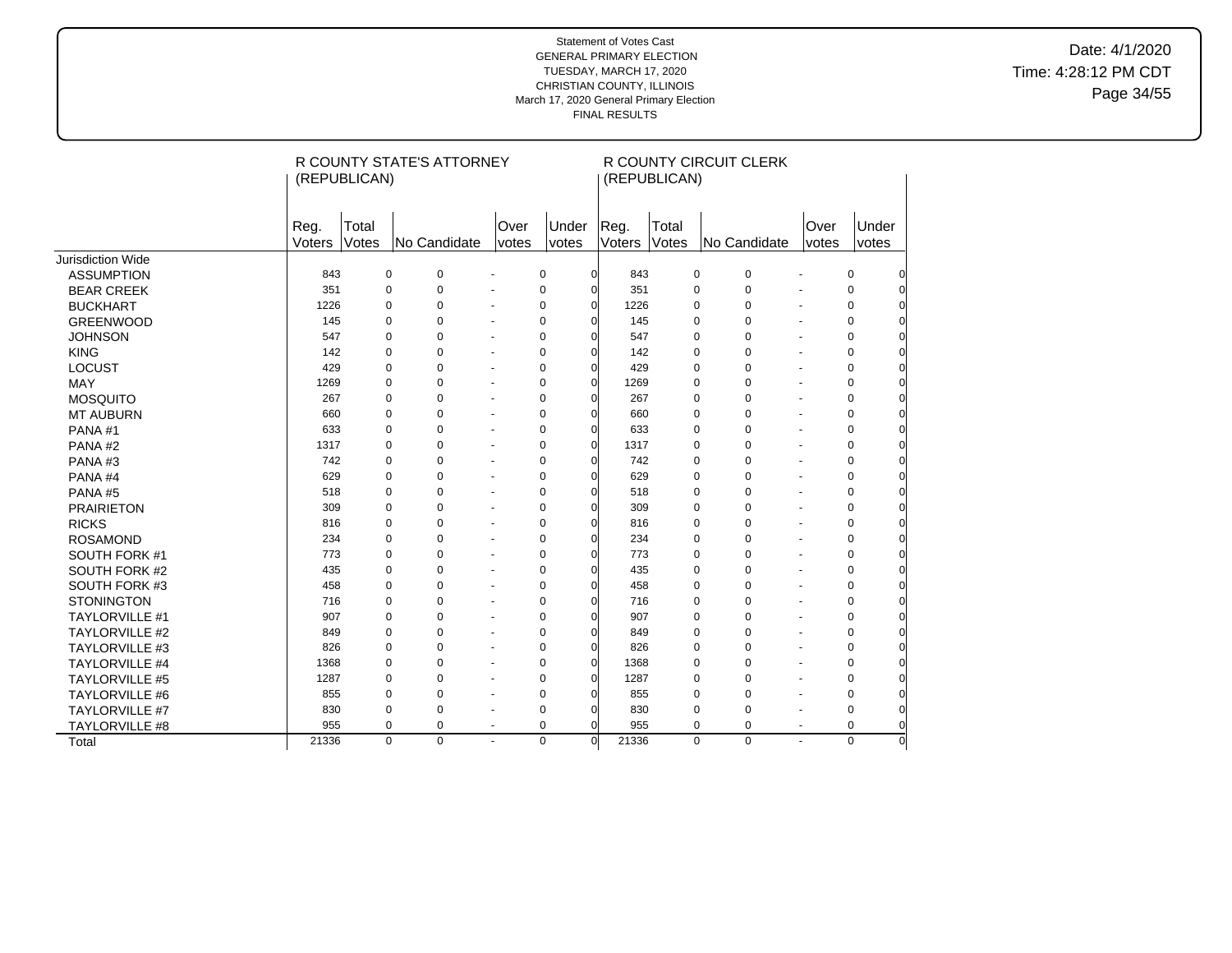Date: 4/1/2020 Time: 4:28:12 PM CDT Page 34/55

|                       |                | (REPUBLICAN)   | R COUNTY STATE'S ATTORNEY |                          |                |            |                | (REPUBLICAN)   | R COUNTY CIRCUIT CLERK |                |               |                |
|-----------------------|----------------|----------------|---------------------------|--------------------------|----------------|------------|----------------|----------------|------------------------|----------------|---------------|----------------|
|                       | Reg.<br>Voters | Total<br>Votes | No Candidate              | Over<br>votes            | Under<br>votes |            | Reg.<br>Voters | Total<br>Votes | No Candidate           |                | Over<br>votes | Under<br>votes |
| Jurisdiction Wide     |                |                |                           |                          |                |            |                |                |                        |                |               |                |
| <b>ASSUMPTION</b>     | 843            | 0              | $\Omega$                  |                          | $\mathbf 0$    | $\Omega$   | 843            | 0              | $\mathbf 0$            |                | $\mathbf 0$   |                |
| <b>BEAR CREEK</b>     | 351            | 0              | 0                         |                          | $\mathbf 0$    | $\Omega$   | 351            | 0              | $\mathbf 0$            |                | 0             |                |
| <b>BUCKHART</b>       | 1226           | 0              | $\Omega$                  |                          | $\mathbf 0$    | $\Omega$   | 1226           | 0              | 0                      |                | $\mathbf 0$   |                |
| <b>GREENWOOD</b>      | 145            | $\mathbf 0$    | 0                         |                          | $\mathbf 0$    | $\Omega$   | 145            | 0              | $\pmb{0}$              |                | 0             | O              |
| <b>JOHNSON</b>        | 547            | 0              | $\Omega$                  |                          | $\mathbf 0$    | $\Omega$   | 547            | 0              | 0                      |                | $\mathbf 0$   | 0              |
| <b>KING</b>           | 142            | $\mathbf 0$    | 0                         |                          | $\mathbf 0$    | $\Omega$   | 142            | 0              | 0                      |                | $\mathbf 0$   | 0              |
| <b>LOCUST</b>         | 429            | $\mathbf 0$    | 0                         | ÷.                       | $\mathbf 0$    | $\Omega$   | 429            | 0              | 0                      |                | 0             | $\Omega$       |
| MAY                   | 1269           | 0              | 0                         |                          | $\mathbf 0$    | $\Omega$   | 1269           | 0              | 0                      |                | 0             | $\overline{0}$ |
| <b>MOSQUITO</b>       | 267            | 0              | 0                         |                          | $\mathbf 0$    | $\sqrt{ }$ | 267            | $\mathbf 0$    | 0                      |                | 0             | $\overline{0}$ |
| <b>MT AUBURN</b>      | 660            | $\Omega$       | $\Omega$                  | ÷,                       | $\mathbf 0$    | $\sqrt{ }$ | 660            | 0              | 0                      |                | 0             | $\Omega$       |
| PANA#1                | 633            | $\mathbf 0$    | 0                         | $\ddot{\phantom{1}}$     | $\mathbf 0$    | $\Omega$   | 633            | 0              | 0                      |                | $\mathbf 0$   | $\Omega$       |
| PANA#2                | 1317           | $\Omega$       | 0                         | $\blacksquare$           | $\mathbf 0$    | $\Omega$   | 1317           | 0              | 0                      |                | $\mathbf 0$   | 0              |
| PANA#3                | 742            | $\mathbf 0$    | 0                         |                          | $\mathbf 0$    | C          | 742            | 0              | 0                      |                | $\pmb{0}$     | 0              |
| PANA#4                | 629            | $\Omega$       | 0                         |                          | $\mathbf 0$    | $\sqrt{ }$ | 629            | 0              | 0                      |                | $\mathbf 0$   | 0              |
| PANA#5                | 518            | $\mathbf 0$    | 0                         |                          | $\mathbf 0$    | $\sqrt{ }$ | 518            | 0              | 0                      |                | $\mathbf 0$   | $\overline{0}$ |
| <b>PRAIRIETON</b>     | 309            | $\Omega$       | $\Omega$                  | $\ddot{\phantom{1}}$     | $\mathbf 0$    | $\sqrt{ }$ | 309            | 0              | 0                      |                | $\mathbf 0$   | 0              |
| <b>RICKS</b>          | 816            | $\mathbf 0$    | 0                         | $\ddot{\phantom{1}}$     | $\mathbf 0$    | $\sqrt{ }$ | 816            | 0              | 0                      |                | $\mathbf 0$   | 0              |
| <b>ROSAMOND</b>       | 234            | $\mathbf 0$    | 0                         | $\overline{\phantom{a}}$ | $\mathbf 0$    | $\sqrt{ }$ | 234            | 0              | 0                      |                | $\mathbf 0$   | 0              |
| SOUTH FORK #1         | 773            | $\mathbf 0$    | 0                         | ÷.                       | $\mathbf 0$    | $\sqrt{ }$ | 773            | 0              | $\mathbf 0$            |                | $\mathbf 0$   | 0              |
| SOUTH FORK #2         | 435            | $\mathbf 0$    | $\Omega$                  |                          | $\mathbf 0$    | $\sqrt{ }$ | 435            | 0              | $\mathbf 0$            |                | $\mathbf 0$   | $\Omega$       |
| SOUTH FORK #3         | 458            | $\Omega$       | $\Omega$                  |                          | $\Omega$       | $\Omega$   | 458            | 0              | $\Omega$               |                | $\Omega$      |                |
| <b>STONINGTON</b>     | 716            | $\mathbf 0$    | $\Omega$                  |                          | $\mathbf 0$    | $\Omega$   | 716            | $\overline{0}$ | $\mathbf 0$            |                | $\mathbf 0$   |                |
| <b>TAYLORVILLE #1</b> | 907            | 0              | $\Omega$                  |                          | $\mathbf 0$    | $\Omega$   | 907            | 0              | $\mathbf 0$            |                | $\mathbf 0$   |                |
| <b>TAYLORVILLE #2</b> | 849            | 0              | 0                         |                          | $\mathbf 0$    | $\Omega$   | 849            | 0              | $\mathbf 0$            |                | $\mathbf 0$   |                |
| TAYLORVILLE #3        | 826            | $\mathbf 0$    | $\Omega$                  |                          | $\mathbf 0$    | $\Omega$   | 826            | 0              | $\mathbf 0$            |                | $\mathbf 0$   | 0              |
| <b>TAYLORVILLE #4</b> | 1368           | $\mathbf 0$    | 0                         |                          | $\mathbf 0$    | $\Omega$   | 1368           | 0              | 0                      |                | $\mathbf 0$   | 0              |
| <b>TAYLORVILLE #5</b> | 1287           | $\mathbf 0$    | 0                         | $\ddot{\phantom{1}}$     | $\mathbf 0$    | $\Omega$   | 1287           | 0              | 0                      | ÷.             | 0             | $\Omega$       |
| <b>TAYLORVILLE #6</b> | 855            | $\mathbf 0$    | 0                         | ÷.                       | $\mathbf 0$    | $\Omega$   | 855            | 0              | 0                      |                | $\mathbf 0$   | $\overline{0}$ |
| <b>TAYLORVILLE #7</b> | 830            | $\pmb{0}$      | 0                         | $\ddot{\phantom{1}}$     | $\mathbf 0$    | $\Omega$   | 830            | 0              | 0                      |                | $\pmb{0}$     | $\overline{0}$ |
| TAYLORVILLE #8        | 955            | $\mathbf 0$    | 0                         | $\blacksquare$           | $\mathbf 0$    | $\Omega$   | 955            | 0              | 0                      | $\overline{a}$ | $\mathbf 0$   | $\Omega$       |
| Total                 | 21336          | $\mathbf 0$    | $\Omega$                  | ÷.                       | $\mathbf 0$    | $\Omega$   | 21336          | $\overline{0}$ | $\overline{0}$         |                | $\Omega$      | $\Omega$       |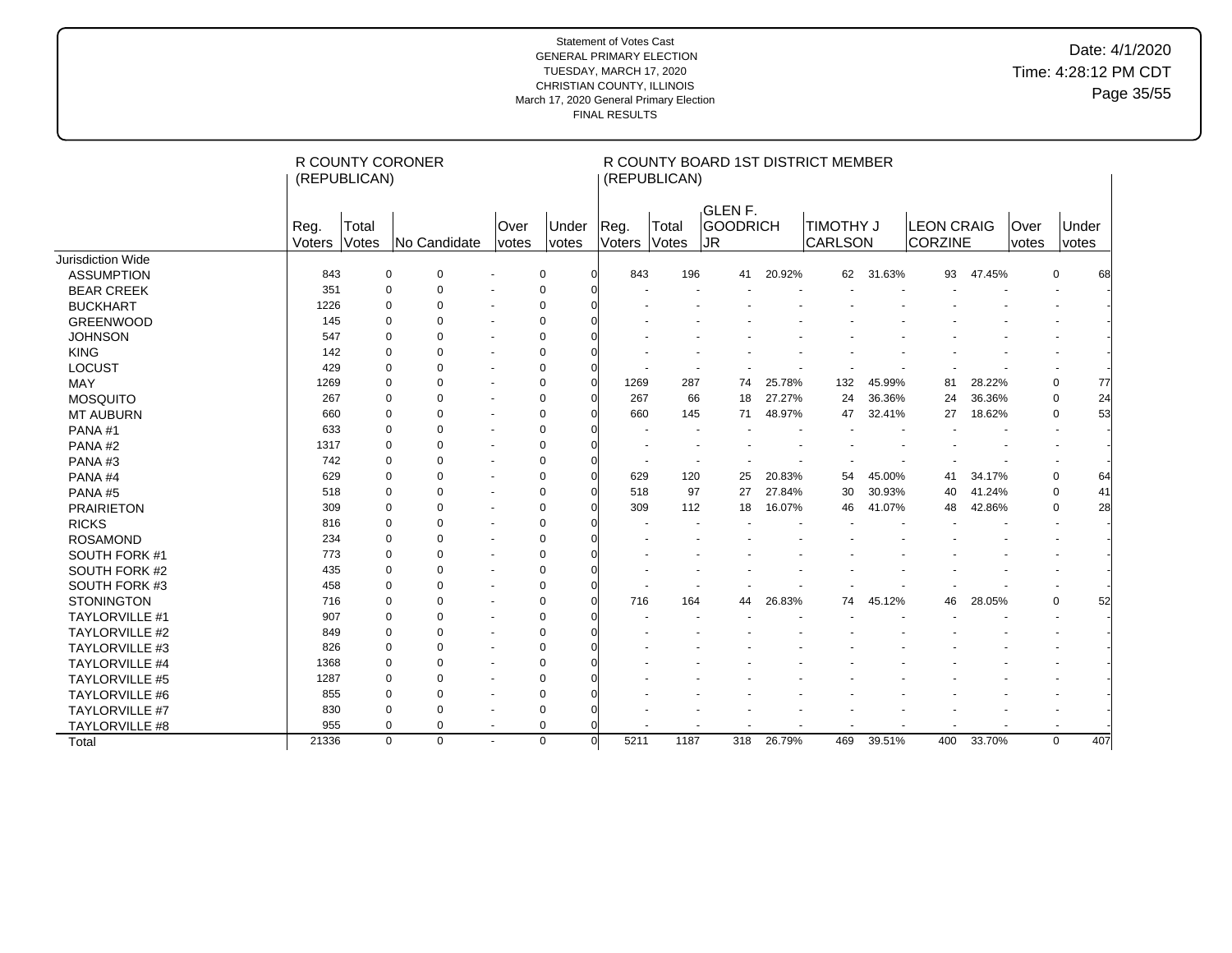# Date: 4/1/2020 Time: 4:28:12 PM CDT Page 35/55

|                       |                | (REPUBLICAN)   | R COUNTY CORONER           |                          |                       |          |                | (REPUBLICAN)   |                            |        | R COUNTY BOARD 1ST DISTRICT MEMBER |        |                                     |        |                             |                          |       |
|-----------------------|----------------|----------------|----------------------------|--------------------------|-----------------------|----------|----------------|----------------|----------------------------|--------|------------------------------------|--------|-------------------------------------|--------|-----------------------------|--------------------------|-------|
|                       | Reg.<br>Voters | Total<br>Votes | No Candidate               | Over<br>votes            | Under<br><i>votes</i> |          | Reg.<br>Voters | Total<br>Votes | GLEN F.<br>GOODRICH<br> JR |        | <b>TIMOTHY J</b><br>CARLSON        |        | <b>LEON CRAIG</b><br><b>CORZINE</b> |        | <b>Over</b><br><i>votes</i> | votes                    | Under |
| Jurisdiction Wide     |                |                |                            |                          |                       |          |                |                |                            |        |                                    |        |                                     |        |                             |                          |       |
| <b>ASSUMPTION</b>     | 843            |                | $\mathbf 0$<br>$\mathbf 0$ |                          | $\mathbf 0$           |          | 843            | 196            | 41                         | 20.92% | 62                                 | 31.63% | 93                                  | 47.45% |                             | $\mathbf 0$              | 68    |
| <b>BEAR CREEK</b>     | 351            |                | 0<br>$\Omega$              |                          | $\mathbf 0$           |          |                |                |                            |        |                                    |        |                                     |        |                             |                          |       |
| <b>BUCKHART</b>       | 1226           |                | $\Omega$<br>$\Omega$       |                          | $\mathbf 0$           |          |                |                |                            |        |                                    |        |                                     |        |                             |                          |       |
| <b>GREENWOOD</b>      | 145            |                | $\Omega$<br>$\Omega$       | $\overline{\phantom{a}}$ | 0                     |          |                |                |                            |        |                                    |        |                                     |        |                             |                          |       |
| <b>JOHNSON</b>        | 547            |                | $\Omega$<br>$\Omega$       | $\blacksquare$           | $\mathbf 0$           |          |                |                |                            |        |                                    |        |                                     |        |                             |                          |       |
| <b>KING</b>           | 142            |                | $\Omega$<br>$\Omega$       | $\overline{\phantom{a}}$ | $\mathbf 0$           |          |                |                |                            |        |                                    |        |                                     |        |                             |                          |       |
| <b>LOCUST</b>         | 429            |                | $\Omega$<br>$\Omega$       | $\ddot{\phantom{1}}$     | 0                     |          |                |                |                            |        |                                    |        |                                     |        |                             |                          |       |
| MAY                   | 1269           |                | $\Omega$<br>O              | $\overline{\phantom{a}}$ | $\mathbf 0$           |          | 1269           | 287            | 74                         | 25.78% | 132                                | 45.99% | 81                                  | 28.22% |                             | 0                        | 77    |
| <b>MOSQUITO</b>       | 267            |                | $\Omega$<br>O              |                          | 0                     |          | 267            | 66             | 18                         | 27.27% | 24                                 | 36.36% | 24                                  | 36.36% |                             | $\mathbf 0$              | 24    |
| <b>MT AUBURN</b>      | 660            |                | $\mathbf 0$<br>$\Omega$    |                          | $\mathbf 0$           |          | 660            | 145            | 71                         | 48.97% | 47                                 | 32.41% | 27                                  | 18.62% |                             | 0                        | 53    |
| PANA#1                | 633            |                | $\Omega$<br>O              | $\overline{a}$           | $\Omega$              |          |                |                |                            |        |                                    |        |                                     |        |                             |                          |       |
| PANA#2                | 1317           |                | $\mathbf 0$<br>0           |                          | $\mathbf 0$           |          |                |                |                            |        |                                    |        |                                     |        |                             |                          |       |
| PANA#3                | 742            |                | $\Omega$<br>$\Omega$       | $\ddot{\phantom{1}}$     | $\Omega$              |          |                |                |                            |        |                                    |        |                                     |        |                             |                          |       |
| PANA#4                | 629            |                | $\Omega$<br>O              |                          | $\Omega$              |          | 629            | 120            | 25                         | 20.83% | 54                                 | 45.00% | 41                                  | 34.17% |                             | $\mathbf 0$              | 64    |
| PANA#5                | 518            |                | $\Omega$<br>O              |                          | $\mathbf 0$           |          | 518            | 97             | 27                         | 27.84% | 30                                 | 30.93% | 40                                  | 41.24% |                             | $\mathbf 0$              | 41    |
| <b>PRAIRIETON</b>     | 309            |                | $\Omega$<br>O              |                          | 0                     |          | 309            | 112            | 18                         | 16.07% | 46                                 | 41.07% | 48                                  | 42.86% |                             | $\mathbf 0$              | 28    |
| <b>RICKS</b>          | 816            |                | $\Omega$<br>$\Omega$       |                          | $\mathbf 0$           |          |                |                |                            |        |                                    |        |                                     |        |                             | $\overline{\phantom{a}}$ |       |
| <b>ROSAMOND</b>       | 234            |                | $\Omega$<br>$\Omega$       |                          | $\mathbf 0$           |          |                |                |                            |        |                                    |        |                                     |        |                             |                          |       |
| SOUTH FORK #1         | 773            |                | $\Omega$<br>$\Omega$       |                          | $\mathbf 0$           |          |                |                |                            |        |                                    |        |                                     |        |                             |                          |       |
| SOUTH FORK #2         | 435            |                | $\Omega$<br>$\Omega$       |                          | 0                     |          |                |                |                            |        |                                    |        |                                     |        |                             |                          |       |
| SOUTH FORK #3         | 458            |                | $\Omega$<br>$\Omega$       | $\overline{\phantom{a}}$ | $\Omega$              |          |                |                |                            |        |                                    |        |                                     |        |                             |                          |       |
| <b>STONINGTON</b>     | 716            |                | $\Omega$<br>$\Omega$       |                          | $\Omega$              |          | 716            | 164            | 44                         | 26.83% | 74                                 | 45.12% | 46                                  | 28.05% |                             | $\mathbf 0$              | 52    |
| <b>TAYLORVILLE #1</b> | 907            |                | $\Omega$<br>$\Omega$       |                          | $\Omega$              |          |                |                |                            |        |                                    |        |                                     |        |                             |                          |       |
| <b>TAYLORVILLE #2</b> | 849            |                | $\Omega$<br>$\Omega$       |                          | $\Omega$              |          |                |                |                            |        |                                    |        |                                     |        |                             |                          |       |
| <b>TAYLORVILLE #3</b> | 826            |                | $\Omega$<br>$\Omega$       |                          | $\Omega$              |          |                |                |                            |        |                                    |        |                                     |        |                             |                          |       |
| <b>TAYLORVILLE #4</b> | 1368           |                | $\Omega$<br>$\Omega$       |                          | $\mathbf 0$           |          |                |                |                            |        |                                    |        |                                     |        |                             |                          |       |
| <b>TAYLORVILLE #5</b> | 1287           |                | $\Omega$<br>$\Omega$       |                          | $\Omega$              |          |                |                |                            |        |                                    |        |                                     |        |                             |                          |       |
| <b>TAYLORVILLE #6</b> | 855            |                | $\mathbf 0$<br>$\Omega$    | $\overline{\phantom{a}}$ | $\Omega$              |          |                |                |                            |        |                                    |        |                                     |        |                             |                          |       |
| TAYLORVILLE #7        | 830            |                | $\Omega$<br>0              |                          | $\Omega$              |          |                |                |                            |        |                                    |        |                                     |        |                             |                          |       |
| <b>TAYLORVILLE #8</b> | 955            |                | $\mathbf 0$<br>$\Omega$    | $\blacksquare$           | $\mathbf 0$           |          |                |                |                            |        |                                    |        |                                     |        |                             |                          |       |
| Total                 | 21336          |                | $\Omega$<br>$\mathbf 0$    |                          | $\mathbf 0$           | $\Omega$ | 5211           | 1187           | 318                        | 26.79% | 469                                | 39.51% | 400                                 | 33.70% |                             | $\mathbf 0$              | 407   |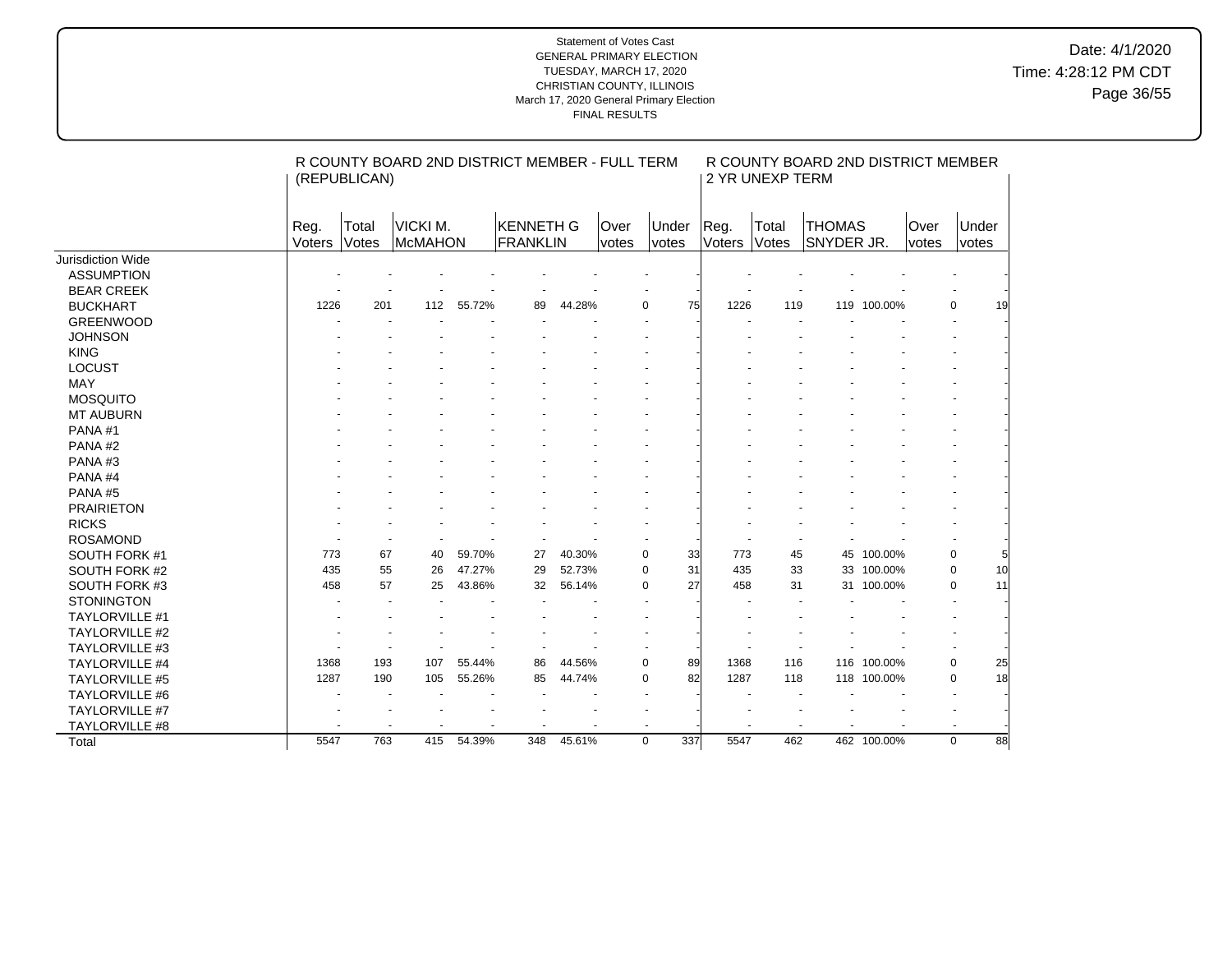|                       |                       | (REPUBLICAN)             | R COUNTY BOARD 2ND DISTRICT MEMBER - FULL TERM |        |                       |        |               |                          |                          | 2 YR UNEXP TERM          | R COUNTY BOARD 2ND DISTRICT MEMBER |             |               |                          |
|-----------------------|-----------------------|--------------------------|------------------------------------------------|--------|-----------------------|--------|---------------|--------------------------|--------------------------|--------------------------|------------------------------------|-------------|---------------|--------------------------|
|                       | Reg.<br><b>Voters</b> | Total<br>Votes           | VICKI M.<br><b>McMAHON</b>                     |        | KENNETH G<br>FRANKLIN |        | Over<br>votes | Under<br>votes           | Reg.<br>Voters           | Total<br>Votes           | <b>THOMAS</b><br>SNYDER JR.        |             | Over<br>votes | Under<br>votes           |
| Jurisdiction Wide     |                       |                          |                                                |        |                       |        |               |                          |                          |                          |                                    |             |               |                          |
| <b>ASSUMPTION</b>     |                       |                          |                                                |        |                       |        |               |                          |                          |                          |                                    |             |               |                          |
| <b>BEAR CREEK</b>     |                       |                          |                                                |        |                       |        |               |                          |                          |                          |                                    |             |               |                          |
| <b>BUCKHART</b>       | 1226                  | 201                      | 112                                            | 55.72% | 89                    | 44.28% |               | 75<br>$\mathbf 0$        | 1226                     | 119                      |                                    | 119 100.00% |               | $\mathbf 0$<br>19        |
| <b>GREENWOOD</b>      |                       |                          |                                                |        |                       |        |               |                          |                          |                          |                                    |             |               |                          |
| <b>JOHNSON</b>        |                       |                          |                                                |        |                       |        |               |                          |                          |                          |                                    |             |               |                          |
| <b>KING</b>           |                       |                          |                                                |        |                       |        |               |                          |                          |                          |                                    |             |               |                          |
| <b>LOCUST</b>         |                       |                          |                                                |        |                       |        |               |                          |                          |                          |                                    |             |               |                          |
| <b>MAY</b>            |                       |                          |                                                |        |                       |        |               |                          |                          |                          |                                    |             |               |                          |
| <b>MOSQUITO</b>       |                       |                          |                                                |        |                       |        |               |                          |                          |                          |                                    |             |               |                          |
| <b>MT AUBURN</b>      |                       |                          |                                                |        |                       |        |               |                          |                          |                          |                                    |             |               |                          |
| PANA#1                |                       |                          |                                                |        |                       |        |               |                          |                          |                          |                                    |             |               |                          |
| PANA#2                |                       |                          |                                                |        |                       |        |               |                          |                          |                          |                                    |             |               |                          |
| PANA#3                |                       |                          |                                                |        |                       |        |               |                          |                          |                          |                                    |             |               |                          |
| PANA#4                |                       |                          |                                                |        |                       |        |               |                          |                          |                          |                                    |             |               |                          |
| PANA#5                |                       |                          |                                                |        |                       |        |               |                          |                          |                          |                                    |             |               |                          |
| <b>PRAIRIETON</b>     |                       |                          |                                                |        |                       |        |               |                          |                          |                          |                                    |             |               |                          |
| <b>RICKS</b>          |                       |                          |                                                |        |                       |        |               |                          |                          |                          |                                    |             |               |                          |
| <b>ROSAMOND</b>       |                       |                          |                                                |        |                       |        |               |                          |                          |                          |                                    |             |               |                          |
| SOUTH FORK #1         | 773                   | 67                       | 40                                             | 59.70% | 27                    | 40.30% |               | $\pmb{0}$<br>33          | 773                      | 45                       |                                    | 45 100.00%  |               | 0                        |
| SOUTH FORK #2         | 435                   | 55                       | 26                                             | 47.27% | 29                    | 52.73% |               | $\mathbf 0$<br>31        | 435                      | 33                       |                                    | 33 100.00%  |               | 10<br>$\mathbf 0$        |
| SOUTH FORK #3         | 458                   | 57                       | 25                                             | 43.86% | 32                    | 56.14% |               | 27<br>$\Omega$           | 458                      | 31                       |                                    | 31 100.00%  |               | $\mathbf 0$<br>11        |
| <b>STONINGTON</b>     |                       |                          |                                                |        |                       |        |               |                          |                          |                          |                                    |             |               |                          |
| <b>TAYLORVILLE #1</b> |                       |                          |                                                |        |                       |        |               |                          |                          |                          |                                    |             |               |                          |
| <b>TAYLORVILLE #2</b> |                       |                          |                                                |        |                       |        |               |                          |                          |                          |                                    |             |               |                          |
| TAYLORVILLE #3        |                       |                          |                                                |        |                       |        |               |                          |                          |                          |                                    |             |               |                          |
| <b>TAYLORVILLE #4</b> | 1368                  | 193                      | 107                                            | 55.44% | 86                    | 44.56% |               | $\pmb{0}$<br>89          | 1368                     | 116                      |                                    | 116 100.00% |               | 0<br>25                  |
| <b>TAYLORVILLE #5</b> | 1287                  | 190                      | 105                                            | 55.26% | 85                    | 44.74% |               | 82<br>0                  | 1287                     | 118                      |                                    | 118 100.00% |               | 18<br>0                  |
| <b>TAYLORVILLE #6</b> |                       |                          |                                                |        |                       |        |               | $\blacksquare$           |                          |                          |                                    |             |               | $\overline{\phantom{a}}$ |
| TAYLORVILLE #7        |                       |                          |                                                |        |                       |        |               |                          |                          |                          |                                    |             |               |                          |
| TAYLORVILLE #8        |                       | $\overline{\phantom{a}}$ | $\overline{\phantom{a}}$                       |        |                       |        |               | $\overline{\phantom{a}}$ | $\overline{\phantom{a}}$ | $\overline{\phantom{a}}$ |                                    |             |               | $\blacksquare$           |
| Total                 | 5547                  | 763                      | 415                                            | 54.39% | 348                   | 45.61% |               | $\mathbf 0$<br>337       | 5547                     | 462                      |                                    | 462 100.00% |               | $\mathbf 0$<br>88        |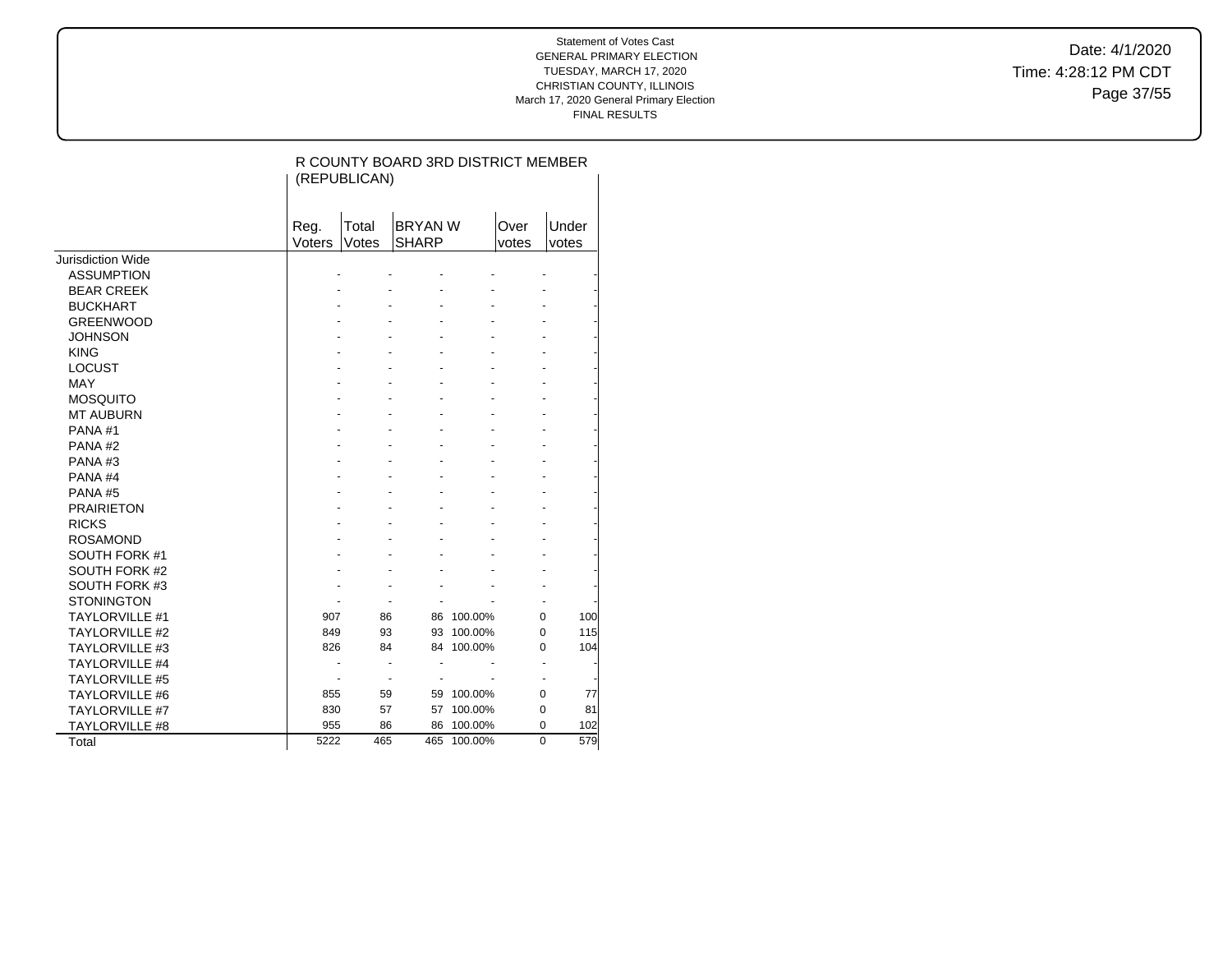Date: 4/1/2020 Time: 4:28:12 PM CDT Page 37/55

|                       |                | (REPUBLICAN)             | R COUNTY BOARD 3RD DISTRICT MEMBER |             |               |                |
|-----------------------|----------------|--------------------------|------------------------------------|-------------|---------------|----------------|
|                       | Reg.<br>Voters | Total<br>Votes           | <b>BRYAN W</b><br><b>SHARP</b>     |             | Over<br>votes | Under<br>votes |
| Jurisdiction Wide     |                |                          |                                    |             |               |                |
| <b>ASSUMPTION</b>     |                |                          |                                    |             |               |                |
| <b>BEAR CREEK</b>     |                |                          |                                    |             |               |                |
| <b>BUCKHART</b>       |                |                          |                                    |             |               |                |
| <b>GREENWOOD</b>      |                |                          |                                    |             |               |                |
| <b>JOHNSON</b>        |                |                          |                                    |             |               |                |
| <b>KING</b>           |                |                          |                                    |             |               |                |
| <b>LOCUST</b>         |                |                          |                                    |             |               |                |
| <b>MAY</b>            |                |                          |                                    |             |               |                |
| <b>MOSQUITO</b>       |                |                          |                                    |             |               |                |
| <b>MT AUBURN</b>      |                |                          |                                    |             |               |                |
| PANA#1                |                |                          |                                    |             |               |                |
| PANA <sub>#2</sub>    |                |                          |                                    |             |               |                |
| PANA#3                |                |                          |                                    |             |               |                |
| PANA#4                |                |                          |                                    |             |               |                |
| PANA#5                |                |                          |                                    |             |               |                |
| <b>PRAIRIETON</b>     |                |                          |                                    |             |               |                |
| <b>RICKS</b>          |                |                          |                                    |             |               |                |
| <b>ROSAMOND</b>       |                |                          |                                    |             |               |                |
| SOUTH FORK #1         |                |                          |                                    |             |               |                |
| SOUTH FORK #2         |                |                          |                                    |             |               |                |
| SOUTH FORK #3         |                |                          |                                    |             |               |                |
| <b>STONINGTON</b>     |                |                          |                                    |             |               |                |
| <b>TAYLORVILLE #1</b> | 907            | 86                       |                                    | 86 100.00%  | 0             | 100            |
| <b>TAYLORVILLE #2</b> | 849            | 93                       | 93                                 | 100.00%     | 0             | 115            |
| <b>TAYLORVILLE #3</b> | 826            | 84                       |                                    | 84 100.00%  | 0             | 104            |
| <b>TAYLORVILLE #4</b> |                |                          |                                    |             |               |                |
| <b>TAYLORVILLE #5</b> | $\blacksquare$ | $\overline{\phantom{a}}$ |                                    |             |               |                |
| <b>TAYLORVILLE #6</b> | 855            | 59                       |                                    | 59 100.00%  | 0             | 77             |
| TAYLORVILLE #7        | 830            | 57                       | 57                                 | 100.00%     | 0             | 81             |
| TAYLORVILLE #8        | 955            | 86                       | 86                                 | 100.00%     | 0             | 102            |
| Total                 | 5222           | 465                      |                                    | 465 100.00% | $\Omega$      | 579            |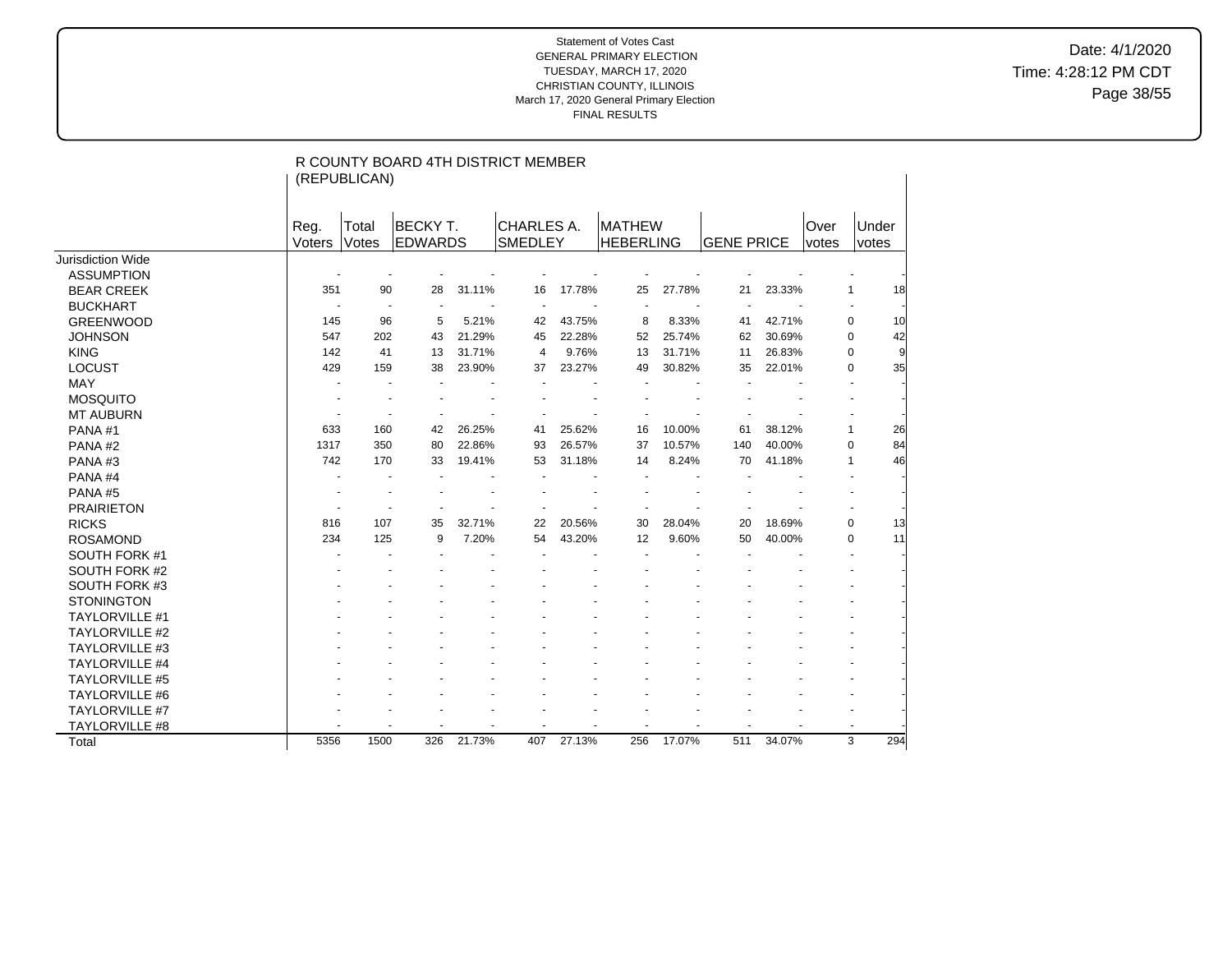Date: 4/1/2020 Time: 4:28:12 PM CDT Page 38/55

|                       | R COUNTY BOARD 4TH DISTRICT MEMBER<br>(REPUBLICAN) |       |                |        |                |        |                  |        |                   |        |       |                   |  |  |
|-----------------------|----------------------------------------------------|-------|----------------|--------|----------------|--------|------------------|--------|-------------------|--------|-------|-------------------|--|--|
|                       | Reg.                                               | Total | <b>BECKYT.</b> |        | CHARLES A.     |        | MATHEW           |        |                   |        | Over  | Under             |  |  |
|                       | Voters                                             | Votes | <b>EDWARDS</b> |        | <b>SMEDLEY</b> |        | <b>HEBERLING</b> |        | <b>GENE PRICE</b> |        | votes | votes             |  |  |
| Jurisdiction Wide     |                                                    |       |                |        |                |        |                  |        |                   |        |       |                   |  |  |
| <b>ASSUMPTION</b>     |                                                    |       |                |        |                |        |                  |        |                   |        |       |                   |  |  |
| <b>BEAR CREEK</b>     | 351                                                | 90    | 28             | 31.11% | 16             | 17.78% | 25               | 27.78% | 21                | 23.33% |       | 18<br>$\mathbf 1$ |  |  |
| <b>BUCKHART</b>       |                                                    |       |                |        |                |        |                  |        |                   |        |       |                   |  |  |
| <b>GREENWOOD</b>      | 145                                                | 96    | 5              | 5.21%  | 42             | 43.75% | 8                | 8.33%  | 41                | 42.71% |       | 0<br>10           |  |  |
| <b>JOHNSON</b>        | 547                                                | 202   | 43             | 21.29% | 45             | 22.28% | 52               | 25.74% | 62                | 30.69% |       | 42<br>0           |  |  |
| <b>KING</b>           | 142                                                | 41    | 13             | 31.71% | 4              | 9.76%  | 13               | 31.71% | 11                | 26.83% |       | $\mathbf 0$<br>9  |  |  |
| <b>LOCUST</b>         | 429                                                | 159   | 38             | 23.90% | 37             | 23.27% | 49               | 30.82% | 35                | 22.01% |       | 35<br>0           |  |  |
| MAY                   |                                                    |       |                |        |                |        |                  |        |                   |        |       |                   |  |  |
| <b>MOSQUITO</b>       |                                                    |       |                |        |                |        |                  |        |                   |        |       |                   |  |  |
| <b>MT AUBURN</b>      |                                                    |       |                |        |                |        |                  |        |                   |        |       |                   |  |  |
| PANA#1                | 633                                                | 160   | 42             | 26.25% | 41             | 25.62% | 16               | 10.00% | 61                | 38.12% |       | $\mathbf 1$<br>26 |  |  |
| PANA#2                | 1317                                               | 350   | 80             | 22.86% | 93             | 26.57% | 37               | 10.57% | 140               | 40.00% |       | 84<br>0           |  |  |
| PANA#3                | 742                                                | 170   | 33             | 19.41% | 53             | 31.18% | 14               | 8.24%  | 70                | 41.18% |       | 46<br>1           |  |  |
| PANA#4                |                                                    |       |                |        |                |        |                  |        |                   |        |       |                   |  |  |
| PANA#5                |                                                    |       |                |        |                |        |                  |        |                   |        |       |                   |  |  |
| <b>PRAIRIETON</b>     |                                                    |       |                |        |                |        |                  |        |                   |        |       |                   |  |  |
| <b>RICKS</b>          | 816                                                | 107   | 35             | 32.71% | 22             | 20.56% | 30               | 28.04% | 20                | 18.69% |       | 0<br>13           |  |  |
| <b>ROSAMOND</b>       | 234                                                | 125   | 9              | 7.20%  | 54             | 43.20% | 12               | 9.60%  | 50                | 40.00% |       | 11<br>0           |  |  |
| SOUTH FORK #1         |                                                    |       |                |        |                |        |                  |        |                   |        |       |                   |  |  |
| SOUTH FORK #2         |                                                    |       |                |        |                |        |                  |        |                   |        |       |                   |  |  |
| SOUTH FORK #3         |                                                    |       |                |        |                |        |                  |        |                   |        |       |                   |  |  |
| <b>STONINGTON</b>     |                                                    |       |                |        |                |        |                  |        |                   |        |       |                   |  |  |
| <b>TAYLORVILLE #1</b> |                                                    |       |                |        |                |        |                  |        |                   |        |       |                   |  |  |
| <b>TAYLORVILLE #2</b> |                                                    |       |                |        |                |        |                  |        |                   |        |       |                   |  |  |
| <b>TAYLORVILLE #3</b> |                                                    |       |                |        |                |        |                  |        |                   |        |       |                   |  |  |
| TAYLORVILLE #4        |                                                    |       |                |        |                |        |                  |        |                   |        |       |                   |  |  |
| <b>TAYLORVILLE #5</b> |                                                    |       |                |        |                |        |                  |        |                   |        |       |                   |  |  |
| TAYLORVILLE #6        |                                                    |       |                |        |                |        |                  |        |                   |        |       |                   |  |  |
| <b>TAYLORVILLE #7</b> |                                                    |       |                |        |                |        |                  |        |                   |        |       |                   |  |  |
| TAYLORVILLE #8        |                                                    |       |                |        |                |        |                  |        |                   |        |       |                   |  |  |
| Total                 | 5356                                               | 1500  | 326            | 21.73% | 407            | 27.13% | 256              | 17.07% | 511               | 34.07% |       | 3<br>294          |  |  |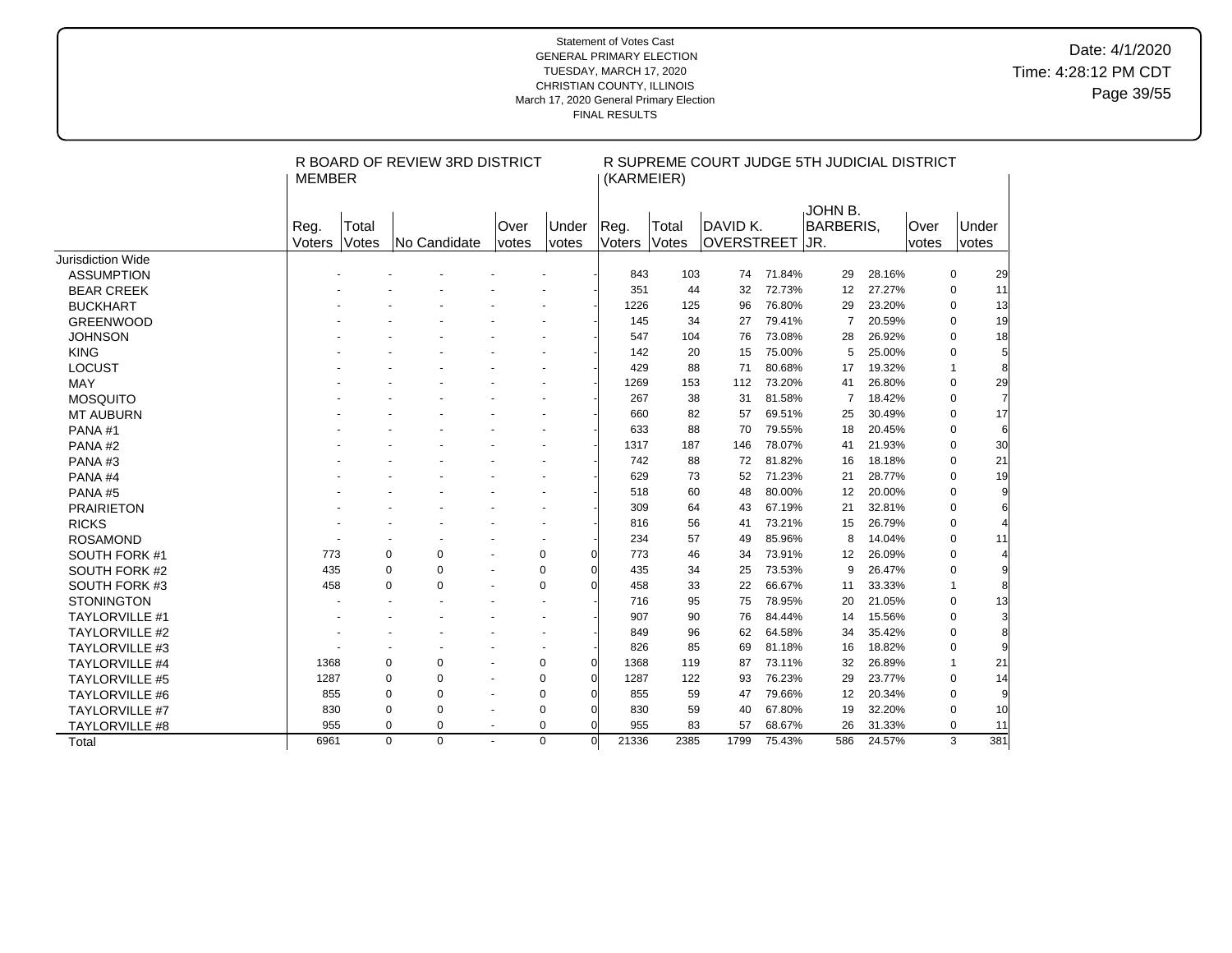# Date: 4/1/2020 Time: 4:28:12 PM CDT Page 39/55

|                       | MEMBER         |                | R BOARD OF REVIEW 3RD DISTRICT |                          |                | (KARMEIER)             |                | R SUPREME COURT JUDGE 5TH JUDICIAL DISTRICT |        |                                      |        |               |              |                |
|-----------------------|----------------|----------------|--------------------------------|--------------------------|----------------|------------------------|----------------|---------------------------------------------|--------|--------------------------------------|--------|---------------|--------------|----------------|
|                       | Reg.<br>Voters | Total<br>Votes | No Candidate                   | Over<br><i>votes</i>     | Under<br>votes | Reg.<br>Voters         | Total<br>Votes | DAVID K.<br>OVERSTREET                      |        | IJOHN B.<br><b>BARBERIS,</b><br>IJR. |        | Over<br>votes |              | Under<br>votes |
| Jurisdiction Wide     |                |                |                                |                          |                |                        |                |                                             |        |                                      |        |               |              |                |
| <b>ASSUMPTION</b>     |                |                |                                |                          |                | 843                    | 103            | 74                                          | 71.84% | 29                                   | 28.16% |               | 0            | 29             |
| <b>BEAR CREEK</b>     |                |                |                                |                          |                | 351                    | 44             | 32                                          | 72.73% | $12 \overline{ }$                    | 27.27% |               | $\mathbf 0$  | 11             |
| <b>BUCKHART</b>       |                |                |                                |                          |                | 1226                   | 125            | 96                                          | 76.80% | 29                                   | 23.20% |               | $\mathbf 0$  | 13             |
| <b>GREENWOOD</b>      |                |                |                                |                          |                | 145                    | 34             | 27                                          | 79.41% | $\overline{7}$                       | 20.59% |               | $\Omega$     | 19             |
| <b>JOHNSON</b>        |                |                |                                |                          |                | 547                    | 104            | 76                                          | 73.08% | 28                                   | 26.92% |               | $\mathbf 0$  | 18             |
| <b>KING</b>           |                |                |                                |                          |                | 142                    | 20             | 15                                          | 75.00% | 5                                    | 25.00% |               | $\Omega$     | 5              |
| <b>LOCUST</b>         |                |                |                                |                          |                | 429                    | 88             | 71                                          | 80.68% | 17                                   | 19.32% |               | $\mathbf{1}$ | 8              |
| <b>MAY</b>            |                |                |                                |                          |                | 1269                   | 153            | 112                                         | 73.20% | 41                                   | 26.80% |               | $\mathbf 0$  | 29             |
| <b>MOSQUITO</b>       |                |                |                                |                          |                | 267                    | 38             | 31                                          | 81.58% | 7                                    | 18.42% |               | $\mathbf 0$  | $\overline{7}$ |
| <b>MT AUBURN</b>      |                |                |                                |                          |                | 660                    | 82             | 57                                          | 69.51% | 25                                   | 30.49% |               | $\mathbf 0$  | 17             |
| PANA#1                |                |                |                                |                          |                | 633                    | 88             | 70                                          | 79.55% | 18                                   | 20.45% |               | $\mathbf 0$  | 6              |
| PANA#2                |                |                |                                |                          |                | 1317                   | 187            | 146                                         | 78.07% | 41                                   | 21.93% |               | $\mathbf 0$  | 30             |
| PANA#3                |                |                |                                |                          |                | 742                    | 88             | 72                                          | 81.82% | 16                                   | 18.18% |               | $\mathbf 0$  | 21             |
| PANA#4                |                |                |                                |                          |                | 629                    | 73             | 52                                          | 71.23% | 21                                   | 28.77% |               | $\mathbf 0$  | 19             |
| PANA#5                |                |                |                                |                          |                | 518                    | 60             | 48                                          | 80.00% | 12                                   | 20.00% |               | $\mathbf 0$  | 9              |
| <b>PRAIRIETON</b>     |                |                |                                |                          |                | 309                    | 64             | 43                                          | 67.19% | 21                                   | 32.81% |               | $\mathbf 0$  | 6              |
| <b>RICKS</b>          |                |                |                                |                          |                | 816                    | 56             | 41                                          | 73.21% | 15                                   | 26.79% |               | $\mathbf 0$  | 4              |
| <b>ROSAMOND</b>       |                |                |                                |                          |                | 234                    | 57             | 49                                          | 85.96% | 8                                    | 14.04% |               | $\mathbf 0$  | 11             |
| SOUTH FORK #1         | 773            |                | $\mathbf 0$<br>$\mathbf 0$     | $\sim$                   | $\mathbf 0$    | $\Omega$<br>773        | 46             | 34                                          | 73.91% | 12                                   | 26.09% |               | $\mathbf 0$  | 4              |
| SOUTH FORK #2         | 435            |                | $\mathbf 0$<br>$\pmb{0}$       | $\sim$                   | $\pmb{0}$      | $\overline{0}$<br>435  | 34             | 25                                          | 73.53% | 9                                    | 26.47% |               | $\mathbf 0$  | 9              |
| SOUTH FORK #3         | 458            |                | $\Omega$<br>$\mathbf 0$        | $\blacksquare$           | $\mathbf 0$    | $\Omega$<br>458        | 33             | 22                                          | 66.67% | 11                                   | 33.33% |               | $\mathbf{1}$ | 8              |
| <b>STONINGTON</b>     |                |                |                                |                          | $\sim$         | 716                    | 95             | 75                                          | 78.95% | 20                                   | 21.05% |               | $\mathbf 0$  | 13             |
| <b>TAYLORVILLE #1</b> |                |                |                                |                          |                | 907                    | 90             | 76                                          | 84.44% | 14                                   | 15.56% |               | $\Omega$     | 3              |
| <b>TAYLORVILLE #2</b> |                |                |                                |                          |                | 849                    | 96             | 62                                          | 64.58% | 34                                   | 35.42% |               | $\mathbf 0$  | 8              |
| <b>TAYLORVILLE #3</b> |                |                |                                |                          |                | 826                    | 85             | 69                                          | 81.18% | 16                                   | 18.82% |               | $\mathbf 0$  |                |
| <b>TAYLORVILLE #4</b> | 1368           |                | $\pmb{0}$<br>$\pmb{0}$         |                          | $\mathbf 0$    | $\mathbf 0$<br>1368    | 119            | 87                                          | 73.11% | 32                                   | 26.89% |               | $\mathbf{1}$ | 21             |
| <b>TAYLORVILLE #5</b> | 1287           |                | $\mathbf 0$<br>0               | $\blacksquare$           | $\mathbf 0$    | $\overline{0}$<br>1287 | 122            | 93                                          | 76.23% | 29                                   | 23.77% |               | $\mathbf 0$  | 14             |
| <b>TAYLORVILLE #6</b> | 855            |                | $\mathbf 0$<br>0               | $\sim$                   | $\mathbf 0$    | $\overline{0}$<br>855  | 59             | 47                                          | 79.66% | 12                                   | 20.34% |               | $\mathbf 0$  | 9              |
| <b>TAYLORVILLE #7</b> | 830            |                | $\pmb{0}$<br>0                 | $\blacksquare$           | $\mathbf 0$    | $\overline{0}$<br>830  | 59             | 40                                          | 67.80% | 19                                   | 32.20% |               | 0            | 10             |
| TAYLORVILLE #8        | 955            |                | 0<br>0                         | $\overline{\phantom{a}}$ | $\mathbf 0$    | $\overline{0}$<br>955  | 83             | 57                                          | 68.67% | 26                                   | 31.33% |               | $\mathbf 0$  | 11             |
| Total                 | 6961           |                | $\Omega$<br>$\Omega$           | $\sim$                   | $\Omega$       | 21336<br>$\Omega$      | 2385           | 1799                                        | 75.43% | 586                                  | 24.57% |               | 3            | 381            |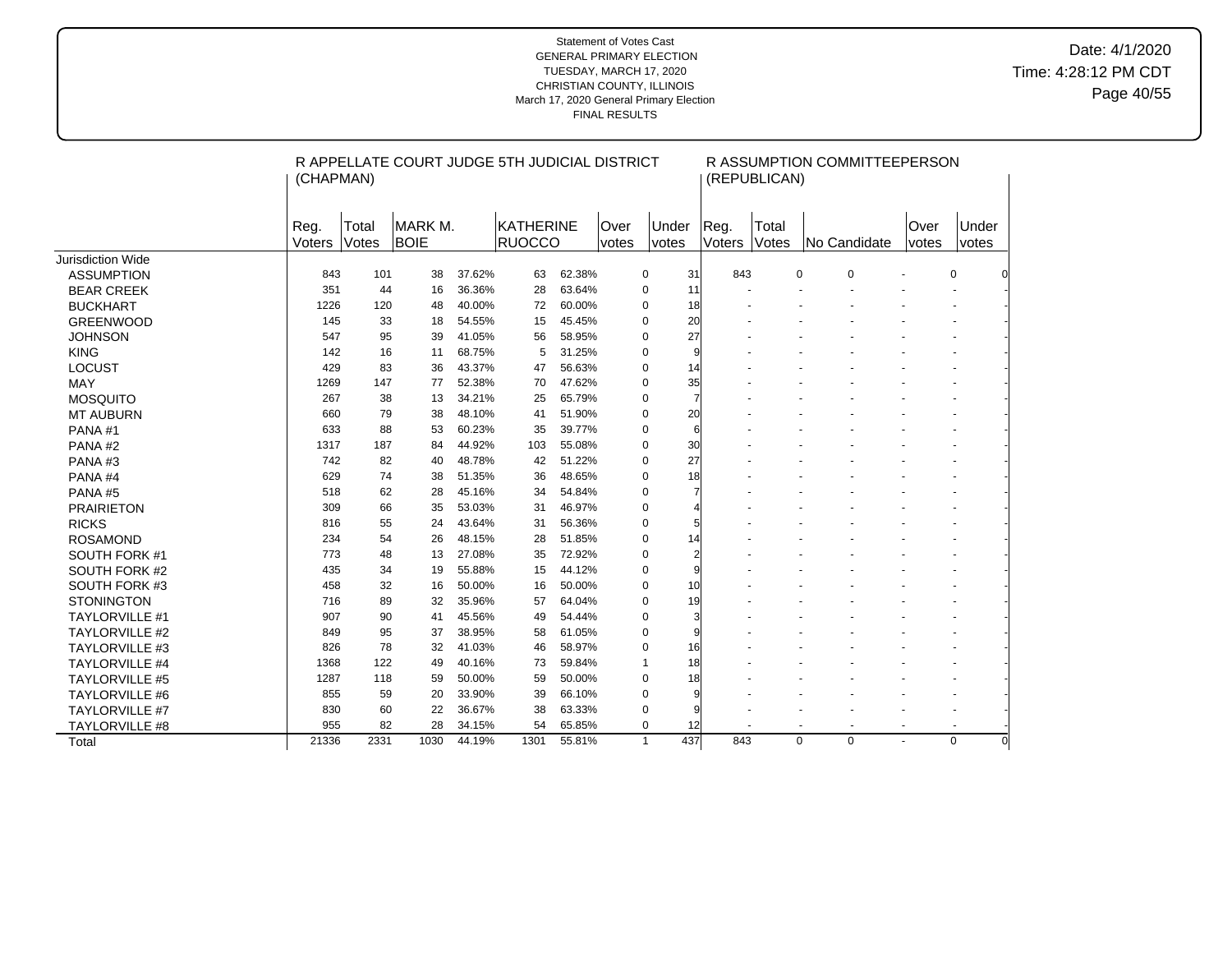|                       | R APPELLATE COURT JUDGE 5TH JUDICIAL DISTRICT<br>R ASSUMPTION COMMITTEEPERSON<br>(REPUBLICAN)<br>(CHAPMAN) |                |                         |        |                            |        |               |              |                |                       |                |                                  |                          |                          |                |
|-----------------------|------------------------------------------------------------------------------------------------------------|----------------|-------------------------|--------|----------------------------|--------|---------------|--------------|----------------|-----------------------|----------------|----------------------------------|--------------------------|--------------------------|----------------|
|                       | Reg.<br>Voters                                                                                             | Total<br>Votes | IMARK M.<br><b>BOIE</b> |        | <b>KATHERINE</b><br>RUOCCO |        | Over<br>votes |              | Under<br>votes | Reg.<br><b>Voters</b> | Total<br>Votes | No Candidate                     | Over<br>votes            | Under<br>votes           |                |
| Jurisdiction Wide     |                                                                                                            |                |                         |        |                            |        |               |              |                |                       |                |                                  |                          |                          |                |
| <b>ASSUMPTION</b>     | 843                                                                                                        | 101            | 38                      | 37.62% | 63                         | 62.38% |               | 0            | 31             | 843                   |                | $\Omega$<br>$\Omega$             |                          | 0                        |                |
| <b>BEAR CREEK</b>     | 351                                                                                                        | 44             | 16                      | 36.36% | 28                         | 63.64% |               | $\mathbf 0$  | 11             |                       |                |                                  |                          |                          |                |
| <b>BUCKHART</b>       | 1226                                                                                                       | 120            | 48                      | 40.00% | 72                         | 60.00% |               | $\mathbf 0$  | 18             |                       |                |                                  |                          |                          |                |
| <b>GREENWOOD</b>      | 145                                                                                                        | 33             | 18                      | 54.55% | 15                         | 45.45% |               | $\mathbf 0$  | 20             |                       |                |                                  |                          |                          |                |
| <b>JOHNSON</b>        | 547                                                                                                        | 95             | 39                      | 41.05% | 56                         | 58.95% |               | $\mathbf 0$  | 27             |                       |                |                                  |                          |                          |                |
| <b>KING</b>           | 142                                                                                                        | 16             | 11                      | 68.75% | 5                          | 31.25% |               | $\mathbf 0$  | 9              |                       |                |                                  |                          |                          |                |
| <b>LOCUST</b>         | 429                                                                                                        | 83             | 36                      | 43.37% | 47                         | 56.63% |               | 0            | 14             |                       |                |                                  |                          |                          |                |
| <b>MAY</b>            | 1269                                                                                                       | 147            | 77                      | 52.38% | 70                         | 47.62% |               | $\mathbf 0$  | 35             |                       |                |                                  |                          |                          |                |
| <b>MOSQUITO</b>       | 267                                                                                                        | 38             | 13                      | 34.21% | 25                         | 65.79% |               | $\mathbf 0$  | $\overline{7}$ |                       |                |                                  |                          |                          |                |
| <b>MT AUBURN</b>      | 660                                                                                                        | 79             | 38                      | 48.10% | 41                         | 51.90% |               | $\mathbf 0$  | 20             |                       |                |                                  |                          |                          |                |
| PANA#1                | 633                                                                                                        | 88             | 53                      | 60.23% | 35                         | 39.77% |               | $\mathbf 0$  | 6              |                       |                |                                  |                          |                          |                |
| PANA#2                | 1317                                                                                                       | 187            | 84                      | 44.92% | 103                        | 55.08% |               | $\mathbf 0$  | 30             |                       |                |                                  |                          |                          |                |
| PANA#3                | 742                                                                                                        | 82             | 40                      | 48.78% | 42                         | 51.22% |               | $\mathbf 0$  | 27             |                       |                |                                  |                          |                          |                |
| PANA#4                | 629                                                                                                        | 74             | 38                      | 51.35% | 36                         | 48.65% |               | $\mathbf 0$  | 18             |                       |                |                                  |                          |                          |                |
| PANA#5                | 518                                                                                                        | 62             | 28                      | 45.16% | 34                         | 54.84% |               | $\mathbf 0$  | 7              |                       |                |                                  |                          |                          |                |
| <b>PRAIRIETON</b>     | 309                                                                                                        | 66             | 35                      | 53.03% | 31                         | 46.97% |               | 0            |                |                       |                |                                  |                          |                          |                |
| <b>RICKS</b>          | 816                                                                                                        | 55             | 24                      | 43.64% | 31                         | 56.36% |               | $\mathbf 0$  |                |                       |                |                                  |                          |                          |                |
| <b>ROSAMOND</b>       | 234                                                                                                        | 54             | 26                      | 48.15% | 28                         | 51.85% |               | $\mathbf 0$  | 14             |                       |                |                                  |                          |                          |                |
| SOUTH FORK #1         | 773                                                                                                        | 48             | 13                      | 27.08% | 35                         | 72.92% |               | $\mathbf 0$  |                |                       |                |                                  |                          |                          |                |
| SOUTH FORK #2         | 435                                                                                                        | 34             | 19                      | 55.88% | 15                         | 44.12% |               | $\mathbf 0$  |                |                       |                |                                  |                          |                          |                |
| SOUTH FORK #3         | 458                                                                                                        | 32             | 16                      | 50.00% | 16                         | 50.00% |               | $\mathbf 0$  | 10             |                       |                |                                  |                          |                          |                |
| <b>STONINGTON</b>     | 716                                                                                                        | 89             | 32                      | 35.96% | 57                         | 64.04% |               | $\mathbf 0$  | 19             |                       |                |                                  |                          |                          |                |
| <b>TAYLORVILLE #1</b> | 907                                                                                                        | 90             | 41                      | 45.56% | 49                         | 54.44% |               | $\mathbf 0$  | 3              |                       |                |                                  |                          |                          |                |
| <b>TAYLORVILLE #2</b> | 849                                                                                                        | 95             | 37                      | 38.95% | 58                         | 61.05% |               | $\mathbf 0$  | 9              |                       |                |                                  |                          |                          |                |
| <b>TAYLORVILLE #3</b> | 826                                                                                                        | 78             | 32                      | 41.03% | 46                         | 58.97% |               | 0            | 16             |                       |                |                                  |                          |                          |                |
| <b>TAYLORVILLE #4</b> | 1368                                                                                                       | 122            | 49                      | 40.16% | 73                         | 59.84% |               | $\mathbf{1}$ | 18             |                       |                |                                  |                          |                          |                |
| <b>TAYLORVILLE #5</b> | 1287                                                                                                       | 118            | 59                      | 50.00% | 59                         | 50.00% |               | $\mathbf 0$  | 18             |                       |                |                                  |                          |                          |                |
| <b>TAYLORVILLE #6</b> | 855                                                                                                        | 59             | 20                      | 33.90% | 39                         | 66.10% |               | $\mathbf 0$  | 9              |                       |                |                                  |                          |                          |                |
| <b>TAYLORVILLE #7</b> | 830                                                                                                        | 60             | 22                      | 36.67% | 38                         | 63.33% |               | $\mathbf 0$  | 9              |                       |                |                                  |                          |                          |                |
| <b>TAYLORVILLE #8</b> | 955                                                                                                        | 82             | 28                      | 34.15% | 54                         | 65.85% |               | $\mathbf 0$  | 12             |                       |                | $\blacksquare$<br>$\blacksquare$ | $\overline{\phantom{a}}$ | $\overline{\phantom{a}}$ |                |
| Total                 | 21336                                                                                                      | 2331           | 1030                    | 44.19% | 1301                       | 55.81% |               | $\mathbf{1}$ | 437            | 843                   |                | $\Omega$<br>$\Omega$             |                          | $\Omega$                 | $\overline{0}$ |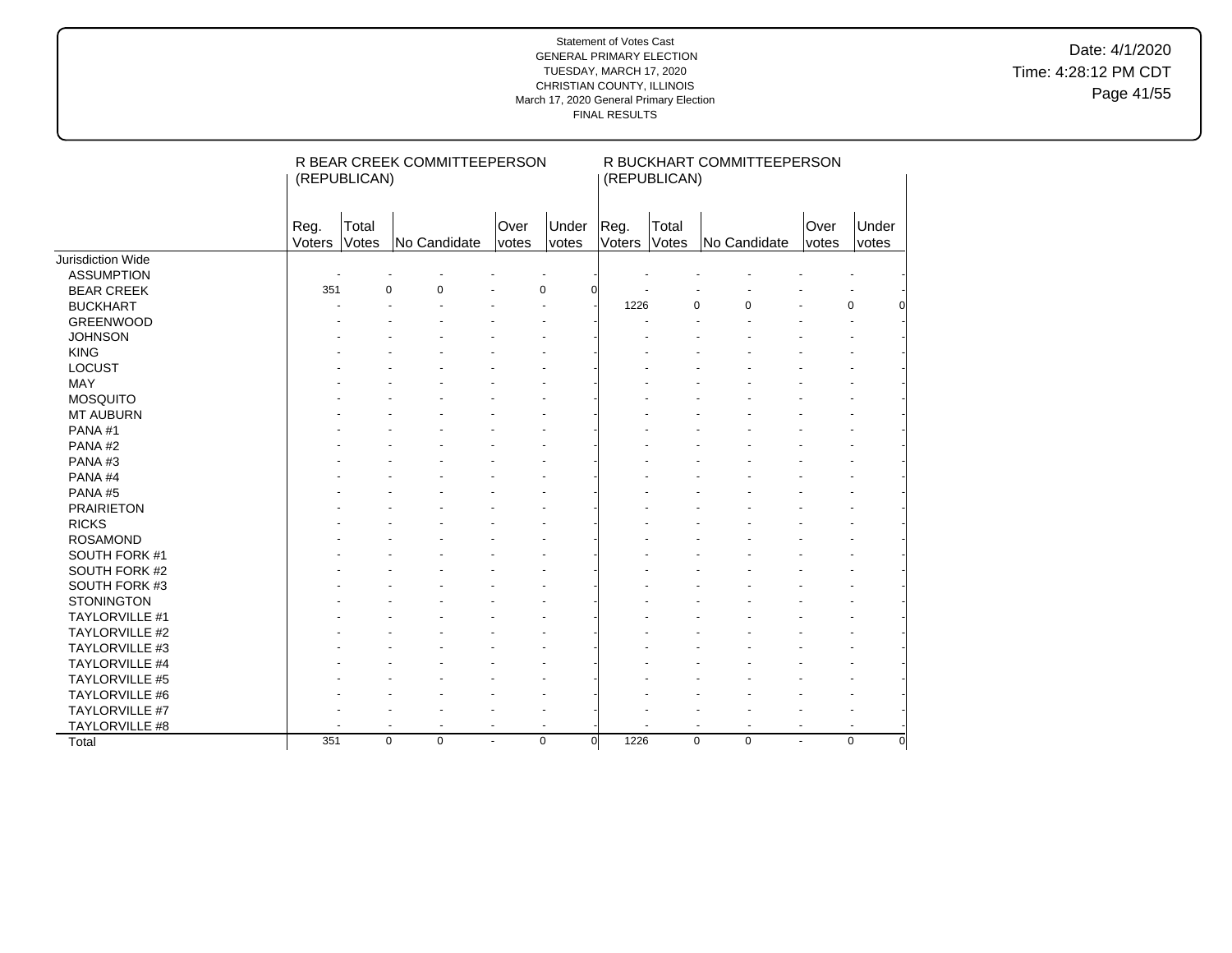Date: 4/1/2020 Time: 4:28:12 PM CDT Page 41/55

|                       |                | (REPUBLICAN)         | R BEAR CREEK COMMITTEEPERSON |                |                         |                | (REPUBLICAN)          | R BUCKHART COMMITTEEPERSON |               |                         |
|-----------------------|----------------|----------------------|------------------------------|----------------|-------------------------|----------------|-----------------------|----------------------------|---------------|-------------------------|
|                       | Reg.<br>Voters | Total<br>Votes       | No Candidate                 | Over<br>votes  | Under<br>votes          | Reg.<br>Voters | Total<br><b>Votes</b> | No Candidate               | Over<br>votes | Under<br>votes          |
| Jurisdiction Wide     |                |                      |                              |                |                         |                |                       |                            |               |                         |
| <b>ASSUMPTION</b>     |                |                      |                              |                |                         |                |                       |                            |               |                         |
| <b>BEAR CREEK</b>     | 351            | $\Omega$             | $\Omega$                     |                | $\mathbf 0$<br>ŋ        |                |                       |                            |               |                         |
| <b>BUCKHART</b>       |                |                      |                              |                |                         | 1226           | 0                     | $\Omega$                   |               | 0                       |
| <b>GREENWOOD</b>      |                |                      |                              |                |                         |                |                       |                            |               |                         |
| <b>JOHNSON</b>        |                |                      |                              |                |                         |                |                       |                            |               |                         |
| <b>KING</b>           |                |                      |                              |                |                         |                |                       |                            |               |                         |
| <b>LOCUST</b>         |                |                      |                              |                |                         |                |                       |                            |               |                         |
| <b>MAY</b>            |                |                      |                              |                |                         |                |                       |                            |               |                         |
| <b>MOSQUITO</b>       |                |                      |                              |                |                         |                |                       |                            |               |                         |
| <b>MT AUBURN</b>      |                |                      |                              |                |                         |                |                       |                            |               |                         |
| PANA#1                |                |                      |                              |                |                         |                |                       |                            |               |                         |
| PANA#2                |                |                      |                              |                |                         |                |                       |                            |               |                         |
| PANA#3                |                |                      |                              |                |                         |                |                       |                            |               |                         |
| PANA#4                |                |                      |                              |                |                         |                |                       |                            |               |                         |
| PANA#5                |                |                      |                              |                |                         |                |                       |                            |               |                         |
| <b>PRAIRIETON</b>     |                |                      |                              |                |                         |                |                       |                            |               |                         |
| <b>RICKS</b>          |                |                      |                              |                |                         |                |                       |                            |               |                         |
| <b>ROSAMOND</b>       |                |                      |                              |                |                         |                |                       |                            |               |                         |
| SOUTH FORK #1         |                |                      |                              |                |                         |                |                       |                            |               |                         |
| SOUTH FORK #2         |                |                      |                              |                |                         |                |                       |                            |               |                         |
| SOUTH FORK #3         |                |                      |                              |                |                         |                |                       |                            |               |                         |
| <b>STONINGTON</b>     |                |                      |                              |                |                         |                |                       |                            |               |                         |
| TAYLORVILLE #1        |                |                      |                              |                |                         |                |                       |                            |               |                         |
| <b>TAYLORVILLE #2</b> |                |                      |                              |                |                         |                |                       |                            |               |                         |
| TAYLORVILLE #3        |                |                      |                              |                |                         |                |                       |                            |               |                         |
| TAYLORVILLE #4        |                |                      |                              |                |                         |                |                       |                            |               |                         |
| TAYLORVILLE #5        |                |                      |                              |                |                         |                |                       |                            |               |                         |
| TAYLORVILLE #6        |                |                      |                              |                |                         |                |                       |                            |               |                         |
| TAYLORVILLE #7        |                |                      |                              |                |                         |                |                       |                            |               |                         |
| TAYLORVILLE #8        |                | $\ddot{\phantom{1}}$ | $\blacksquare$               | $\blacksquare$ | ÷                       |                | $\ddot{\phantom{1}}$  | $\overline{\phantom{a}}$   |               |                         |
| Total                 | 351            | $\mathbf 0$          | $\mathbf 0$                  | $\blacksquare$ | $\mathbf 0$<br>$\Omega$ | 1226           | $\mathbf 0$           | $\mathbf 0$                | ÷             | $\mathbf 0$<br>$\Omega$ |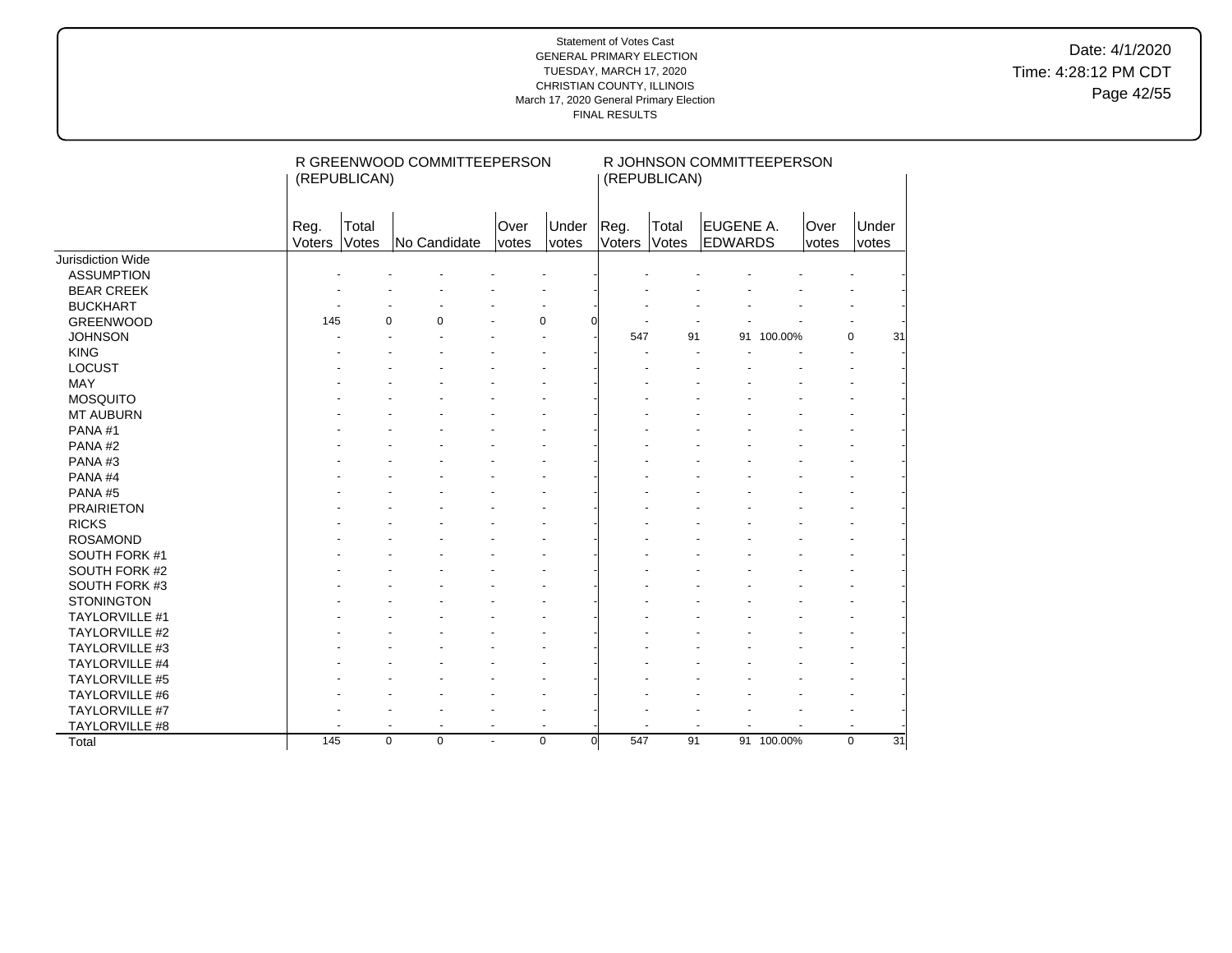Date: 4/1/2020 Time: 4:28:12 PM CDT Page 42/55

|                          |                | (REPUBLICAN)   | R GREENWOOD COMMITTEEPERSON |                |                |                 | (REPUBLICAN)   | R JOHNSON COMMITTEEPERSON   |            |               |                   |
|--------------------------|----------------|----------------|-----------------------------|----------------|----------------|-----------------|----------------|-----------------------------|------------|---------------|-------------------|
|                          | Reg.<br>Voters | Total<br>Votes | No Candidate                | Over<br>votes  | Under<br>votes | Reg.<br>Voters  | Total<br>Votes | EUGENE A.<br><b>EDWARDS</b> |            | Over<br>votes | Under<br>votes    |
| <b>Jurisdiction Wide</b> |                |                |                             |                |                |                 |                |                             |            |               |                   |
| <b>ASSUMPTION</b>        |                |                |                             |                |                |                 |                |                             |            |               |                   |
| <b>BEAR CREEK</b>        |                |                |                             |                |                |                 |                |                             |            |               |                   |
| <b>BUCKHART</b>          |                |                |                             |                |                |                 |                |                             |            |               |                   |
| <b>GREENWOOD</b>         | 145            | $\Omega$       | $\Omega$                    |                | $\Omega$       |                 |                |                             |            |               |                   |
| <b>JOHNSON</b>           |                |                |                             |                |                | 547             | 91             |                             | 91 100.00% |               | $\mathbf 0$<br>31 |
| <b>KING</b>              |                |                |                             |                |                |                 |                |                             |            |               |                   |
| <b>LOCUST</b>            |                |                |                             |                |                |                 |                |                             |            |               |                   |
| <b>MAY</b>               |                |                |                             |                |                |                 |                |                             |            |               |                   |
| <b>MOSQUITO</b>          |                |                |                             |                |                |                 |                |                             |            |               |                   |
| <b>MT AUBURN</b>         |                |                |                             |                |                |                 |                |                             |            |               |                   |
| PANA#1                   |                |                |                             |                |                |                 |                |                             |            |               |                   |
| PANA#2                   |                |                |                             |                |                |                 |                |                             |            |               |                   |
| PANA#3                   |                |                |                             |                |                |                 |                |                             |            |               |                   |
| PANA#4                   |                |                |                             |                |                |                 |                |                             |            |               |                   |
| PANA#5                   |                |                |                             |                |                |                 |                |                             |            |               |                   |
| <b>PRAIRIETON</b>        |                |                |                             |                |                |                 |                |                             |            |               |                   |
| <b>RICKS</b>             |                |                |                             |                |                |                 |                |                             |            |               |                   |
| <b>ROSAMOND</b>          |                |                |                             |                |                |                 |                |                             |            |               |                   |
| SOUTH FORK #1            |                |                |                             |                |                |                 |                |                             |            |               |                   |
| SOUTH FORK #2            |                |                |                             |                |                |                 |                |                             |            |               |                   |
| SOUTH FORK #3            |                |                |                             |                |                |                 |                |                             |            |               |                   |
| <b>STONINGTON</b>        |                |                |                             |                |                |                 |                |                             |            |               |                   |
| TAYLORVILLE #1           |                |                |                             |                |                |                 |                |                             |            |               |                   |
| <b>TAYLORVILLE #2</b>    |                |                |                             |                |                |                 |                |                             |            |               |                   |
| TAYLORVILLE #3           |                |                |                             |                |                |                 |                |                             |            |               |                   |
| TAYLORVILLE #4           |                |                |                             |                |                |                 |                |                             |            |               |                   |
| TAYLORVILLE #5           |                |                |                             |                |                |                 |                |                             |            |               |                   |
| TAYLORVILLE #6           |                |                |                             |                |                |                 |                |                             |            |               |                   |
| TAYLORVILLE #7           |                |                |                             |                |                |                 |                |                             |            |               |                   |
| TAYLORVILLE #8           |                | ä,             | ä,                          | $\blacksquare$ |                |                 |                |                             |            |               |                   |
| Total                    | 145            | $\mathbf 0$    | $\mathbf 0$                 | $\blacksquare$ | 0              | 547<br>$\Omega$ | 91             |                             | 91 100.00% |               | 31<br>$\mathbf 0$ |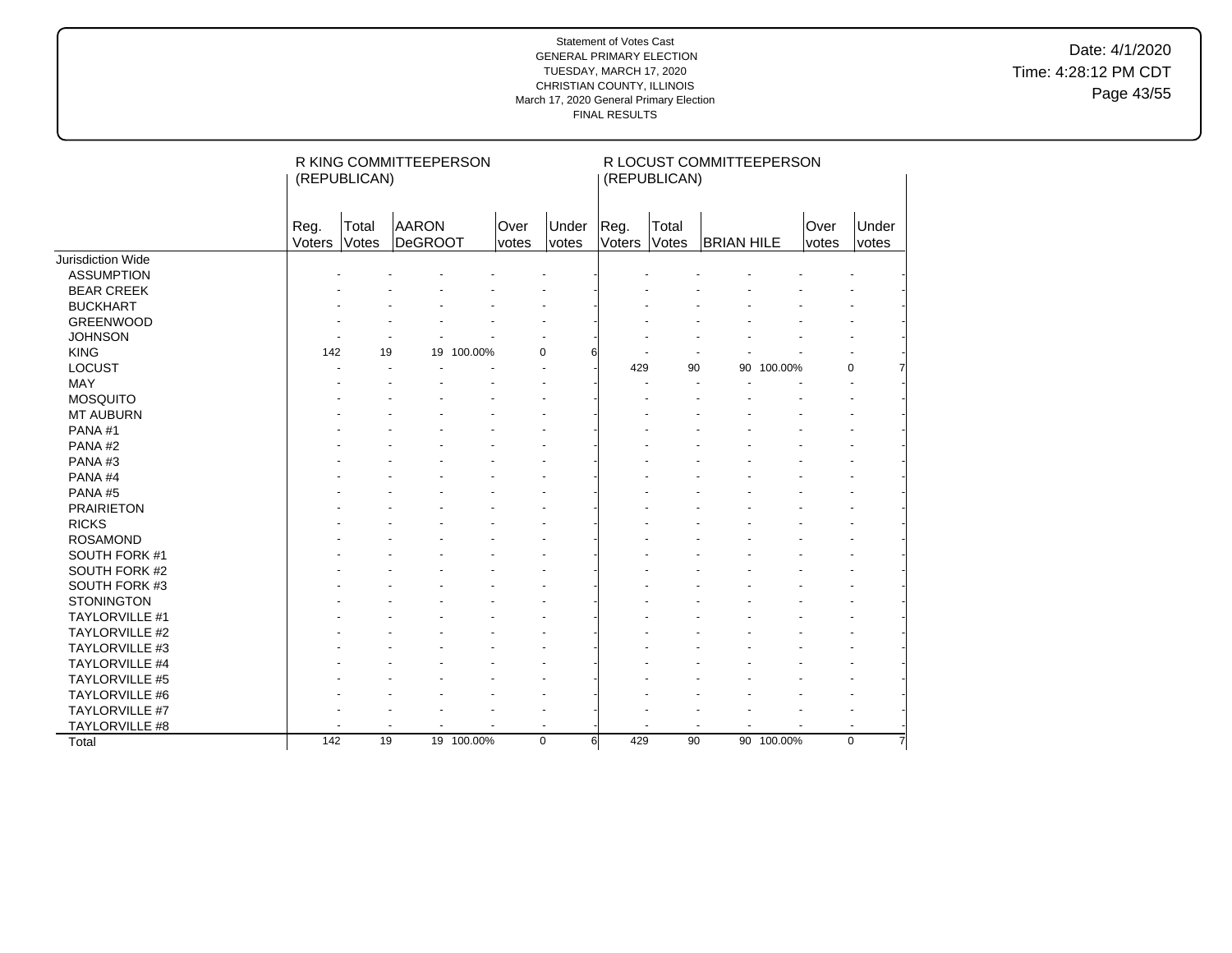Date: 4/1/2020 Time: 4:28:12 PM CDT Page 43/55

|                          |                | (REPUBLICAN)   | R KING COMMITTEEPERSON  |            |               |                |                | (REPUBLICAN)   | R LOCUST COMMITTEEPERSON |            |               |                |
|--------------------------|----------------|----------------|-------------------------|------------|---------------|----------------|----------------|----------------|--------------------------|------------|---------------|----------------|
|                          | Reg.<br>Voters | Total<br>Votes | <b>AARON</b><br>DeGROOT |            | Over<br>votes | Under<br>votes | Reg.<br>Voters | Total<br>Votes | <b>BRIAN HILE</b>        |            | Over<br>votes | Under<br>votes |
| <b>Jurisdiction Wide</b> |                |                |                         |            |               |                |                |                |                          |            |               |                |
| <b>ASSUMPTION</b>        |                |                |                         |            |               |                |                |                |                          |            |               |                |
| <b>BEAR CREEK</b>        |                |                |                         |            |               |                |                |                |                          |            |               |                |
| <b>BUCKHART</b>          |                |                |                         |            |               |                |                |                |                          |            |               |                |
| <b>GREENWOOD</b>         |                |                |                         |            |               |                |                |                |                          |            |               |                |
| <b>JOHNSON</b>           |                |                |                         |            |               |                |                |                |                          |            |               |                |
| <b>KING</b>              | 142            | 19             |                         | 19 100.00% | $\Omega$      |                |                |                |                          |            |               |                |
| <b>LOCUST</b>            |                |                |                         |            |               |                | 429            | 90             |                          | 90 100.00% |               | $\mathbf 0$    |
| <b>MAY</b>               |                |                |                         |            |               |                |                |                |                          |            |               |                |
| <b>MOSQUITO</b>          |                |                |                         |            |               |                |                |                |                          |            |               |                |
| <b>MT AUBURN</b>         |                |                |                         |            |               |                |                |                |                          |            |               |                |
| PANA#1                   |                |                |                         |            |               |                |                |                |                          |            |               |                |
| PANA#2                   |                |                |                         |            |               |                |                |                |                          |            |               |                |
| PANA#3                   |                |                |                         |            |               |                |                |                |                          |            |               |                |
| PANA#4                   |                |                |                         |            |               |                |                |                |                          |            |               |                |
| PANA#5                   |                |                |                         |            |               |                |                |                |                          |            |               |                |
| <b>PRAIRIETON</b>        |                |                |                         |            |               |                |                |                |                          |            |               |                |
| <b>RICKS</b>             |                |                |                         |            |               |                |                |                |                          |            |               |                |
| <b>ROSAMOND</b>          |                |                |                         |            |               |                |                |                |                          |            |               |                |
| SOUTH FORK #1            |                |                |                         |            |               |                |                |                |                          |            |               |                |
| SOUTH FORK #2            |                |                |                         |            |               |                |                |                |                          |            |               |                |
| SOUTH FORK #3            |                |                |                         |            |               |                |                |                |                          |            |               |                |
| <b>STONINGTON</b>        |                |                |                         |            |               |                |                |                |                          |            |               |                |
| TAYLORVILLE #1           |                |                |                         |            |               |                |                |                |                          |            |               |                |
| <b>TAYLORVILLE #2</b>    |                |                |                         |            |               |                |                |                |                          |            |               |                |
| TAYLORVILLE #3           |                |                |                         |            |               |                |                |                |                          |            |               |                |
| TAYLORVILLE #4           |                |                |                         |            |               |                |                |                |                          |            |               |                |
| TAYLORVILLE #5           |                |                |                         |            |               |                |                |                |                          |            |               |                |
| TAYLORVILLE #6           |                |                |                         |            |               |                |                |                |                          |            |               |                |
| TAYLORVILLE #7           |                |                |                         |            |               |                |                |                |                          |            |               |                |
| TAYLORVILLE #8           |                |                |                         |            |               |                |                |                |                          | ä,         |               |                |
| Total                    | 142            | 19             |                         | 19 100.00% | $\mathbf 0$   | 6              | 429            | 90             |                          | 90 100.00% |               | $\mathbf 0$    |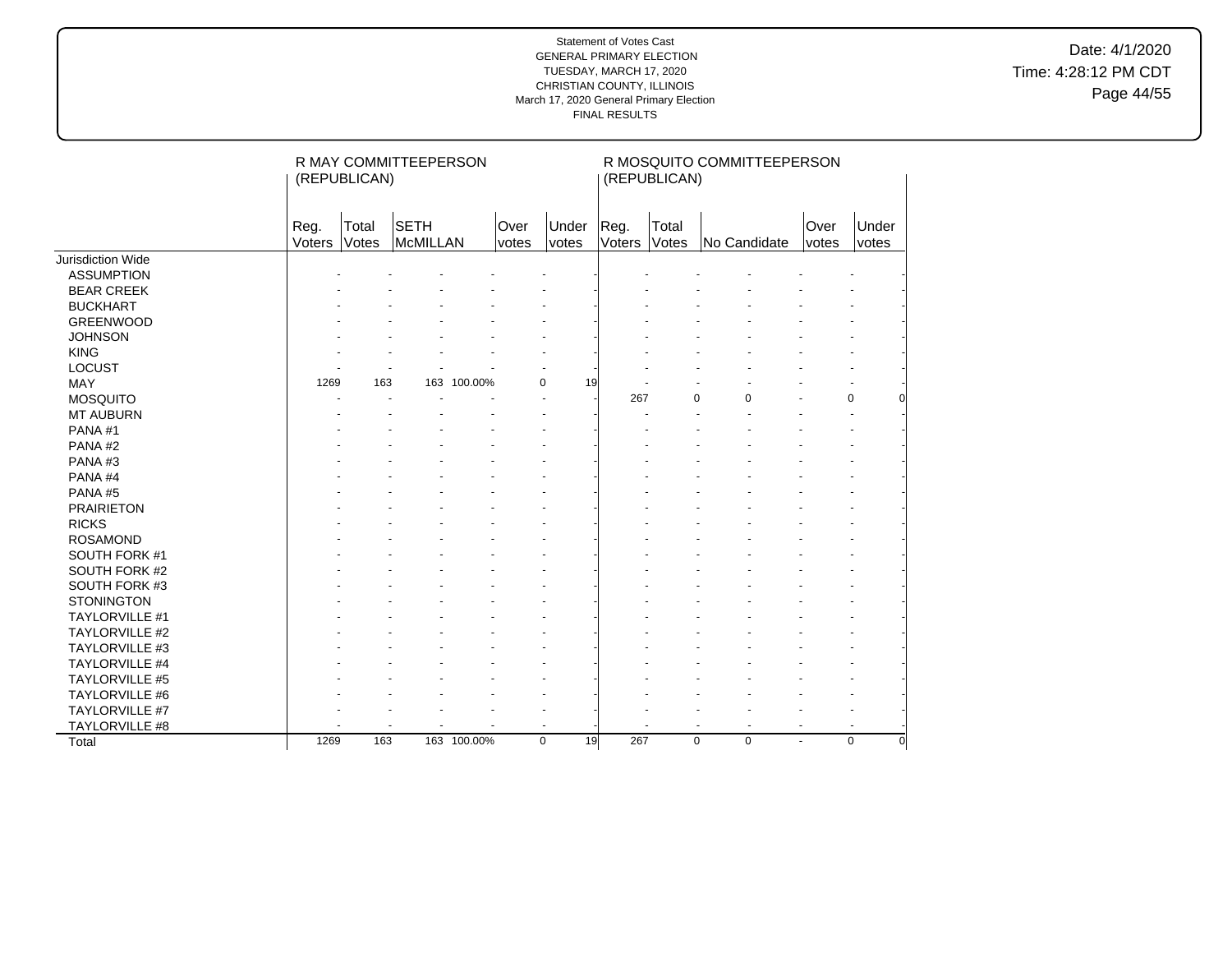Date: 4/1/2020 Time: 4:28:12 PM CDT Page 44/55

|                   |                | (REPUBLICAN)   | R MAY COMMITTEEPERSON   |             |               |                   |                | (REPUBLICAN)   | R MOSQUITO COMMITTEEPERSON       |        |               |                |
|-------------------|----------------|----------------|-------------------------|-------------|---------------|-------------------|----------------|----------------|----------------------------------|--------|---------------|----------------|
|                   | Reg.<br>Voters | Total<br>Votes | <b>SETH</b><br>McMILLAN |             | Over<br>votes | Under<br>votes    | Reg.<br>Voters | Total<br>Votes | No Candidate                     |        | Over<br>votes | Under<br>votes |
| Jurisdiction Wide |                |                |                         |             |               |                   |                |                |                                  |        |               |                |
| <b>ASSUMPTION</b> |                |                |                         |             |               |                   |                |                |                                  |        |               |                |
| <b>BEAR CREEK</b> |                |                |                         |             |               |                   |                |                |                                  |        |               |                |
| <b>BUCKHART</b>   |                |                |                         |             |               |                   |                |                |                                  |        |               |                |
| <b>GREENWOOD</b>  |                |                |                         |             |               |                   |                |                |                                  |        |               |                |
| <b>JOHNSON</b>    |                |                |                         |             |               |                   |                |                |                                  |        |               |                |
| <b>KING</b>       |                |                |                         |             |               |                   |                |                |                                  |        |               |                |
| <b>LOCUST</b>     |                |                |                         |             |               |                   |                |                |                                  |        |               |                |
| <b>MAY</b>        | 1269           | 163            |                         | 163 100.00% |               | $\Omega$<br>19    |                |                |                                  |        |               |                |
| <b>MOSQUITO</b>   |                |                |                         |             |               |                   | 267            | 0              | $\Omega$                         |        | $\mathbf 0$   |                |
| <b>MT AUBURN</b>  |                |                |                         |             |               |                   |                |                |                                  |        |               |                |
| PANA#1            |                |                |                         |             |               |                   |                |                |                                  |        |               |                |
| PANA#2            |                |                |                         |             |               |                   |                |                |                                  |        |               |                |
| PANA#3            |                |                |                         |             |               |                   |                |                |                                  |        |               |                |
| PANA#4            |                |                |                         |             |               |                   |                |                |                                  |        |               |                |
| PANA#5            |                |                |                         |             |               |                   |                |                |                                  |        |               |                |
| <b>PRAIRIETON</b> |                |                |                         |             |               |                   |                |                |                                  |        |               |                |
| <b>RICKS</b>      |                |                |                         |             |               |                   |                |                |                                  |        |               |                |
| <b>ROSAMOND</b>   |                |                |                         |             |               |                   |                |                |                                  |        |               |                |
| SOUTH FORK #1     |                |                |                         |             |               |                   |                |                |                                  |        |               |                |
| SOUTH FORK #2     |                |                |                         |             |               |                   |                |                |                                  |        |               |                |
| SOUTH FORK #3     |                |                |                         |             |               |                   |                |                |                                  |        |               |                |
| <b>STONINGTON</b> |                |                |                         |             |               |                   |                |                |                                  |        |               |                |
| TAYLORVILLE #1    |                |                |                         |             |               |                   |                |                |                                  |        |               |                |
| TAYLORVILLE #2    |                |                |                         |             |               |                   |                |                |                                  |        |               |                |
| TAYLORVILLE #3    |                |                |                         |             |               |                   |                |                |                                  |        |               |                |
| TAYLORVILLE #4    |                |                |                         |             |               |                   |                |                |                                  |        |               |                |
| TAYLORVILLE #5    |                |                |                         |             |               |                   |                |                |                                  |        |               |                |
| TAYLORVILLE #6    |                |                |                         |             |               |                   |                |                |                                  |        |               |                |
| TAYLORVILLE #7    |                |                |                         |             |               |                   |                |                |                                  |        |               |                |
| TAYLORVILLE #8    |                |                |                         |             |               |                   |                |                | $\blacksquare$<br>$\blacksquare$ | $\sim$ |               |                |
| Total             | 1269           | 163            |                         | 163 100.00% |               | 19<br>$\mathbf 0$ | 267            | $\mathbf 0$    | 0                                | ÷.     | $\mathbf 0$   | ŋ              |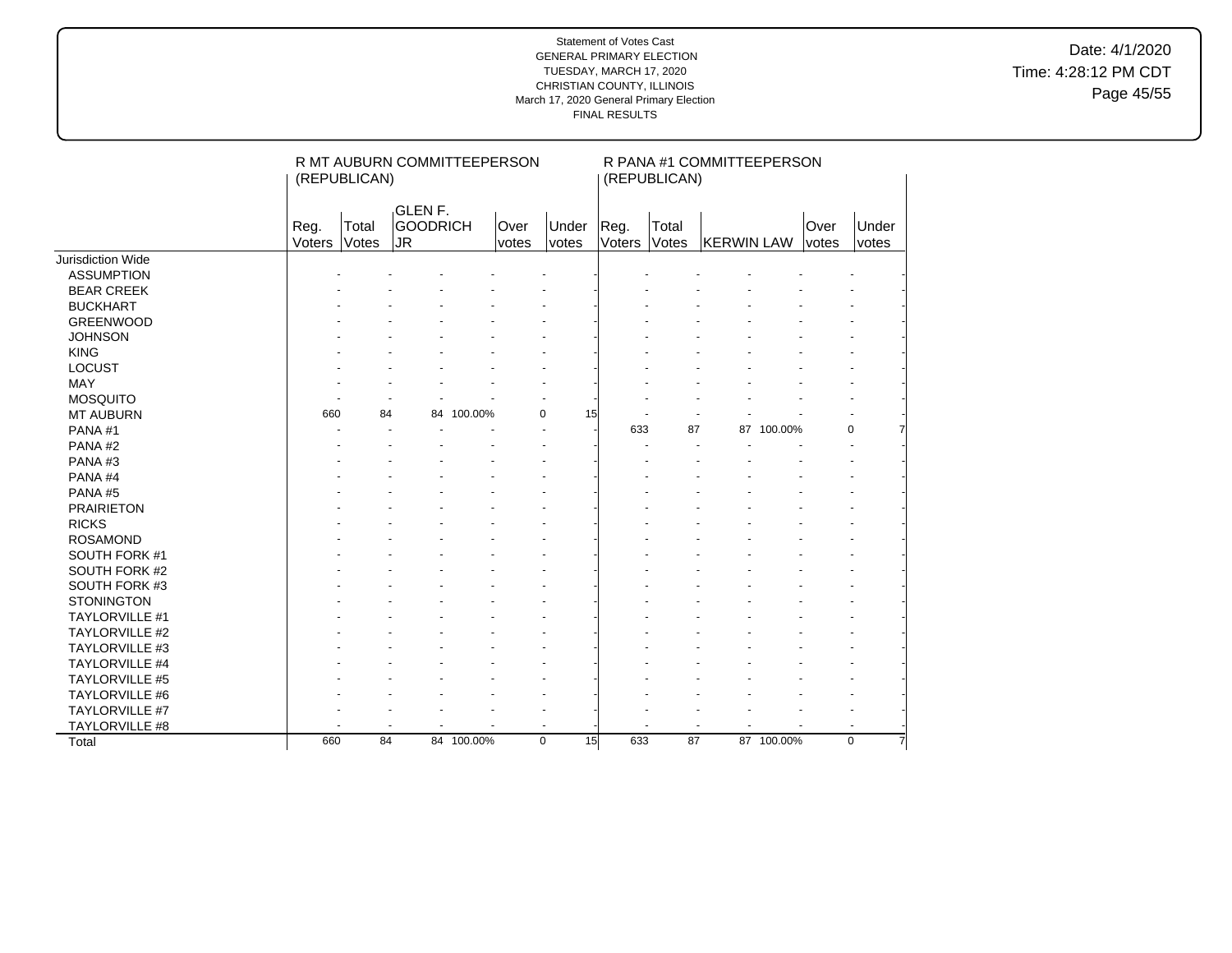Date: 4/1/2020 Time: 4:28:12 PM CDT Page 45/55

|                       |                | (REPUBLICAN)   | R MT AUBURN COMMITTEEPERSON                        |            |               |                       |                | (REPUBLICAN)   | R PANA #1 COMMITTEEPERSON |            |                      |                      |
|-----------------------|----------------|----------------|----------------------------------------------------|------------|---------------|-----------------------|----------------|----------------|---------------------------|------------|----------------------|----------------------|
|                       | Reg.<br>Voters | Total<br>Votes | GLEN <sub>F.</sub><br><b>GOODRICH</b><br><b>JR</b> |            | Over<br>votes | Under<br><i>votes</i> | Reg.<br>Voters | Total<br>Votes | <b>KERWIN LAW</b>         |            | Over<br><i>votes</i> | Under<br>votes       |
| Jurisdiction Wide     |                |                |                                                    |            |               |                       |                |                |                           |            |                      |                      |
| <b>ASSUMPTION</b>     |                |                |                                                    |            |               |                       |                |                |                           |            |                      |                      |
| <b>BEAR CREEK</b>     |                |                |                                                    |            |               |                       |                |                |                           |            |                      |                      |
| <b>BUCKHART</b>       |                |                |                                                    |            |               |                       |                |                |                           |            |                      |                      |
| <b>GREENWOOD</b>      |                |                |                                                    |            |               |                       |                |                |                           |            |                      |                      |
| <b>JOHNSON</b>        |                |                |                                                    |            |               |                       |                |                |                           |            |                      |                      |
| <b>KING</b>           |                |                |                                                    |            |               |                       |                |                |                           |            |                      |                      |
| <b>LOCUST</b>         |                |                |                                                    |            |               |                       |                |                |                           |            |                      |                      |
| MAY                   |                |                |                                                    |            |               |                       |                |                |                           |            |                      |                      |
| <b>MOSQUITO</b>       |                |                |                                                    |            |               |                       |                |                |                           |            |                      |                      |
| <b>MT AUBURN</b>      | 660            | 84             | 84                                                 | 100.00%    | $\Omega$      | 15                    |                |                |                           |            |                      |                      |
| PANA#1                |                |                |                                                    |            |               |                       | 633            | 87             |                           | 87 100.00% |                      | 0                    |
| PANA#2                |                |                |                                                    |            |               |                       |                |                |                           |            |                      | $\blacksquare$       |
| PANA#3                |                |                |                                                    |            |               |                       |                |                |                           |            |                      |                      |
| PANA#4                |                |                |                                                    |            |               |                       |                |                |                           |            |                      |                      |
| PANA#5                |                |                |                                                    |            |               |                       |                |                |                           |            |                      |                      |
| <b>PRAIRIETON</b>     |                |                |                                                    |            |               |                       |                |                |                           |            |                      |                      |
| <b>RICKS</b>          |                |                |                                                    |            |               |                       |                |                |                           |            |                      |                      |
| <b>ROSAMOND</b>       |                |                |                                                    |            |               |                       |                |                |                           |            |                      |                      |
| SOUTH FORK #1         |                |                |                                                    |            |               |                       |                |                |                           |            |                      |                      |
| SOUTH FORK #2         |                |                |                                                    |            |               |                       |                |                |                           |            |                      |                      |
| SOUTH FORK #3         |                |                |                                                    |            |               |                       |                |                |                           |            |                      |                      |
| <b>STONINGTON</b>     |                |                |                                                    |            |               |                       |                |                |                           |            |                      |                      |
| <b>TAYLORVILLE #1</b> |                |                |                                                    |            |               |                       |                |                |                           |            |                      |                      |
| TAYLORVILLE #2        |                |                |                                                    |            |               |                       |                |                |                           |            |                      |                      |
| TAYLORVILLE #3        |                |                |                                                    |            |               |                       |                |                |                           |            |                      |                      |
| TAYLORVILLE #4        |                |                |                                                    |            |               |                       |                |                |                           |            |                      |                      |
| <b>TAYLORVILLE #5</b> |                |                |                                                    |            |               |                       |                |                |                           |            |                      |                      |
| TAYLORVILLE #6        |                |                |                                                    |            |               |                       |                |                |                           |            |                      |                      |
| TAYLORVILLE #7        |                |                |                                                    |            |               |                       |                |                |                           |            |                      |                      |
| TAYLORVILLE #8        |                |                |                                                    |            |               |                       |                | $\blacksquare$ |                           |            |                      | $\ddot{\phantom{1}}$ |
| Total                 | 660            | 84             |                                                    | 84 100.00% | $\mathbf 0$   | 15                    | 633            | 87             |                           | 87 100.00% |                      | 0                    |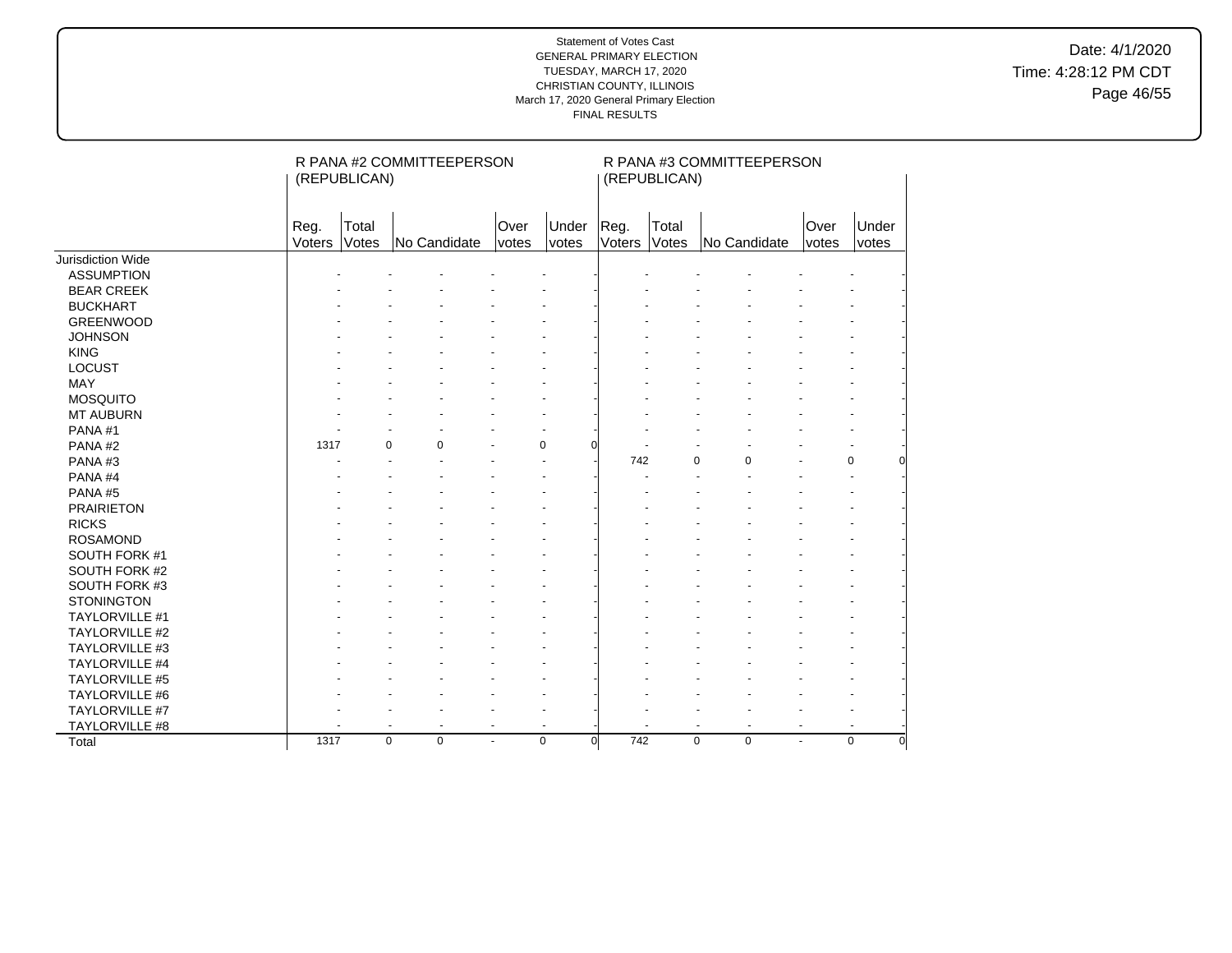Date: 4/1/2020 Time: 4:28:12 PM CDT Page 46/55

|                          |                | (REPUBLICAN)   | R PANA #2 COMMITTEEPERSON  |                |                         |                | (REPUBLICAN)   | R PANA #3 COMMITTEEPERSON  |               |                         |
|--------------------------|----------------|----------------|----------------------------|----------------|-------------------------|----------------|----------------|----------------------------|---------------|-------------------------|
|                          | Reg.<br>Voters | Total<br>Votes | No Candidate               | Over<br>votes  | Under<br>votes          | Reg.<br>Voters | Total<br>Votes | No Candidate               | Over<br>votes | Under<br>votes          |
| <b>Jurisdiction Wide</b> |                |                |                            |                |                         |                |                |                            |               |                         |
| <b>ASSUMPTION</b>        |                |                |                            |                |                         |                |                |                            |               |                         |
| <b>BEAR CREEK</b>        |                |                |                            |                |                         |                |                |                            |               |                         |
| <b>BUCKHART</b>          |                |                |                            |                |                         |                |                |                            |               |                         |
| <b>GREENWOOD</b>         |                |                |                            |                |                         |                |                |                            |               |                         |
| <b>JOHNSON</b>           |                |                |                            |                |                         |                |                |                            |               |                         |
| <b>KING</b>              |                |                |                            |                |                         |                |                |                            |               |                         |
| <b>LOCUST</b>            |                |                |                            |                |                         |                |                |                            |               |                         |
| MAY                      |                |                |                            |                |                         |                |                |                            |               |                         |
| <b>MOSQUITO</b>          |                |                |                            |                |                         |                |                |                            |               |                         |
| <b>MT AUBURN</b>         |                |                |                            |                |                         |                |                |                            |               |                         |
| PANA#1                   |                |                |                            |                |                         |                |                |                            |               |                         |
| PANA#2                   | 1317           |                | $\Omega$<br>$\Omega$       |                | $\Omega$<br>ŋ           |                |                |                            |               |                         |
| PANA#3                   |                |                |                            |                |                         | 742            |                | $\mathbf 0$<br>0           |               | 0                       |
| PANA#4                   |                |                |                            |                |                         |                |                |                            |               |                         |
| PANA#5                   |                |                |                            |                |                         |                |                |                            |               |                         |
| <b>PRAIRIETON</b>        |                |                |                            |                |                         |                |                |                            |               |                         |
| <b>RICKS</b>             |                |                |                            |                |                         |                |                |                            |               |                         |
| <b>ROSAMOND</b>          |                |                |                            |                |                         |                |                |                            |               |                         |
| SOUTH FORK #1            |                |                |                            |                |                         |                |                |                            |               |                         |
| SOUTH FORK #2            |                |                |                            |                |                         |                |                |                            |               |                         |
| SOUTH FORK #3            |                |                |                            |                |                         |                |                |                            |               |                         |
| <b>STONINGTON</b>        |                |                |                            |                |                         |                |                |                            |               |                         |
| TAYLORVILLE #1           |                |                |                            |                |                         |                |                |                            |               |                         |
| <b>TAYLORVILLE #2</b>    |                |                |                            |                |                         |                |                |                            |               |                         |
| TAYLORVILLE #3           |                |                |                            |                |                         |                |                |                            |               |                         |
| TAYLORVILLE #4           |                |                |                            |                |                         |                |                |                            |               |                         |
| <b>TAYLORVILLE #5</b>    |                |                |                            |                |                         |                |                |                            |               |                         |
| TAYLORVILLE #6           |                |                |                            |                |                         |                |                |                            |               |                         |
| TAYLORVILLE #7           |                |                |                            |                |                         |                |                |                            |               |                         |
| TAYLORVILLE #8           |                |                |                            | $\blacksquare$ | ÷                       |                |                | $\ddot{\phantom{1}}$       |               |                         |
| Total                    | 1317           |                | $\mathbf 0$<br>$\mathbf 0$ | $\blacksquare$ | $\mathbf 0$<br>$\Omega$ | 742            |                | $\mathbf 0$<br>$\mathbf 0$ | ÷             | $\mathbf 0$<br>$\Omega$ |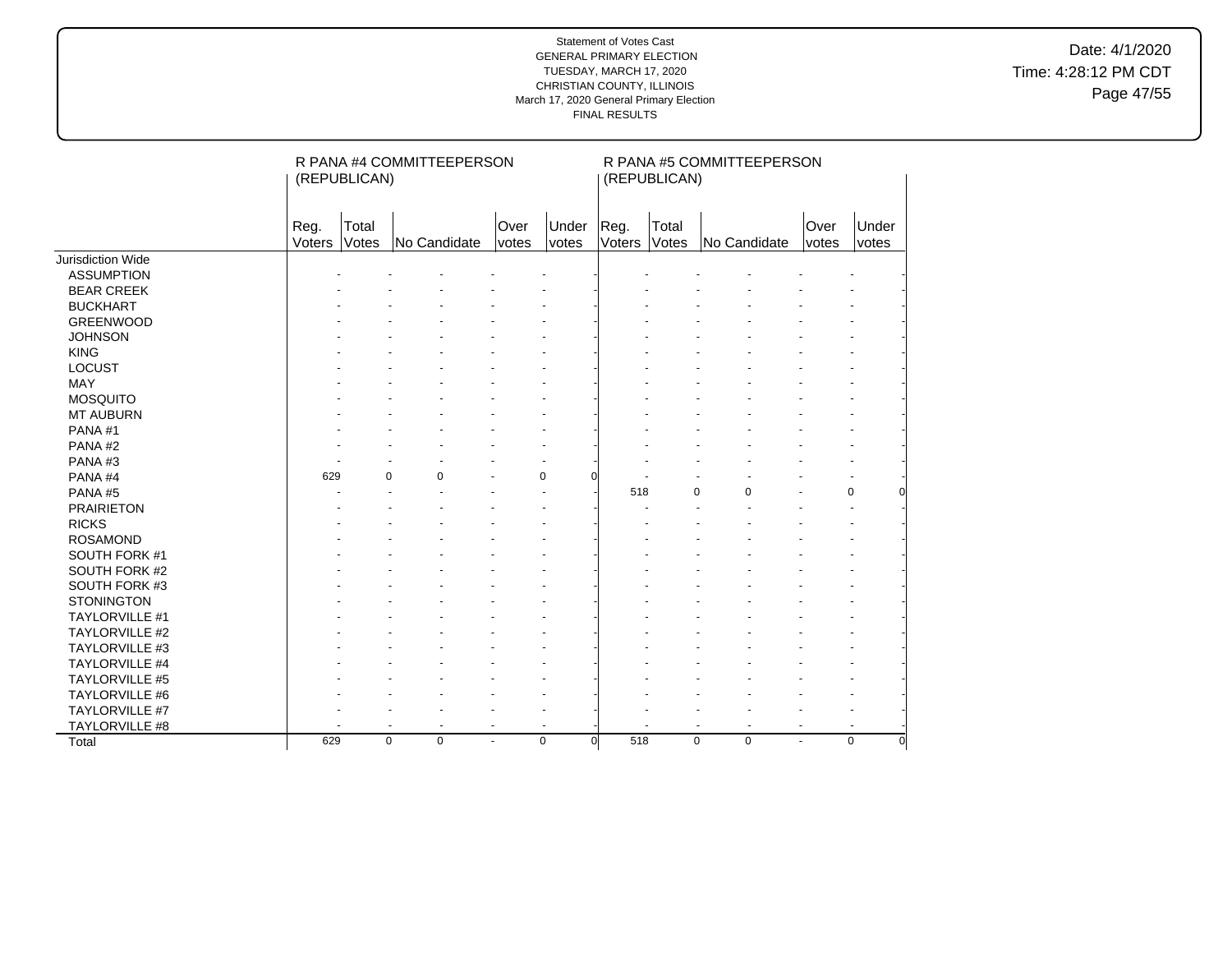Date: 4/1/2020 Time: 4:28:12 PM CDT Page 47/55

|                          |                | (REPUBLICAN)   | R PANA #4 COMMITTEEPERSON  |                |                         |                | (REPUBLICAN)   | R PANA #5 COMMITTEEPERSON  |               |                         |
|--------------------------|----------------|----------------|----------------------------|----------------|-------------------------|----------------|----------------|----------------------------|---------------|-------------------------|
|                          | Reg.<br>Voters | Total<br>Votes | No Candidate               | Over<br>votes  | Under<br>votes          | Reg.<br>Voters | Total<br>Votes | No Candidate               | Over<br>votes | Under<br>votes          |
| <b>Jurisdiction Wide</b> |                |                |                            |                |                         |                |                |                            |               |                         |
| <b>ASSUMPTION</b>        |                |                |                            |                |                         |                |                |                            |               |                         |
| <b>BEAR CREEK</b>        |                |                |                            |                |                         |                |                |                            |               |                         |
| <b>BUCKHART</b>          |                |                |                            |                |                         |                |                |                            |               |                         |
| <b>GREENWOOD</b>         |                |                |                            |                |                         |                |                |                            |               |                         |
| <b>JOHNSON</b>           |                |                |                            |                |                         |                |                |                            |               |                         |
| <b>KING</b>              |                |                |                            |                |                         |                |                |                            |               |                         |
| <b>LOCUST</b>            |                |                |                            |                |                         |                |                |                            |               |                         |
| MAY                      |                |                |                            |                |                         |                |                |                            |               |                         |
| <b>MOSQUITO</b>          |                |                |                            |                |                         |                |                |                            |               |                         |
| <b>MT AUBURN</b>         |                |                |                            |                |                         |                |                |                            |               |                         |
| PANA#1                   |                |                |                            |                |                         |                |                |                            |               |                         |
| PANA#2                   |                |                |                            |                |                         |                |                |                            |               |                         |
| PANA#3                   |                |                |                            |                |                         |                |                |                            |               |                         |
| PANA#4                   | 629            |                | $\Omega$<br>$\Omega$       |                | $\Omega$<br>ŋ           |                |                |                            |               |                         |
| PANA#5                   |                |                |                            |                |                         | 518            |                | 0<br>$\mathbf 0$           |               | 0                       |
| <b>PRAIRIETON</b>        |                |                |                            |                |                         |                |                |                            |               |                         |
| <b>RICKS</b>             |                |                |                            |                |                         |                |                |                            |               |                         |
| <b>ROSAMOND</b>          |                |                |                            |                |                         |                |                |                            |               |                         |
| SOUTH FORK #1            |                |                |                            |                |                         |                |                |                            |               |                         |
| SOUTH FORK #2            |                |                |                            |                |                         |                |                |                            |               |                         |
| SOUTH FORK #3            |                |                |                            |                |                         |                |                |                            |               |                         |
| <b>STONINGTON</b>        |                |                |                            |                |                         |                |                |                            |               |                         |
| TAYLORVILLE #1           |                |                |                            |                |                         |                |                |                            |               |                         |
| <b>TAYLORVILLE #2</b>    |                |                |                            |                |                         |                |                |                            |               |                         |
| TAYLORVILLE #3           |                |                |                            |                |                         |                |                |                            |               |                         |
| TAYLORVILLE #4           |                |                |                            |                |                         |                |                |                            |               |                         |
| <b>TAYLORVILLE #5</b>    |                |                |                            |                |                         |                |                |                            |               |                         |
| TAYLORVILLE #6           |                |                |                            |                |                         |                |                |                            |               |                         |
| TAYLORVILLE #7           |                |                |                            |                |                         |                |                |                            |               |                         |
| TAYLORVILLE #8           |                |                |                            | $\blacksquare$ |                         |                |                | $\ddot{\phantom{1}}$       |               |                         |
| Total                    | 629            |                | $\mathbf 0$<br>$\mathbf 0$ | $\blacksquare$ | $\mathbf 0$<br>$\Omega$ | 518            |                | $\mathbf 0$<br>$\mathbf 0$ | ÷             | $\mathbf 0$<br>$\Omega$ |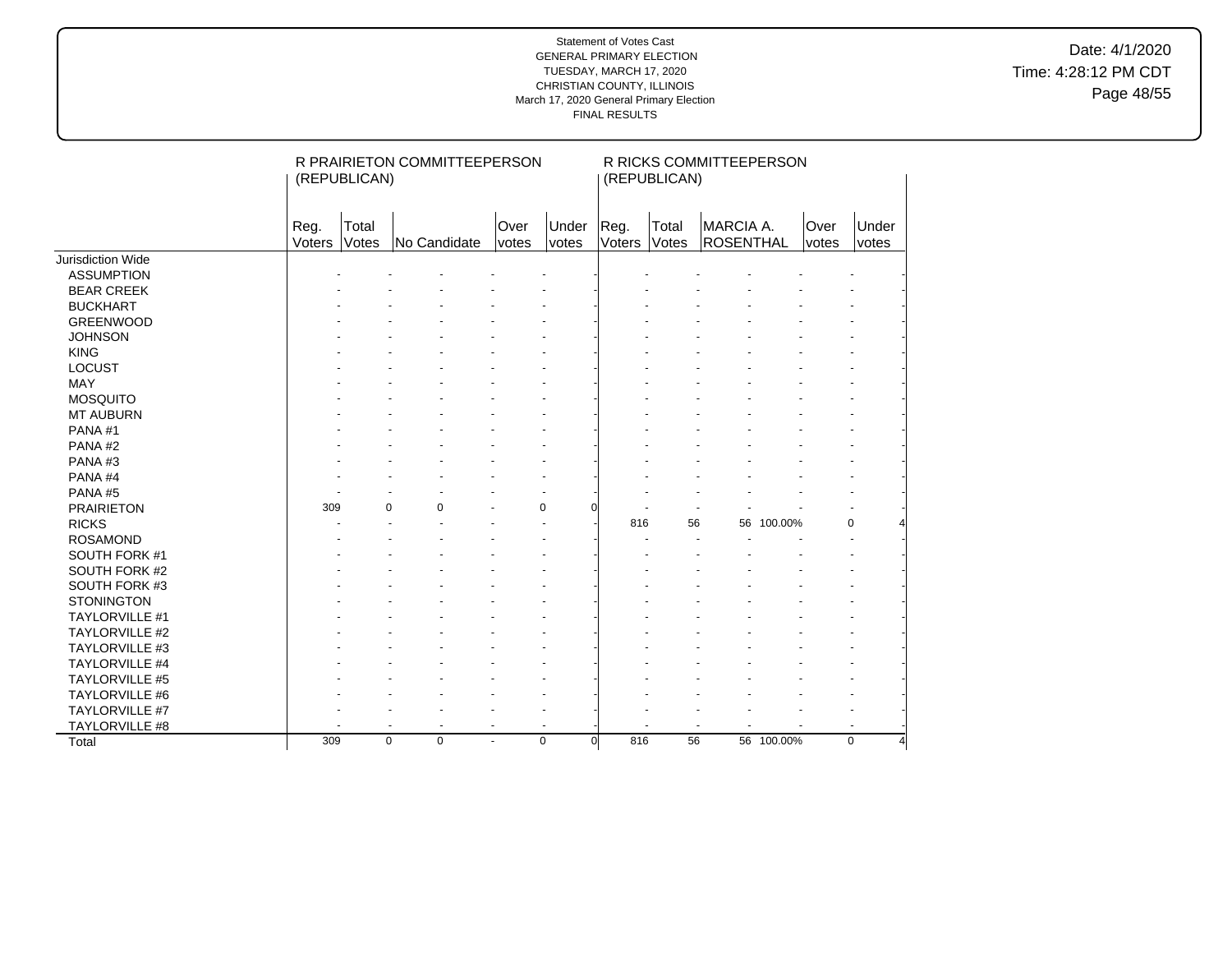Date: 4/1/2020 Time: 4:28:12 PM CDT Page 48/55

|                       |                | (REPUBLICAN)   | R PRAIRIETON COMMITTEEPERSON |                      |                         |                | (REPUBLICAN)   | R RICKS COMMITTEEPERSON  |            |               |                |
|-----------------------|----------------|----------------|------------------------------|----------------------|-------------------------|----------------|----------------|--------------------------|------------|---------------|----------------|
|                       | Reg.<br>Voters | Total<br>Votes | No Candidate                 | Over<br><i>votes</i> | Under<br>votes          | Reg.<br>Voters | Total<br>Votes | MARCIA A.<br>ROSENTHAL   |            | Over<br>votes | Under<br>votes |
| Jurisdiction Wide     |                |                |                              |                      |                         |                |                |                          |            |               |                |
| <b>ASSUMPTION</b>     |                |                |                              |                      |                         |                |                |                          |            |               |                |
| <b>BEAR CREEK</b>     |                |                |                              |                      |                         |                |                |                          |            |               |                |
| <b>BUCKHART</b>       |                |                |                              |                      |                         |                |                |                          |            |               |                |
| <b>GREENWOOD</b>      |                |                |                              |                      |                         |                |                |                          |            |               |                |
| <b>JOHNSON</b>        |                |                |                              |                      |                         |                |                |                          |            |               |                |
| <b>KING</b>           |                |                |                              |                      |                         |                |                |                          |            |               |                |
| LOCUST                |                |                |                              |                      |                         |                |                |                          |            |               |                |
| MAY                   |                |                |                              |                      |                         |                |                |                          |            |               |                |
| <b>MOSQUITO</b>       |                |                |                              |                      |                         |                |                |                          |            |               |                |
| <b>MT AUBURN</b>      |                |                |                              |                      |                         |                |                |                          |            |               |                |
| PANA#1                |                |                |                              |                      |                         |                |                |                          |            |               |                |
| PANA#2                |                |                |                              |                      |                         |                |                |                          |            |               |                |
| PANA#3                |                |                |                              |                      |                         |                |                |                          |            |               |                |
| PANA#4                |                |                |                              |                      |                         |                |                |                          |            |               |                |
| PANA#5                |                |                |                              |                      |                         |                |                |                          |            |               |                |
| <b>PRAIRIETON</b>     | 309            | $\Omega$       | $\Omega$                     |                      | $\Omega$                |                |                |                          |            |               |                |
| <b>RICKS</b>          |                |                |                              |                      |                         | 816            | 56             |                          | 56 100.00% |               | 0              |
| <b>ROSAMOND</b>       |                |                |                              |                      |                         |                |                |                          |            |               |                |
| SOUTH FORK #1         |                |                |                              |                      |                         |                |                |                          |            |               |                |
| SOUTH FORK #2         |                |                |                              |                      |                         |                |                |                          |            |               |                |
| SOUTH FORK #3         |                |                |                              |                      |                         |                |                |                          |            |               |                |
| <b>STONINGTON</b>     |                |                |                              |                      |                         |                |                |                          |            |               |                |
| TAYLORVILLE #1        |                |                |                              |                      |                         |                |                |                          |            |               |                |
| <b>TAYLORVILLE #2</b> |                |                |                              |                      |                         |                |                |                          |            |               |                |
| TAYLORVILLE #3        |                |                |                              |                      |                         |                |                |                          |            |               |                |
| <b>TAYLORVILLE #4</b> |                |                |                              |                      |                         |                |                |                          |            |               |                |
| <b>TAYLORVILLE #5</b> |                |                |                              |                      |                         |                |                |                          |            |               |                |
| TAYLORVILLE #6        |                |                |                              |                      |                         |                |                |                          |            |               |                |
| TAYLORVILLE #7        |                |                |                              |                      |                         |                |                |                          |            |               |                |
| TAYLORVILLE #8        |                | ÷.             | ä,                           | $\blacksquare$       | ä,                      |                |                | $\overline{\phantom{a}}$ |            |               | $\blacksquare$ |
| Total                 | 309            | $\mathbf 0$    | $\mathbf 0$                  | $\blacksquare$       | $\mathbf 0$<br>$\Omega$ | 816            | 56             |                          | 56 100.00% |               | 0              |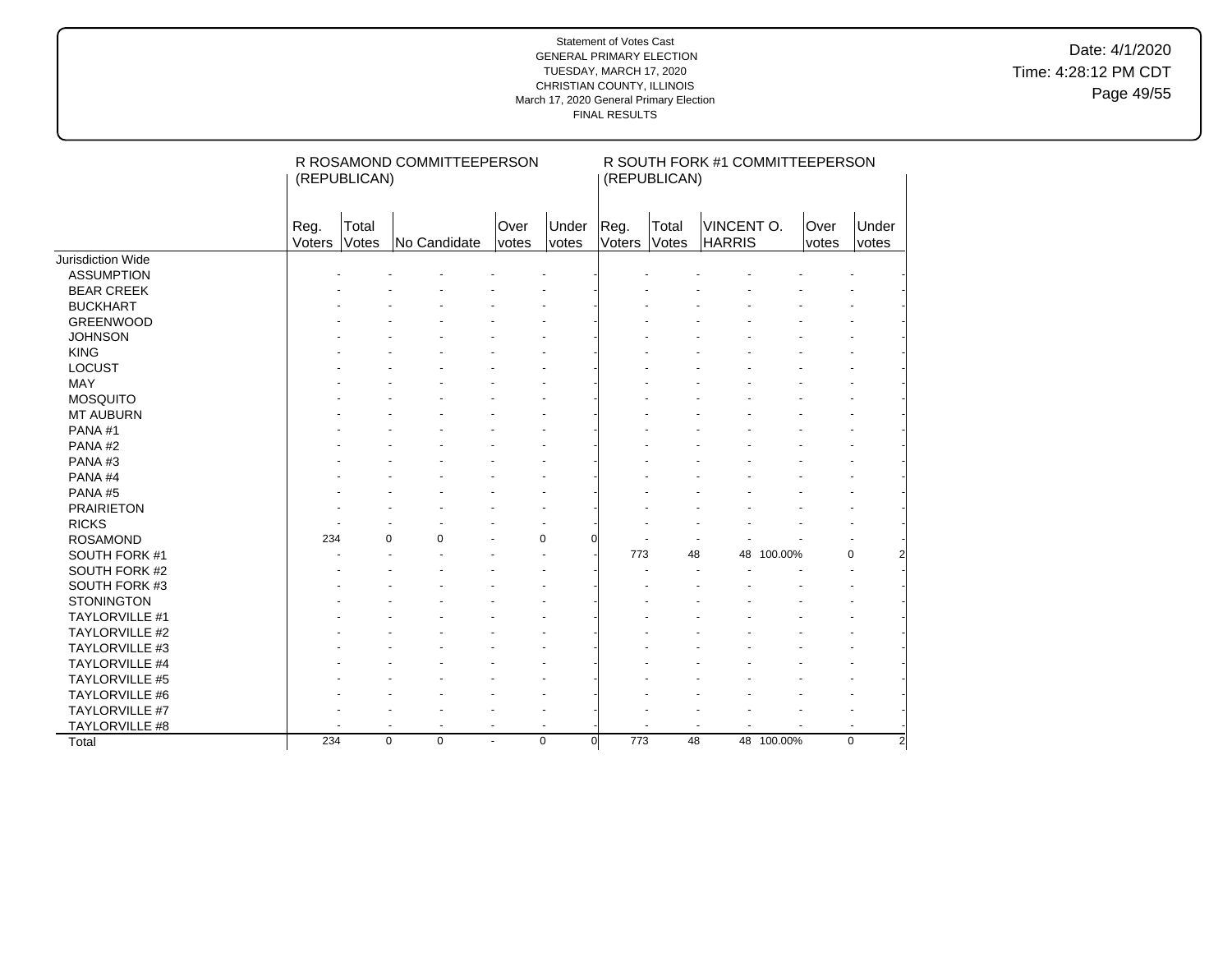Date: 4/1/2020 Time: 4:28:12 PM CDT Page 49/55

|                       |                | R ROSAMOND COMMITTEEPERSON<br>(REPUBLICAN) |              |                      |                       |                 |                | R SOUTH FORK #1 COMMITTEEPERSON<br>(REPUBLICAN) |            |               |                |  |  |  |
|-----------------------|----------------|--------------------------------------------|--------------|----------------------|-----------------------|-----------------|----------------|-------------------------------------------------|------------|---------------|----------------|--|--|--|
|                       | Reg.<br>Voters | Total<br>Votes                             | No Candidate | Over<br><i>votes</i> | Under<br><i>votes</i> | Reg.<br>Voters  | Total<br>Votes | VINCENT O.<br><b>HARRIS</b>                     |            | Over<br>votes | Under<br>votes |  |  |  |
| Jurisdiction Wide     |                |                                            |              |                      |                       |                 |                |                                                 |            |               |                |  |  |  |
| <b>ASSUMPTION</b>     |                |                                            |              |                      |                       |                 |                |                                                 |            |               |                |  |  |  |
| <b>BEAR CREEK</b>     |                |                                            |              |                      |                       |                 |                |                                                 |            |               |                |  |  |  |
| <b>BUCKHART</b>       |                |                                            |              |                      |                       |                 |                |                                                 |            |               |                |  |  |  |
| <b>GREENWOOD</b>      |                |                                            |              |                      |                       |                 |                |                                                 |            |               |                |  |  |  |
| <b>JOHNSON</b>        |                |                                            |              |                      |                       |                 |                |                                                 |            |               |                |  |  |  |
| <b>KING</b>           |                |                                            |              |                      |                       |                 |                |                                                 |            |               |                |  |  |  |
| <b>LOCUST</b>         |                |                                            |              |                      |                       |                 |                |                                                 |            |               |                |  |  |  |
| <b>MAY</b>            |                |                                            |              |                      |                       |                 |                |                                                 |            |               |                |  |  |  |
| <b>MOSQUITO</b>       |                |                                            |              |                      |                       |                 |                |                                                 |            |               |                |  |  |  |
| <b>MT AUBURN</b>      |                |                                            |              |                      |                       |                 |                |                                                 |            |               |                |  |  |  |
| PANA#1                |                |                                            |              |                      |                       |                 |                |                                                 |            |               |                |  |  |  |
| PANA#2                |                |                                            |              |                      |                       |                 |                |                                                 |            |               |                |  |  |  |
| PANA#3                |                |                                            |              |                      |                       |                 |                |                                                 |            |               |                |  |  |  |
| PANA#4                |                |                                            |              |                      |                       |                 |                |                                                 |            |               |                |  |  |  |
| PANA#5                |                |                                            |              |                      |                       |                 |                |                                                 |            |               |                |  |  |  |
| <b>PRAIRIETON</b>     |                |                                            |              |                      |                       |                 |                |                                                 |            |               |                |  |  |  |
| <b>RICKS</b>          |                |                                            |              |                      |                       |                 |                |                                                 |            |               |                |  |  |  |
| <b>ROSAMOND</b>       | 234            | $\mathbf 0$                                | 0            |                      | 0                     |                 |                |                                                 |            |               |                |  |  |  |
| SOUTH FORK #1         |                |                                            |              |                      |                       | 773             | 48             | 48                                              | 100.00%    |               | $\Omega$       |  |  |  |
| SOUTH FORK #2         |                |                                            |              |                      |                       |                 |                |                                                 |            |               |                |  |  |  |
| SOUTH FORK #3         |                |                                            |              |                      |                       |                 |                |                                                 |            |               |                |  |  |  |
| <b>STONINGTON</b>     |                |                                            |              |                      |                       |                 |                |                                                 |            |               |                |  |  |  |
| TAYLORVILLE #1        |                |                                            |              |                      |                       |                 |                |                                                 |            |               |                |  |  |  |
| <b>TAYLORVILLE #2</b> |                |                                            |              |                      |                       |                 |                |                                                 |            |               |                |  |  |  |
| TAYLORVILLE #3        |                |                                            |              |                      |                       |                 |                |                                                 |            |               |                |  |  |  |
| <b>TAYLORVILLE #4</b> |                |                                            |              |                      |                       |                 |                |                                                 |            |               |                |  |  |  |
| TAYLORVILLE #5        |                |                                            |              |                      |                       |                 |                |                                                 |            |               |                |  |  |  |
| TAYLORVILLE #6        |                |                                            |              |                      |                       |                 |                |                                                 |            |               |                |  |  |  |
| TAYLORVILLE #7        |                |                                            |              |                      |                       |                 |                |                                                 |            |               |                |  |  |  |
| TAYLORVILLE #8        |                | $\blacksquare$                             | ٠            | $\blacksquare$       | $\ddot{\phantom{1}}$  |                 |                |                                                 |            |               |                |  |  |  |
| Total                 | 234            | $\mathbf 0$                                | $\mathbf 0$  | $\blacksquare$       | 0                     | 773<br>$\Omega$ | 48             |                                                 | 48 100.00% |               | $\mathbf 0$    |  |  |  |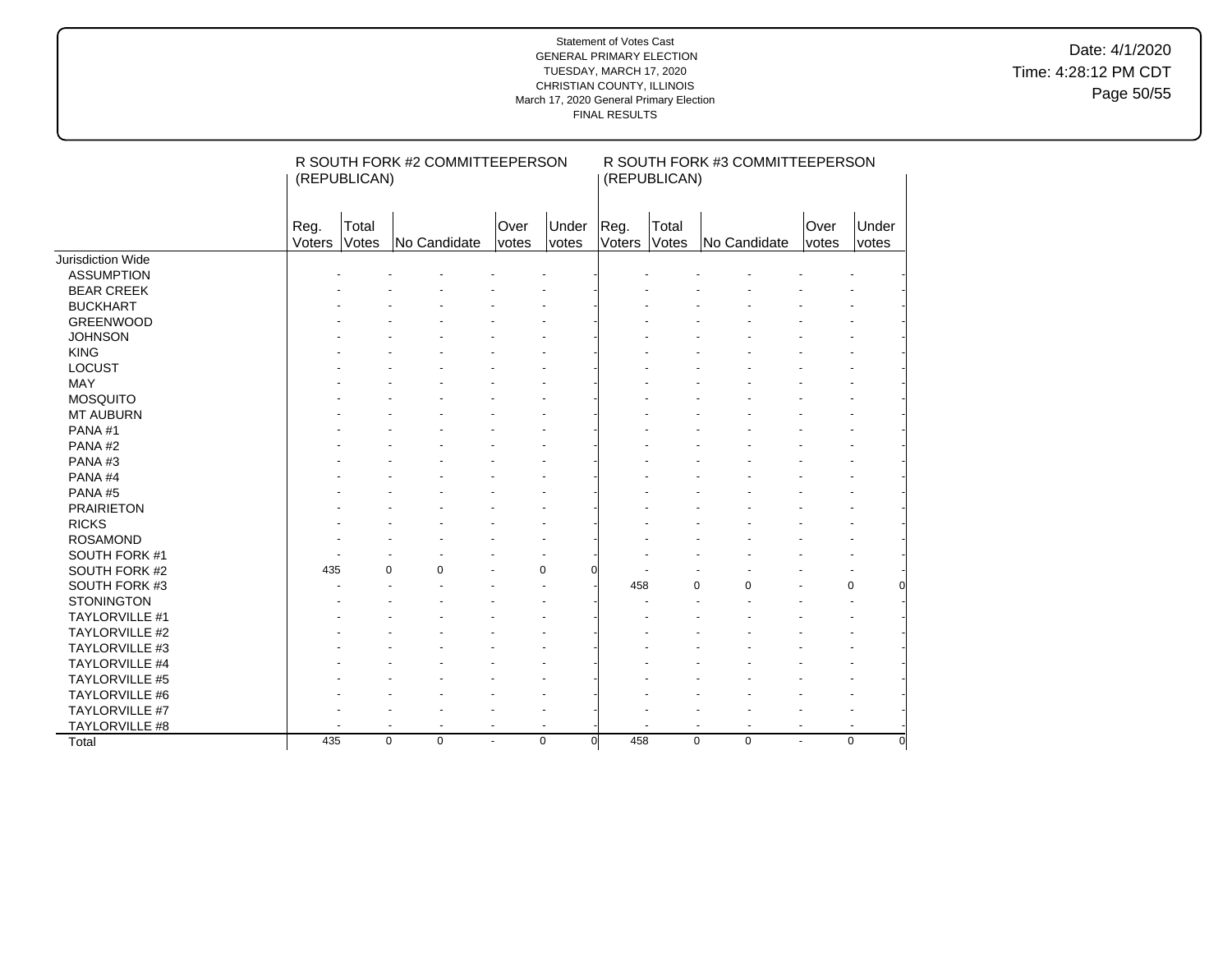Date: 4/1/2020 Time: 4:28:12 PM CDT Page 50/55

|                   | R SOUTH FORK #2 COMMITTEEPERSON<br>(REPUBLICAN) |                          |                          |                          |                          |                       | R SOUTH FORK #3 COMMITTEEPERSON<br>(REPUBLICAN) |                                                      |               |                |  |  |  |
|-------------------|-------------------------------------------------|--------------------------|--------------------------|--------------------------|--------------------------|-----------------------|-------------------------------------------------|------------------------------------------------------|---------------|----------------|--|--|--|
|                   | Reg.<br>Voters                                  | Total<br>Votes           | No Candidate             | Over<br><i>votes</i>     | Under<br>votes           | Reg.<br>Voters        | Total<br>Votes                                  | No Candidate                                         | Over<br>votes | Under<br>votes |  |  |  |
| Jurisdiction Wide |                                                 |                          |                          |                          |                          |                       |                                                 |                                                      |               |                |  |  |  |
| <b>ASSUMPTION</b> |                                                 |                          |                          |                          |                          |                       |                                                 |                                                      |               |                |  |  |  |
| <b>BEAR CREEK</b> |                                                 |                          |                          |                          |                          |                       |                                                 |                                                      |               |                |  |  |  |
| <b>BUCKHART</b>   |                                                 |                          |                          |                          |                          |                       |                                                 |                                                      |               |                |  |  |  |
| <b>GREENWOOD</b>  |                                                 |                          |                          |                          |                          |                       |                                                 |                                                      |               |                |  |  |  |
| <b>JOHNSON</b>    |                                                 |                          |                          |                          |                          |                       |                                                 |                                                      |               |                |  |  |  |
| <b>KING</b>       |                                                 |                          |                          |                          |                          |                       |                                                 |                                                      |               |                |  |  |  |
| <b>LOCUST</b>     |                                                 |                          |                          |                          |                          |                       |                                                 |                                                      |               |                |  |  |  |
| <b>MAY</b>        |                                                 |                          |                          |                          |                          |                       |                                                 |                                                      |               |                |  |  |  |
| <b>MOSQUITO</b>   |                                                 |                          |                          |                          |                          |                       |                                                 |                                                      |               |                |  |  |  |
| <b>MT AUBURN</b>  |                                                 |                          |                          |                          |                          |                       |                                                 |                                                      |               |                |  |  |  |
| PANA#1            |                                                 |                          |                          |                          |                          |                       |                                                 |                                                      |               |                |  |  |  |
| PANA#2            |                                                 |                          |                          |                          |                          |                       |                                                 |                                                      |               |                |  |  |  |
| PANA#3            |                                                 |                          |                          |                          |                          |                       |                                                 |                                                      |               |                |  |  |  |
| PANA#4            |                                                 |                          |                          |                          |                          |                       |                                                 |                                                      |               |                |  |  |  |
| PANA#5            |                                                 |                          |                          |                          |                          |                       |                                                 |                                                      |               |                |  |  |  |
| <b>PRAIRIETON</b> |                                                 |                          |                          |                          |                          |                       |                                                 |                                                      |               |                |  |  |  |
| <b>RICKS</b>      |                                                 |                          |                          |                          |                          |                       |                                                 |                                                      |               |                |  |  |  |
| <b>ROSAMOND</b>   |                                                 |                          |                          |                          |                          |                       |                                                 |                                                      |               |                |  |  |  |
| SOUTH FORK #1     |                                                 |                          |                          |                          |                          |                       |                                                 |                                                      |               |                |  |  |  |
| SOUTH FORK #2     | 435                                             | $\Omega$                 | $\mathbf 0$              |                          | $\mathbf 0$              | ŋ                     |                                                 |                                                      |               |                |  |  |  |
| SOUTH FORK #3     |                                                 |                          |                          |                          |                          | 458                   |                                                 | $\mathbf 0$<br>0                                     |               | 0              |  |  |  |
| <b>STONINGTON</b> |                                                 |                          |                          |                          |                          |                       |                                                 |                                                      |               |                |  |  |  |
| TAYLORVILLE #1    |                                                 |                          |                          |                          |                          |                       |                                                 |                                                      |               |                |  |  |  |
| TAYLORVILLE #2    |                                                 |                          |                          |                          |                          |                       |                                                 |                                                      |               |                |  |  |  |
| TAYLORVILLE #3    |                                                 |                          |                          |                          |                          |                       |                                                 |                                                      |               |                |  |  |  |
| TAYLORVILLE #4    |                                                 |                          |                          |                          |                          |                       |                                                 |                                                      |               |                |  |  |  |
| TAYLORVILLE #5    |                                                 |                          |                          |                          |                          |                       |                                                 |                                                      |               |                |  |  |  |
| TAYLORVILLE #6    |                                                 |                          |                          |                          |                          |                       |                                                 |                                                      |               |                |  |  |  |
| TAYLORVILLE #7    |                                                 |                          |                          |                          |                          |                       |                                                 |                                                      |               |                |  |  |  |
| TAYLORVILLE #8    |                                                 | $\overline{\phantom{a}}$ | $\overline{\phantom{a}}$ | $\overline{\phantom{a}}$ | $\overline{\phantom{a}}$ |                       |                                                 | $\overline{\phantom{a}}$<br>$\overline{\phantom{a}}$ |               |                |  |  |  |
| Total             | 435                                             | $\mathbf 0$              | $\mathbf 0$              | ÷                        | $\mathbf 0$              | 458<br>$\overline{0}$ |                                                 | $\mathbf 0$<br>$\mathbf 0$                           | ÷.            | $\mathbf 0$    |  |  |  |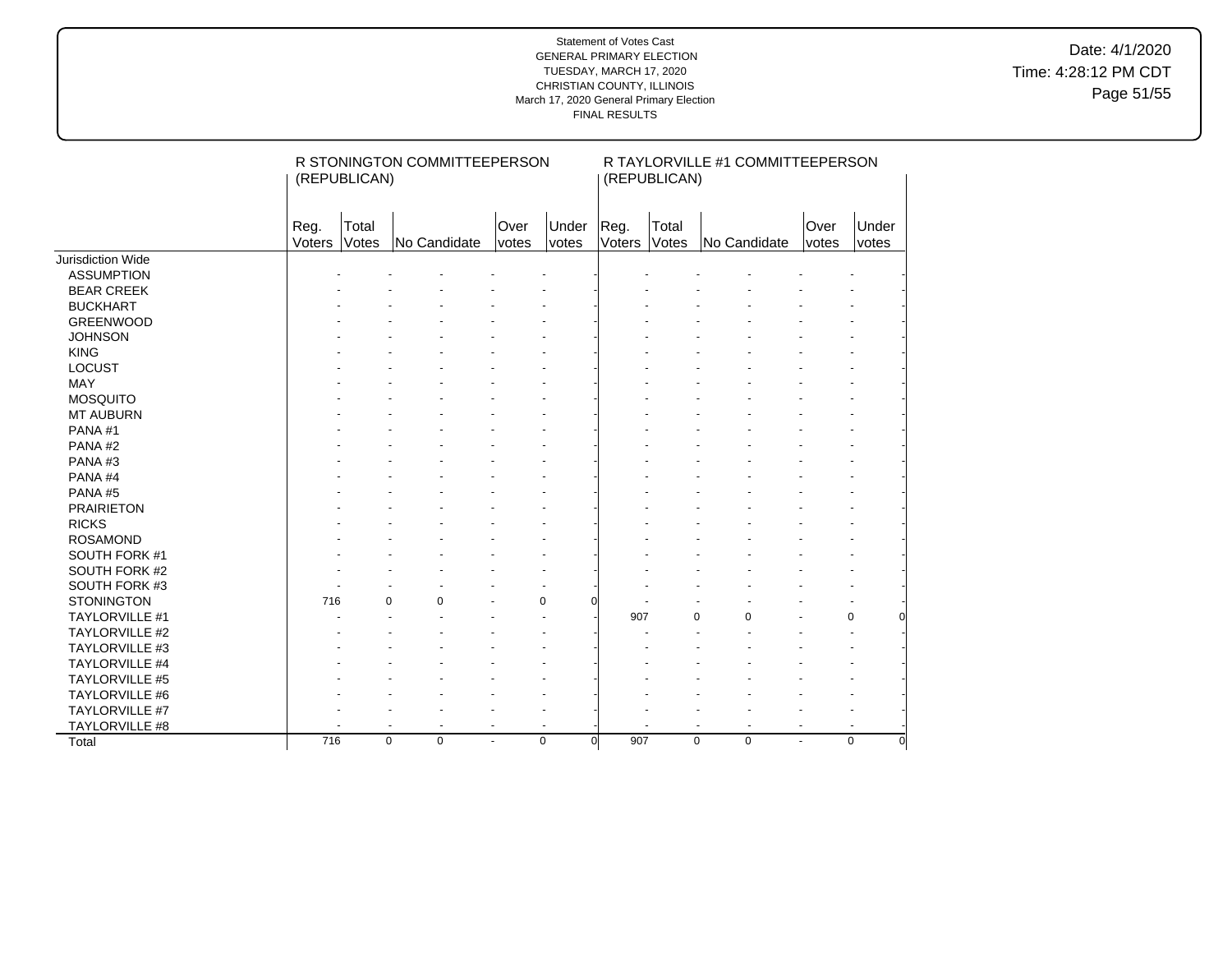Date: 4/1/2020 Time: 4:28:12 PM CDT Page 51/55

|                       | (REPUBLICAN)   |                | R STONINGTON COMMITTEEPERSON |                          | R TAYLORVILLE #1 COMMITTEEPERSON<br>(REPUBLICAN) |                 |                |                                            |                |                |  |
|-----------------------|----------------|----------------|------------------------------|--------------------------|--------------------------------------------------|-----------------|----------------|--------------------------------------------|----------------|----------------|--|
|                       | Reg.<br>Voters | Total<br>Votes | No Candidate                 | Over<br>votes            | Under<br>votes                                   | Reg.<br>Voters  | Total<br>Votes | No Candidate                               | Over<br>votes  | Under<br>votes |  |
| Jurisdiction Wide     |                |                |                              |                          |                                                  |                 |                |                                            |                |                |  |
| <b>ASSUMPTION</b>     |                |                |                              |                          |                                                  |                 |                |                                            |                |                |  |
| <b>BEAR CREEK</b>     |                |                |                              |                          |                                                  |                 |                |                                            |                |                |  |
| <b>BUCKHART</b>       |                |                |                              |                          |                                                  |                 |                |                                            |                |                |  |
| <b>GREENWOOD</b>      |                |                |                              |                          |                                                  |                 |                |                                            |                |                |  |
| <b>JOHNSON</b>        |                |                |                              |                          |                                                  |                 |                |                                            |                |                |  |
| <b>KING</b>           |                |                |                              |                          |                                                  |                 |                |                                            |                |                |  |
| <b>LOCUST</b>         |                |                |                              |                          |                                                  |                 |                |                                            |                |                |  |
| MAY                   |                |                |                              |                          |                                                  |                 |                |                                            |                |                |  |
| <b>MOSQUITO</b>       |                |                |                              |                          |                                                  |                 |                |                                            |                |                |  |
| <b>MT AUBURN</b>      |                |                |                              |                          |                                                  |                 |                |                                            |                |                |  |
| PANA#1                |                |                |                              |                          |                                                  |                 |                |                                            |                |                |  |
| PANA#2                |                |                |                              |                          |                                                  |                 |                |                                            |                |                |  |
| PANA#3                |                |                |                              |                          |                                                  |                 |                |                                            |                |                |  |
| PANA#4                |                |                |                              |                          |                                                  |                 |                |                                            |                |                |  |
| PANA#5                |                |                |                              |                          |                                                  |                 |                |                                            |                |                |  |
| <b>PRAIRIETON</b>     |                |                |                              |                          |                                                  |                 |                |                                            |                |                |  |
| <b>RICKS</b>          |                |                |                              |                          |                                                  |                 |                |                                            |                |                |  |
| <b>ROSAMOND</b>       |                |                |                              |                          |                                                  |                 |                |                                            |                |                |  |
| SOUTH FORK #1         |                |                |                              |                          |                                                  |                 |                |                                            |                |                |  |
| SOUTH FORK #2         |                |                |                              |                          |                                                  |                 |                |                                            |                |                |  |
| SOUTH FORK #3         |                |                |                              |                          |                                                  |                 |                |                                            |                |                |  |
| <b>STONINGTON</b>     | 716            | $\Omega$       | 0                            |                          | 0                                                | U               |                |                                            |                |                |  |
| TAYLORVILLE #1        |                |                |                              |                          | $\ddot{\phantom{1}}$                             | 907             |                | $\Omega$<br>$\Omega$                       |                | 0              |  |
| <b>TAYLORVILLE #2</b> |                |                |                              |                          |                                                  |                 |                |                                            |                |                |  |
| TAYLORVILLE #3        |                |                |                              |                          |                                                  |                 |                |                                            |                |                |  |
| <b>TAYLORVILLE #4</b> |                |                |                              |                          |                                                  |                 |                |                                            |                |                |  |
| <b>TAYLORVILLE #5</b> |                |                |                              |                          |                                                  |                 |                |                                            |                |                |  |
| <b>TAYLORVILLE #6</b> |                |                |                              |                          |                                                  |                 |                |                                            |                |                |  |
| TAYLORVILLE #7        |                |                |                              |                          |                                                  |                 |                |                                            |                |                |  |
| TAYLORVILLE #8        |                | $\blacksquare$ |                              | $\overline{\phantom{a}}$ | $\blacksquare$                                   |                 |                | $\blacksquare$<br>$\overline{\phantom{a}}$ | $\overline{a}$ |                |  |
| Total                 | 716            | $\mathbf 0$    | $\mathbf 0$                  | ÷.                       | $\mathbf 0$                                      | 907<br>$\Omega$ |                | $\mathbf 0$<br>$\mathbf 0$                 | $\blacksquare$ | $\Omega$<br>O  |  |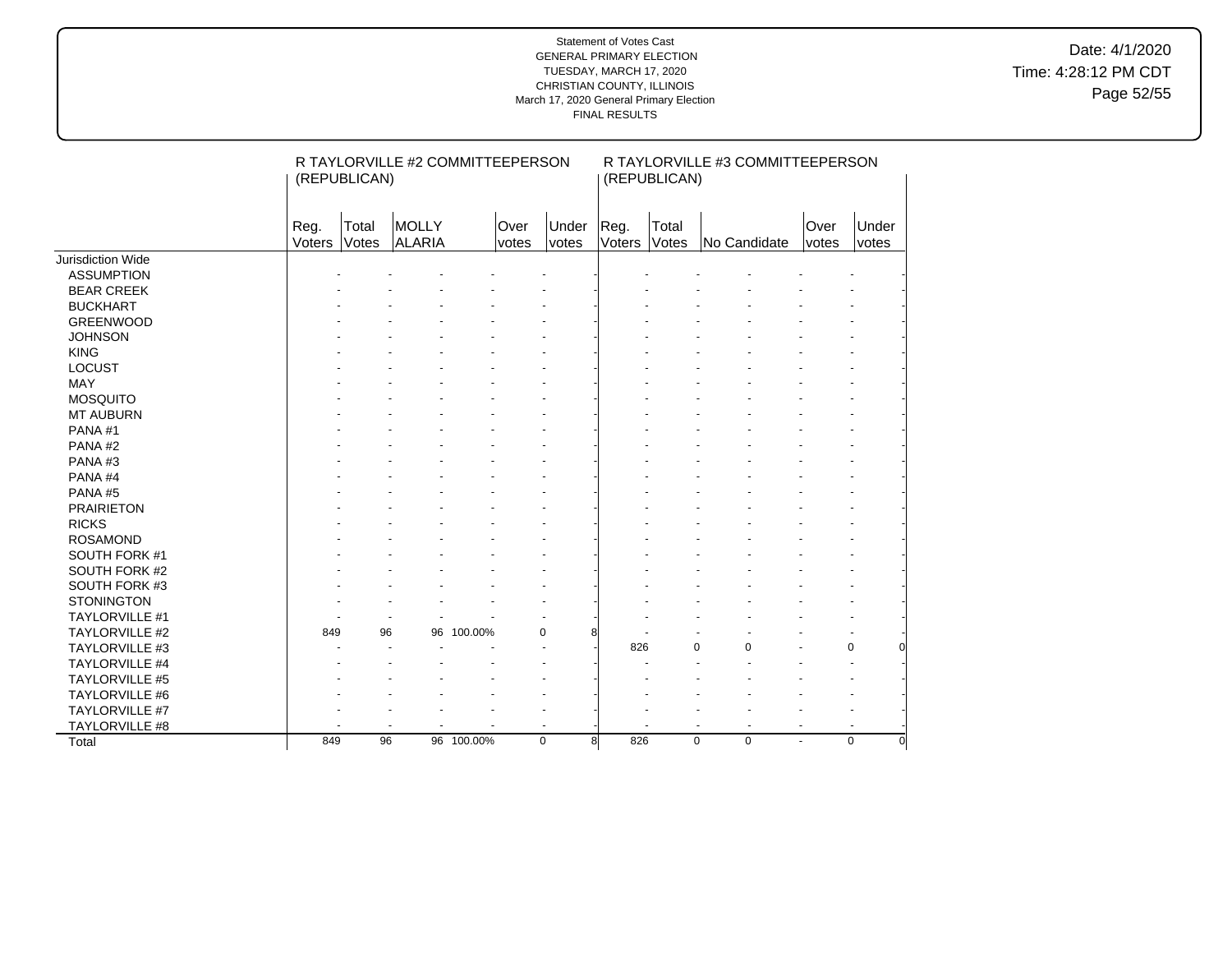Date: 4/1/2020 Time: 4:28:12 PM CDT Page 52/55

|                       |                | R TAYLORVILLE #2 COMMITTEEPERSON<br>(REPUBLICAN) |                 |            |               |                |                | R TAYLORVILLE #3 COMMITTEEPERSON<br>(REPUBLICAN) |                            |                |                         |  |  |
|-----------------------|----------------|--------------------------------------------------|-----------------|------------|---------------|----------------|----------------|--------------------------------------------------|----------------------------|----------------|-------------------------|--|--|
|                       | Reg.<br>Voters | Total<br>Votes                                   | MOLLY<br>ALARIA |            | Over<br>votes | Under<br>votes | Reg.<br>Voters | Total<br>Votes                                   | No Candidate               | Over<br>votes  | Under<br>votes          |  |  |
| Jurisdiction Wide     |                |                                                  |                 |            |               |                |                |                                                  |                            |                |                         |  |  |
| <b>ASSUMPTION</b>     |                |                                                  |                 |            |               |                |                |                                                  |                            |                |                         |  |  |
| <b>BEAR CREEK</b>     |                |                                                  |                 |            |               |                |                |                                                  |                            |                |                         |  |  |
| <b>BUCKHART</b>       |                |                                                  |                 |            |               |                |                |                                                  |                            |                |                         |  |  |
| <b>GREENWOOD</b>      |                |                                                  |                 |            |               |                |                |                                                  |                            |                |                         |  |  |
| <b>JOHNSON</b>        |                |                                                  |                 |            |               |                |                |                                                  |                            |                |                         |  |  |
| <b>KING</b>           |                |                                                  |                 |            |               |                |                |                                                  |                            |                |                         |  |  |
| LOCUST                |                |                                                  |                 |            |               |                |                |                                                  |                            |                |                         |  |  |
| <b>MAY</b>            |                |                                                  |                 |            |               |                |                |                                                  |                            |                |                         |  |  |
| <b>MOSQUITO</b>       |                |                                                  |                 |            |               |                |                |                                                  |                            |                |                         |  |  |
| <b>MT AUBURN</b>      |                |                                                  |                 |            |               |                |                |                                                  |                            |                |                         |  |  |
| PANA#1                |                |                                                  |                 |            |               |                |                |                                                  |                            |                |                         |  |  |
| PANA#2                |                |                                                  |                 |            |               |                |                |                                                  |                            |                |                         |  |  |
| PANA#3                |                |                                                  |                 |            |               |                |                |                                                  |                            |                |                         |  |  |
| PANA#4                |                |                                                  |                 |            |               |                |                |                                                  |                            |                |                         |  |  |
| PANA#5                |                |                                                  |                 |            |               |                |                |                                                  |                            |                |                         |  |  |
| <b>PRAIRIETON</b>     |                |                                                  |                 |            |               |                |                |                                                  |                            |                |                         |  |  |
| <b>RICKS</b>          |                |                                                  |                 |            |               |                |                |                                                  |                            |                |                         |  |  |
| <b>ROSAMOND</b>       |                |                                                  |                 |            |               |                |                |                                                  |                            |                |                         |  |  |
| SOUTH FORK #1         |                |                                                  |                 |            |               |                |                |                                                  |                            |                |                         |  |  |
| SOUTH FORK #2         |                |                                                  |                 |            |               |                |                |                                                  |                            |                |                         |  |  |
| SOUTH FORK #3         |                |                                                  |                 |            |               |                |                |                                                  |                            |                |                         |  |  |
| <b>STONINGTON</b>     |                |                                                  |                 |            |               |                |                |                                                  |                            |                |                         |  |  |
| <b>TAYLORVILLE #1</b> |                |                                                  |                 |            |               |                |                |                                                  |                            |                |                         |  |  |
| TAYLORVILLE #2        | 849            | 96                                               | 96              | 100.00%    | 0             | 8              |                |                                                  |                            |                |                         |  |  |
| TAYLORVILLE #3        |                |                                                  |                 |            |               |                | 826            |                                                  | 0<br>0                     |                | $\mathbf 0$<br>$\Omega$ |  |  |
| <b>TAYLORVILLE #4</b> |                |                                                  |                 |            |               |                |                |                                                  |                            |                |                         |  |  |
| TAYLORVILLE #5        |                |                                                  |                 |            |               |                |                |                                                  |                            |                |                         |  |  |
| <b>TAYLORVILLE #6</b> |                |                                                  |                 |            |               |                |                |                                                  |                            |                |                         |  |  |
| TAYLORVILLE #7        |                |                                                  |                 |            |               |                |                |                                                  |                            |                |                         |  |  |
| TAYLORVILLE #8        |                |                                                  |                 |            |               |                |                |                                                  | $\overline{\phantom{a}}$   |                |                         |  |  |
| Total                 | 849            | 96                                               |                 | 96 100.00% | $\mathbf 0$   | 8              | 826            |                                                  | $\mathbf 0$<br>$\mathbf 0$ | $\blacksquare$ | $\Omega$<br>$\Omega$    |  |  |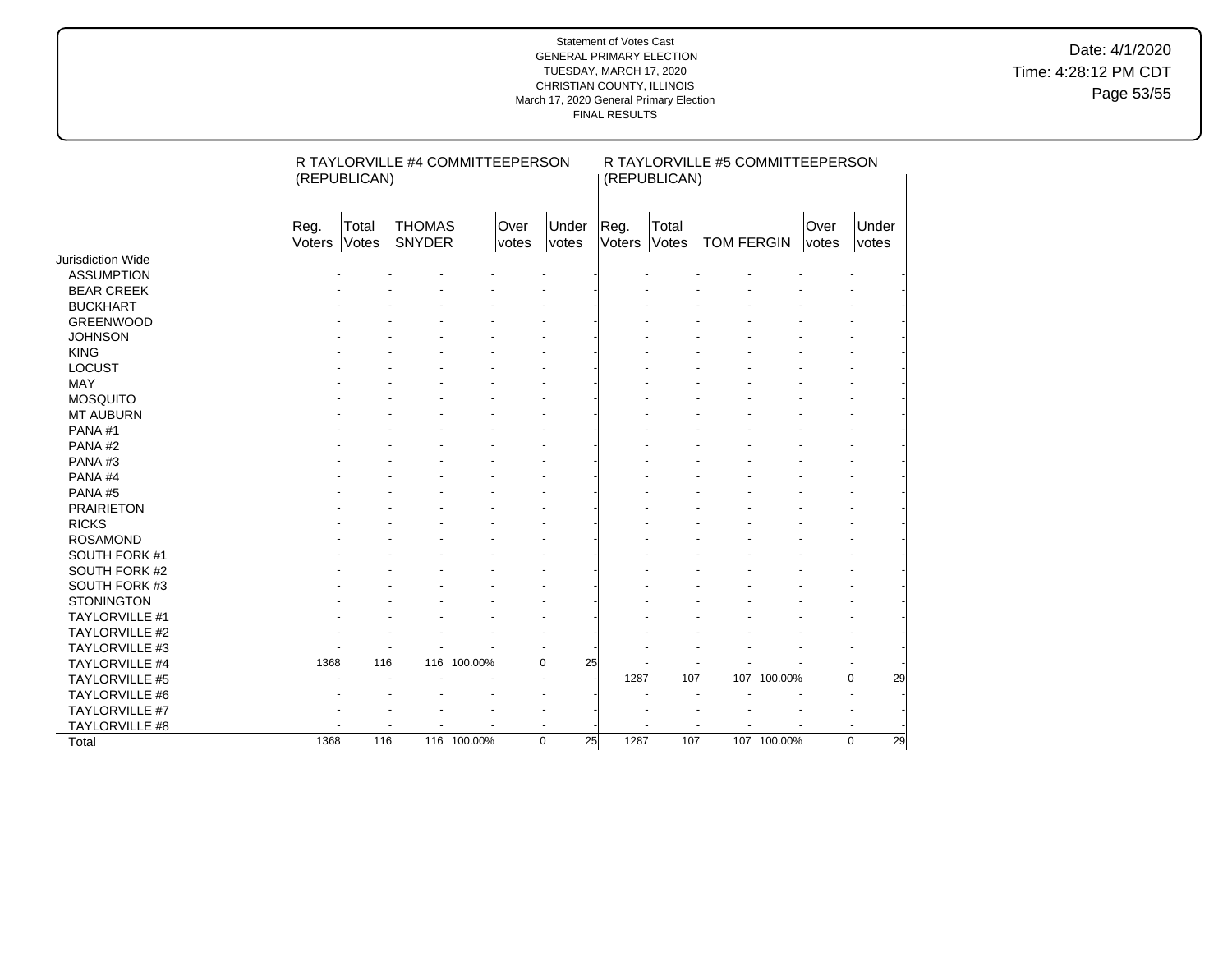Date: 4/1/2020 Time: 4:28:12 PM CDT Page 53/55

|                       |                | R TAYLORVILLE #4 COMMITTEEPERSON<br>(REPUBLICAN) |                                |             |             |                |                | R TAYLORVILLE #5 COMMITTEEPERSON<br>(REPUBLICAN) |                   |             |                      |                   |  |
|-----------------------|----------------|--------------------------------------------------|--------------------------------|-------------|-------------|----------------|----------------|--------------------------------------------------|-------------------|-------------|----------------------|-------------------|--|
|                       | Reg.<br>Voters | Total<br>Votes                                   | <b>THOMAS</b><br><b>SNYDER</b> | Over        | votes       | Under<br>votes | Reg.<br>Voters | Total<br>Votes                                   | <b>TOM FERGIN</b> |             | Over<br><i>votes</i> | Under<br>votes    |  |
| Jurisdiction Wide     |                |                                                  |                                |             |             |                |                |                                                  |                   |             |                      |                   |  |
| <b>ASSUMPTION</b>     |                |                                                  |                                |             |             |                |                |                                                  |                   |             |                      |                   |  |
| <b>BEAR CREEK</b>     |                |                                                  |                                |             |             |                |                |                                                  |                   |             |                      |                   |  |
| <b>BUCKHART</b>       |                |                                                  |                                |             |             |                |                |                                                  |                   |             |                      |                   |  |
| <b>GREENWOOD</b>      |                |                                                  |                                |             |             |                |                |                                                  |                   |             |                      |                   |  |
| <b>JOHNSON</b>        |                |                                                  |                                |             |             |                |                |                                                  |                   |             |                      |                   |  |
| <b>KING</b>           |                |                                                  |                                |             |             |                |                |                                                  |                   |             |                      |                   |  |
| <b>LOCUST</b>         |                |                                                  |                                |             |             |                |                |                                                  |                   |             |                      |                   |  |
| <b>MAY</b>            |                |                                                  |                                |             |             |                |                |                                                  |                   |             |                      |                   |  |
| <b>MOSQUITO</b>       |                |                                                  |                                |             |             |                |                |                                                  |                   |             |                      |                   |  |
| <b>MT AUBURN</b>      |                |                                                  |                                |             |             |                |                |                                                  |                   |             |                      |                   |  |
| PANA#1                |                |                                                  |                                |             |             |                |                |                                                  |                   |             |                      |                   |  |
| PANA#2                |                |                                                  |                                |             |             |                |                |                                                  |                   |             |                      |                   |  |
| PANA#3                |                |                                                  |                                |             |             |                |                |                                                  |                   |             |                      |                   |  |
| PANA#4                |                |                                                  |                                |             |             |                |                |                                                  |                   |             |                      |                   |  |
| PANA#5                |                |                                                  |                                |             |             |                |                |                                                  |                   |             |                      |                   |  |
| <b>PRAIRIETON</b>     |                |                                                  |                                |             |             |                |                |                                                  |                   |             |                      |                   |  |
| <b>RICKS</b>          |                |                                                  |                                |             |             |                |                |                                                  |                   |             |                      |                   |  |
| <b>ROSAMOND</b>       |                |                                                  |                                |             |             |                |                |                                                  |                   |             |                      |                   |  |
| SOUTH FORK #1         |                |                                                  |                                |             |             |                |                |                                                  |                   |             |                      |                   |  |
| SOUTH FORK #2         |                |                                                  |                                |             |             |                |                |                                                  |                   |             |                      |                   |  |
| SOUTH FORK #3         |                |                                                  |                                |             |             |                |                |                                                  |                   |             |                      |                   |  |
| <b>STONINGTON</b>     |                |                                                  |                                |             |             |                |                |                                                  |                   |             |                      |                   |  |
| TAYLORVILLE #1        |                |                                                  |                                |             |             |                |                |                                                  |                   |             |                      |                   |  |
| <b>TAYLORVILLE #2</b> |                |                                                  |                                |             |             |                |                |                                                  |                   |             |                      |                   |  |
| TAYLORVILLE #3        |                |                                                  |                                |             |             |                |                |                                                  |                   |             |                      |                   |  |
| <b>TAYLORVILLE #4</b> | 1368           | 116                                              | 116                            | 100.00%     | 0           | 25             |                |                                                  |                   |             |                      |                   |  |
| TAYLORVILLE #5        |                |                                                  |                                |             |             |                | 1287           | 107                                              |                   | 107 100.00% |                      | $\mathbf 0$<br>29 |  |
| TAYLORVILLE #6        |                |                                                  |                                |             |             |                |                |                                                  |                   |             |                      |                   |  |
| TAYLORVILLE #7        |                |                                                  |                                |             |             |                |                |                                                  |                   |             |                      |                   |  |
| TAYLORVILLE #8        |                |                                                  |                                |             |             |                |                |                                                  |                   |             |                      |                   |  |
| Total                 | 1368           | 116                                              |                                | 116 100.00% | $\mathbf 0$ | 25             | 1287           | 107                                              |                   | 107 100.00% |                      | 29<br>$\Omega$    |  |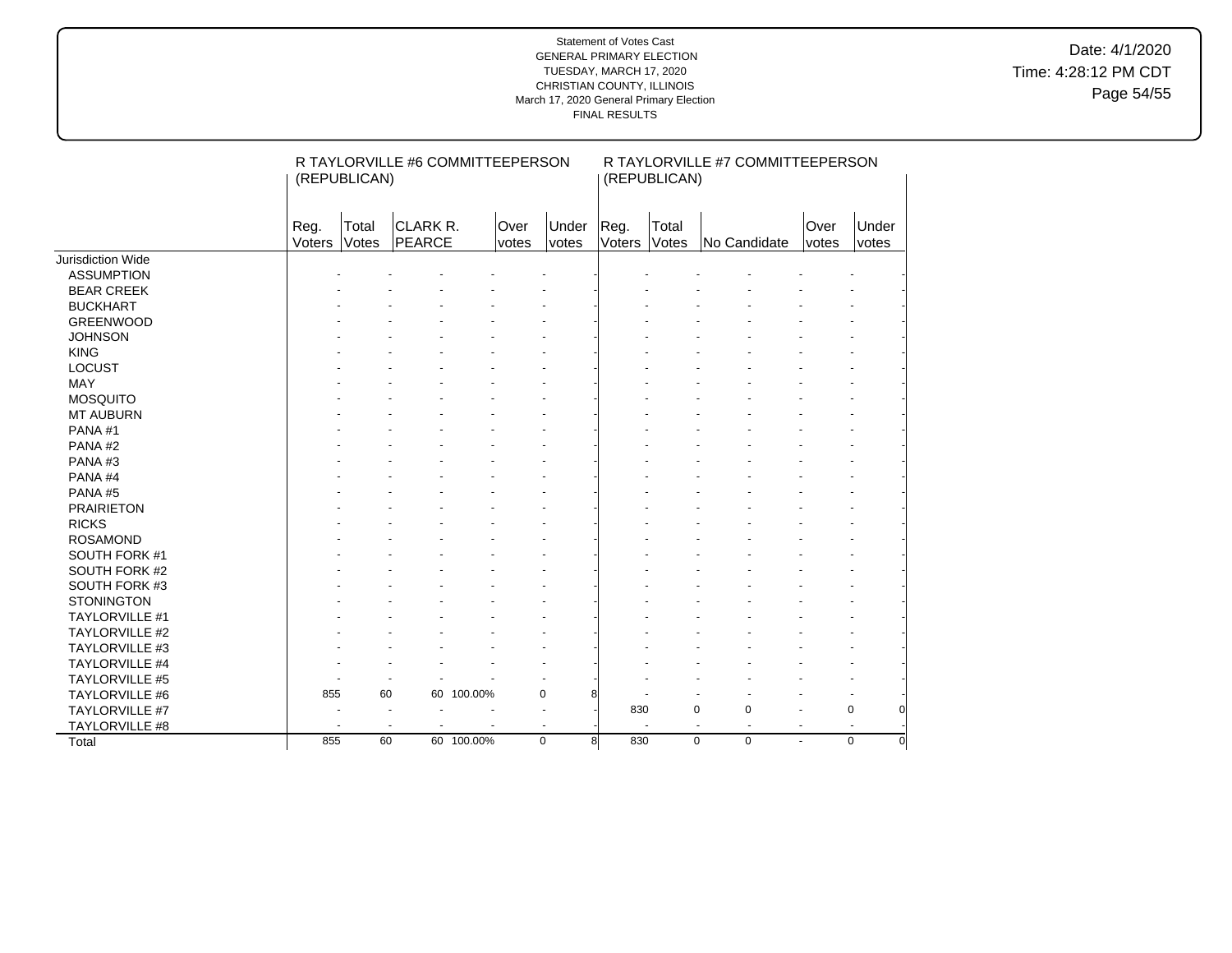Date: 4/1/2020 Time: 4:28:12 PM CDT Page 54/55

|                       |                | R TAYLORVILLE #6 COMMITTEEPERSON<br>(REPUBLICAN) |                    |            |               |                |                | R TAYLORVILLE #7 COMMITTEEPERSON<br>(REPUBLICAN) |                                  |                |               |                |  |  |
|-----------------------|----------------|--------------------------------------------------|--------------------|------------|---------------|----------------|----------------|--------------------------------------------------|----------------------------------|----------------|---------------|----------------|--|--|
|                       | Reg.<br>Voters | Total<br>Votes                                   | CLARK R.<br>PEARCE |            | Over<br>votes | Under<br>votes | Reg.<br>Voters | Total<br>Votes                                   | No Candidate                     |                | Over<br>votes | Under<br>votes |  |  |
| Jurisdiction Wide     |                |                                                  |                    |            |               |                |                |                                                  |                                  |                |               |                |  |  |
| <b>ASSUMPTION</b>     |                |                                                  |                    |            |               |                |                |                                                  |                                  |                |               |                |  |  |
| <b>BEAR CREEK</b>     |                |                                                  |                    |            |               |                |                |                                                  |                                  |                |               |                |  |  |
| <b>BUCKHART</b>       |                |                                                  |                    |            |               |                |                |                                                  |                                  |                |               |                |  |  |
| <b>GREENWOOD</b>      |                |                                                  |                    |            |               |                |                |                                                  |                                  |                |               |                |  |  |
| <b>JOHNSON</b>        |                |                                                  |                    |            |               |                |                |                                                  |                                  |                |               |                |  |  |
| <b>KING</b>           |                |                                                  |                    |            |               |                |                |                                                  |                                  |                |               |                |  |  |
| LOCUST                |                |                                                  |                    |            |               |                |                |                                                  |                                  |                |               |                |  |  |
| <b>MAY</b>            |                |                                                  |                    |            |               |                |                |                                                  |                                  |                |               |                |  |  |
| <b>MOSQUITO</b>       |                |                                                  |                    |            |               |                |                |                                                  |                                  |                |               |                |  |  |
| <b>MT AUBURN</b>      |                |                                                  |                    |            |               |                |                |                                                  |                                  |                |               |                |  |  |
| PANA#1                |                |                                                  |                    |            |               |                |                |                                                  |                                  |                |               |                |  |  |
| PANA#2                |                |                                                  |                    |            |               |                |                |                                                  |                                  |                |               |                |  |  |
| PANA#3                |                |                                                  |                    |            |               |                |                |                                                  |                                  |                |               |                |  |  |
| PANA#4                |                |                                                  |                    |            |               |                |                |                                                  |                                  |                |               |                |  |  |
| PANA#5                |                |                                                  |                    |            |               |                |                |                                                  |                                  |                |               |                |  |  |
| <b>PRAIRIETON</b>     |                |                                                  |                    |            |               |                |                |                                                  |                                  |                |               |                |  |  |
| <b>RICKS</b>          |                |                                                  |                    |            |               |                |                |                                                  |                                  |                |               |                |  |  |
| <b>ROSAMOND</b>       |                |                                                  |                    |            |               |                |                |                                                  |                                  |                |               |                |  |  |
| SOUTH FORK #1         |                |                                                  |                    |            |               |                |                |                                                  |                                  |                |               |                |  |  |
| SOUTH FORK #2         |                |                                                  |                    |            |               |                |                |                                                  |                                  |                |               |                |  |  |
| SOUTH FORK #3         |                |                                                  |                    |            |               |                |                |                                                  |                                  |                |               |                |  |  |
| <b>STONINGTON</b>     |                |                                                  |                    |            |               |                |                |                                                  |                                  |                |               |                |  |  |
| TAYLORVILLE #1        |                |                                                  |                    |            |               |                |                |                                                  |                                  |                |               |                |  |  |
| <b>TAYLORVILLE #2</b> |                |                                                  |                    |            |               |                |                |                                                  |                                  |                |               |                |  |  |
| TAYLORVILLE #3        |                |                                                  |                    |            |               |                |                |                                                  |                                  |                |               |                |  |  |
| <b>TAYLORVILLE #4</b> |                |                                                  |                    |            |               |                |                |                                                  |                                  |                |               |                |  |  |
| <b>TAYLORVILLE #5</b> |                |                                                  |                    |            |               |                |                |                                                  |                                  |                |               |                |  |  |
| TAYLORVILLE #6        | 855            | 60                                               |                    | 60 100.00% | 0             | 8              |                |                                                  |                                  |                |               |                |  |  |
| TAYLORVILLE #7        |                | $\overline{\phantom{a}}$                         |                    |            | ÷             |                | 830            | $\mathbf 0$                                      | $\pmb{0}$                        |                |               | $\mathbf 0$    |  |  |
| TAYLORVILLE #8        |                | $\overline{\phantom{a}}$                         |                    |            | ÷,            |                |                |                                                  | $\blacksquare$<br>$\blacksquare$ | $\blacksquare$ |               |                |  |  |
| Total                 | 855            | 60                                               |                    | 60 100.00% | $\mathbf 0$   | 8              | 830            | $\mathbf 0$                                      | $\mathbf 0$                      | ÷.             |               | $\Omega$       |  |  |